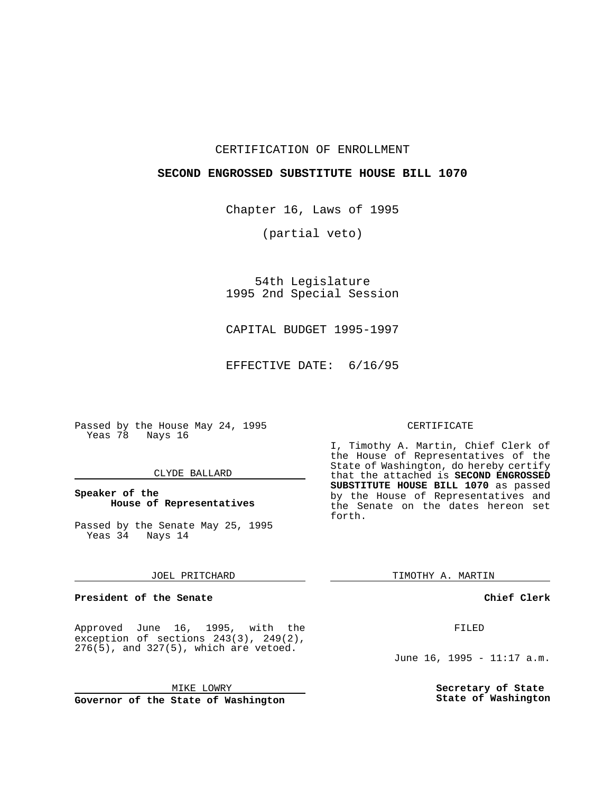#### CERTIFICATION OF ENROLLMENT

#### **SECOND ENGROSSED SUBSTITUTE HOUSE BILL 1070**

Chapter 16, Laws of 1995

(partial veto)

54th Legislature 1995 2nd Special Session

CAPITAL BUDGET 1995-1997

EFFECTIVE DATE: 6/16/95

Passed by the House May 24, 1995 Yeas 78 Nays 16

#### CLYDE BALLARD

#### **Speaker of the House of Representatives**

Passed by the Senate May 25, 1995 Yeas 34 Nays 14

#### JOEL PRITCHARD

#### **President of the Senate**

Approved June 16, 1995, with the exception of sections 243(3), 249(2),  $276(\overline{5})$ , and  $327(5)$ , which are vetoed.

MIKE LOWRY

**Governor of the State of Washington**

#### CERTIFICATE

I, Timothy A. Martin, Chief Clerk of the House of Representatives of the State of Washington, do hereby certify that the attached is **SECOND ENGROSSED SUBSTITUTE HOUSE BILL 1070** as passed by the House of Representatives and the Senate on the dates hereon set forth.

TIMOTHY A. MARTIN

**Chief Clerk**

FILED

June 16, 1995 - 11:17 a.m.

**Secretary of State State of Washington**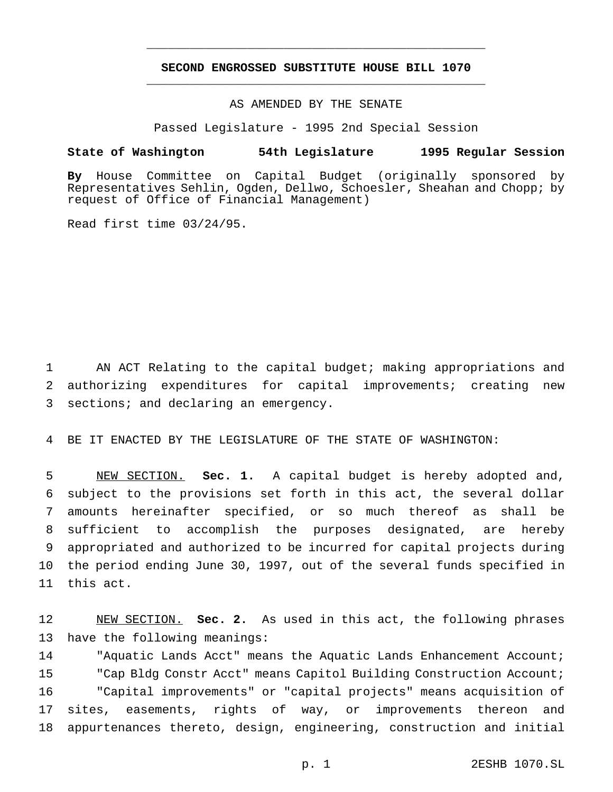## **SECOND ENGROSSED SUBSTITUTE HOUSE BILL 1070** \_\_\_\_\_\_\_\_\_\_\_\_\_\_\_\_\_\_\_\_\_\_\_\_\_\_\_\_\_\_\_\_\_\_\_\_\_\_\_\_\_\_\_\_\_\_\_

\_\_\_\_\_\_\_\_\_\_\_\_\_\_\_\_\_\_\_\_\_\_\_\_\_\_\_\_\_\_\_\_\_\_\_\_\_\_\_\_\_\_\_\_\_\_\_

## AS AMENDED BY THE SENATE

Passed Legislature - 1995 2nd Special Session

#### **State of Washington 54th Legislature 1995 Regular Session**

**By** House Committee on Capital Budget (originally sponsored by Representatives Sehlin, Ogden, Dellwo, Schoesler, Sheahan and Chopp; by request of Office of Financial Management)

Read first time 03/24/95.

 AN ACT Relating to the capital budget; making appropriations and authorizing expenditures for capital improvements; creating new sections; and declaring an emergency.

BE IT ENACTED BY THE LEGISLATURE OF THE STATE OF WASHINGTON:

 NEW SECTION. **Sec. 1.** A capital budget is hereby adopted and, subject to the provisions set forth in this act, the several dollar amounts hereinafter specified, or so much thereof as shall be sufficient to accomplish the purposes designated, are hereby appropriated and authorized to be incurred for capital projects during the period ending June 30, 1997, out of the several funds specified in this act.

 NEW SECTION. **Sec. 2.** As used in this act, the following phrases have the following meanings:

 "Aquatic Lands Acct" means the Aquatic Lands Enhancement Account; "Cap Bldg Constr Acct" means Capitol Building Construction Account; "Capital improvements" or "capital projects" means acquisition of sites, easements, rights of way, or improvements thereon and appurtenances thereto, design, engineering, construction and initial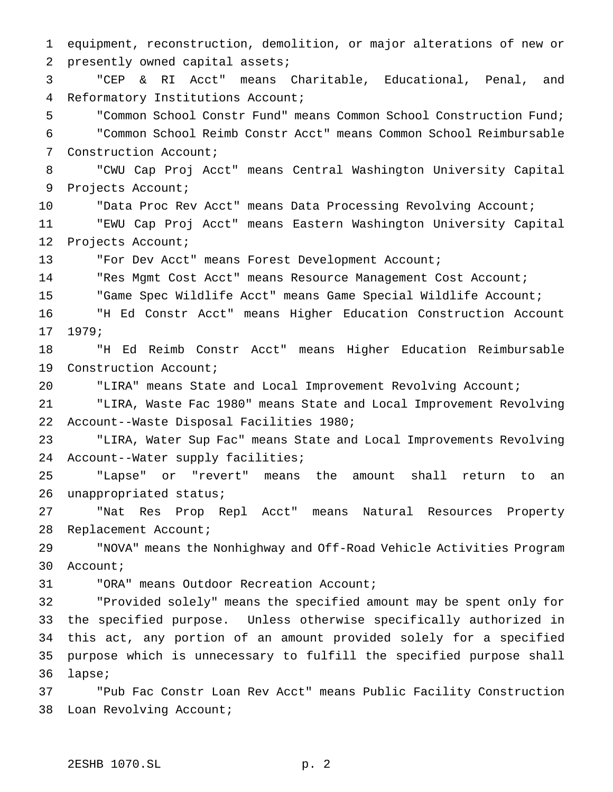equipment, reconstruction, demolition, or major alterations of new or presently owned capital assets; "CEP & RI Acct" means Charitable, Educational, Penal, and Reformatory Institutions Account; "Common School Constr Fund" means Common School Construction Fund; "Common School Reimb Constr Acct" means Common School Reimbursable Construction Account; "CWU Cap Proj Acct" means Central Washington University Capital Projects Account; "Data Proc Rev Acct" means Data Processing Revolving Account; "EWU Cap Proj Acct" means Eastern Washington University Capital Projects Account; "For Dev Acct" means Forest Development Account; 14 "Res Mgmt Cost Acct" means Resource Management Cost Account; "Game Spec Wildlife Acct" means Game Special Wildlife Account; "H Ed Constr Acct" means Higher Education Construction Account 1979; "H Ed Reimb Constr Acct" means Higher Education Reimbursable Construction Account; "LIRA" means State and Local Improvement Revolving Account; "LIRA, Waste Fac 1980" means State and Local Improvement Revolving Account--Waste Disposal Facilities 1980; "LIRA, Water Sup Fac" means State and Local Improvements Revolving Account--Water supply facilities; "Lapse" or "revert" means the amount shall return to an unappropriated status; "Nat Res Prop Repl Acct" means Natural Resources Property Replacement Account; "NOVA" means the Nonhighway and Off-Road Vehicle Activities Program Account; "ORA" means Outdoor Recreation Account; "Provided solely" means the specified amount may be spent only for the specified purpose. Unless otherwise specifically authorized in this act, any portion of an amount provided solely for a specified purpose which is unnecessary to fulfill the specified purpose shall lapse; "Pub Fac Constr Loan Rev Acct" means Public Facility Construction Loan Revolving Account;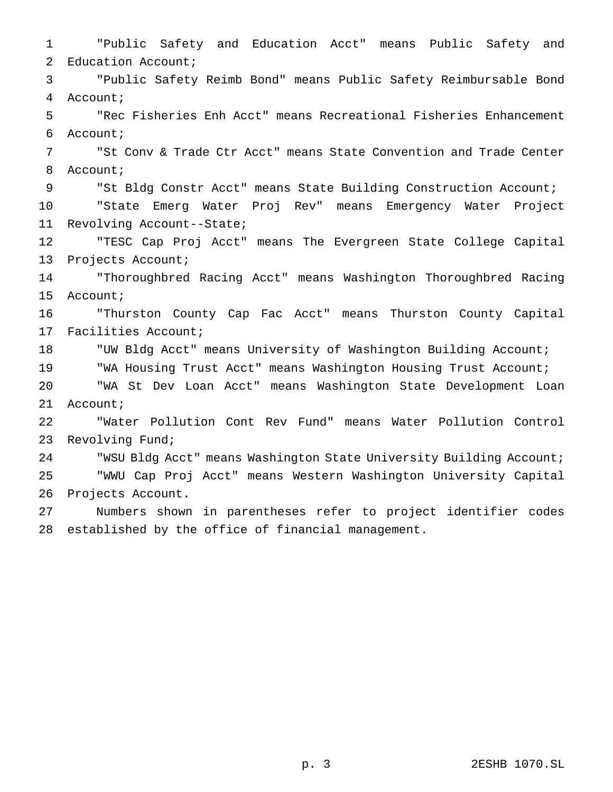"Public Safety and Education Acct" means Public Safety and Education Account; "Public Safety Reimb Bond" means Public Safety Reimbursable Bond Account; "Rec Fisheries Enh Acct" means Recreational Fisheries Enhancement Account; "St Conv & Trade Ctr Acct" means State Convention and Trade Center Account; "St Bldg Constr Acct" means State Building Construction Account; "State Emerg Water Proj Rev" means Emergency Water Project Revolving Account--State; "TESC Cap Proj Acct" means The Evergreen State College Capital Projects Account; "Thoroughbred Racing Acct" means Washington Thoroughbred Racing Account; "Thurston County Cap Fac Acct" means Thurston County Capital Facilities Account; "UW Bldg Acct" means University of Washington Building Account; "WA Housing Trust Acct" means Washington Housing Trust Account; "WA St Dev Loan Acct" means Washington State Development Loan Account; "Water Pollution Cont Rev Fund" means Water Pollution Control Revolving Fund; "WSU Bldg Acct" means Washington State University Building Account; "WWU Cap Proj Acct" means Western Washington University Capital Projects Account. Numbers shown in parentheses refer to project identifier codes established by the office of financial management.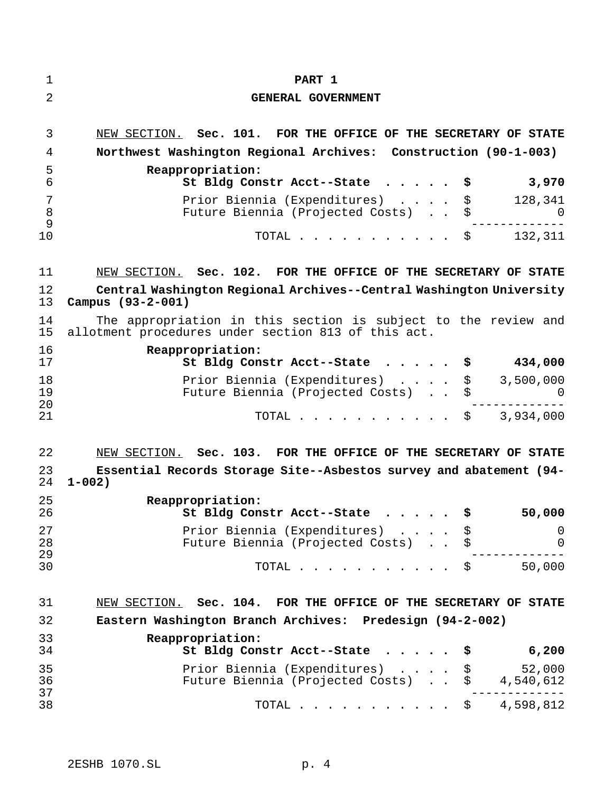| 1<br>2         | PART 1<br>GENERAL GOVERNMENT                                                                                          |
|----------------|-----------------------------------------------------------------------------------------------------------------------|
| 3              | NEW SECTION. Sec. 101. FOR THE OFFICE OF THE SECRETARY OF STATE                                                       |
| 4              | Northwest Washington Regional Archives: Construction (90-1-003)                                                       |
| 5<br>6         | Reappropriation:<br>3,970<br>St Bldg Constr Acct--State<br>\$                                                         |
| 7<br>8<br>9    | \$<br>Prior Biennia (Expenditures)<br>128,341<br>Future Biennia (Projected Costs)<br>\$<br><sup>0</sup>               |
| 10             | TOTAL $\frac{132}{311}$                                                                                               |
| 11             | NEW SECTION. Sec. 102. FOR THE OFFICE OF THE SECRETARY OF STATE                                                       |
| 12<br>13       | Central Washington Regional Archives--Central Washington University<br>Campus (93-2-001)                              |
| 14<br>15       | The appropriation in this section is subject to the review and<br>allotment procedures under section 813 of this act. |
| 16<br>17       | Reappropriation:<br>434,000<br>St Bldg Constr Acct--State \$                                                          |
| 18<br>19       | Prior Biennia (Expenditures) \$<br>3,500,000<br>Future Biennia (Projected Costs)<br>\$<br><sup>0</sup>                |
| 20<br>21       | TOTAL $\frac{1}{2}$ 3,934,000                                                                                         |
| 22             | NEW SECTION. Sec. 103. FOR THE OFFICE OF THE SECRETARY OF STATE                                                       |
| 23<br>24       | Essential Records Storage Site--Asbestos survey and abatement (94-<br>$1 - 002$ )                                     |
| 25<br>26       | Reappropriation:<br>\$<br>50,000<br>St Bldg Constr Acct--State                                                        |
| 27<br>28       | Prior Biennia (Expenditures)<br>0<br>\$<br>Future Biennia (Projected Costs)<br>\$<br>$\mathbf 0$                      |
| 29<br>30       | TOTAL<br>$\frac{1}{50,000}$                                                                                           |
| 31             | NEW SECTION. Sec. 104. FOR THE OFFICE OF THE SECRETARY OF STATE                                                       |
| 32             | Eastern Washington Branch Archives: Predesign (94-2-002)                                                              |
| 33<br>34       | Reappropriation:<br>St Bldg Constr Acct--State<br>6,200<br>\$                                                         |
| 35             | Prior Biennia (Expenditures)<br>52,000<br>\$                                                                          |
| 36<br>37<br>38 | Future Biennia (Projected Costs) \$<br>4,540,612<br>TOTAL $\frac{1}{5}$ 4,598,812                                     |
|                |                                                                                                                       |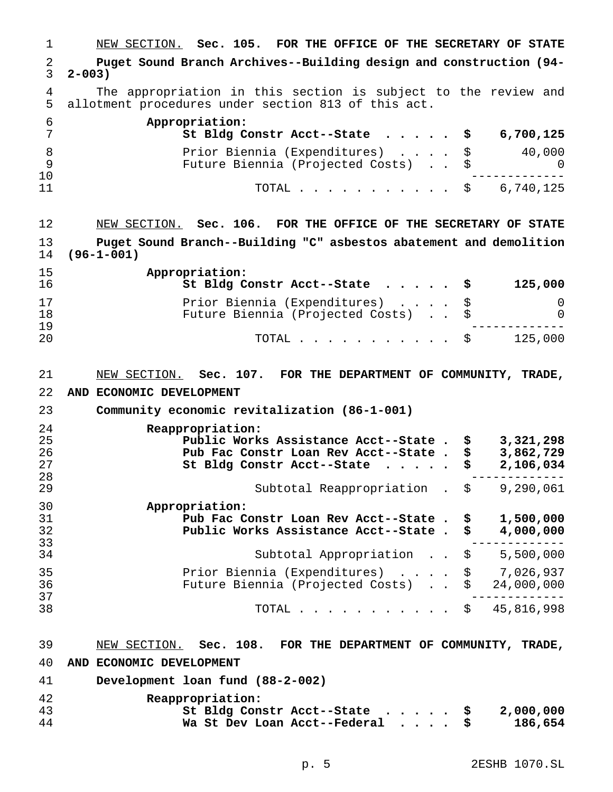NEW SECTION. **Sec. 105. FOR THE OFFICE OF THE SECRETARY OF STATE Puget Sound Branch Archives--Building design and construction (94- 2-003)** 4 The appropriation in this section is subject to the review and<br>5 allotment procedures under section 813 of this act. allotment procedures under section 813 of this act. **Appropriation: St Bldg Constr Acct--State ..... \$ 6,700,125** Prior Biennia (Expenditures) .... \$ 40,000 Future Biennia (Projected Costs) . . \$ 0 ------------- 11 TOTAL . . . . . . . . . \$ 6,740,125 NEW SECTION. **Sec. 106. FOR THE OFFICE OF THE SECRETARY OF STATE Puget Sound Branch--Building "C" asbestos abatement and demolition (96-1-001) Appropriation: St Bldg Constr Acct--State ..... \$ 125,000** Prior Biennia (Expenditures) .... \$ 0 18 Future Biennia (Projected Costs) . .<br>19 ------------- <sup>20</sup> TOTAL........... \$ 125,000 NEW SECTION. **Sec. 107. FOR THE DEPARTMENT OF COMMUNITY, TRADE, AND ECONOMIC DEVELOPMENT Community economic revitalization (86-1-001) Reappropriation: Public Works Assistance Acct--State . \$ 3,321,298 Pub Fac Constr Loan Rev Acct--State . \$ 3,862,729 St Bldg Constr Acct--State ..... \$ 2,106,034** ـ-------------<br>29 Subtotal Reappropriation . \$ 9,290,061 **Appropriation: Pub Fac Constr Loan Rev Acct--State . \$ 1,500,000 Public Works Assistance Acct--State . \$ 4,000,000** ------------- <sup>34</sup> Subtotal Appropriation . . \$ 5,500,000 Prior Biennia (Expenditures) .... \$ 7,026,937 Future Biennia (Projected Costs) . . \$ 24,000,000 ------------- <sup>38</sup> TOTAL........... \$ 45,816,998 NEW SECTION. **Sec. 108. FOR THE DEPARTMENT OF COMMUNITY, TRADE, AND ECONOMIC DEVELOPMENT Development loan fund (88-2-002) Reappropriation: St Bldg Constr Acct--State ..... \$ 2,000,000 Wa St Dev Loan Acct--Federal .... \$ 186,654**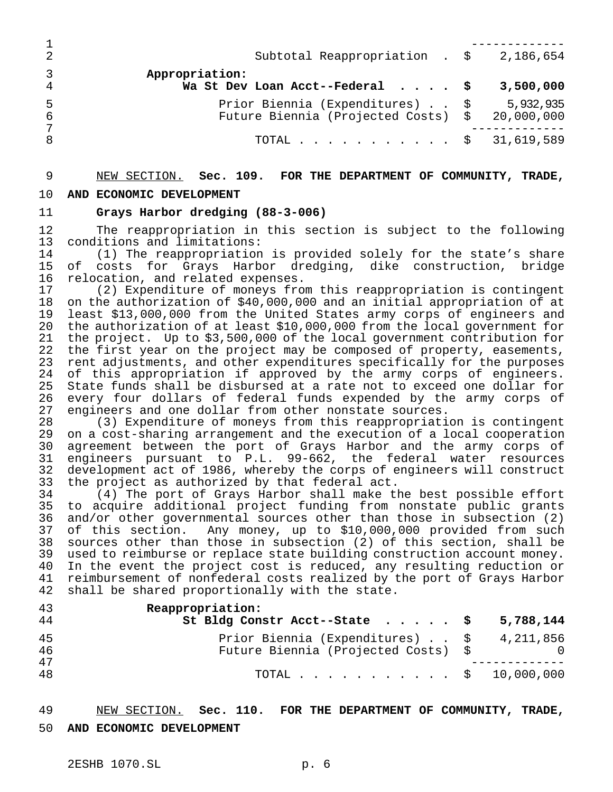|    | Subtotal Reappropriation . $$3,186,654$                                           |           |
|----|-----------------------------------------------------------------------------------|-----------|
|    | Appropriation:<br>Wa St Dev Loan Acct--Federal $\cdot \cdot \cdot$                | 3,500,000 |
| -6 | Prior Biennia (Expenditures) \$<br>Future Biennia (Projected Costs) \$ 20,000,000 | 5,932,935 |
|    | TOTAL \$ 31,619,589                                                               |           |

## NEW SECTION. **Sec. 109. FOR THE DEPARTMENT OF COMMUNITY, TRADE,**

#### **AND ECONOMIC DEVELOPMENT**

### **Grays Harbor dredging (88-3-006)**

 The reappropriation in this section is subject to the following conditions and limitations:

 (1) The reappropriation is provided solely for the state's share of costs for Grays Harbor dredging, dike construction, bridge relocation, and related expenses.

 (2) Expenditure of moneys from this reappropriation is contingent on the authorization of \$40,000,000 and an initial appropriation of at least \$13,000,000 from the United States army corps of engineers and the authorization of at least \$10,000,000 from the local government for the project. Up to \$3,500,000 of the local government contribution for the first year on the project may be composed of property, easements, rent adjustments, and other expenditures specifically for the purposes of this appropriation if approved by the army corps of engineers. State funds shall be disbursed at a rate not to exceed one dollar for every four dollars of federal funds expended by the army corps of engineers and one dollar from other nonstate sources.

 (3) Expenditure of moneys from this reappropriation is contingent on a cost-sharing arrangement and the execution of a local cooperation agreement between the port of Grays Harbor and the army corps of engineers pursuant to P.L. 99-662, the federal water resources development act of 1986, whereby the corps of engineers will construct the project as authorized by that federal act.

 (4) The port of Grays Harbor shall make the best possible effort to acquire additional project funding from nonstate public grants and/or other governmental sources other than those in subsection (2) of this section. Any money, up to \$10,000,000 provided from such sources other than those in subsection (2) of this section, shall be used to reimburse or replace state building construction account money. In the event the project cost is reduced, any resulting reduction or reimbursement of nonfederal costs realized by the port of Grays Harbor shall be shared proportionally with the state.

| 43<br>44  | Reappropriation:<br>St Bldg Constr Acct--State $\ldots$ , $\frac{1}{5}$ 5,788,144 |  |
|-----------|-----------------------------------------------------------------------------------|--|
| 45<br>46  | Prior Biennia (Expenditures) \$ 4,211,856<br>Future Biennia (Projected Costs) \$  |  |
| 47<br>-48 | TOTAL $\frac{1}{2}$ 10,000,000                                                    |  |

# NEW SECTION. **Sec. 110. FOR THE DEPARTMENT OF COMMUNITY, TRADE,**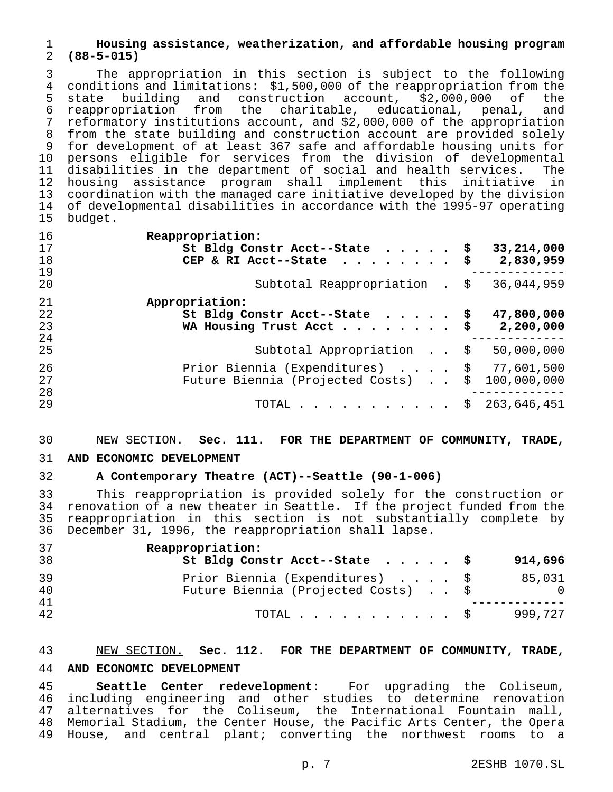## **Housing assistance, weatherization, and affordable housing program (88-5-015)**

3 The appropriation in this section is subject to the following<br>4 conditions and limitations: \$1,500,000 of the reappropriation from the 4 conditions and limitations: \$1,500,000 of the reappropriation from the<br>5 state building and construction account, \$2,000,000 of the state building and construction account, \$2,000,000 of the reappropriation from the charitable, educational, penal, and reformatory institutions account, and \$2,000,000 of the appropriation from the state building and construction account are provided solely 9 for development of at least 367 safe and affordable housing units for<br>10 persons eligible for services from the division of developmental persons eligible for services from the division of developmental disabilities in the department of social and health services. The housing assistance program shall implement this initiative in coordination with the managed care initiative developed by the division of developmental disabilities in accordance with the 1995-97 operating budget.

| 16<br>17<br>18<br>19 | Reappropriation:<br>St Bldg Constr Acct--State \$<br>CEP & RI Acct--State $\cdots$ | 33,214,000<br>2,830,959 |
|----------------------|------------------------------------------------------------------------------------|-------------------------|
| 20                   | Subtotal Reappropriation . \$                                                      | 36,044,959              |
| 21<br>22<br>23<br>24 | Appropriation:<br>St Bldg Constr Acct--State \$<br>WA Housing Trust Acct\$         | 47,800,000<br>2,200,000 |
| 25                   | Subtotal Appropriation \$                                                          | 50,000,000              |
| 26<br>27<br>28       | Prior Biennia (Expenditures) \$ 77,601,500<br>Future Biennia (Projected Costs)     | \$100,000,000           |
| 29                   | TOTAL $\ldots$ \$                                                                  | 263,646,451             |

## NEW SECTION. **Sec. 111. FOR THE DEPARTMENT OF COMMUNITY, TRADE,**

## **AND ECONOMIC DEVELOPMENT**

## **A Contemporary Theatre (ACT)--Seattle (90-1-006)**

33 This reappropriation is provided solely for the construction or<br>34 renovation of a new theater in Seattle. If the project funded from the 34 renovation of a new theater in Seattle. If the project funded from the<br>35 reappropriation in this section is not substantially complete by reappropriation in this section is not substantially complete by December 31, 1996, the reappropriation shall lapse.

| 37<br>38       | Reappropriation:<br>St Bldg Constr Acct--State \$                      | 914,696              |
|----------------|------------------------------------------------------------------------|----------------------|
| 39<br>40<br>41 | Prior Biennia (Expenditures) \$<br>Future Biennia (Projected Costs) \$ | 85,031<br>$\bigcirc$ |
| 42             | TOTAL S                                                                | 999,727              |

## NEW SECTION. **Sec. 112. FOR THE DEPARTMENT OF COMMUNITY, TRADE, AND ECONOMIC DEVELOPMENT**

 **Seattle Center redevelopment:** For upgrading the Coliseum, including engineering and other studies to determine renovation alternatives for the Coliseum, the International Fountain mall, Memorial Stadium, the Center House, the Pacific Arts Center, the Opera House, and central plant; converting the northwest rooms to a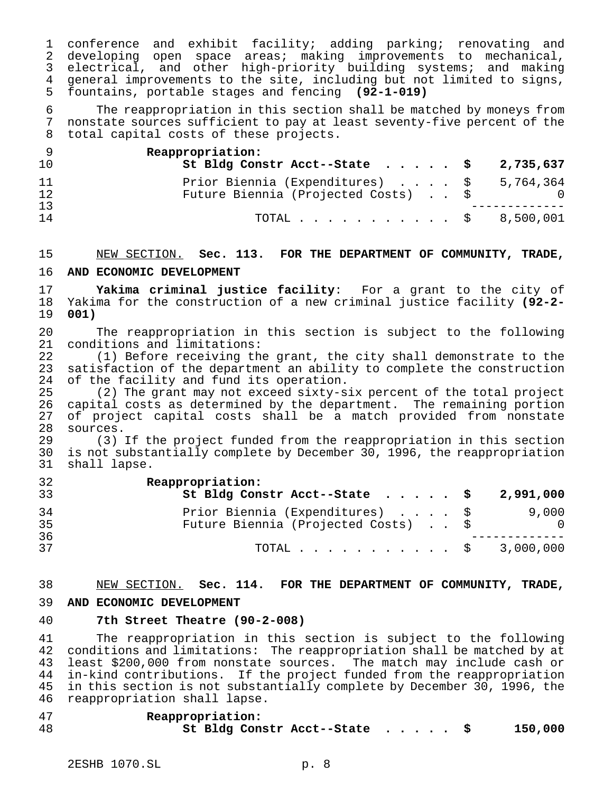conference and exhibit facility; adding parking; renovating and developing open space areas; making improvements to mechanical, electrical, and other high-priority building systems; and making general improvements to the site, including but not limited to signs, fountains, portable stages and fencing **(92-1-019)**

 The reappropriation in this section shall be matched by moneys from nonstate sources sufficient to pay at least seventy-five percent of the total capital costs of these projects.

| 10       | Reappropriation:<br>St Bldg Constr Acct--State $\ldots$ , $\frac{1}{2}$ , 735,637 |  |
|----------|-----------------------------------------------------------------------------------|--|
| 11<br>12 | Prior Biennia (Expenditures) \$ 5,764,364<br>Future Biennia (Projected Costs) \$  |  |
| 13<br>14 | TOTAL $\frac{1}{5}$ 8,500,001                                                     |  |

# NEW SECTION. **Sec. 113. FOR THE DEPARTMENT OF COMMUNITY, TRADE, AND ECONOMIC DEVELOPMENT**

 **Yakima criminal justice facility**: For a grant to the city of Yakima for the construction of a new criminal justice facility **(92-2- 001)**

 The reappropriation in this section is subject to the following 21 conditions and limitations:<br>22 (1) Before receiving th

22 (1) Before receiving the grant, the city shall demonstrate to the<br>23 satisfaction of the department an ability to complete the construction 23 satisfaction of the department an ability to complete the construction<br>24 of the facility and fund its operation. 24 of the facility and fund its operation.<br>25 (2) The grant may not exceed sixty-s

25 (2) The grant may not exceed sixty-six percent of the total project<br>26 capital costs as determined by the department. The remaining portion 26 capital costs as determined by the department. The remaining portion<br>27 of project capital costs shall be a match provided from nonstate 27 of project capital costs shall be a match provided from nonstate<br>28 sources. 28 sources.<br>29 (3)

(3) If the project funded from the reappropriation in this section is not substantially complete by December 30, 1996, the reappropriation shall lapse.

| 32<br>33 | Reappropriation:<br>St Bldg Constr Acct--State $\cdot \cdot \cdot \cdot$ \$ 2,991,000 |              |
|----------|---------------------------------------------------------------------------------------|--------------|
| 34<br>35 | Prior Biennia (Expenditures) \$<br>Future Biennia (Projected Costs) \$                | 9,000<br>- 0 |
| 36<br>37 | TOTAL $\frac{1}{2}$ 3,000,000                                                         |              |

# NEW SECTION. **Sec. 114. FOR THE DEPARTMENT OF COMMUNITY, TRADE,**

## **AND ECONOMIC DEVELOPMENT**

## **7th Street Theatre (90-2-008)**

 The reappropriation in this section is subject to the following conditions and limitations: The reappropriation shall be matched by at least \$200,000 from nonstate sources. The match may include cash or in-kind contributions. If the project funded from the reappropriation in this section is not substantially complete by December 30, 1996, the reappropriation shall lapse.

## **Reappropriation: St Bldg Constr Acct--State ..... \$ 150,000**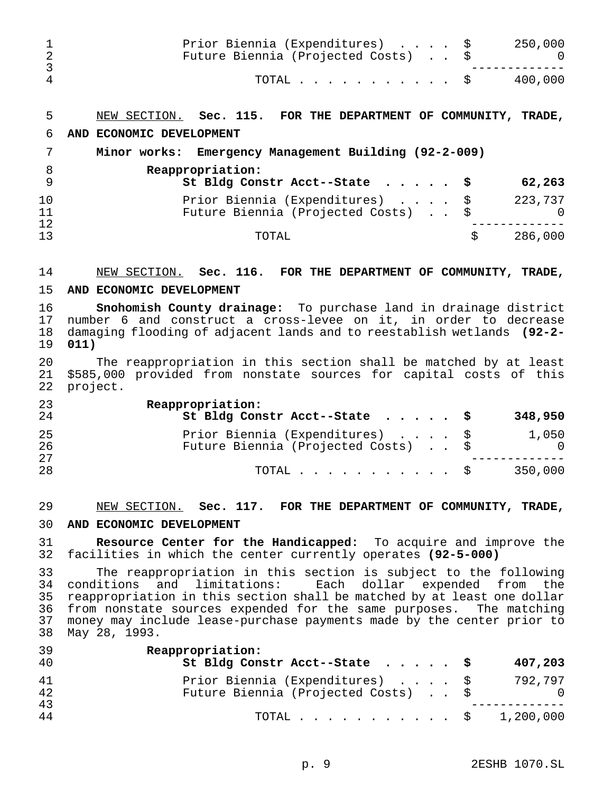|          | Prior Biennia (Expenditures) \$<br>Future Biennia (Projected Costs)<br>TOTAL $\ldots$ \$ | 250,000<br>400,000 |
|----------|------------------------------------------------------------------------------------------|--------------------|
| 5        | NEW SECTION. Sec. 115. FOR THE DEPARTMENT OF COMMUNITY,                                  | TRADE,             |
| 6        | AND ECONOMIC DEVELOPMENT                                                                 |                    |
|          | Minor works: Emergency Management Building (92-2-009)                                    |                    |
| 8<br>9   | Reappropriation:<br>St Bldg Constr Acct--State $\frac{1}{5}$                             | 62,263             |
| 10<br>11 | Prior Biennia (Expenditures) \$<br>Future Biennia (Projected Costs)                      | 223,737            |
| 12<br>13 | TOTAL                                                                                    | \$<br>286,000      |

#### NEW SECTION. **Sec. 116. FOR THE DEPARTMENT OF COMMUNITY, TRADE,**

#### **AND ECONOMIC DEVELOPMENT**

 **Snohomish County drainage:** To purchase land in drainage district number 6 and construct a cross-levee on it, in order to decrease damaging flooding of adjacent lands and to reestablish wetlands **(92-2- 011)**

20 The reappropriation in this section shall be matched by at least<br>21 \$585,000 provided from nonstate sources for capital costs of this 21 \$585,000 provided from nonstate sources for capital costs of this<br>22 project. project.

| 23<br>24       | Reappropriation:<br>St Bldg Constr Acct--State $\frac{1}{9}$           | 348,950             |
|----------------|------------------------------------------------------------------------|---------------------|
| 25<br>26<br>27 | Prior Biennia (Expenditures) \$<br>Future Biennia (Projected Costs) \$ | 1,050<br>$\bigcirc$ |
| 28             | TOTAL $\ldots$ $\S$                                                    | 350,000             |

## NEW SECTION. **Sec. 117. FOR THE DEPARTMENT OF COMMUNITY, TRADE,**

#### **AND ECONOMIC DEVELOPMENT**

 **Resource Center for the Handicapped:** To acquire and improve the facilities in which the center currently operates **(92-5-000)**

 The reappropriation in this section is subject to the following conditions and limitations: Each dollar expended from the reappropriation in this section shall be matched by at least one dollar from nonstate sources expended for the same purposes. The matching money may include lease-purchase payments made by the center prior to May 28, 1993.

| 39<br>40 | Reappropriation:<br>St Bldg Constr Acct--State $\frac{1}{9}$           | 407,203 |
|----------|------------------------------------------------------------------------|---------|
| 41<br>42 | Prior Biennia (Expenditures) \$<br>Future Biennia (Projected Costs) \$ | 792,797 |
| 43<br>44 | TOTAL $\ldots$ \$ 1,200,000                                            |         |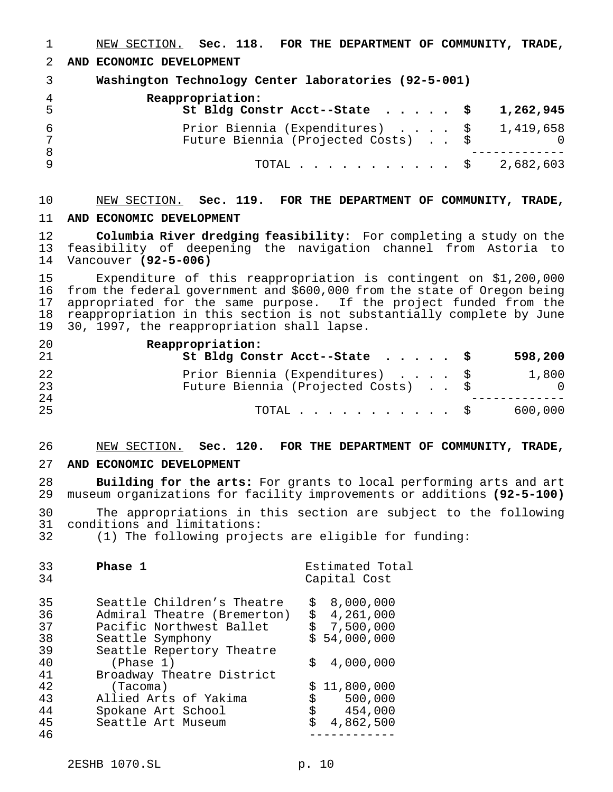NEW SECTION. **Sec. 118. FOR THE DEPARTMENT OF COMMUNITY, TRADE, AND ECONOMIC DEVELOPMENT Washington Technology Center laboratories (92-5-001) Reappropriation: St Bldg Constr Acct--State ..... \$ 1,262,945** Prior Biennia (Expenditures) .... \$ 1,419,658 Future Biennia (Projected Costs) . . \$ 0 ------------- TOTAL........... \$ 2,682,603

# NEW SECTION. **Sec. 119. FOR THE DEPARTMENT OF COMMUNITY, TRADE, AND ECONOMIC DEVELOPMENT**

 **Columbia River dredging feasibility**: For completing a study on the feasibility of deepening the navigation channel from Astoria to Vancouver **(92-5-006)**

15 Expenditure of this reappropriation is contingent on \$1,200,000<br>16 from the federal government and \$600,000 from the state of Oregon being 16 from the federal government and \$600,000 from the state of Oregon being<br>17 appropriated for the same purpose. If the project funded from the 17 appropriated for the same purpose. If the project funded from the<br>18 reappropriation in this section is not substantially complete by June 18 reappropriation in this section is not substantially complete by June<br>19 30, 1997, the reappropriation shall lapse. 30, 1997, the reappropriation shall lapse.

| 20<br>21 | Reappropriation:<br>St Bldg Constr Acct--State \$                      | 598,200           |
|----------|------------------------------------------------------------------------|-------------------|
| 22<br>23 | Prior Biennia (Expenditures) \$<br>Future Biennia (Projected Costs) \$ | 1,800<br>$\cup$ 0 |
| 24<br>25 | TOTAL S                                                                | 600,000           |

#### NEW SECTION. **Sec. 120. FOR THE DEPARTMENT OF COMMUNITY, TRADE,**

#### **AND ECONOMIC DEVELOPMENT**

 **Building for the arts:** For grants to local performing arts and art museum organizations for facility improvements or additions **(92-5-100)**

 The appropriations in this section are subject to the following conditions and limitations:

(1) The following projects are eligible for funding:

| 33<br>34 | Phase 1                     |    | Estimated Total<br>Capital Cost |
|----------|-----------------------------|----|---------------------------------|
| 35       | Seattle Children's Theatre  | \$ | 8,000,000                       |
| 36       | Admiral Theatre (Bremerton) | \$ | 4,261,000                       |
| 37       | Pacific Northwest Ballet    |    | \$7,500,000                     |
| 38       | Seattle Symphony            |    | \$54,000,000                    |
| 39       | Seattle Repertory Theatre   |    |                                 |
| 40       | (Phase 1)                   | Ŝ. | 4,000,000                       |
| 41       | Broadway Theatre District   |    |                                 |
| 42       | (Tacoma)                    |    | \$11,800,000                    |
| 43       | Allied Arts of Yakima       | \$ | 500,000                         |
| 44       | Spokane Art School          |    | $\ddot{s}$<br>454,000           |
| 45       | Seattle Art Museum          |    | 4,862,500                       |
| 46       |                             |    |                                 |
|          |                             |    |                                 |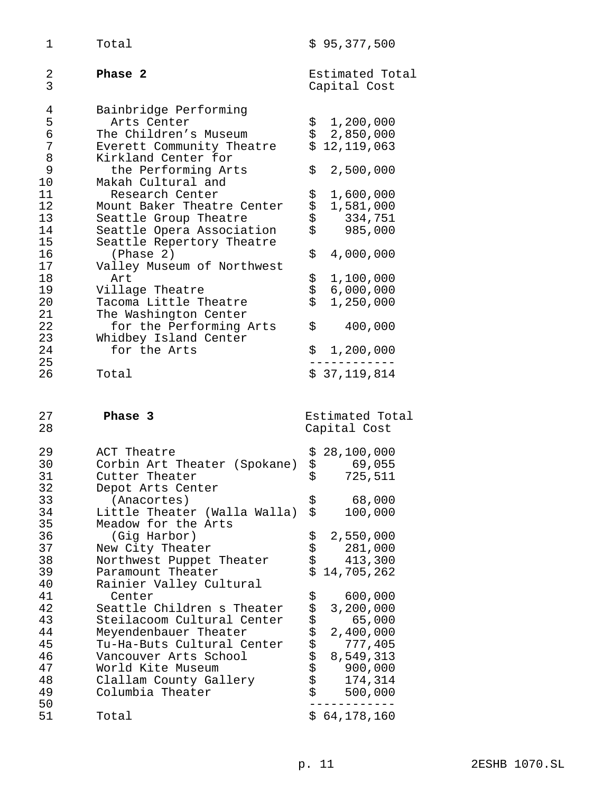| 1                                | Total                                                                                                                            | \$95,377,500                                                         |
|----------------------------------|----------------------------------------------------------------------------------------------------------------------------------|----------------------------------------------------------------------|
| 2<br>3                           | Phase 2                                                                                                                          | Estimated Total<br>Capital Cost                                      |
| 4<br>5<br>б<br>7<br>8            | Bainbridge Performing<br>Arts Center<br>The Children's Museum<br>Everett Community Theatre<br>Kirkland Center for                | \$<br>1,200,000<br>\$<br>2,850,000<br>\$<br>12,119,063               |
| 9<br>10                          | the Performing Arts<br>Makah Cultural and                                                                                        | \$<br>2,500,000                                                      |
| 11<br>12<br>13<br>14<br>15       | Research Center<br>Mount Baker Theatre Center<br>Seattle Group Theatre<br>Seattle Opera Association<br>Seattle Repertory Theatre | なみ<br>1,600,000<br>1,581,000<br>334,751<br>\$<br>985,000             |
| 16<br>17                         | (Phase 2)<br>Valley Museum of Northwest                                                                                          | \$<br>4,000,000                                                      |
| 18<br>19<br>20<br>21             | Art<br>Village Theatre<br>Tacoma Little Theatre<br>The Washington Center                                                         | \$<br>1,100,000<br>\$<br>6,000,000<br>\$<br>1,250,000                |
| 22<br>23                         | for the Performing Arts<br>Whidbey Island Center                                                                                 | \$<br>400,000                                                        |
| 24<br>25<br>26                   | for the Arts<br>Total                                                                                                            | \$<br>1,200,000<br>\$37,119,814                                      |
| 27<br>28                         | Phase 3                                                                                                                          | Estimated Total<br>Capital Cost                                      |
| 29<br>30<br>31<br>32<br>33       | ACT Theatre<br>Corbin Art Theater (Spokane)<br>Cutter Theater<br>Depot Arts Center<br>(Anacortes)                                | 28,100,000<br>\$<br>\$<br>69,055<br>\$<br>725,511<br>\$<br>68,000    |
| 34<br>35                         | Little Theater (Walla Walla)<br>Meadow for the Arts                                                                              | \$<br>100,000                                                        |
| 36<br>37<br>38<br>39<br>40       | (Gig Harbor)<br>New City Theater<br>Northwest Puppet Theater<br>Paramount Theater<br>Rainier Valley Cultural                     | ななな<br>2,550,000<br>281,000<br>413,300<br>\$<br>14,705,262           |
| 41<br>42                         |                                                                                                                                  |                                                                      |
| 43<br>44                         | Center<br>Seattle Children s Theater<br>Steilacoom Cultural Center<br>Meyendenbauer Theater                                      | 600,000<br>3,200,000<br>65,000<br>2,400,000                          |
| 45<br>46<br>47<br>48<br>49<br>50 | Tu-Ha-Buts Cultural Center<br>Vancouver Arts School<br>World Kite Museum<br>Clallam County Gallery<br>Columbia Theater           | ららららさ<br>777,405<br>8,549,313<br>900,000<br>174,314<br>\$<br>500,000 |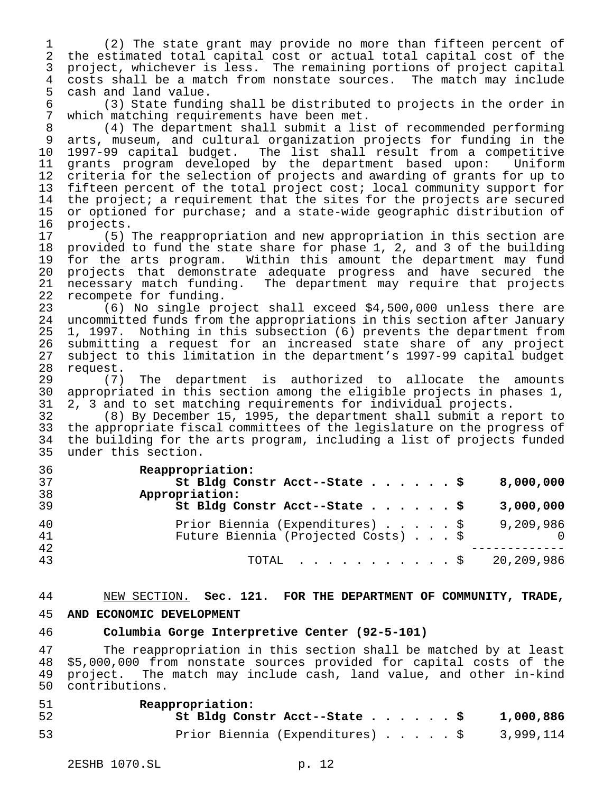(2) The state grant may provide no more than fifteen percent of the estimated total capital cost or actual total capital cost of the project, whichever is less. The remaining portions of project capital costs shall be a match from nonstate sources. The match may include 5 cash and land value.<br>6 (3) State fundin

 (3) State funding shall be distributed to projects in the order in which matching requirements have been met.

 (4) The department shall submit a list of recommended performing arts, museum, and cultural organization projects for funding in the 1997-99 capital budget. The list shall result from a competitive grants program developed by the department based upon: Uniform criteria for the selection of projects and awarding of grants for up to fifteen percent of the total project cost; local community support for the project; a requirement that the sites for the projects are secured or optioned for purchase; and a state-wide geographic distribution of

16 projects.<br>17 (5) (5) The reappropriation and new appropriation in this section are provided to fund the state share for phase 1, 2, and 3 of the building for the arts program. Within this amount the department may fund projects that demonstrate adequate progress and have secured the 21 necessary match funding. The department may require that projects<br>22 recompete for funding. 22 recompete for funding.<br>23 (6) No single pro

 (6) No single project shall exceed \$4,500,000 unless there are uncommitted funds from the appropriations in this section after January 1, 1997. Nothing in this subsection (6) prevents the department from submitting a request for an increased state share of any project subject to this limitation in the department's 1997-99 capital budget

28 request.<br>29 (7) The department is authorized to allocate the amounts appropriated in this section among the eligible projects in phases 1, 2, 3 and to set matching requirements for individual projects.

 (8) By December 15, 1995, the department shall submit a report to the appropriate fiscal committees of the legislature on the progress of the building for the arts program, including a list of projects funded under this section.

| 36<br>37 | Reappropriation:<br>St Bldg Constr Acct--State \$<br>8,000,000 |
|----------|----------------------------------------------------------------|
| 38       | Appropriation:                                                 |
| 39       | St Bldg Constr Acct--State \$<br>3,000,000                     |
| 40       | Prior Biennia (Expenditures) \$<br>9,209,986                   |
| 41       | Future Biennia (Projected Costs) \$                            |
| 42       |                                                                |
| 43       | 20,209,986<br>TOTAL \$                                         |

## NEW SECTION. **Sec. 121. FOR THE DEPARTMENT OF COMMUNITY, TRADE,**

## **AND ECONOMIC DEVELOPMENT**

## **Columbia Gorge Interpretive Center (92-5-101)**

 The reappropriation in this section shall be matched by at least \$5,000,000 from nonstate sources provided for capital costs of the project. The match may include cash, land value, and other in-kind contributions.

| -51 | Reappropriation:                                   |           |
|-----|----------------------------------------------------|-----------|
| -52 | St Bldg Constr Acct--State \$                      | 1,000,886 |
| 53  | Prior Biennia (Expenditures) $\ldots$ \$ 3,999,114 |           |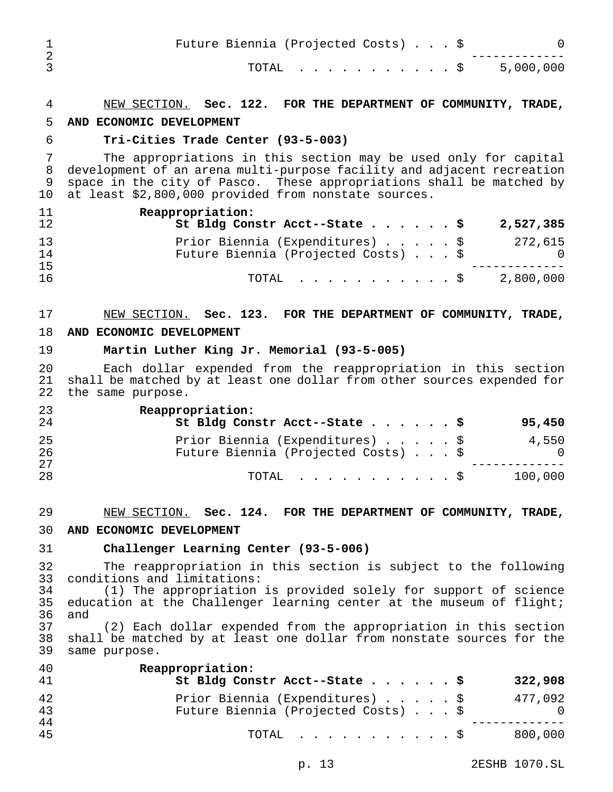| Future Biennia (Projected Costs) \$ |  |
|-------------------------------------|--|
| TOTAL \$ 5,000,000                  |  |

## NEW SECTION. **Sec. 122. FOR THE DEPARTMENT OF COMMUNITY, TRADE,**

#### **AND ECONOMIC DEVELOPMENT**

#### **Tri-Cities Trade Center (93-5-003)**

 The appropriations in this section may be used only for capital development of an arena multi-purpose facility and adjacent recreation space in the city of Pasco. These appropriations shall be matched by 10 at least \$2,800,000 provided from nonstate sources.

| 11<br>12 | Reappropriation:<br>St Bldg Constr Acct--State \$<br>2,527,385                           |
|----------|------------------------------------------------------------------------------------------|
| 13<br>14 | Prior Biennia (Expenditures) \$<br>272,615<br>Future Biennia (Projected Costs) \$<br>_ റ |
| 15<br>16 | 2,800,000<br>TOTAL S                                                                     |

#### NEW SECTION. **Sec. 123. FOR THE DEPARTMENT OF COMMUNITY, TRADE,**

#### **AND ECONOMIC DEVELOPMENT**

#### **Martin Luther King Jr. Memorial (93-5-005)**

20 Each dollar expended from the reappropriation in this section<br>21 shall be matched by at least one dollar from other sources expended for 21 shall be matched by at least one dollar from other sources expended for<br>22 the same purpose. the same purpose.

| 23<br>24 | Reappropriation:<br>St Bldg Constr Acct--State \$<br>95,450 |            |
|----------|-------------------------------------------------------------|------------|
| 25       | Prior Biennia (Expenditures) \$                             | 4,550      |
| 26       | Future Biennia (Projected Costs) \$                         | $\bigcirc$ |
| 27       |                                                             |            |
| 28       | 100,000<br>TOTAL Ş                                          |            |

#### NEW SECTION. **Sec. 124. FOR THE DEPARTMENT OF COMMUNITY, TRADE,**

#### **AND ECONOMIC DEVELOPMENT**

#### **Challenger Learning Center (93-5-006)**

 The reappropriation in this section is subject to the following conditions and limitations:

 (1) The appropriation is provided solely for support of science education at the Challenger learning center at the museum of flight; and

(2) Each dollar expended from the appropriation in this section shall be matched by at least one dollar from nonstate sources for the same purpose.

| 40<br>41 | Reappropriation:<br>St Bldg Constr Acct--State \$<br>322,908                                    |
|----------|-------------------------------------------------------------------------------------------------|
| 42<br>43 | Prior Biennia (Expenditures) \$<br>477,092<br>Future Biennia (Projected Costs) \$<br>$\bigcirc$ |
| 44<br>45 | 800,000<br>TOTAL Ş                                                                              |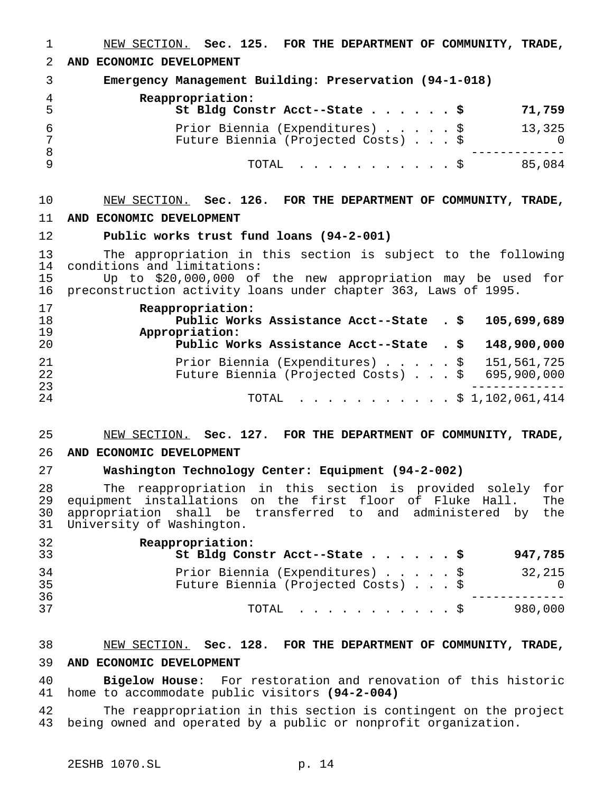NEW SECTION. **Sec. 125. FOR THE DEPARTMENT OF COMMUNITY, TRADE, AND ECONOMIC DEVELOPMENT Emergency Management Building: Preservation (94-1-018) Reappropriation: St Bldg Constr Acct--State......\$ 71,759** Prior Biennia (Expenditures).....\$ 13,325 Future Biennia (Projected Costs)...\$ 0 ------------- TOTAL ...........\$ 85,084 NEW SECTION. **Sec. 126. FOR THE DEPARTMENT OF COMMUNITY, TRADE, AND ECONOMIC DEVELOPMENT Public works trust fund loans (94-2-001)** The appropriation in this section is subject to the following 14 conditions and limitations:<br>15 10 to \$20,000,000 of 15 Up to \$20,000,000 of the new appropriation may be used for<br>16 preconstruction activity loans under chapter 363. Laws of 1995. preconstruction activity loans under chapter 363, Laws of 1995. **Reappropriation: Public Works Assistance Acct--State . \$ 105,699,689 Appropriation: Public Works Assistance Acct--State . \$ 148,900,000** 21 Prior Biennia (Expenditures)......\$ 151,561,725<br>22 Future Biennia (Projected Costs)...\$ 695.900.000 22 Future Biennia (Projected Costs)...\$ 695,900,000<br>23 ------------- <sup>24</sup> TOTAL ...........\$ 1,102,061,414 NEW SECTION. **Sec. 127. FOR THE DEPARTMENT OF COMMUNITY, TRADE, AND ECONOMIC DEVELOPMENT Washington Technology Center: Equipment (94-2-002)** The reappropriation in this section is provided solely for equipment installations on the first floor of Fluke Hall. The appropriation shall be transferred to and administered by the University of Washington. **Reappropriation: St Bldg Constr Acct--State......\$ 947,785** Prior Biennia (Expenditures).....\$ 32,215

| 32<br>33 | Reappropriation:<br>St Bldg Constr Acct--State \$<br>947,785                                   |
|----------|------------------------------------------------------------------------------------------------|
| 34<br>35 | Prior Biennia (Expenditures) \$<br>32,215<br>Future Biennia (Projected Costs) \$<br>$\bigcirc$ |
| 36<br>37 | 980,000<br>TOTAL Ş                                                                             |

# NEW SECTION. **Sec. 128. FOR THE DEPARTMENT OF COMMUNITY, TRADE, AND ECONOMIC DEVELOPMENT**

 **Bigelow House**: For restoration and renovation of this historic home to accommodate public visitors **(94-2-004)**

 The reappropriation in this section is contingent on the project being owned and operated by a public or nonprofit organization.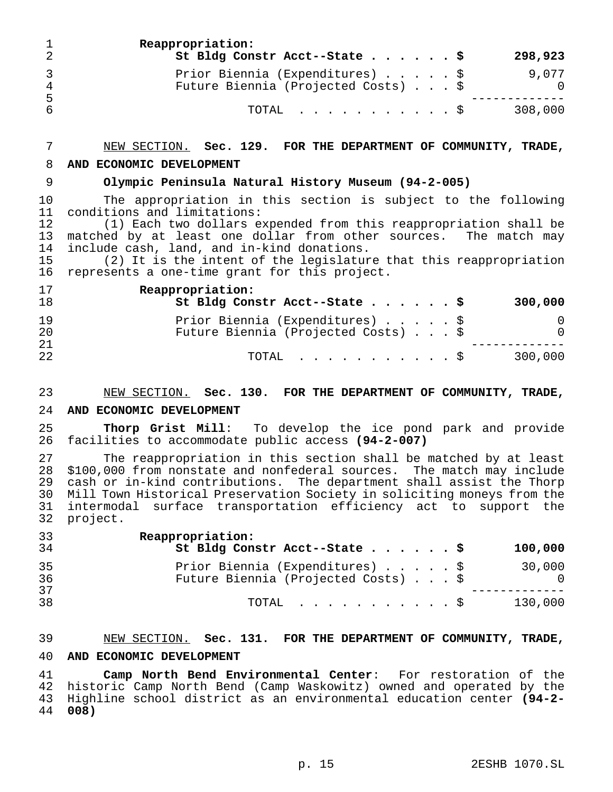| $\mathbf{1}$         | Reappropriation:<br>St Bldg Constr Acct--State \$                      |  |  | 298,923 |
|----------------------|------------------------------------------------------------------------|--|--|---------|
| $\overline{4}$<br>-5 | Prior Biennia (Expenditures) \$<br>Future Biennia (Projected Costs) \$ |  |  | 9.077   |
| 6                    | TOTAL Ş                                                                |  |  | 308,000 |

# NEW SECTION. **Sec. 129. FOR THE DEPARTMENT OF COMMUNITY, TRADE,**

## **AND ECONOMIC DEVELOPMENT**

## **Olympic Peninsula Natural History Museum (94-2-005)**

 The appropriation in this section is subject to the following conditions and limitations:

 (1) Each two dollars expended from this reappropriation shall be matched by at least one dollar from other sources. The match may 14 include cash, land, and in-kind donations.<br>15 (2) It is the intent of the legislatur

 $(2)$  It is the intent of the legislature that this reappropriation represents a one-time grant for this project.

| 17<br>18 | Reappropriation:<br>St Bldg Constr Acct--State \$<br>300,000                       |
|----------|------------------------------------------------------------------------------------|
| 19<br>20 | Prior Biennia (Expenditures) \$<br>Future Biennia (Projected Costs) \$<br>$\Omega$ |
| 21<br>22 | 300,000<br>TOTAL Ş                                                                 |

## NEW SECTION. **Sec. 130. FOR THE DEPARTMENT OF COMMUNITY, TRADE,**

## **AND ECONOMIC DEVELOPMENT**

25 **Thorp Grist Mill**: To develop the ice pond park and provide<br>26 facilities to accommodate public access (94-2-007) facilities to accommodate public access **(94-2-007)**

27 The reappropriation in this section shall be matched by at least<br>28 \$100,000 from ponstate and ponfederal sources. The match may include 28 \$100,000 from nonstate and nonfederal sources. The match may include<br>29 cash or in-kind contributions. The department shall assist the Thorp 29 cash or in-kind contributions. The department shall assist the Thorp<br>30 Mill Town Historical Preservation Society in soliciting moneys from the 30 Mill Town Historical Preservation Society in soliciting moneys from the<br>31 intermodal surface transportation efficiency act to support the intermodal surface transportation efficiency act to support the project.

| 33<br>34 | Reappropriation:<br>St Bldg Constr Acct--State \$<br>100,000                     |            |
|----------|----------------------------------------------------------------------------------|------------|
| 35<br>36 | Prior Biennia (Expenditures) \$<br>30,000<br>Future Biennia (Projected Costs) \$ | $\bigcirc$ |
| 37<br>38 | 130,000<br>TOTAL Ş                                                               |            |

## NEW SECTION. **Sec. 131. FOR THE DEPARTMENT OF COMMUNITY, TRADE,**

## **AND ECONOMIC DEVELOPMENT**

 **Camp North Bend Environmental Center**: For restoration of the historic Camp North Bend (Camp Waskowitz) owned and operated by the Highline school district as an environmental education center **(94-2- 008)**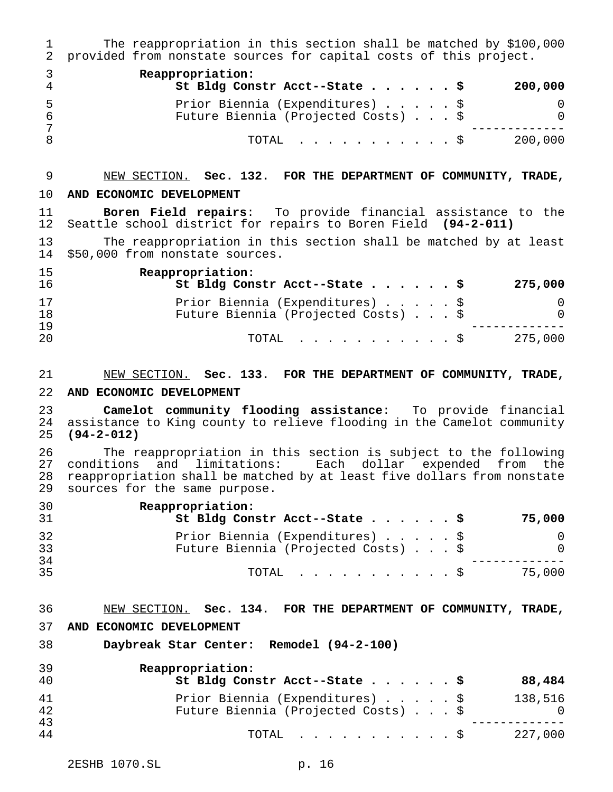The reappropriation in this section shall be matched by \$100,000 provided from nonstate sources for capital costs of this project. **Reappropriation: St Bldg Constr Acct--State......\$ 200,000** Prior Biennia (Expenditures).....\$ 0 Future Biennia (Projected Costs)...\$ 0 ------------- 8 10TAL . . . . . . . . . . \$ 200,000

# NEW SECTION. **Sec. 132. FOR THE DEPARTMENT OF COMMUNITY, TRADE,**

## **AND ECONOMIC DEVELOPMENT**

 **Boren Field repairs**: To provide financial assistance to the Seattle school district for repairs to Boren Field **(94-2-011)**

 The reappropriation in this section shall be matched by at least \$50,000 from nonstate sources.

| 15<br>16 | Reappropriation:<br>St Bldg Constr Acct--State \$<br>275,000 |
|----------|--------------------------------------------------------------|
| 17       | Prior Biennia (Expenditures) \$                              |
| 18       | Future Biennia (Projected Costs) \$<br>$\Omega$              |
| 19       |                                                              |
| 20       | 275,000<br>TOTAL S                                           |

## NEW SECTION. **Sec. 133. FOR THE DEPARTMENT OF COMMUNITY, TRADE,**

#### **AND ECONOMIC DEVELOPMENT**

 **Camelot community flooding assistance**: To provide financial assistance to King county to relieve flooding in the Camelot community **(94-2-012)**

 The reappropriation in this section is subject to the following conditions and limitations: Each dollar expended from the reappropriation shall be matched by at least five dollars from nonstate sources for the same purpose.

| 30<br>-31 | Reappropriation:<br>St Bldg Constr Acct--State \$ | 75,000 |
|-----------|---------------------------------------------------|--------|
| 32        | Prior Biennia (Expenditures) \$                   |        |
| 33        | Future Biennia (Projected Costs) \$               |        |
| -34       |                                                   |        |
| -35       | TOTAL Ş                                           | 75,000 |

## NEW SECTION. **Sec. 134. FOR THE DEPARTMENT OF COMMUNITY, TRADE,**

## **AND ECONOMIC DEVELOPMENT**

**Daybreak Star Center: Remodel (94-2-100)**

| 39<br>40 | Reappropriation:<br>St Bldg Constr Acct--State \$<br>88,484                              |
|----------|------------------------------------------------------------------------------------------|
| 41<br>42 | Prior Biennia (Expenditures) \$<br>138,516<br>Future Biennia (Projected Costs) \$<br>- 0 |
| 43<br>44 | 227,000<br>$\text{TOTAL}$ $\S$                                                           |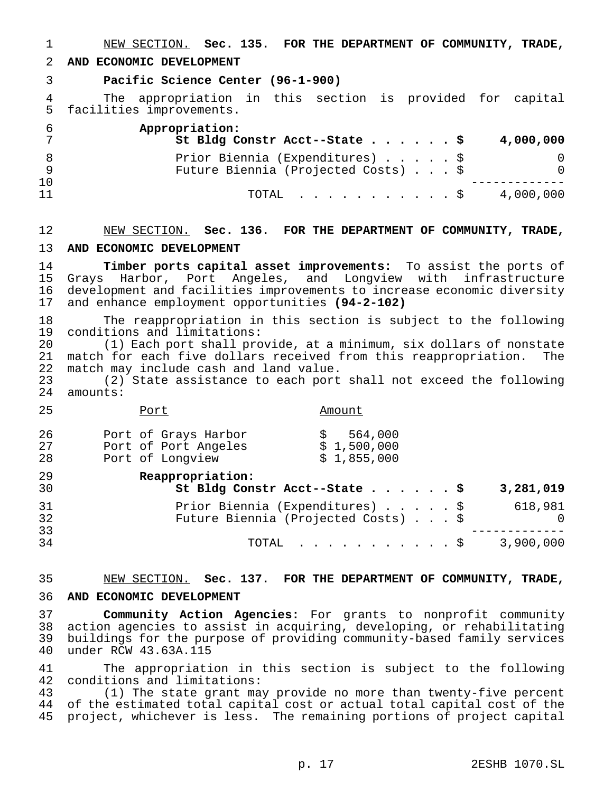NEW SECTION. **Sec. 135. FOR THE DEPARTMENT OF COMMUNITY, TRADE,**

**AND ECONOMIC DEVELOPMENT**

**Pacific Science Center (96-1-900)**

 The appropriation in this section is provided for capital facilities improvements.

|    | Appropriation:<br>St Bldg Constr Acct--State \$<br>4,000,000 |
|----|--------------------------------------------------------------|
|    | Prior Biennia (Expenditures) \$                              |
|    | Future Biennia (Projected Costs) \$<br>$\Omega$              |
| 10 |                                                              |
| 11 | 4,000,000<br>TOTAL Ş                                         |

### NEW SECTION. **Sec. 136. FOR THE DEPARTMENT OF COMMUNITY, TRADE,**

#### **AND ECONOMIC DEVELOPMENT**

 **Timber ports capital asset improvements:** To assist the ports of 15 Grays Harbor, Port Angeles, and Longview with infrastructure<br>16 development and facilities improvements to increase-economic-diversity 16 development and facilities improvements to increase economic diversity<br>17 and enhance employment opportunities (94-2-102) and enhance employment opportunities (94-2-102)

18 The reappropriation in this section is subject to the following<br>19 conditions and limitations: 19 conditions and limitations:<br>20 (1) Each port shall pro

 (1) Each port shall provide, at a minimum, six dollars of nonstate 21 match for each five dollars received from this reappropriation. The<br>22 match may include cash and land value. 22 match may include cash and land value.<br>23 (2) State assistance to each port

23 (2) State assistance to each port shall not exceed the following<br>24 amounts: amounts:

25 Port Port Amount

| 26 | Port of Grays Harbor | 564,000     |
|----|----------------------|-------------|
| 27 | Port of Port Angeles | \$1,500,000 |
| 28 | Port of Longview     | \$1,855,000 |
| 29 | Reappropriation:     |             |

|  |  | 3,281,019                                                                                                                                |
|--|--|------------------------------------------------------------------------------------------------------------------------------------------|
|  |  | 618,981                                                                                                                                  |
|  |  | - 0                                                                                                                                      |
|  |  |                                                                                                                                          |
|  |  |                                                                                                                                          |
|  |  | St Bldg Constr Acct--State \$<br>Prior Biennia (Expenditures) \$<br>Future Biennia (Projected Costs) \$<br>TOTAL $\frac{1}{2}$ 3,900,000 |

## NEW SECTION. **Sec. 137. FOR THE DEPARTMENT OF COMMUNITY, TRADE,**

#### **AND ECONOMIC DEVELOPMENT**

 **Community Action Agencies:** For grants to nonprofit community action agencies to assist in acquiring, developing, or rehabilitating buildings for the purpose of providing community-based family services under RCW 43.63A.115

 The appropriation in this section is subject to the following conditions and limitations:

 (1) The state grant may provide no more than twenty-five percent of the estimated total capital cost or actual total capital cost of the project, whichever is less. The remaining portions of project capital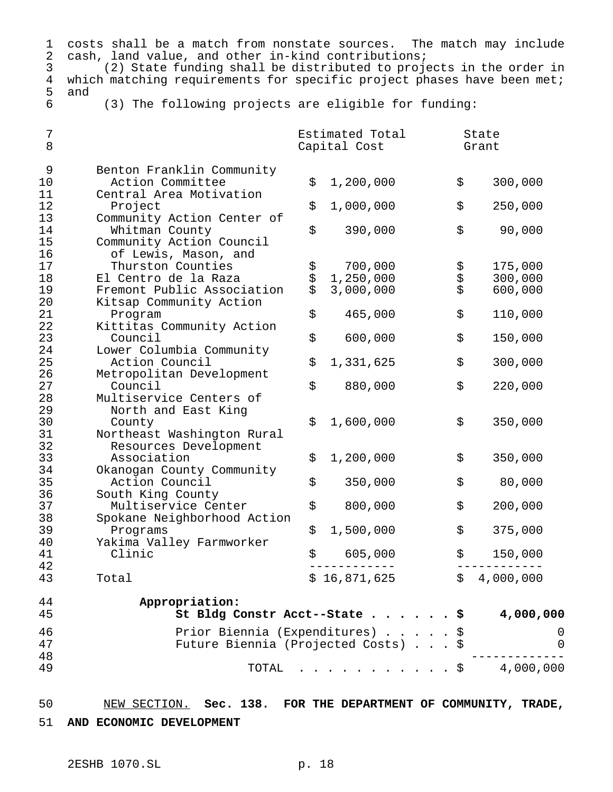| 1<br>$\boldsymbol{2}$<br>3<br>$\overline{4}$<br>5 | costs shall be a match from nonstate sources. The match may include<br>cash, land value, and other in-kind contributions;<br>(2) State funding shall be distributed to projects in the order in<br>which matching requirements for specific project phases have been met;<br>and |     |                                 |      |                |
|---------------------------------------------------|----------------------------------------------------------------------------------------------------------------------------------------------------------------------------------------------------------------------------------------------------------------------------------|-----|---------------------------------|------|----------------|
| 6                                                 | (3) The following projects are eligible for funding:                                                                                                                                                                                                                             |     |                                 |      |                |
| 7<br>8                                            |                                                                                                                                                                                                                                                                                  |     | Estimated Total<br>Capital Cost |      | State<br>Grant |
| 9<br>10<br>11                                     | Benton Franklin Community<br>Action Committee<br>Central Area Motivation                                                                                                                                                                                                         | \$  | 1,200,000                       | \$   | 300,000        |
| 12<br>13                                          | Project<br>Community Action Center of                                                                                                                                                                                                                                            | \$  | 1,000,000                       | \$   | 250,000        |
| 14<br>15<br>16                                    | Whitman County<br>Community Action Council<br>of Lewis, Mason, and                                                                                                                                                                                                               | \$  | 390,000                         | \$   | 90,000         |
| 17                                                | Thurston Counties                                                                                                                                                                                                                                                                |     | 700,000                         |      | 175,000        |
| 18                                                | El Centro de la Raza                                                                                                                                                                                                                                                             | ななな | 1,250,000                       | なみ   | 300,000        |
| 19<br>20                                          | Fremont Public Association<br>Kitsap Community Action                                                                                                                                                                                                                            |     | 3,000,000                       |      | 600,000        |
| 21<br>22                                          | Program<br>Kittitas Community Action                                                                                                                                                                                                                                             | \$  | 465,000                         | \$   | 110,000        |
| 23<br>24                                          | Council<br>Lower Columbia Community                                                                                                                                                                                                                                              | \$  | 600,000                         | \$   | 150,000        |
| 25<br>26                                          | Action Council<br>Metropolitan Development                                                                                                                                                                                                                                       | \$  | 1,331,625                       | \$   | 300,000        |
| 27<br>28                                          | Council<br>Multiservice Centers of                                                                                                                                                                                                                                               | \$  | 880,000                         | \$   | 220,000        |
| 29<br>30<br>31                                    | North and East King<br>County<br>Northeast Washington Rural                                                                                                                                                                                                                      | \$  | 1,600,000                       | \$   | 350,000        |
| 32<br>33                                          | Resources Development<br>Association                                                                                                                                                                                                                                             | \$  | 1,200,000                       | \$   | 350,000        |
| 34<br>35                                          | Okanogan County Community<br>Action Council                                                                                                                                                                                                                                      | \$  | 350,000                         | \$   | 80,000         |
| 36<br>37                                          | South King County<br>Multiservice Center                                                                                                                                                                                                                                         | \$  | 800,000                         | \$   | 200,000        |
| 38<br>39                                          | Spokane Neighborhood Action<br>Programs                                                                                                                                                                                                                                          | \$  | 1,500,000                       | \$   | 375,000        |
| 40<br>41                                          | Yakima Valley Farmworker<br>Clinic                                                                                                                                                                                                                                               | \$  | 605,000                         | \$   | 150,000        |
| 42<br>43                                          | Total                                                                                                                                                                                                                                                                            |     | \$16,871,625                    | \$   | 4,000,000      |
| 44<br>45                                          | Appropriation:<br>St Bldg Constr Acct--State                                                                                                                                                                                                                                     |     |                                 | \$   | 4,000,000      |
| 46<br>47                                          | Prior Biennia (Expenditures)<br>Future Biennia (Projected Costs)                                                                                                                                                                                                                 |     |                                 | \$   | 0<br>0         |
| 48<br>49                                          | TOTAL                                                                                                                                                                                                                                                                            |     |                                 | . \$ | 4,000,000      |
|                                                   |                                                                                                                                                                                                                                                                                  |     |                                 |      |                |

 NEW SECTION. **Sec. 138. FOR THE DEPARTMENT OF COMMUNITY, TRADE, AND ECONOMIC DEVELOPMENT**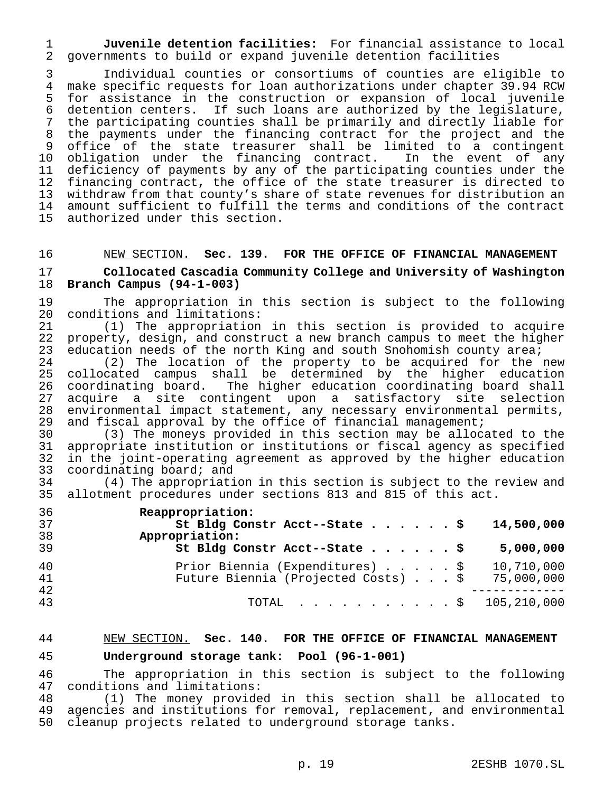1 **Juvenile detention facilities:** For financial assistance to local 2 governments to build or expand juvenile detention facilities

3 Individual counties or consortiums of counties are eligible to 4 make specific requests for loan authorizations under chapter 39.94 RCW<br>5 for assistance in the construction or expansion of local juvenile 5 for assistance in the construction or expansion of local juvenile<br>6 detention centers. If such loans are authorized by the legislature, 6 detention centers. If such loans are authorized by the legislature,<br>7 the participating counties shall be primarily and directly liable for the participating counties shall be primarily and directly liable for 8 the payments under the financing contract for the project and the 9 office of the state treasurer shall be limited to a contingent 10 obligation under the financing contract. In the event of any 11 deficiency of payments by any of the participating counties under the<br>12 financing contract, the office of the state treasurer is directed to 12 financing contract, the office of the state treasurer is directed to<br>13 withdraw from that county's share of state revenues for distribution an withdraw from that county's share of state revenues for distribution an 14 amount sufficient to fulfill the terms and conditions of the contract<br>15 authorized under this section. authorized under this section.

## 16 NEW SECTION. **Sec. 139. FOR THE OFFICE OF FINANCIAL MANAGEMENT**

## 17 **Collocated Cascadia Community College and University of Washington** 18 **Branch Campus (94-1-003)**

19 The appropriation in this section is subject to the following<br>20 conditions and limitations: 20 conditions and limitations:<br>21 (1) The appropriation

(1) The appropriation in this section is provided to acquire 22 property, design, and construct a new branch campus to meet the higher 23 education needs of the north King and south Snohomish county area;<br>24 (2) The location of the property to be acquired for the p

24 (2) The location of the property to be acquired for the new<br>25 collocated campus shall be determined by the higher education collocated campus shall be determined by the higher education coordinating board. The higher education coordinating board shall acquire a site contingent upon a satisfactory site selection environmental impact statement, any necessary environmental permits, 29 and fiscal approval by the office of financial management;<br>30 (3) The moneys provided in this section may be alloca

30 (3) The moneys provided in this section may be allocated to the 31 appropriate institution or institutions or fiscal agency as specified<br>32 in the joint-operating agreement as approved by the higher education in the joint-operating agreement as approved by the higher education 33 coordinating board; and

34 (4) The appropriation in this section is subject to the review and allotment procedures under sections 813 and 815 of this act.

| 36 | Reappropriation:                                  |
|----|---------------------------------------------------|
| 37 | St Bldg Constr Acct--State \$<br>14,500,000       |
| 38 | Appropriation:                                    |
| 39 | St Bldg Constr Acct--State \$<br>5,000,000        |
| 40 | Prior Biennia (Expenditures) \$<br>10,710,000     |
| 41 | Future Biennia (Projected Costs) \$<br>75,000,000 |
| 42 |                                                   |
| 43 | TOTAL \$ 105,210,000                              |

### 44 NEW SECTION. **Sec. 140. FOR THE OFFICE OF FINANCIAL MANAGEMENT**

#### 45 **Underground storage tank: Pool (96-1-001)**

46 The appropriation in this section is subject to the following<br>47 conditions and limitations: 47 conditions and limitations:<br>48 (1) The money provide

48 (1) The money provided in this section shall be allocated to<br>49 agencies and institutions for removal, replacement, and environmental 49 agencies and institutions for removal, replacement, and environmental<br>50 cleanup projects related to underground storage tanks. cleanup projects related to underground storage tanks.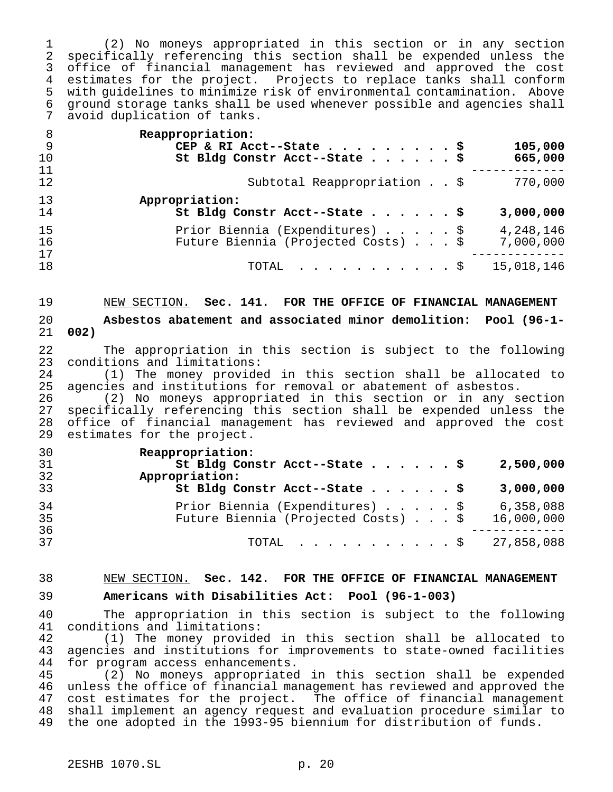(2) No moneys appropriated in this section or in any section specifically referencing this section shall be expended unless the office of financial management has reviewed and approved the cost estimates for the project. Projects to replace tanks shall conform 5 with guidelines to minimize risk of environmental contamination. Above<br>6 ground storage tanks shall be used whenever possible and agencies shall ground storage tanks shall be used whenever possible and agencies shall avoid duplication of tanks.

| - 8<br>9<br>10 | Reappropriation:<br>105,000<br>CEP & RI Acct--State \$<br>St Bldg Constr Acct--State \$<br>665,000 |
|----------------|----------------------------------------------------------------------------------------------------|
| 11<br>12       | Subtotal Reappropriation \$<br>770,000                                                             |
| 13<br>14       | Appropriation:<br>St Bldg Constr Acct--State \$<br>3,000,000                                       |
| 15<br>16<br>17 | Prior Biennia (Expenditures) \$<br>4,248,146<br>Future Biennia (Projected Costs) \$<br>7,000,000   |
| 18             | 15,018,146<br>TOTAL $\ldots$ $\frac{1}{2}$                                                         |

 NEW SECTION. **Sec. 141. FOR THE OFFICE OF FINANCIAL MANAGEMENT Asbestos abatement and associated minor demolition: Pool (96-1- 002)**

22 The appropriation in this section is subject to the following<br>23 conditions and limitations: 23 conditions and limitations:<br>24 (1) The money provide

24 (1) The money provided in this section shall be allocated to<br>25 agencies and institutions for removal or abatement of asbestos. 25 agencies and institutions for removal or abatement of asbestos.<br>26 (2) No moneys appropriated in this section or in any se

 (2) No moneys appropriated in this section or in any section 27 specifically referencing this section shall be expended unless the<br>28 office of financial management has reviewed and approved the cost 28 office of financial management has reviewed and approved the cost<br>29 estimates for the project. estimates for the project.

| Reappropriation:                                                 |            |
|------------------------------------------------------------------|------------|
| St Bldg Constr Acct--State \$                                    | 2,500,000  |
| Appropriation:                                                   |            |
| St Bldg Constr Acct--State \$                                    | 3,000,000  |
| Prior Biennia (Expenditures) \$                                  | 6,358,088  |
| Future Biennia (Projected Costs) \$                              | 16,000,000 |
|                                                                  |            |
| TOTAL $\ldots$ , $\ldots$ , $\ldots$ , $\frac{1}{27}$ , 858, 088 |            |
|                                                                  |            |

# NEW SECTION. **Sec. 142. FOR THE OFFICE OF FINANCIAL MANAGEMENT**

**Americans with Disabilities Act: Pool (96-1-003)**

 The appropriation in this section is subject to the following conditions and limitations:

42 (1) The money provided in this section shall be allocated to<br>43 agencies and institutions for improvements to state-owned facilities agencies and institutions for improvements to state-owned facilities for program access enhancements.

 (2) No moneys appropriated in this section shall be expended unless the office of financial management has reviewed and approved the cost estimates for the project. The office of financial management shall implement an agency request and evaluation procedure similar to the one adopted in the 1993-95 biennium for distribution of funds.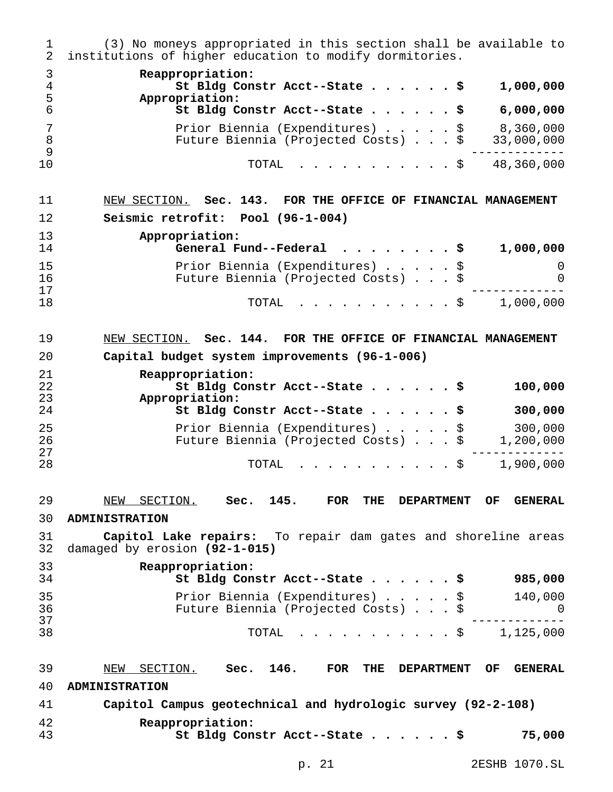(3) No moneys appropriated in this section shall be available to institutions of higher education to modify dormitories. **Reappropriation: St Bldg Constr Acct--State......\$ 1,000,000 Appropriation: St Bldg Constr Acct--State......\$ 6,000,000** Prior Biennia (Expenditures).....\$ 8,360,000 Future Biennia (Projected Costs)...\$ 33,000,000 ------------- TOTAL ...........\$ 48,360,000 NEW SECTION. **Sec. 143. FOR THE OFFICE OF FINANCIAL MANAGEMENT Seismic retrofit: Pool (96-1-004) Appropriation: General Fund--Federal ........\$ 1,000,000** Prior Biennia (Expenditures).....\$ 0 16 Future Biennia (Projected Costs)...\$ 0<br>17 ------------- TOTAL ...........\$ 1,000,000 NEW SECTION. **Sec. 144. FOR THE OFFICE OF FINANCIAL MANAGEMENT Capital budget system improvements (96-1-006) Reappropriation: St Bldg Constr Acct--State......\$ 100,000 Appropriation: St Bldg Constr Acct--State......\$ 300,000** 25 Prior Biennia (Expenditures)......\$ 300,000<br>26 Future Biennia (Projected Costs)...\$ 1,200,000 Future Biennia (Projected Costs)...\$ 1,200,000 ------------- TOTAL ...........\$ 1,900,000 NEW SECTION. **Sec. 145. FOR THE DEPARTMENT OF GENERAL ADMINISTRATION Capitol Lake repairs:** To repair dam gates and shoreline areas damaged by erosion **(92-1-015) Reappropriation: St Bldg Constr Acct--State......\$ 985,000** Prior Biennia (Expenditures).....\$ 140,000 Future Biennia (Projected Costs)...\$ 0 ------------- TOTAL ...........\$ 1,125,000 NEW SECTION. **Sec. 146. FOR THE DEPARTMENT OF GENERAL ADMINISTRATION Capitol Campus geotechnical and hydrologic survey (92-2-108) Reappropriation: St Bldg Constr Acct--State......\$ 75,000**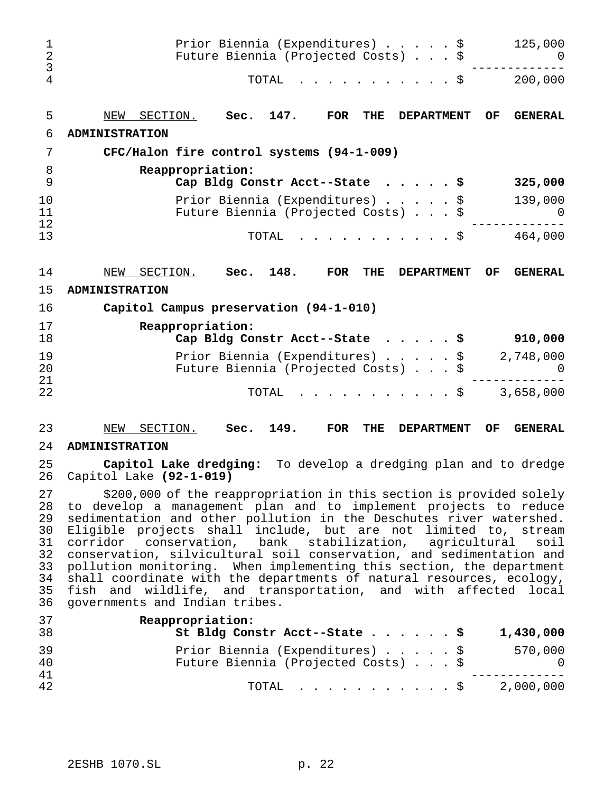| 1<br>$\overline{2}$<br>3                                 | Prior Biennia (Expenditures) \$<br>125,000<br>Future Biennia (Projected Costs) \$<br>U                                                                                                                                                                                                                                                                                                                                                                                                                                                                                                                                                                                           |
|----------------------------------------------------------|----------------------------------------------------------------------------------------------------------------------------------------------------------------------------------------------------------------------------------------------------------------------------------------------------------------------------------------------------------------------------------------------------------------------------------------------------------------------------------------------------------------------------------------------------------------------------------------------------------------------------------------------------------------------------------|
| 4                                                        | TOTAL<br>. \$<br>200,000                                                                                                                                                                                                                                                                                                                                                                                                                                                                                                                                                                                                                                                         |
| 5                                                        | 147.<br>SECTION.<br>Sec.<br><b>FOR</b><br>THE<br><b>DEPARTMENT</b><br><b>GENERAL</b><br>NEW<br><b>OF</b>                                                                                                                                                                                                                                                                                                                                                                                                                                                                                                                                                                         |
| 6                                                        | <b>ADMINISTRATION</b>                                                                                                                                                                                                                                                                                                                                                                                                                                                                                                                                                                                                                                                            |
| 7                                                        | CFC/Halon fire control systems (94-1-009)                                                                                                                                                                                                                                                                                                                                                                                                                                                                                                                                                                                                                                        |
| 8<br>9                                                   | Reappropriation:<br>Cap Bldg Constr Acct--State<br>325,000                                                                                                                                                                                                                                                                                                                                                                                                                                                                                                                                                                                                                       |
| 10<br>11<br>12                                           | Prior Biennia (Expenditures)<br>139,000<br>\$<br>Future Biennia (Projected Costs) \$<br>0                                                                                                                                                                                                                                                                                                                                                                                                                                                                                                                                                                                        |
| 13                                                       | 464,000<br>TOTAL<br>. \$                                                                                                                                                                                                                                                                                                                                                                                                                                                                                                                                                                                                                                                         |
| 14                                                       | 148.<br>SECTION.<br>Sec.<br><b>FOR</b><br><b>GENERAL</b><br>NEW<br><b>THE</b><br><b>DEPARTMENT</b><br>OF                                                                                                                                                                                                                                                                                                                                                                                                                                                                                                                                                                         |
| 15                                                       | <b>ADMINISTRATION</b>                                                                                                                                                                                                                                                                                                                                                                                                                                                                                                                                                                                                                                                            |
| 16                                                       | Capitol Campus preservation (94-1-010)                                                                                                                                                                                                                                                                                                                                                                                                                                                                                                                                                                                                                                           |
| 17<br>18                                                 | Reappropriation:<br>Cap Bldg Constr Acct--State<br>910,000<br>\$                                                                                                                                                                                                                                                                                                                                                                                                                                                                                                                                                                                                                 |
| 19<br>20                                                 | Prior Biennia (Expenditures)<br>2,748,000<br>\$<br>Future Biennia (Projected Costs) \$<br>0                                                                                                                                                                                                                                                                                                                                                                                                                                                                                                                                                                                      |
| 21<br>22                                                 | 3,658,000<br>TOTAL<br>. \$                                                                                                                                                                                                                                                                                                                                                                                                                                                                                                                                                                                                                                                       |
| 23                                                       | SECTION.<br>149.<br>NEW<br>Sec.<br><b>FOR</b><br><b>THE</b><br><b>DEPARTMENT</b><br>OF<br><b>GENERAL</b>                                                                                                                                                                                                                                                                                                                                                                                                                                                                                                                                                                         |
| 24                                                       | <b>ADMINISTRATION</b>                                                                                                                                                                                                                                                                                                                                                                                                                                                                                                                                                                                                                                                            |
| 25<br>26                                                 | Capitol Lake dredging:<br>To develop a dredging plan and to dredge<br>Capitol Lake (92-1-019)                                                                                                                                                                                                                                                                                                                                                                                                                                                                                                                                                                                    |
| 27<br>28<br>29<br>30<br>31<br>32<br>33<br>34<br>35<br>36 | \$200,000 of the reappropriation in this section is provided solely<br>to develop a management plan and to implement projects to reduce<br>sedimentation and other pollution in the Deschutes river watershed.<br>Eligible projects shall include, but are not limited to, stream<br>corridor conservation, bank stabilization, agricultural<br>soil<br>conservation, silvicultural soil conservation, and sedimentation and<br>pollution monitoring. When implementing this section, the department<br>shall coordinate with the departments of natural resources, ecology,<br>fish and wildlife, and transportation, and with affected local<br>governments and Indian tribes. |
| 37<br>38                                                 | Reappropriation:<br>St Bldg Constr Acct--State<br>1,430,000<br>. \$                                                                                                                                                                                                                                                                                                                                                                                                                                                                                                                                                                                                              |
| 39<br>40                                                 | Prior Biennia (Expenditures)<br>570,000<br>\$<br>Future Biennia (Projected Costs) \$<br>0                                                                                                                                                                                                                                                                                                                                                                                                                                                                                                                                                                                        |
| 41<br>42                                                 | 2,000,000<br>TOTAL<br>. \$                                                                                                                                                                                                                                                                                                                                                                                                                                                                                                                                                                                                                                                       |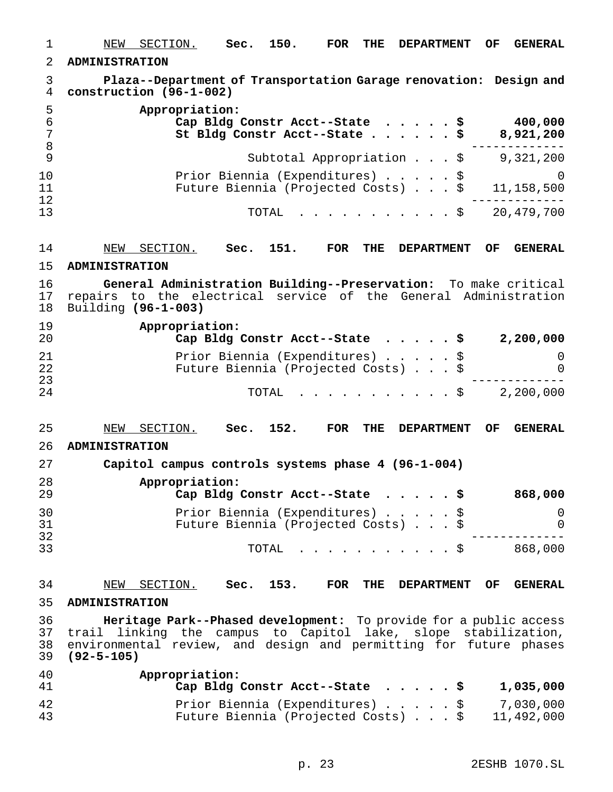| $\mathbf 1$          | 150.<br>SECTION.<br>Sec.<br><b>FOR</b><br>THE<br>OF<br><b>GENERAL</b><br><u>NEW</u><br><b>DEPARTMENT</b>                                                                                                                     |
|----------------------|------------------------------------------------------------------------------------------------------------------------------------------------------------------------------------------------------------------------------|
| $\overline{2}$       | <b>ADMINISTRATION</b>                                                                                                                                                                                                        |
| 3<br>$\overline{4}$  | Plaza--Department of Transportation Garage renovation: Design and<br>construction (96-1-002)                                                                                                                                 |
| 5<br>6<br>7<br>8     | Appropriation:<br>400,000<br>Cap Bldg Constr Acct--State \$<br>8,921,200<br>St Bldg Constr Acct--State \$                                                                                                                    |
| 9                    | Subtotal Appropriation $\ldots$ \$<br>9,321,200                                                                                                                                                                              |
| 10<br>11<br>12       | Prior Biennia (Expenditures) \$<br>$\Omega$<br>Future Biennia (Projected Costs) \$<br>11,158,500                                                                                                                             |
| 13                   | 20, 479, 700<br>TOTAL<br>. \$                                                                                                                                                                                                |
| 14                   | 151.<br><b>FOR</b><br>NEW<br>SECTION.<br>Sec.<br>THE<br><b>DEPARTMENT</b><br>OF.<br><b>GENERAL</b>                                                                                                                           |
| 15                   | <b>ADMINISTRATION</b>                                                                                                                                                                                                        |
| 16<br>17<br>18       | General Administration Building--Preservation: To make critical<br>repairs to the electrical service of the General Administration<br>Building (96-1-003)                                                                    |
| 19<br>20             | Appropriation:<br>Cap Bldg Constr Acct--State \$<br>2,200,000                                                                                                                                                                |
| 21<br>22<br>23       | Prior Biennia (Expenditures) \$<br>0<br>Future Biennia (Projected Costs) \$<br>0                                                                                                                                             |
| 24                   | 2,200,000<br>TOTAL<br>$\ddot{\mathbf{S}}$                                                                                                                                                                                    |
| 25<br>26             | 152.<br>SECTION.<br><b>FOR</b><br>THE<br><b>GENERAL</b><br>NEW<br>Sec.<br><b>DEPARTMENT</b><br>OF.<br><b>ADMINISTRATION</b>                                                                                                  |
| 27                   | Capitol campus controls systems phase 4 (96-1-004)                                                                                                                                                                           |
| 28<br>29             | Appropriation:<br>Cap Bldg Constr Acct--State \$<br>868,000                                                                                                                                                                  |
| 30<br>31             | Prior Biennia (Expenditures) \$<br>0<br>Future Biennia (Projected Costs) \$<br>0                                                                                                                                             |
| 32<br>33             | 868,000<br>TOTAL<br>. \$                                                                                                                                                                                                     |
| 34                   | SECTION. Sec. 153.<br><b>GENERAL</b><br>NEW<br><b>FOR</b><br><b>THE DEPARTMENT</b><br>OF                                                                                                                                     |
| 35                   | <b>ADMINISTRATION</b>                                                                                                                                                                                                        |
| 36<br>37<br>38<br>39 | Heritage Park--Phased development: To provide for a public access<br>trail linking the campus to Capitol lake, slope stabilization,<br>environmental review, and design and permitting for future phases<br>$(92 - 5 - 105)$ |
| 40<br>41             | Appropriation:<br>1,035,000<br>Cap Bldg Constr Acct--State<br>- \$                                                                                                                                                           |
| 42<br>43             | 7,030,000<br>Prior Biennia (Expenditures) \$<br>Future Biennia (Projected Costs) \$<br>11,492,000                                                                                                                            |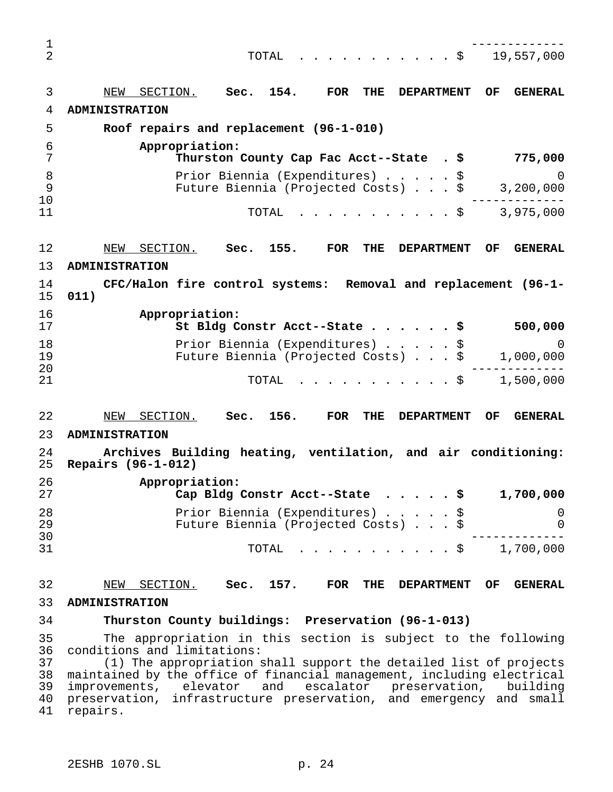------------- TOTAL ...........\$ 19,557,000 NEW SECTION. **Sec. 154. FOR THE DEPARTMENT OF GENERAL ADMINISTRATION Roof repairs and replacement (96-1-010) Appropriation: Thurston County Cap Fac Acct--State . \$ 775,000** Prior Biennia (Expenditures).....\$ 0 Future Biennia (Projected Costs)...\$ 3,200,000 ------------- TOTAL ...........\$ 3,975,000 NEW SECTION. **Sec. 155. FOR THE DEPARTMENT OF GENERAL ADMINISTRATION CFC/Halon fire control systems: Removal and replacement (96-1- 011) Appropriation: St Bldg Constr Acct--State......\$ 500,000** Prior Biennia (Expenditures).....\$ 0 Future Biennia (Projected Costs)...\$ 1,000,000 ------------- TOTAL ...........\$ 1,500,000 NEW SECTION. **Sec. 156. FOR THE DEPARTMENT OF GENERAL ADMINISTRATION Archives Building heating, ventilation, and air conditioning: Repairs (96-1-012) Appropriation: Cap Bldg Constr Acct--State .....\$ 1,700,000** Prior Biennia (Expenditures).....\$ 0 Future Biennia (Projected Costs)...\$ 0 ------------- TOTAL ...........\$ 1,700,000 NEW SECTION. **Sec. 157. FOR THE DEPARTMENT OF GENERAL ADMINISTRATION Thurston County buildings: Preservation (96-1-013)** The appropriation in this section is subject to the following conditions and limitations: (1) The appropriation shall support the detailed list of projects maintained by the office of financial management, including electrical improvements, elevator and escalator preservation, building preservation, infrastructure preservation, and emergency and small repairs.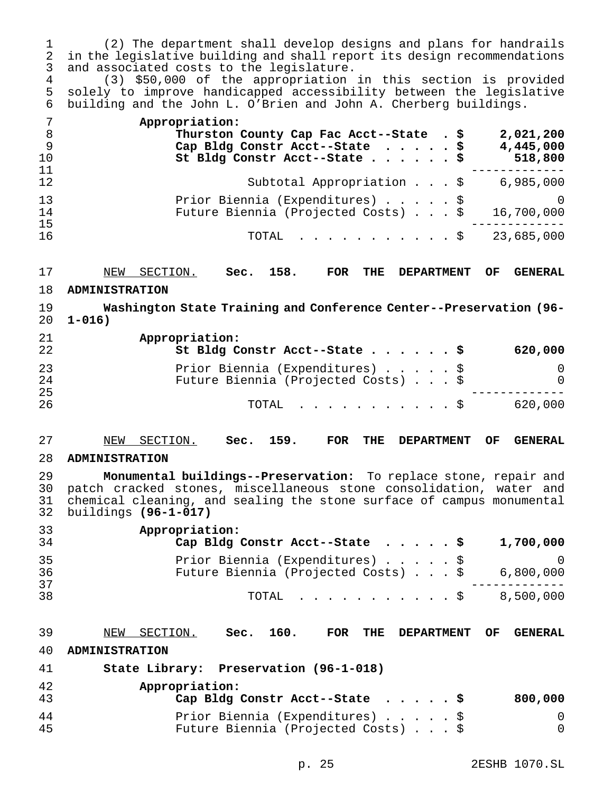| 1<br>2<br>3<br>4<br>5<br>6             | (2) The department shall develop designs and plans for handrails<br>in the legislative building and shall report its design recommendations<br>and associated costs to the legislature.<br>(3) \$50,000 of the appropriation in this section is provided<br>solely to improve handicapped accessibility between the legislative<br>building and the John L. O'Brien and John A. Cherberg buildings. |
|----------------------------------------|-----------------------------------------------------------------------------------------------------------------------------------------------------------------------------------------------------------------------------------------------------------------------------------------------------------------------------------------------------------------------------------------------------|
| 7<br>$\, 8$<br>$\mathsf 9$<br>10<br>11 | Appropriation:<br>Thurston County Cap Fac Acct--State . \$<br>2,021,200<br>Cap Bldg Constr Acct--State \$<br>4,445,000<br>St Bldg Constr Acct--State \$<br>518,800                                                                                                                                                                                                                                  |
| 12                                     | Subtotal Appropriation \$<br>6,985,000                                                                                                                                                                                                                                                                                                                                                              |
| 13<br>14<br>15                         | Prior Biennia (Expenditures) \$<br>$\Omega$<br>Future Biennia (Projected Costs) \$<br>16,700,000                                                                                                                                                                                                                                                                                                    |
| 16                                     | 23,685,000<br>TOTAL<br>$\mathfrak{g}$                                                                                                                                                                                                                                                                                                                                                               |
| 17                                     | 158.<br>SECTION.<br><b>FOR</b><br><b>GENERAL</b><br>NEW<br>Sec.<br><b>THE</b><br><b>DEPARTMENT</b><br><b>OF</b>                                                                                                                                                                                                                                                                                     |
| 18                                     | <b>ADMINISTRATION</b>                                                                                                                                                                                                                                                                                                                                                                               |
| 19<br>20                               | Washington State Training and Conference Center--Preservation (96-<br>$1 - 016$ )                                                                                                                                                                                                                                                                                                                   |
| 21<br>22                               | Appropriation:<br>St Bldg Constr Acct--State \$<br>620,000                                                                                                                                                                                                                                                                                                                                          |
| 23<br>24<br>25                         | Prior Biennia (Expenditures) \$<br>0<br>Future Biennia (Projected Costs) \$<br>$\Omega$                                                                                                                                                                                                                                                                                                             |
| 26                                     | 620,000<br>TOTAL<br>. \$                                                                                                                                                                                                                                                                                                                                                                            |
| 27                                     | 159.<br>NEW SECTION.<br><b>FOR</b><br>THE<br><b>DEPARTMENT</b><br><b>GENERAL</b><br>Sec.<br>OF.                                                                                                                                                                                                                                                                                                     |
| 28                                     | <b>ADMINISTRATION</b>                                                                                                                                                                                                                                                                                                                                                                               |
| 29<br>30<br>31<br>32                   | Monumental buildings--Preservation: To replace stone, repair and<br>patch cracked stones, miscellaneous stone consolidation, water and<br>chemical cleaning, and sealing the stone surface of campus monumental<br>buildings (96-1-017)                                                                                                                                                             |
| 33<br>34                               | Appropriation:<br>1,700,000<br>Cap Bldg Constr Acct--State \$                                                                                                                                                                                                                                                                                                                                       |
| 35<br>36<br>37                         | Prior Biennia (Expenditures) \$<br>0<br>Future Biennia (Projected Costs) \$<br>6,800,000                                                                                                                                                                                                                                                                                                            |
| 38                                     | 8,500,000<br>TOTAL<br>. \$                                                                                                                                                                                                                                                                                                                                                                          |
| 39                                     | 160.<br>NEW SECTION.<br>FOR<br>Sec.<br>THE<br><b>DEPARTMENT</b><br><b>GENERAL</b><br>OF.                                                                                                                                                                                                                                                                                                            |
| 40                                     | <b>ADMINISTRATION</b>                                                                                                                                                                                                                                                                                                                                                                               |

 **State Library: Preservation (96-1-018) Appropriation: Cap Bldg Constr Acct--State .....\$ 800,000** Prior Biennia (Expenditures).....\$ 0 Future Biennia (Projected Costs)...\$ 0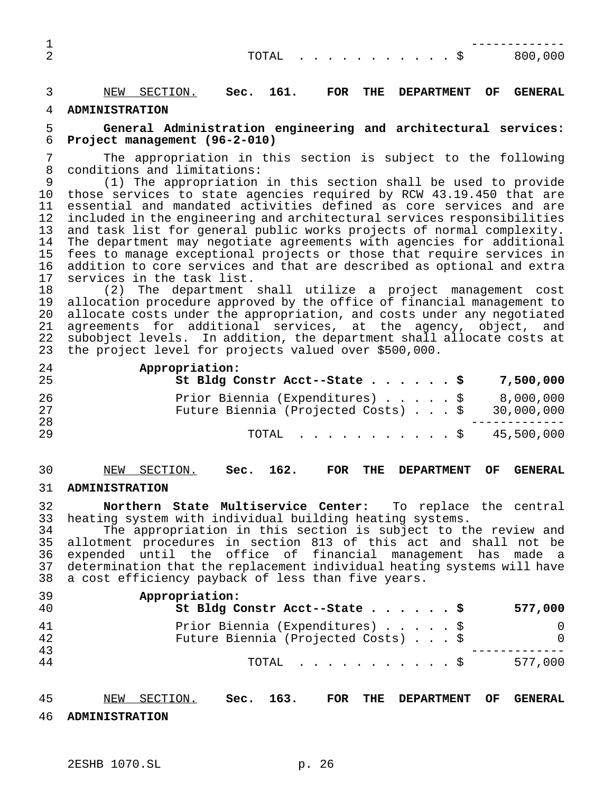| ∸ |  |  |  |  |  |  |                           |
|---|--|--|--|--|--|--|---------------------------|
|   |  |  |  |  |  |  | TOTAL $\ldots$ \$ 800,000 |
|   |  |  |  |  |  |  |                           |

NEW SECTION. **Sec. 161. FOR THE DEPARTMENT OF GENERAL**

## **ADMINISTRATION**

## **General Administration engineering and architectural services: Project management (96-2-010)**

 The appropriation in this section is subject to the following conditions and limitations:

 (1) The appropriation in this section shall be used to provide those services to state agencies required by RCW 43.19.450 that are essential and mandated activities defined as core services and are included in the engineering and architectural services responsibilities and task list for general public works projects of normal complexity. The department may negotiate agreements with agencies for additional fees to manage exceptional projects or those that require services in addition to core services and that are described as optional and extra services in the task list.

 (2) The department shall utilize a project management cost allocation procedure approved by the office of financial management to allocate costs under the appropriation, and costs under any negotiated 21 agreements for additional services, at the agency, object, and<br>22 subobject levels. In addition, the department shall allocate costs at subobject levels. In addition, the department shall allocate costs at the project level for projects valued over \$500,000.

| 24<br>25 | Appropriation:<br>St Bldg Constr Acct--State \$ 7,500,000                                  |           |
|----------|--------------------------------------------------------------------------------------------|-----------|
| 26<br>27 | Prior Biennia (Expenditures) \$<br>Future Biennia (Projected Costs) $\ldots$ \$ 30,000,000 | 8,000,000 |
| 28<br>29 | TOTAL \$ 45,500,000                                                                        |           |

# NEW SECTION. **Sec. 162. FOR THE DEPARTMENT OF GENERAL**

## **ADMINISTRATION**

 **Northern State Multiservice Center:** To replace the central heating system with individual building heating systems.

 The appropriation in this section is subject to the review and allotment procedures in section 813 of this act and shall not be 36 expended until the office of financial management has made a<br>37 determination that the replacement individual heating systems will have 37 determination that the replacement individual heating systems will have<br>38 a cost efficiency payback of less than five years. a cost efficiency payback of less than five years.

| 39<br>40 | Appropriation:<br>St Bldg Constr Acct--State \$                        |  |  | 577,000              |
|----------|------------------------------------------------------------------------|--|--|----------------------|
| 41<br>42 | Prior Biennia (Expenditures) \$<br>Future Biennia (Projected Costs) \$ |  |  | $\Omega$<br>$\Omega$ |
| 43<br>44 | TOTAL S                                                                |  |  | 577,000              |

NEW SECTION. **Sec. 163. FOR THE DEPARTMENT OF GENERAL**

**ADMINISTRATION**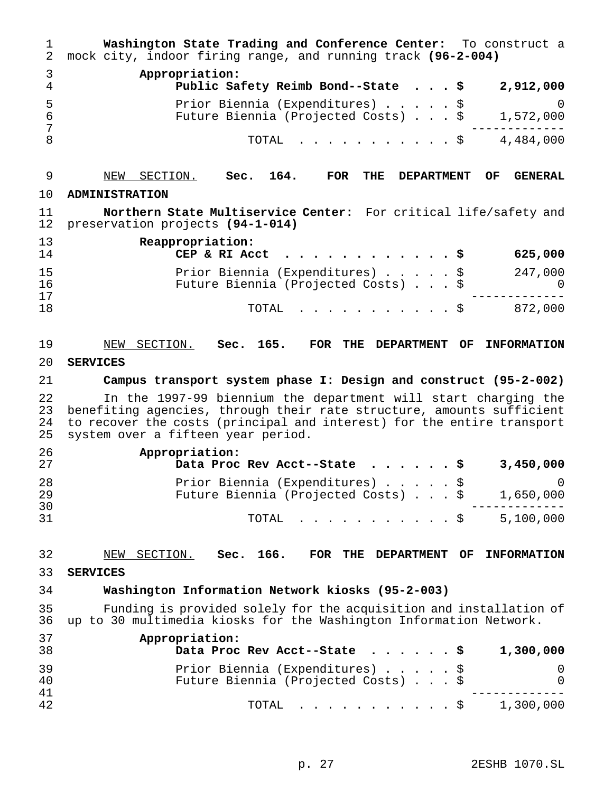| 1<br>2               | Washington State Trading and Conference Center: To construct a<br>mock city, indoor firing range, and running track (96-2-004)                                                                                                                          |
|----------------------|---------------------------------------------------------------------------------------------------------------------------------------------------------------------------------------------------------------------------------------------------------|
| 3<br>4               | Appropriation:<br>Public Safety Reimb Bond--State \$<br>2,912,000                                                                                                                                                                                       |
| 5<br>6<br>7          | Prior Biennia (Expenditures) \$<br>O<br>Future Biennia (Projected Costs) \$<br>1,572,000                                                                                                                                                                |
| 8                    | 4,484,000<br>TOTAL<br>. . \$                                                                                                                                                                                                                            |
| 9                    | NEW SECTION.<br>164.<br>THE<br>Sec.<br>FOR<br><b>DEPARTMENT</b><br>OF.<br><b>GENERAL</b>                                                                                                                                                                |
| 10                   | <b>ADMINISTRATION</b>                                                                                                                                                                                                                                   |
| 11<br>12             | Northern State Multiservice Center: For critical life/safety and<br>preservation projects (94-1-014)                                                                                                                                                    |
| 13<br>14             | Reappropriation:<br>625,000<br>CEP & RI Acct<br>.                                                                                                                                                                                                       |
| 15<br>16<br>17       | 247,000<br>Prior Biennia (Expenditures) \$<br>Future Biennia (Projected Costs) \$                                                                                                                                                                       |
| 18                   | 872,000<br>TOTAL<br>$\cdot$ \$                                                                                                                                                                                                                          |
| 19                   | NEW SECTION. Sec. 165.<br>FOR<br>THE<br><b>DEPARTMENT OF</b><br><b>INFORMATION</b>                                                                                                                                                                      |
| 20                   | <b>SERVICES</b>                                                                                                                                                                                                                                         |
| 21                   | Campus transport system phase I: Design and construct (95-2-002)                                                                                                                                                                                        |
| 22<br>23<br>24<br>25 | In the 1997-99 biennium the department will start charging the<br>benefiting agencies, through their rate structure, amounts sufficient<br>to recover the costs (principal and interest) for the entire transport<br>system over a fifteen year period. |
| 26<br>27             | Appropriation:<br>3,450,000<br>Data Proc Rev Acct--State                                                                                                                                                                                                |
| 28<br>29<br>30       | Prior Biennia (Expenditures)<br>$\overline{0}$<br>Future Biennia (Projected Costs) \$<br>1,650,000                                                                                                                                                      |
| 31                   | 5,100,000<br>TOTAL<br>$\mathfrak{S}$                                                                                                                                                                                                                    |
| 32                   | Sec. 166.<br>NEW<br>SECTION.<br>FOR THE<br>DEPARTMENT OF<br><b>INFORMATION</b>                                                                                                                                                                          |
| 33                   | <b>SERVICES</b>                                                                                                                                                                                                                                         |
| 34                   | Washington Information Network kiosks (95-2-003)                                                                                                                                                                                                        |
| 35<br>36             | Funding is provided solely for the acquisition and installation of<br>up to 30 multimedia kiosks for the Washington Information Network.                                                                                                                |
| 37<br>38             | Appropriation:<br>Data Proc Rev Acct--State<br>1,300,000<br>. s                                                                                                                                                                                         |
| 39<br>40             | Prior Biennia (Expenditures)<br>\$<br>0<br>Future Biennia (Projected Costs) \$<br>0                                                                                                                                                                     |
| 41<br>42             | 1,300,000<br>. \$<br>TOTAL                                                                                                                                                                                                                              |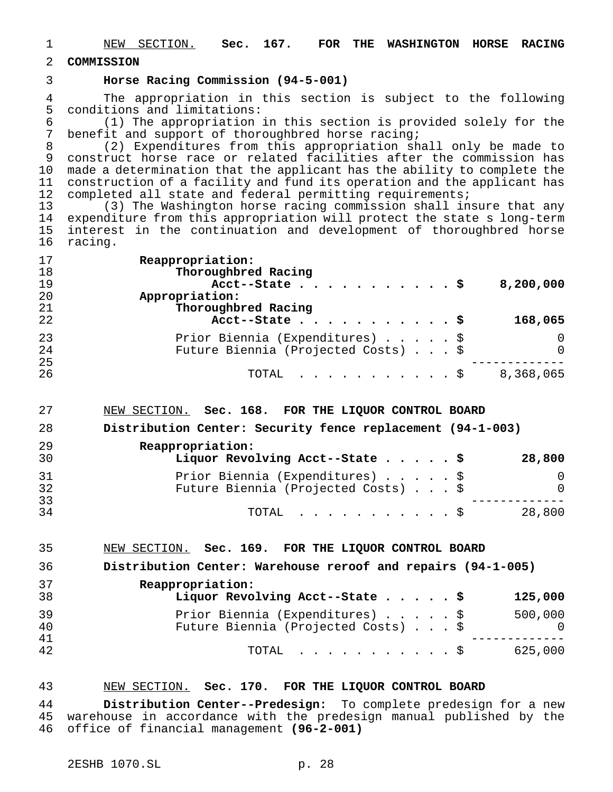- NEW SECTION. **Sec. 167. FOR THE WASHINGTON HORSE RACING**
- **COMMISSION**

## **Horse Racing Commission (94-5-001)**

4 The appropriation in this section is subject to the following<br>5 conditions and limitations: conditions and limitations:

6 (1) The appropriation in this section is provided solely for the  $\overline{7}$  benefit and support of thoroughbred horse racing; benefit and support of thoroughbred horse racing;

 (2) Expenditures from this appropriation shall only be made to 9 construct horse race or related facilities after the commission has made a determination that the applicant has the ability to complete the construction of a facility and fund its operation and the applicant has 12 completed all state and federal permitting requirements;

 (3) The Washington horse racing commission shall insure that any expenditure from this appropriation will protect the state s long-term interest in the continuation and development of thoroughbred horse racing.

| 17 | Reappropriation:                    |           |
|----|-------------------------------------|-----------|
| 18 | Thoroughbred Racing                 |           |
| 19 | Acct--State \$                      | 8,200,000 |
| 20 | Appropriation:                      |           |
| 21 | Thoroughbred Racing                 |           |
| 22 | Acct--State $\frac{5}{7}$           | 168,065   |
| 23 | Prior Biennia (Expenditures) \$     | $\Omega$  |
| 24 | Future Biennia (Projected Costs) \$ | $\Omega$  |
| 25 |                                     |           |
| 26 | TOTAL \$                            | 8,368,065 |

NEW SECTION. **Sec. 168. FOR THE LIQUOR CONTROL BOARD**

**Distribution Center: Security fence replacement (94-1-003)**

| 29<br>30 | Reappropriation:<br>Liquor Revolving Acct--State \$                    | 28,800   |
|----------|------------------------------------------------------------------------|----------|
| 31<br>32 | Prior Biennia (Expenditures) \$<br>Future Biennia (Projected Costs) \$ | $\Omega$ |
| 33<br>34 | $\text{TOTAL}$ $\frac{S}{S}$                                           | 28,800   |

NEW SECTION. **Sec. 169. FOR THE LIQUOR CONTROL BOARD**

**Distribution Center: Warehouse reroof and repairs (94-1-005)**

| 37<br>38 | Reappropriation:<br>Liquor Revolving Acct--State \$                    | 125,000 |
|----------|------------------------------------------------------------------------|---------|
| 39<br>40 | Prior Biennia (Expenditures) \$<br>Future Biennia (Projected Costs) \$ | 500,000 |
| 41<br>42 | $\text{TOTAL}$ $\S$                                                    | 625,000 |

## NEW SECTION. **Sec. 170. FOR THE LIQUOR CONTROL BOARD**

 **Distribution Center--Predesign:** To complete predesign for a new warehouse in accordance with the predesign manual published by the office of financial management **(96-2-001)**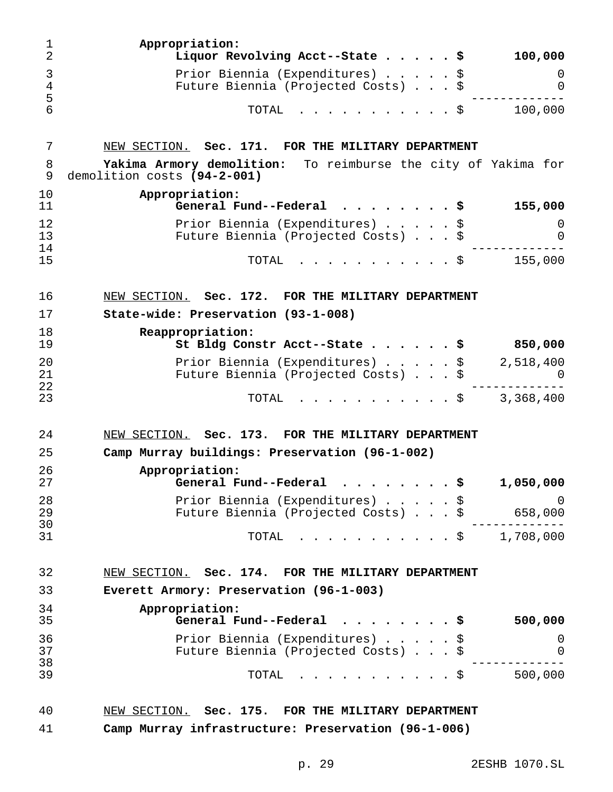| 1<br>$\overline{2}$ | Appropriation:<br>Liquor Revolving Acct--State \$<br>100,000                                 |        |
|---------------------|----------------------------------------------------------------------------------------------|--------|
| 3<br>4<br>5         | Prior Biennia (Expenditures) \$<br>Future Biennia (Projected Costs) \$                       | 0<br>0 |
| 6                   | 100,000<br>TOTAL<br>. \$                                                                     |        |
| 7                   | NEW SECTION. Sec. 171. FOR THE MILITARY DEPARTMENT                                           |        |
| 8<br>9              | Yakima Armory demolition: To reimburse the city of Yakima for<br>demolition costs (94-2-001) |        |
| 10<br>11            | Appropriation:<br>General Fund--Federal $\ldots$ , \$<br>155,000                             |        |
| 12<br>13            | Prior Biennia (Expenditures) \$<br>Future Biennia (Projected Costs) \$                       | 0<br>0 |
| 14<br>15            | TOTAL<br>155,000<br>. \$                                                                     |        |
| 16                  | NEW SECTION. Sec. 172. FOR THE MILITARY DEPARTMENT                                           |        |
| 17                  | State-wide: Preservation (93-1-008)                                                          |        |
| 18<br>19            | Reappropriation:<br>St Bldg Constr Acct--State \$<br>850,000                                 |        |
| 20<br>21            | Prior Biennia (Expenditures) \$<br>2,518,400<br>Future Biennia (Projected Costs) \$          | 0      |
| 22<br>23            | $\cdot$ \$ 3,368,400<br>TOTAL                                                                |        |
| 24                  | NEW SECTION. Sec. 173. FOR THE MILITARY DEPARTMENT                                           |        |
| 25                  | Camp Murray buildings: Preservation (96-1-002)                                               |        |
| 26<br>27            | Appropriation:<br>\$<br>1,050,000<br>General Fund--Federal                                   |        |
| 28<br>29            | Prior Biennia (Expenditures) \$<br>Future Biennia (Projected Costs) \$<br>658,000            | 0      |
| 30<br>31            | $\frac{1}{2}$ , 708,000<br>TOTAL                                                             |        |
| 32                  | NEW SECTION. Sec. 174. FOR THE MILITARY DEPARTMENT                                           |        |
| 33                  | Everett Armory: Preservation (96-1-003)                                                      |        |
| 34<br>35            | Appropriation:<br>General Fund--Federal<br>500,000<br>- \$                                   |        |
| 36<br>37            | Prior Biennia (Expenditures)<br>\$<br>Future Biennia (Projected Costs) \$                    | 0<br>0 |
| 38<br>39            | 500,000<br>TOTAL<br>. \$                                                                     |        |
| 40                  | NEW SECTION. Sec. 175. FOR THE MILITARY DEPARTMENT                                           |        |
|                     |                                                                                              |        |

**Camp Murray infrastructure: Preservation (96-1-006)**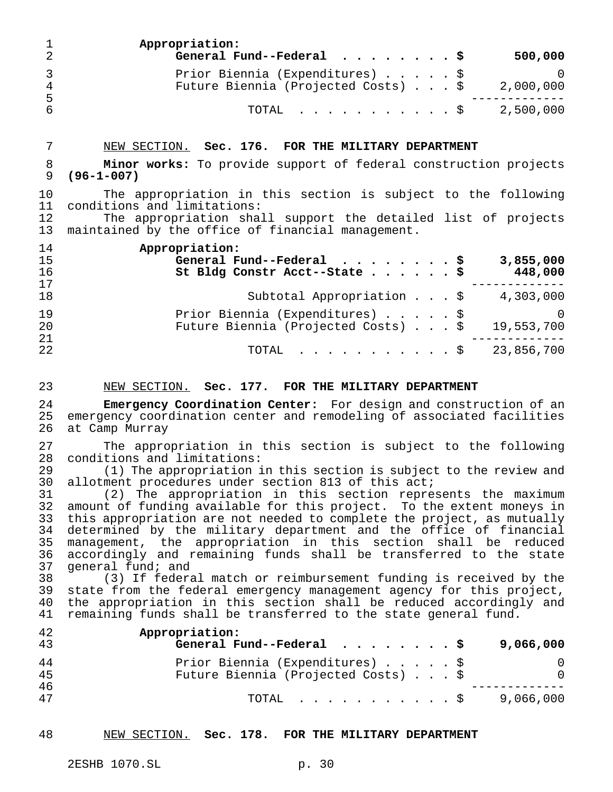| $\mathbf{1}$<br>2 | Appropriation:<br>General Fund--Federal $\cdots$ \$                    | 500,000   |
|-------------------|------------------------------------------------------------------------|-----------|
| 3<br>4<br>-5      | Prior Biennia (Expenditures) \$<br>Future Biennia (Projected Costs) \$ | 2,000,000 |
| 6                 | TOTAL \$ 2,500,000                                                     |           |

#### NEW SECTION. **Sec. 176. FOR THE MILITARY DEPARTMENT**

 **Minor works:** To provide support of federal construction projects **(96-1-007)**

 The appropriation in this section is subject to the following conditions and limitations:

12 The appropriation shall support the detailed list of projects<br>13 maintained by the office of financial management. maintained by the office of financial management.

| 14 | Appropriation:                                      |
|----|-----------------------------------------------------|
| 15 | General Fund--Federal $\ldots$ , \$<br>3,855,000    |
| 16 | St Bldg Constr Acct--State \$<br>448,000            |
| 17 |                                                     |
| 18 | Subtotal Appropriation \$<br>4,303,000              |
| 19 | Prior Biennia (Expenditures) \$<br>$\left( \right)$ |
| 20 | Future Biennia (Projected Costs) \$<br>19,553,700   |
| 21 |                                                     |
| 22 | TOTAL \$ 23,856,700                                 |

#### NEW SECTION. **Sec. 177. FOR THE MILITARY DEPARTMENT**

 **Emergency Coordination Center:** For design and construction of an 25 emergency coordination center and remodeling of associated facilities<br>26 at Camp Murray at Camp Murray

27 The appropriation in this section is subject to the following<br>28 conditions and limitations: 28 conditions and limitations:<br>29 (1) The appropriation i

29 (1) The appropriation in this section is subject to the review and<br>30 allotment procedures under section 813 of this act; 30 allotment procedures under section 813 of this act;<br>31 (2) The appropriation in this section repre

 (2) The appropriation in this section represents the maximum 32 amount of funding available for this project. To the extent moneys in<br>33 this appropriation are not needed to complete the project, as mutually 33 this appropriation are not needed to complete the project, as mutually<br>34 determined by the military department and the office of financial 34 determined by the military department and the office of financial<br>35 management, the appropriation in this section shall be reduced management, the appropriation in this section shall be reduced accordingly and remaining funds shall be transferred to the state 37 general fund; and<br>38 (3) If federa

38 (3) If federal match or reimbursement funding is received by the<br>39 state from the federal emergency management agency for this project. 39 state from the federal emergency management agency for this project,<br>40 the appropriation in this section shall be reduced accordingly and 40 the appropriation in this section shall be reduced accordingly and<br>41 remaining funds shall be transferred to the state general fund. remaining funds shall be transferred to the state general fund.

| 42<br>43 | Appropriation:<br>General Fund--Federal $\cdots$ \$                    |  |  | 9,066,000 |
|----------|------------------------------------------------------------------------|--|--|-----------|
| 44<br>45 | Prior Biennia (Expenditures) \$<br>Future Biennia (Projected Costs) \$ |  |  | $\Omega$  |
| 46<br>47 | TOTAL Ş                                                                |  |  | 9,066,000 |

NEW SECTION. **Sec. 178. FOR THE MILITARY DEPARTMENT**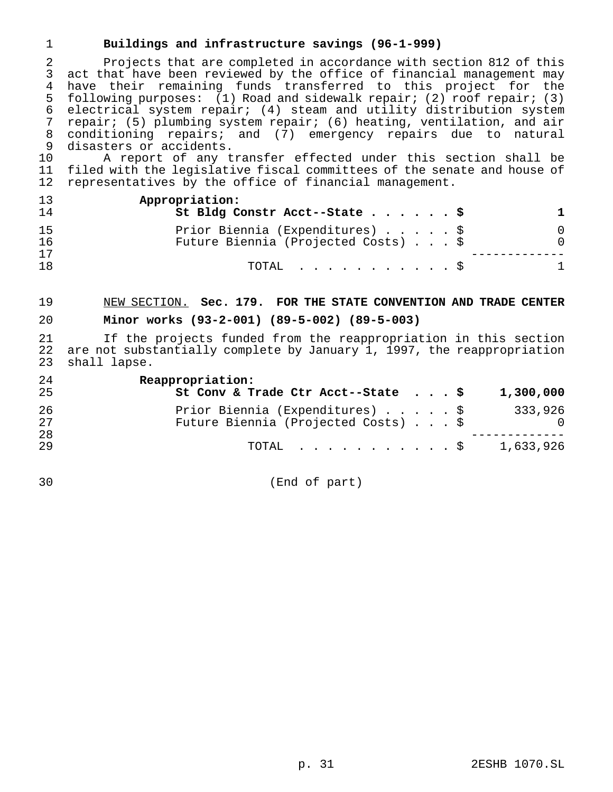## **Buildings and infrastructure savings (96-1-999)**

 Projects that are completed in accordance with section 812 of this act that have been reviewed by the office of financial management may have their remaining funds transferred to this project for the following purposes: (1) Road and sidewalk repair; (2) roof repair; (3) electrical system repair; (4) steam and utility distribution system repair; (5) plumbing system repair; (6) heating, ventilation, and air conditioning repairs; and (7) emergency repairs due to natural disasters or accidents.

 A report of any transfer effected under this section shall be filed with the legislative fiscal committees of the senate and house of representatives by the office of financial management.

| 13<br>14        | Appropriation:<br>St Bldg Constr Acct--State \$                        |                          |
|-----------------|------------------------------------------------------------------------|--------------------------|
| 1.5<br>16<br>17 | Prior Biennia (Expenditures) \$<br>Future Biennia (Projected Costs) \$ | $\Omega$<br><sup>0</sup> |
| 1 8             | TOTAL Ş                                                                |                          |

# NEW SECTION. **Sec. 179. FOR THE STATE CONVENTION AND TRADE CENTER Minor works (93-2-001) (89-5-002) (89-5-003)**

21 If the projects funded from the reappropriation in this section<br>22 are not substantially complete by January 1, 1997, the reappropriation 22 are not substantially complete by January 1, 1997, the reappropriation<br>23 shall lapse. shall lapse.

| 24 | Reappropriation:                                       |  |  |                |
|----|--------------------------------------------------------|--|--|----------------|
| 25 | St Conv & Trade Ctr Acct--State $\cdot \cdot \cdot$ \$ |  |  | 1,300,000      |
| 26 | Prior Biennia (Expenditures) \$                        |  |  | 333,926        |
| 27 | Future Biennia (Projected Costs) \$                    |  |  | $\overline{0}$ |
| 28 |                                                        |  |  |                |
| 29 | TOTAL \$                                               |  |  | 1,633,926      |

(End of part)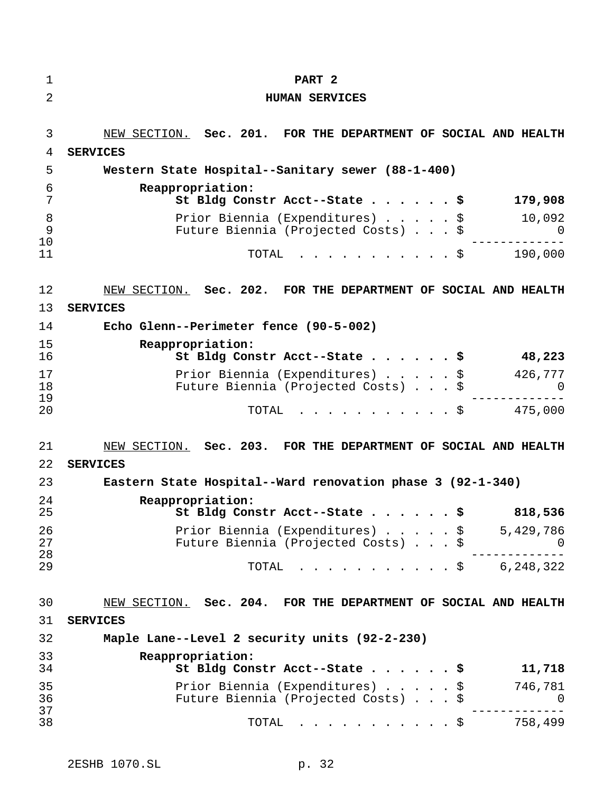| 1              | PART <sub>2</sub>                                                                      |
|----------------|----------------------------------------------------------------------------------------|
| $\overline{2}$ | <b>HUMAN SERVICES</b>                                                                  |
| 3<br>4         | NEW SECTION. Sec. 201. FOR THE DEPARTMENT OF SOCIAL AND HEALTH<br><b>SERVICES</b>      |
| 5              | Western State Hospital--Sanitary sewer (88-1-400)                                      |
| 6<br>7         | Reappropriation:<br>179,908<br>St Bldg Constr Acct--State \$                           |
| 8<br>9<br>10   | Prior Biennia (Expenditures) \$<br>10,092<br>Future Biennia (Projected Costs) \$<br>O  |
| 11             | 190,000<br>TOTAL<br>. \$                                                               |
| 12<br>13       | NEW SECTION. Sec. 202. FOR THE DEPARTMENT OF SOCIAL AND HEALTH<br><b>SERVICES</b>      |
| 14             | Echo Glenn--Perimeter fence (90-5-002)                                                 |
| 15<br>16       | Reappropriation:<br>St Bldg Constr Acct--State \$<br>48,223                            |
| 17<br>18<br>19 | 426,777<br>Prior Biennia (Expenditures) \$<br>Future Biennia (Projected Costs) \$<br>O |
| 20             | 475,000<br>TOTAL<br>. \$                                                               |
| 21<br>22       | NEW SECTION. Sec. 203. FOR THE DEPARTMENT OF SOCIAL AND HEALTH<br><b>SERVICES</b>      |
| 23             | Eastern State Hospital--Ward renovation phase 3 (92-1-340)                             |
| 24<br>25       | Reappropriation:<br>St Bldg Constr Acct--State \$<br>818,536                           |
| 26<br>27<br>28 | Prior Biennia (Expenditures) \$ 5,429,786<br>Future Biennia (Projected Costs) \$<br>U  |
| 29             | $\cdots$ \$ 6,248,322<br>TOTAL                                                         |
| 30             | NEW SECTION. Sec. 204. FOR THE DEPARTMENT OF SOCIAL AND HEALTH                         |
| 31             | <b>SERVICES</b>                                                                        |
| 32             | Maple Lane--Level 2 security units (92-2-230)                                          |
| 33<br>34       | Reappropriation:<br>St Bldg Constr Acct--State \$<br>11,718                            |
| 35<br>36<br>37 | Prior Biennia (Expenditures) \$<br>746,781<br>Future Biennia (Projected Costs) \$<br>U |
| 38             | $\cdot$ \$ 758,499<br>TOTAL                                                            |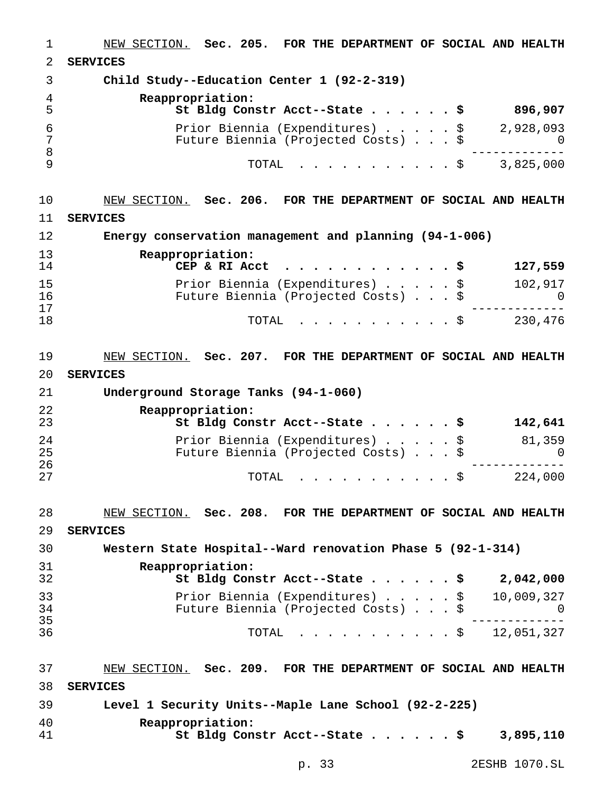| 1                   | NEW SECTION. Sec. 205. FOR THE DEPARTMENT OF SOCIAL AND HEALTH                            |
|---------------------|-------------------------------------------------------------------------------------------|
| 2                   | <b>SERVICES</b>                                                                           |
| 3                   | Child Study--Education Center 1 (92-2-319)                                                |
| $\overline{4}$<br>5 | Reappropriation:<br>St Bldg Constr Acct--State \$<br>896,907                              |
| 6                   | 2,928,093<br>Prior Biennia (Expenditures) \$                                              |
| 7                   | Future Biennia (Projected Costs) \$<br>$\cup$                                             |
| $\,8\,$<br>9        | 3,825,000<br>TOTAL<br>. \$                                                                |
|                     |                                                                                           |
| 10                  | NEW SECTION. Sec. 206. FOR THE DEPARTMENT OF SOCIAL AND HEALTH                            |
| 11                  | <b>SERVICES</b>                                                                           |
| 12                  | Energy conservation management and planning (94-1-006)                                    |
| 13                  | Reappropriation:                                                                          |
| 14                  | CEP & RI Acct<br>127,559<br>. s<br>.                                                      |
| 15<br>16            | 102,917<br>Prior Biennia (Expenditures) \$<br>Future Biennia (Projected Costs) \$<br>- 0  |
| 17                  |                                                                                           |
| 18                  | 230,476<br>TOTAL<br>. \$                                                                  |
|                     |                                                                                           |
| 19                  | NEW SECTION. Sec. 207. FOR THE DEPARTMENT OF SOCIAL AND HEALTH                            |
| 20                  | <b>SERVICES</b>                                                                           |
| 21                  | Underground Storage Tanks (94-1-060)                                                      |
| 22<br>23            | Reappropriation:<br>St Bldg Constr Acct--State \$<br>142,641                              |
| 24                  | 81,359<br>Prior Biennia (Expenditures) \$                                                 |
| 25<br>26            | Future Biennia (Projected Costs) \$<br>$\Omega$                                           |
| 27                  | 224,000<br>TOTAL<br>. \$                                                                  |
| 28                  | NEW SECTION. Sec. 208. FOR THE DEPARTMENT OF SOCIAL AND HEALTH                            |
| 29                  | <b>SERVICES</b>                                                                           |
| 30                  | Western State Hospital--Ward renovation Phase 5 (92-1-314)                                |
| 31                  | Reappropriation:                                                                          |
| 32                  | St Bldg Constr Acct--State \$<br>2,042,000                                                |
| 33<br>34            | Prior Biennia (Expenditures) \$<br>10,009,327<br>Future Biennia (Projected Costs) \$<br>0 |
| 35                  |                                                                                           |
| 36                  | . \$ 12,051,327<br>TOTAL                                                                  |
| 37                  | NEW SECTION. Sec. 209. FOR THE DEPARTMENT OF SOCIAL AND HEALTH                            |
| 38                  | <b>SERVICES</b>                                                                           |
| 39                  | Level 1 Security Units--Maple Lane School (92-2-225)                                      |
| 40                  | Reappropriation:                                                                          |
| 41                  | St Bldg Constr Acct--State $\ldots$ \$<br>3,895,110                                       |
|                     |                                                                                           |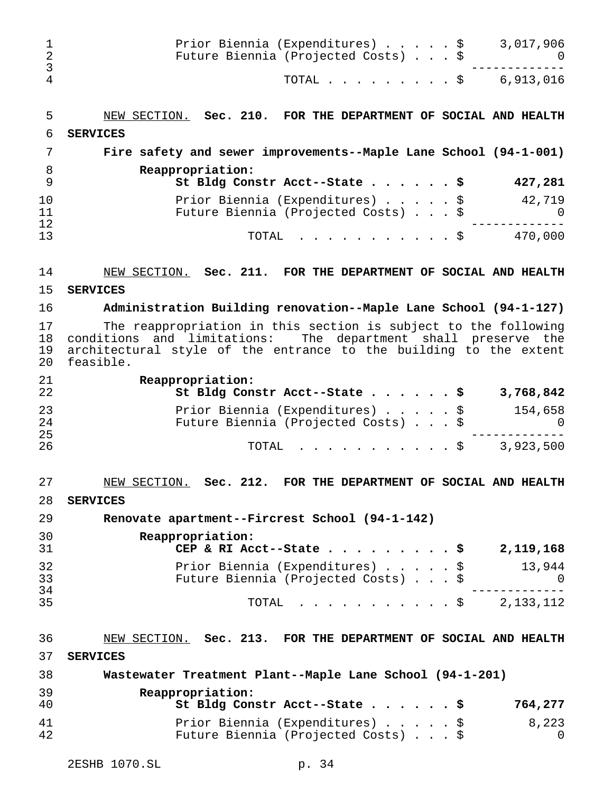| ı<br>2<br>3          | Prior Biennia (Expenditures) \$<br>3,017,906<br>Future Biennia (Projected Costs) \$<br>U                                                                                                                           |
|----------------------|--------------------------------------------------------------------------------------------------------------------------------------------------------------------------------------------------------------------|
| 4                    | TOTAL $\ldots$ \$ 6,913,016                                                                                                                                                                                        |
| 5                    | NEW SECTION. Sec. 210. FOR THE DEPARTMENT OF SOCIAL AND HEALTH                                                                                                                                                     |
| 6                    | <b>SERVICES</b>                                                                                                                                                                                                    |
| 7                    | Fire safety and sewer improvements--Maple Lane School (94-1-001)                                                                                                                                                   |
| 8<br>9               | Reappropriation:<br>427,281<br>St Bldg Constr Acct--State \$                                                                                                                                                       |
| 10<br>11             | 42,719<br>Prior Biennia (Expenditures) \$<br>Future Biennia (Projected Costs) \$<br>0                                                                                                                              |
| 12<br>13             | . \$ 470,000<br>TOTAL                                                                                                                                                                                              |
| 14                   | NEW SECTION. Sec. 211. FOR THE DEPARTMENT OF SOCIAL AND HEALTH                                                                                                                                                     |
| 15                   | <b>SERVICES</b>                                                                                                                                                                                                    |
| 16                   | Administration Building renovation--Maple Lane School (94-1-127)                                                                                                                                                   |
| 17<br>18<br>19<br>20 | The reappropriation in this section is subject to the following<br>conditions and limitations: The department shall preserve the<br>architectural style of the entrance to the building to the extent<br>feasible. |
| 21<br>22             | Reappropriation:<br>St Bldg Constr Acct--State \$<br>3,768,842                                                                                                                                                     |
| 23<br>24<br>25       | Prior Biennia (Expenditures) \$<br>154,658<br>Future Biennia (Projected Costs) \$<br>$\cup$                                                                                                                        |
| 26                   | TOTAL<br>. \$<br>3,923,500                                                                                                                                                                                         |
| 27                   | NEW SECTION. Sec. 212. FOR THE DEPARTMENT OF SOCIAL AND HEALTH                                                                                                                                                     |
| 28                   | <b>SERVICES</b>                                                                                                                                                                                                    |
| 29                   | Renovate apartment--Fircrest School (94-1-142)                                                                                                                                                                     |
| 30<br>31             | Reappropriation:<br>CEP & RI Acct--State $\ldots$ $\ldots$ $\ldots$ $\ddot{\text{s}}$<br>2,119,168                                                                                                                 |
| 32<br>33             | Prior Biennia (Expenditures) \$<br>13,944<br>Future Biennia (Projected Costs) \$<br>- 0                                                                                                                            |
| 34<br>35             | $\cdots$ \$ 2,133,112<br>TOTAL                                                                                                                                                                                     |
| 36                   | NEW SECTION. Sec. 213. FOR THE DEPARTMENT OF SOCIAL AND HEALTH                                                                                                                                                     |
| 37                   | <b>SERVICES</b>                                                                                                                                                                                                    |
| 38                   | Wastewater Treatment Plant--Maple Lane School (94-1-201)                                                                                                                                                           |
| 39<br>40             | Reappropriation:<br>St Bldg Constr Acct--State \$<br>764,277                                                                                                                                                       |
| 41<br>42             | Prior Biennia (Expenditures) \$<br>8,223<br>Future Biennia (Projected Costs) \$<br>$\Omega$                                                                                                                        |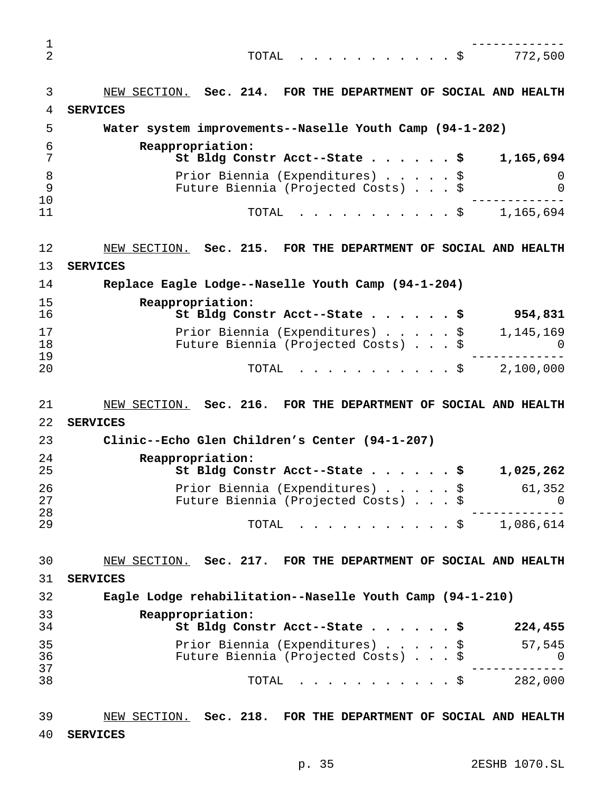| $\mathbf 1$    |                                                                                                               |
|----------------|---------------------------------------------------------------------------------------------------------------|
| $\overline{2}$ | TOTAL \$ 772,500                                                                                              |
| 3              | NEW SECTION. Sec. 214. FOR THE DEPARTMENT OF SOCIAL AND HEALTH                                                |
| 4              | <b>SERVICES</b>                                                                                               |
| 5              | Water system improvements--Naselle Youth Camp (94-1-202)                                                      |
| 6<br>7         | Reappropriation:<br>St Bldg Constr Acct--State \$<br>1,165,694                                                |
| 8<br>9<br>10   | Prior Biennia (Expenditures) \$<br>0<br>Future Biennia (Projected Costs) \$<br>$\Omega$                       |
| 11             | TOTAL $\frac{1}{165,694}$                                                                                     |
| 12             | NEW SECTION. Sec. 215. FOR THE DEPARTMENT OF SOCIAL AND HEALTH                                                |
| 13             | <b>SERVICES</b>                                                                                               |
| 14             | Replace Eagle Lodge--Naselle Youth Camp (94-1-204)                                                            |
| 15             | Reappropriation:                                                                                              |
| 16             | St Bldg Constr Acct--State \$<br>954,831                                                                      |
| 17<br>18<br>19 | Prior Biennia (Expenditures) $\frac{1}{9}$ 1,145,169<br>Future Biennia (Projected Costs) \$<br>$\overline{a}$ |
| 20             | TOTAL $\ldots$ , $\ldots$ , $\ddot{S}$ 2,100,000                                                              |
| 21             | NEW SECTION. Sec. 216. FOR THE DEPARTMENT OF SOCIAL AND HEALTH                                                |
| 22             | <b>SERVICES</b>                                                                                               |
| 23             | Clinic--Echo Glen Children's Center (94-1-207)                                                                |
| 24<br>25       | Reappropriation:<br>St Bldg Constr Acct--State \$<br>1,025,262                                                |
| 26             | Prior Biennia (Expenditures) \$<br>61, 352                                                                    |
| 27<br>28       | Future Biennia (Projected Costs) \$<br>0                                                                      |
| 29             | TOTAL<br>$\cdots$ \$ 1,086,614                                                                                |
| 30             | NEW SECTION. Sec. 217. FOR THE DEPARTMENT OF SOCIAL AND HEALTH                                                |
| 31             | <b>SERVICES</b>                                                                                               |
| 32             | Eagle Lodge rehabilitation--Naselle Youth Camp (94-1-210)                                                     |
| 33<br>34       | Reappropriation:<br>St Bldg Constr Acct--State \$<br>224,455                                                  |
| 35             | Prior Biennia (Expenditures) \$<br>57,545                                                                     |
| 36<br>37       | Future Biennia (Projected Costs) \$<br>0                                                                      |
| 38             | . \$<br>282,000<br>TOTAL                                                                                      |
| 39             | NEW SECTION. Sec. 218. FOR THE DEPARTMENT OF SOCIAL AND HEALTH                                                |

**SERVICES**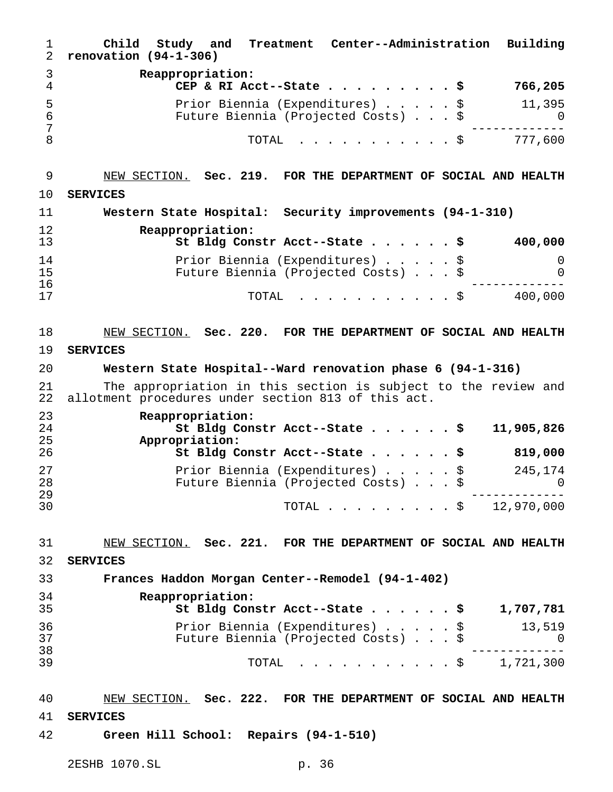| 1<br>2         | Child<br>Treatment Center--Administration<br>Building<br>Study and<br>renovation $(94-1-306)$                         |
|----------------|-----------------------------------------------------------------------------------------------------------------------|
| 3<br>4         | Reappropriation:<br>766,205<br>CEP & RI Acct--State \$                                                                |
| 5              | 11,395<br>Prior Biennia (Expenditures) \$                                                                             |
| 6<br>7         | Future Biennia (Projected Costs) \$<br>$\Omega$                                                                       |
| 8              | TOTAL<br>777,600<br>. \$                                                                                              |
| 9              | NEW SECTION. Sec. 219. FOR THE DEPARTMENT OF SOCIAL AND HEALTH                                                        |
| 10             | <b>SERVICES</b>                                                                                                       |
| 11             | Western State Hospital: Security improvements (94-1-310)                                                              |
| 12<br>13       | Reappropriation:<br>400,000<br>St Bldg Constr Acct--State \$                                                          |
| 14<br>15       | Prior Biennia (Expenditures) \$<br>0<br>Future Biennia (Projected Costs) \$<br>0                                      |
| 16<br>17       | 400,000<br>TOTAL<br>. \$                                                                                              |
|                |                                                                                                                       |
| 18             | NEW SECTION. Sec. 220. FOR THE DEPARTMENT OF SOCIAL AND HEALTH                                                        |
| 19             | <b>SERVICES</b>                                                                                                       |
| 20             | Western State Hospital--Ward renovation phase 6 (94-1-316)                                                            |
| 21<br>22       | The appropriation in this section is subject to the review and<br>allotment procedures under section 813 of this act. |
| 23<br>24       | Reappropriation:<br>St Bldg Constr Acct--State \$<br>11,905,826                                                       |
| 25             | Appropriation:                                                                                                        |
| 26             | 819,000<br>St Bldg Constr Acct--State \$                                                                              |
| 27<br>28       | Prior Biennia (Expenditures) \$<br>245,174<br>Future Biennia (Projected Costs) \$<br>$\sim$ 0                         |
| 29<br>30       | TOTAL \$ 12,970,000                                                                                                   |
| 31             | NEW SECTION. Sec. 221. FOR THE DEPARTMENT OF SOCIAL AND HEALTH                                                        |
| 32             | <b>SERVICES</b>                                                                                                       |
| 33             | Frances Haddon Morgan Center--Remodel (94-1-402)                                                                      |
| 34             | Reappropriation:                                                                                                      |
| 35             | 1,707,781<br>St Bldg Constr Acct--State \$                                                                            |
| 36<br>37<br>38 | 13,519<br>Prior Biennia (Expenditures) \$<br>Future Biennia (Projected Costs) \$<br>0                                 |
| 39             | TOTAL<br>. \$ 1,721,300                                                                                               |
| 40             | NEW SECTION. Sec. 222. FOR THE DEPARTMENT OF SOCIAL AND HEALTH                                                        |
| 41             | <b>SERVICES</b>                                                                                                       |
| 42             | Green Hill School: Repairs (94-1-510)                                                                                 |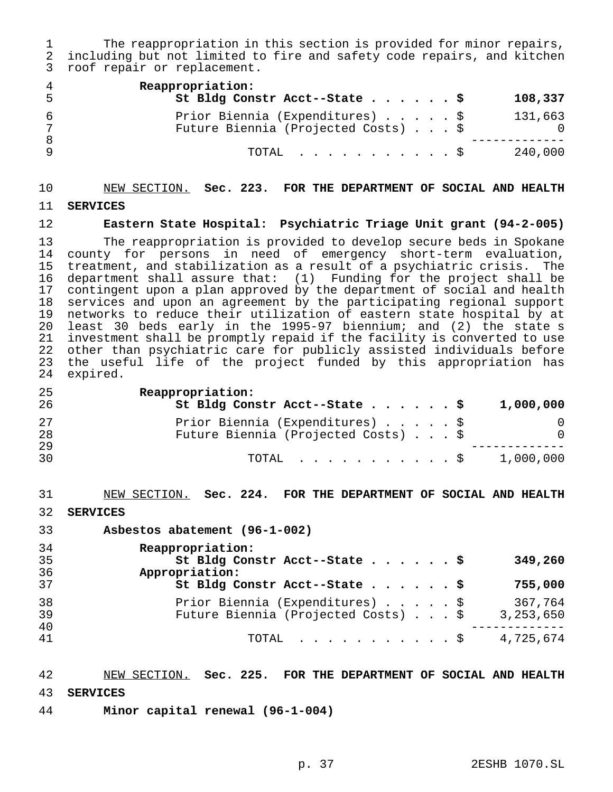The reappropriation in this section is provided for minor repairs, including but not limited to fire and safety code repairs, and kitchen roof repair or replacement.

| 4<br>5 | Reappropriation:<br>St Bldg Constr Acct--State \$                      | 108,337 |
|--------|------------------------------------------------------------------------|---------|
|        | Prior Biennia (Expenditures) \$<br>Future Biennia (Projected Costs) \$ | 131,663 |
|        | TOTAL Ş                                                                | 240,000 |

# NEW SECTION. **Sec. 223. FOR THE DEPARTMENT OF SOCIAL AND HEALTH**

**SERVICES**

**Eastern State Hospital: Psychiatric Triage Unit grant (94-2-005)**

 The reappropriation is provided to develop secure beds in Spokane county for persons in need of emergency short-term evaluation, treatment, and stabilization as a result of a psychiatric crisis. The department shall assure that: (1) Funding for the project shall be 17 contingent upon a plan approved by the department of social and health<br>18 services and upon an agreement by the participating regional support services and upon an agreement by the participating regional support networks to reduce their utilization of eastern state hospital by at least 30 beds early in the 1995-97 biennium; and (2) the state s investment shall be promptly repaid if the facility is converted to use other than psychiatric care for publicly assisted individuals before the useful life of the project funded by this appropriation has expired.

**Reappropriation:**

| 26 | St Bldg Constr Acct--State \$       | 1,000,000 |
|----|-------------------------------------|-----------|
| 27 | Prior Biennia (Expenditures) \$     |           |
| 28 | Future Biennia (Projected Costs) \$ | $\Omega$  |
| 29 |                                     |           |
| 30 | TOTAL S                             | 1,000,000 |

NEW SECTION. **Sec. 224. FOR THE DEPARTMENT OF SOCIAL AND HEALTH**

**SERVICES**

**Asbestos abatement (96-1-002)**

| 34<br>35<br>36<br>37 | Reappropriation:<br>St Bldg Constr Acct--State \$<br>349,260<br>Appropriation:<br>St Bldg Constr Acct--State \$<br>755,000         |  |
|----------------------|------------------------------------------------------------------------------------------------------------------------------------|--|
| 38<br>39<br>40<br>41 | Prior Biennia (Expenditures) \$<br>367,764<br>Future Biennia (Projected Costs) \$<br>3,253,650<br>4,725,674<br>TOTAL $\ldots$ $\S$ |  |

NEW SECTION. **Sec. 225. FOR THE DEPARTMENT OF SOCIAL AND HEALTH**

**SERVICES**

**Minor capital renewal (96-1-004)**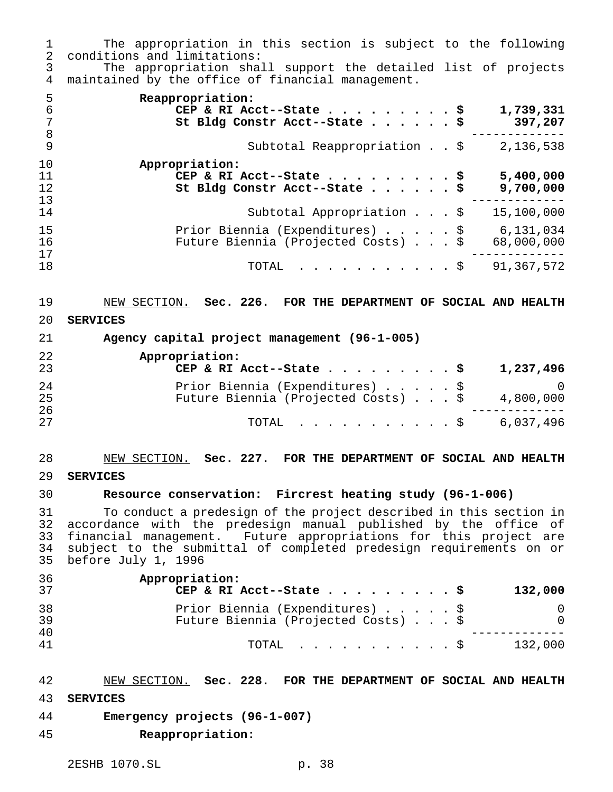The appropriation in this section is subject to the following conditions and limitations:

 The appropriation shall support the detailed list of projects maintained by the office of financial management.

| 5<br>6 | Reappropriation:<br>CEP & RI Acct--State \$<br>1,739,331<br>St Bldg Constr Acct--State \$<br>397,207 |
|--------|------------------------------------------------------------------------------------------------------|
| - 8    |                                                                                                      |
| - 9    | Subtotal Reappropriation \$<br>2,136,538                                                             |
| 10     | Appropriation:                                                                                       |
| 11     | 5,400,000<br>CEP & RI Acct--State \$                                                                 |
| 12     | St Bldg Constr Acct--State \$<br>9,700,000                                                           |
| 13     |                                                                                                      |
| 14     | Subtotal Appropriation $\ldots$ \$<br>15,100,000                                                     |
| 15     | Prior Biennia (Expenditures) \$<br>6,131,034                                                         |
| 16     | Future Biennia (Projected Costs) \$<br>68,000,000                                                    |
| 17     |                                                                                                      |
| 18     | 91,367,572<br>TOTAL $\ldots$ \$                                                                      |

NEW SECTION. **Sec. 226. FOR THE DEPARTMENT OF SOCIAL AND HEALTH**

**SERVICES**

**Agency capital project management (96-1-005)**

| 22<br>23 | Appropriation:<br>CEP & RI Acct--State \$<br>1,237,496                                            |
|----------|---------------------------------------------------------------------------------------------------|
| 24<br>25 | Prior Biennia (Expenditures) \$<br>$\bigcirc$<br>Future Biennia (Projected Costs) \$<br>4,800,000 |
| 26<br>27 | TOTAL $\ldots$ \$ 6,037,496                                                                       |

# NEW SECTION. **Sec. 227. FOR THE DEPARTMENT OF SOCIAL AND HEALTH**

**SERVICES**

#### **Resource conservation: Fircrest heating study (96-1-006)**

31 To conduct a predesign of the project described in this section in<br>32 accordance with the predesign manual published by the office of 32 accordance with the predesign manual published by the office of<br>33 financial management. Future appropriations for this project are financial management. Future appropriations for this project are subject to the submittal of completed predesign requirements on or before July 1, 1996

| 36<br>37 | Appropriation:<br>CEP & RI Acct--State \$<br>132,000                   |          |
|----------|------------------------------------------------------------------------|----------|
| 38<br>39 | Prior Biennia (Expenditures) \$<br>Future Biennia (Projected Costs) \$ | $\Omega$ |
| 40<br>41 | 132,000<br>TOTAL Ş                                                     |          |

NEW SECTION. **Sec. 228. FOR THE DEPARTMENT OF SOCIAL AND HEALTH**

- **SERVICES**
- **Emergency projects (96-1-007)**
- **Reappropriation:**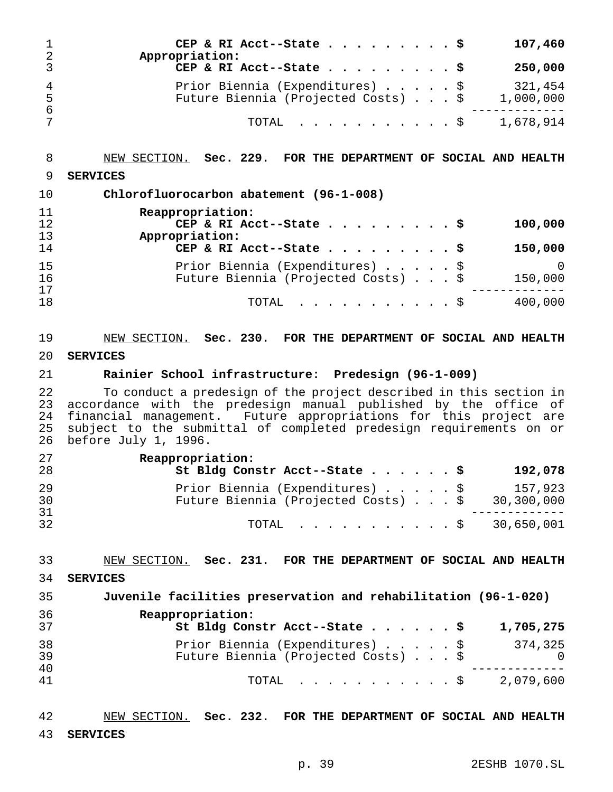| 2             | CEP & RI Acct--State \$<br>Appropriation:                              |  |  | 107,460              |
|---------------|------------------------------------------------------------------------|--|--|----------------------|
| 3             | CEP & RI Acct--State \$                                                |  |  | 250,000              |
| 4<br>-5<br>-6 | Prior Biennia (Expenditures) \$<br>Future Biennia (Projected Costs) \$ |  |  | 321,454<br>1,000,000 |
|               | TOTAL $\ldots$ , $\ldots$ , $\ddot{S}$ 1,678,914                       |  |  |                      |

NEW SECTION. **Sec. 229. FOR THE DEPARTMENT OF SOCIAL AND HEALTH**

#### **SERVICES**

| 10 | Chlorofluorocarbon abatement (96-1-008)        |
|----|------------------------------------------------|
| 11 | Reappropriation:                               |
| 12 | CEP & RI Acct--State \$<br>100,000             |
| 13 | Appropriation:                                 |
| 14 | CEP & RI Acct--State \$<br>150,000             |
| 15 | Prior Biennia (Expenditures) \$<br>$\Omega$    |
| 16 | Future Biennia (Projected Costs) \$<br>150,000 |
| 17 |                                                |
| 18 | 400,000<br>TOTAL $\ldots$ $\S$                 |

# NEW SECTION. **Sec. 230. FOR THE DEPARTMENT OF SOCIAL AND HEALTH SERVICES**

## **Rainier School infrastructure: Predesign (96-1-009)**

22 To conduct a predesign of the project described in this section in<br>23 accordance with the predesign manual published by the office of accordance with the predesign manual published by the office of financial management. Future appropriations for this project are 25 subject to the submittal of completed predesign requirements on or<br>26 before July 1, 1996. before July 1, 1996.

| 27<br>28 | Reappropriation:<br>St Bldg Constr Acct--State \$<br>192,078                                    |
|----------|-------------------------------------------------------------------------------------------------|
| 29<br>30 | Prior Biennia (Expenditures) \$<br>157,923<br>Future Biennia (Projected Costs) \$<br>30,300,000 |
| 31<br>32 | TOTAL \$ 30,650,001                                                                             |

NEW SECTION. **Sec. 231. FOR THE DEPARTMENT OF SOCIAL AND HEALTH**

#### **SERVICES**

| 35       | Juvenile facilities preservation and rehabilitation (96-1-020)                           |
|----------|------------------------------------------------------------------------------------------|
| 36<br>37 | Reappropriation:<br>St Bldg Constr Acct--State \$<br>1,705,275                           |
| 38<br>39 | Prior Biennia (Expenditures) \$<br>374,325<br>Future Biennia (Projected Costs) \$<br>- റ |
| 40<br>41 | 2,079,600<br>TOTAL \$                                                                    |

 NEW SECTION. **Sec. 232. FOR THE DEPARTMENT OF SOCIAL AND HEALTH SERVICES**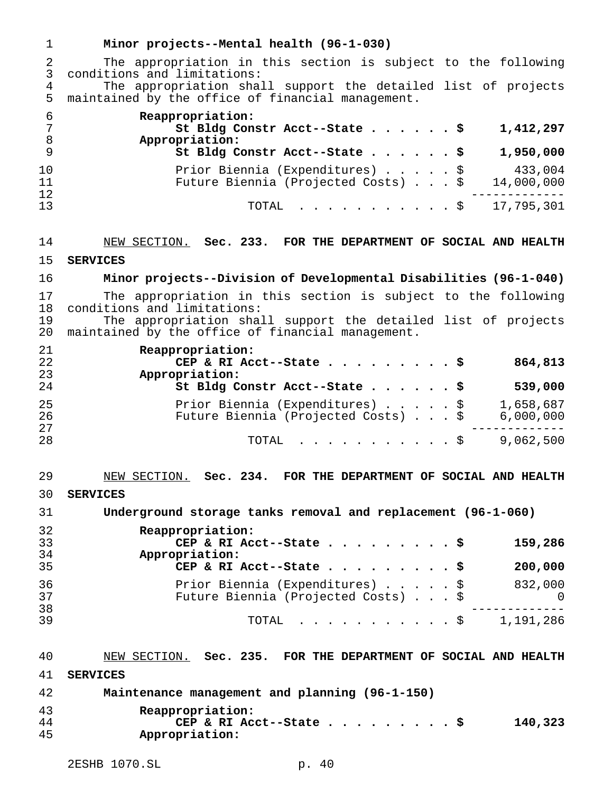| 1                   | Minor projects--Mental health (96-1-030)                                                                           |
|---------------------|--------------------------------------------------------------------------------------------------------------------|
| 2<br>3              | The appropriation in this section is subject to the following<br>conditions and limitations:                       |
| $\overline{4}$<br>5 | The appropriation shall support the detailed list of projects<br>maintained by the office of financial management. |
| 6<br>7<br>8         | Reappropriation:<br>St Bldg Constr Acct--State \$<br>1,412,297<br>Appropriation:                                   |
| 9                   | St Bldg Constr Acct--State \$<br>1,950,000                                                                         |
| 10<br>11<br>12      | \$<br>433,004<br>Prior Biennia (Expenditures)<br>Future Biennia (Projected Costs) \$<br>14,000,000                 |
| 13                  | 17,795,301<br>TOTAL<br>$\cdot$ $\cdot$ \$                                                                          |
| 14                  | NEW SECTION. Sec. 233. FOR THE DEPARTMENT OF SOCIAL AND HEALTH                                                     |
| 15                  | <b>SERVICES</b>                                                                                                    |
| 16                  | Minor projects--Division of Developmental Disabilities (96-1-040)                                                  |
| 17<br>18            | The appropriation in this section is subject to the following<br>conditions and limitations:                       |
| 19<br>20            | The appropriation shall support the detailed list of projects<br>maintained by the office of financial management. |
| 21<br>22            | Reappropriation:<br>CEP & RI Acct--State<br>864,813<br>. \$                                                        |
| 23<br>24            | Appropriation:<br>St Bldg Constr Acct--State \$<br>539,000                                                         |
| 25<br>26            | Prior Biennia (Expenditures)<br>1,658,687<br>\$<br>Future Biennia (Projected Costs) \$<br>6,000,000                |
| 27<br>28            | 9,062,500<br>TOTAL<br>$\cdot$ $\cdot$ $\cdot$ $\circ$<br>$\mathbf{r}$ , $\mathbf{r}$ , $\mathbf{r}$ , $\mathbf{r}$ |
|                     |                                                                                                                    |
| 29                  | NEW SECTION.<br>Sec. 234.<br>FOR THE DEPARTMENT OF SOCIAL AND HEALTH                                               |
| 30                  | <b>SERVICES</b>                                                                                                    |
| 31                  | Underground storage tanks removal and replacement (96-1-060)                                                       |
| 32<br>33            | Reappropriation:<br>CEP & RI Acct--State \$                                                                        |
| 34                  | 159,286<br>Appropriation:                                                                                          |
| 35                  | CEP & RI Acct--State \$<br>200,000                                                                                 |
| 36<br>37            | Prior Biennia (Expenditures) \$<br>832,000<br>Future Biennia (Projected Costs) \$<br>0                             |
| 38<br>39            | TOTAL \$ 1,191,286                                                                                                 |
| 40                  | NEW SECTION. Sec. 235. FOR THE DEPARTMENT OF SOCIAL AND HEALTH                                                     |
| 41                  | <b>SERVICES</b>                                                                                                    |
| 42                  | Maintenance management and planning (96-1-150)                                                                     |
| 43                  | Reappropriation:                                                                                                   |
| 44<br>45            | CEP & RI Acct--State \$<br>140,323<br>Appropriation:                                                               |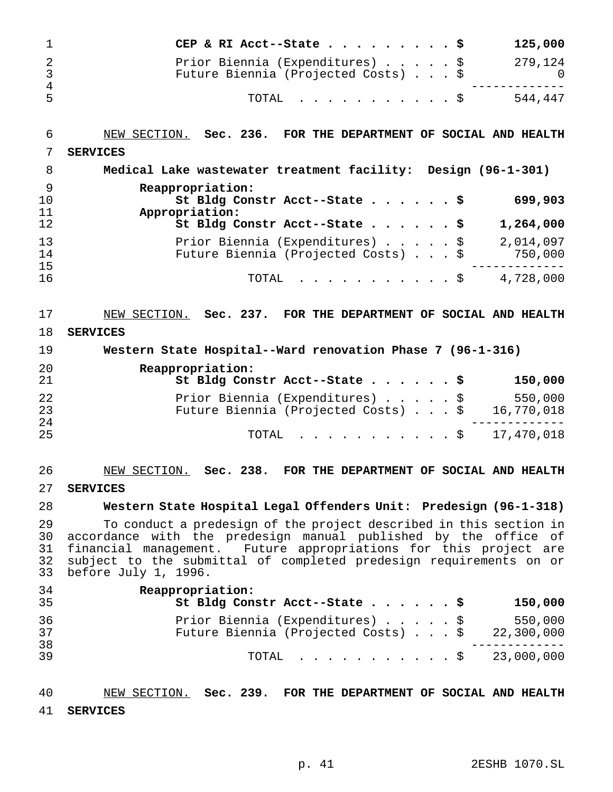|          | CEP & RI Acct--State \$                                                |  |  | 125,000 |
|----------|------------------------------------------------------------------------|--|--|---------|
|          | Prior Biennia (Expenditures) \$<br>Future Biennia (Projected Costs) \$ |  |  | 279,124 |
| -4<br>-5 | TOTAL S                                                                |  |  | 544.447 |

| 6              | NEW SECTION. Sec. 236. FOR THE DEPARTMENT OF SOCIAL AND HEALTH                                 |
|----------------|------------------------------------------------------------------------------------------------|
|                | <b>SERVICES</b>                                                                                |
| 8              | Medical Lake wastewater treatment facility: Design (96-1-301)                                  |
| 9<br>10<br>11  | Reappropriation:<br>St Bldg Constr Acct--State \$<br>699,903<br>Appropriation:                 |
| 12             | St Bldg Constr Acct--State \$<br>1,264,000                                                     |
| 13<br>14<br>15 | 2,014,097<br>Prior Biennia (Expenditures) \$<br>Future Biennia (Projected Costs) \$<br>750,000 |
| 16             | 4,728,000<br>TOTAL $\ldots$ \$                                                                 |

NEW SECTION. **Sec. 237. FOR THE DEPARTMENT OF SOCIAL AND HEALTH**

**SERVICES**

 **Western State Hospital--Ward renovation Phase 7 (96-1-316) Reappropriation: St Bldg Constr Acct--State......\$ 150,000** Prior Biennia (Expenditures).....\$ 550,000 23 Future Biennia (Projected Costs)...\$<br>24 ------------- TOTAL ...........\$ 17,470,018

# NEW SECTION. **Sec. 238. FOR THE DEPARTMENT OF SOCIAL AND HEALTH SERVICES**

#### **Western State Hospital Legal Offenders Unit: Predesign (96-1-318)**

 To conduct a predesign of the project described in this section in accordance with the predesign manual published by the office of financial management. Future appropriations for this project are subject to the submittal of completed predesign requirements on or before July 1, 1996.

| 34<br>35 | Reappropriation:<br>St Bldg Constr Acct--State \$<br>150,000                                    |
|----------|-------------------------------------------------------------------------------------------------|
| 36<br>37 | Prior Biennia (Expenditures) \$<br>550,000<br>Future Biennia (Projected Costs) \$<br>22,300,000 |
| 38<br>39 | TOTAL \$ 23,000,000                                                                             |

 NEW SECTION. **Sec. 239. FOR THE DEPARTMENT OF SOCIAL AND HEALTH SERVICES**

p. 41 2ESHB 1070.SL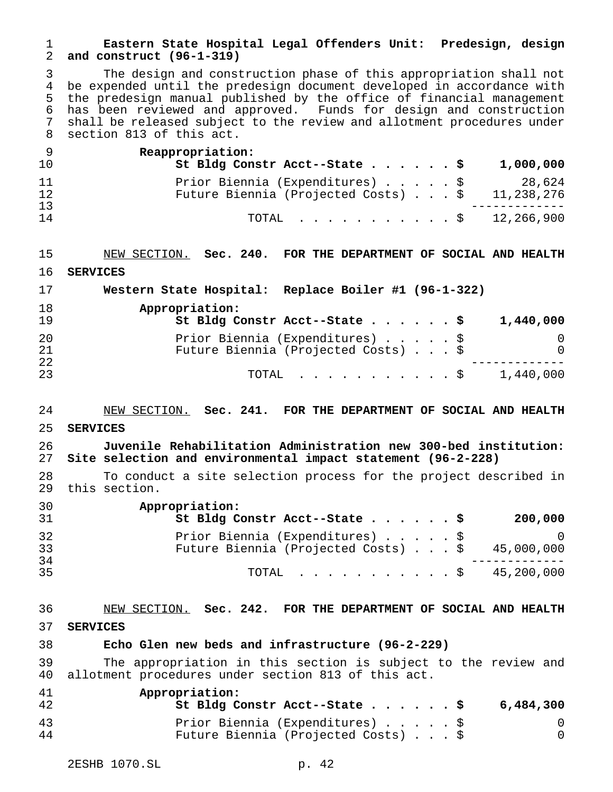## **Eastern State Hospital Legal Offenders Unit: Predesign, design and construct (96-1-319)**

 The design and construction phase of this appropriation shall not 4 be expended until the predesign document developed in accordance with<br>5 the predesign manual published by the office of financial management the predesign manual published by the office of financial management has been reviewed and approved. Funds for design and construction shall be released subject to the review and allotment procedures under section 813 of this act.

| - 9<br>10 | Reappropriation:<br>St Bldg Constr Acct--State \$                                          |  |  | 1,000,000 |
|-----------|--------------------------------------------------------------------------------------------|--|--|-----------|
| 11<br>12  | Prior Biennia (Expenditures) \$<br>Future Biennia (Projected Costs) $\ldots$ \$ 11,238,276 |  |  | 28,624    |
| 13<br>14  | TOTAL $\ldots$ \$ 12,266,900                                                               |  |  |           |

 NEW SECTION. **Sec. 240. FOR THE DEPARTMENT OF SOCIAL AND HEALTH SERVICES**

| 17       | Western State Hospital: Replace Boiler #1 (96-1-322)                   |               |
|----------|------------------------------------------------------------------------|---------------|
| 18<br>19 | Appropriation:<br>St Bldg Constr Acct--State \$                        | 1,440,000     |
| 20<br>21 | Prior Biennia (Expenditures) \$<br>Future Biennia (Projected Costs) \$ | 0<br>$\Omega$ |
| 22<br>23 | TOTAL Ş                                                                | 1,440,000     |

#### NEW SECTION. **Sec. 241. FOR THE DEPARTMENT OF SOCIAL AND HEALTH**

**SERVICES**

 **Juvenile Rehabilitation Administration new 300-bed institution: Site selection and environmental impact statement (96-2-228)**

 To conduct a site selection process for the project described in this section.

| 30<br>-31 | Appropriation:<br>St Bldg Constr Acct--State \$<br>200,000                                                  |
|-----------|-------------------------------------------------------------------------------------------------------------|
| 32<br>33  | Prior Biennia (Expenditures) \$<br><sup>()</sup><br>Future Biennia (Projected Costs) $\ldots$ \$ 45,000,000 |
| 34        |                                                                                                             |
| 35        | TOTAL \$ 45,200,000                                                                                         |

#### NEW SECTION. **Sec. 242. FOR THE DEPARTMENT OF SOCIAL AND HEALTH**

**SERVICES**

#### **Echo Glen new beds and infrastructure (96-2-229)**

 The appropriation in this section is subject to the review and allotment procedures under section 813 of this act.

| 41 | Appropriation:                      |           |
|----|-------------------------------------|-----------|
| 42 | St Bldg Constr Acct--State \$       | 6,484,300 |
| 43 | Prior Biennia (Expenditures) \$     |           |
| 44 | Future Biennia (Projected Costs) \$ |           |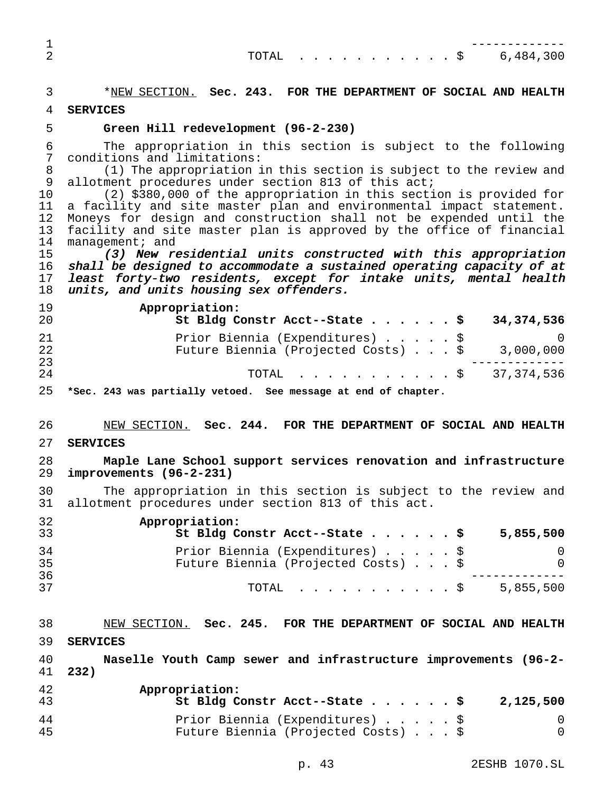| 2 |  |  |  |  |  |  | TOTAL $\ldots$ \$ 6,484,300 |
|---|--|--|--|--|--|--|-----------------------------|
|   |  |  |  |  |  |  |                             |

\*NEW SECTION. **Sec. 243. FOR THE DEPARTMENT OF SOCIAL AND HEALTH**

- **SERVICES**
- 

#### **Green Hill redevelopment (96-2-230)**

 The appropriation in this section is subject to the following conditions and limitations:

 (1) The appropriation in this section is subject to the review and allotment procedures under section 813 of this act;

 (2) \$380,000 of the appropriation in this section is provided for a facility and site master plan and environmental impact statement. 12 Moneys for design and construction shall not be expended until the<br>13 facility and site master plan is approved by the office of financial 13 facility and site master plan is approved by the office of financial<br>14 management; and  $m$ anagement; and

 (3) New residential units constructed with this appropriation shall be designed to accommodate <sup>a</sup> sustained operating capacity of at least forty-two residents, except for intake units, mental health 18 units, and units housing sex offenders.

| 19<br>20 | Appropriation:<br>St Bldg Constr Acct--State \$ 34,374,536                                |  |  |  |
|----------|-------------------------------------------------------------------------------------------|--|--|--|
| 21<br>22 | Prior Biennia (Expenditures) \$<br>Future Biennia (Projected Costs) $\ldots$ \$ 3,000,000 |  |  |  |
| 23<br>24 | TOTAL \$ 37,374,536                                                                       |  |  |  |
|          |                                                                                           |  |  |  |

**\*Sec. 243 was partially vetoed. See message at end of chapter.**

- NEW SECTION. **Sec. 244. FOR THE DEPARTMENT OF SOCIAL AND HEALTH**
- **SERVICES**

#### **Maple Lane School support services renovation and infrastructure improvements (96-2-231)**

 The appropriation in this section is subject to the review and allotment procedures under section 813 of this act.

| 32<br>33 | Appropriation:<br>St Bldg Constr Acct--State \$                        | 5,855,500 |
|----------|------------------------------------------------------------------------|-----------|
| 34<br>35 | Prior Biennia (Expenditures) \$<br>Future Biennia (Projected Costs) \$ | $\Omega$  |
| 36<br>37 | TOTAL S                                                                | 5,855,500 |

| 38       | NEW SECTION. Sec. 245. FOR THE DEPARTMENT OF SOCIAL AND HEALTH                               |
|----------|----------------------------------------------------------------------------------------------|
| 39       | <b>SERVICES</b>                                                                              |
| 40<br>41 | Naselle Youth Camp sewer and infrastructure improvements (96-2-<br>232)                      |
| 42<br>43 | Appropriation:<br>St Bldg Constr Acct--State \$<br>2,125,500                                 |
| 44<br>45 | Prior Biennia (Expenditures) \$<br>$\Omega$<br>Future Biennia (Projected Costs) \$<br>$\cap$ |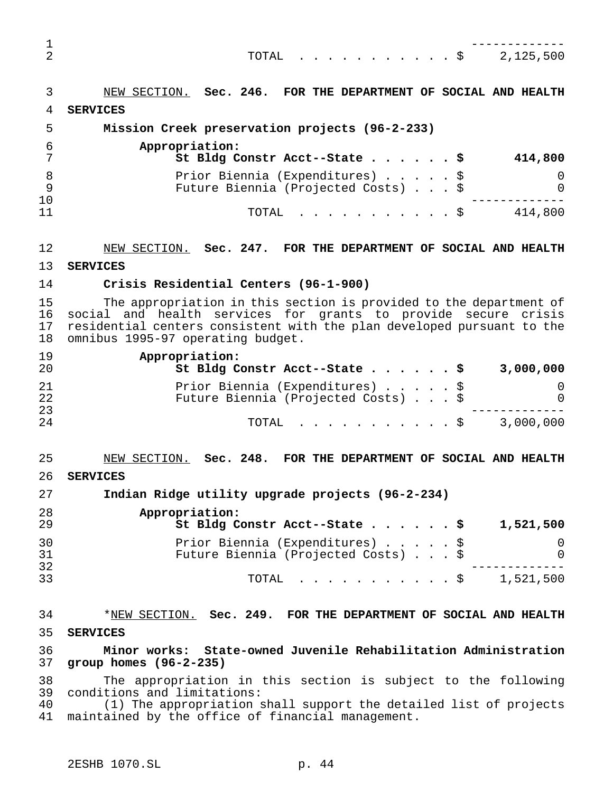|              | TOTAL $\ldots$ \$<br>2,125,500                                         |
|--------------|------------------------------------------------------------------------|
|              | NEW SECTION. Sec. 246. FOR THE DEPARTMENT OF SOCIAL AND HEALTH         |
| 4            | <b>SERVICES</b>                                                        |
| 5            | Mission Creek preservation projects (96-2-233)                         |
| 6            | Appropriation:<br>St Bldg Constr Acct--State \$<br>414,800             |
| 8<br>9<br>10 | Prior Biennia (Expenditures) \$<br>Future Biennia (Projected Costs) \$ |
| 11           | . \$<br>414,800<br>TOTAL                                               |

 NEW SECTION. **Sec. 247. FOR THE DEPARTMENT OF SOCIAL AND HEALTH SERVICES**

#### **Crisis Residential Centers (96-1-900)**

15 The appropriation in this section is provided to the department of<br>16 social and health services for grants to provide secure crisis 16 social and health services for grants to provide secure crisis<br>17 residential centers consistent with the plan-developed-pursuant to the 17 residential centers consistent with the plan developed pursuant to the<br>18 omnibus 1995-97 operating budget. omnibus 1995-97 operating budget.

| 19<br>20 | Appropriation:<br>St Bldg Constr Acct--State \$<br>3,000,000 |
|----------|--------------------------------------------------------------|
| 21       | Prior Biennia (Expenditures) \$<br>0                         |
| 22       | Future Biennia (Projected Costs) \$<br>$\Omega$              |
| 23       |                                                              |
| 24       | 3,000,000<br>TOTAL Ş                                         |

NEW SECTION. **Sec. 248. FOR THE DEPARTMENT OF SOCIAL AND HEALTH**

**SERVICES**

**Indian Ridge utility upgrade projects (96-2-234)**

| 28<br>29 | Appropriation:<br>St Bldg Constr Acct--State \$<br>1,521,500 |
|----------|--------------------------------------------------------------|
| 30       | Prior Biennia (Expenditures) \$                              |
| 31       | Future Biennia (Projected Costs) \$<br>$\Omega$              |
| 32       |                                                              |
| 33       | TOTAL \$ 1,521,500                                           |

 \*NEW SECTION. **Sec. 249. FOR THE DEPARTMENT OF SOCIAL AND HEALTH SERVICES**

 **Minor works: State-owned Juvenile Rehabilitation Administration group homes (96-2-235)**

 The appropriation in this section is subject to the following conditions and limitations:

 (1) The appropriation shall support the detailed list of projects maintained by the office of financial management.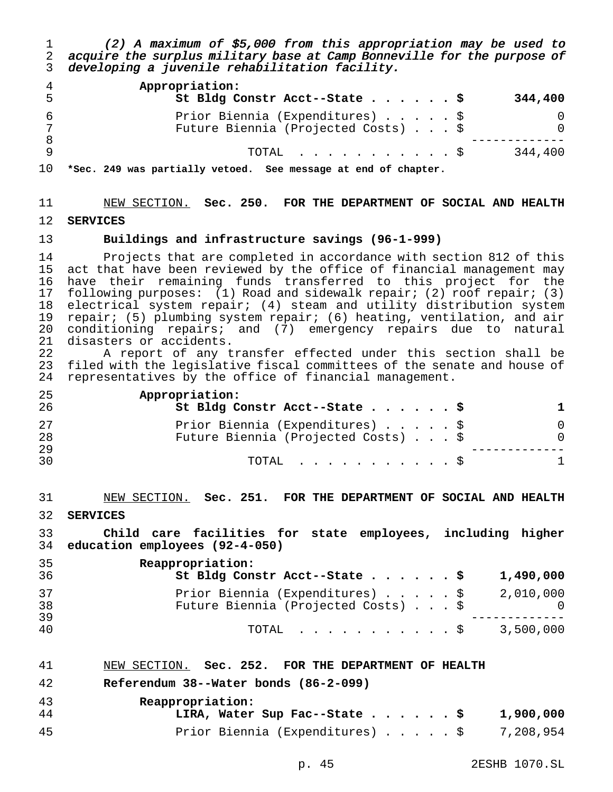(2) <sup>A</sup> maximum of \$5,000 from this appropriation may be used to acquire the surplus military base at Camp Bonneville for the purpose of developing <sup>a</sup> juvenile rehabilitation facility.

| 5 | Appropriation:<br>St Bldg Constr Acct--State \$                        | 344,400 |
|---|------------------------------------------------------------------------|---------|
|   | Prior Biennia (Expenditures) \$<br>Future Biennia (Projected Costs) \$ |         |
|   | TOTAL Ş                                                                | 344,400 |

**\*Sec. 249 was partially vetoed. See message at end of chapter.**

# NEW SECTION. **Sec. 250. FOR THE DEPARTMENT OF SOCIAL AND HEALTH SERVICES**

#### **Buildings and infrastructure savings (96-1-999)**

 Projects that are completed in accordance with section 812 of this act that have been reviewed by the office of financial management may have their remaining funds transferred to this project for the following purposes: (1) Road and sidewalk repair; (2) roof repair; (3) electrical system repair; (4) steam and utility distribution system repair; (5) plumbing system repair; (6) heating, ventilation, and air conditioning repairs; and (7) emergency repairs due to natural disasters or accidents.

 A report of any transfer effected under this section shall be filed with the legislative fiscal committees of the senate and house of representatives by the office of financial management.

| 25<br>26 | Appropriation:<br>St Bldg Constr Acct--State \$                        |          |
|----------|------------------------------------------------------------------------|----------|
| 27<br>28 | Prior Biennia (Expenditures) \$<br>Future Biennia (Projected Costs) \$ | $\Omega$ |
| 29<br>30 | $\text{TOTAL}$ $\mathcal{S}$                                           |          |

 NEW SECTION. **Sec. 251. FOR THE DEPARTMENT OF SOCIAL AND HEALTH SERVICES**

 **Child care facilities for state employees, including higher education employees (92-4-050)**

| 35<br>36 | Reappropriation:<br>St Bldg Constr Acct--State \$                      | 1,490,000 |
|----------|------------------------------------------------------------------------|-----------|
| 37<br>38 | Prior Biennia (Expenditures) \$<br>Future Biennia (Projected Costs) \$ | 2,010,000 |
| 39<br>40 | TOTAL Ş                                                                | 3,500,000 |

| 41 |  | NEW SECTION. Sec. 252. FOR THE DEPARTMENT OF HEALTH |
|----|--|-----------------------------------------------------|
|----|--|-----------------------------------------------------|

### **Referendum 38--Water bonds (86-2-099)**

| 43 | Reappropriation:                          |           |
|----|-------------------------------------------|-----------|
| 44 | LIRA, Water Sup Fac--State \$             | 1,900,000 |
| 45 | Prior Biennia (Expenditures) \$ 7,208,954 |           |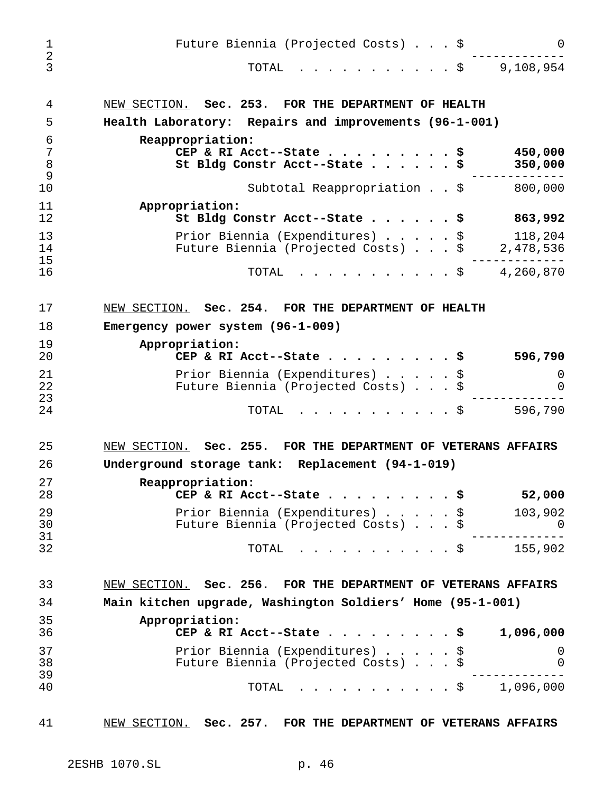| $\mathbf 1$                   | Future Biennia (Projected Costs) \$<br>0                                                                   |
|-------------------------------|------------------------------------------------------------------------------------------------------------|
| $\overline{2}$<br>3           | 9,108,954<br>TOTAL<br>. \$                                                                                 |
| 4                             | NEW SECTION. Sec. 253. FOR THE DEPARTMENT OF HEALTH                                                        |
| 5                             | Health Laboratory: Repairs and improvements (96-1-001)                                                     |
| 6<br>$\overline{7}$<br>8<br>9 | Reappropriation:<br>450,000<br>CEP & RI Acct--State<br>\$<br>350,000<br>St Bldg Constr Acct--State<br>. \$ |
| 10                            | Subtotal Reappropriation \$<br>800,000                                                                     |
| 11<br>12                      | Appropriation:<br>863,992<br>St Bldg Constr Acct--State \$                                                 |
| 13<br>14<br>15                | Prior Biennia (Expenditures) \$<br>118,204<br>2,478,536<br>Future Biennia (Projected Costs) \$             |
| 16                            | 4,260,870<br>. \$<br>TOTAL                                                                                 |
| 17                            | NEW SECTION. Sec. 254. FOR THE DEPARTMENT OF HEALTH                                                        |
| 18                            | Emergency power system (96-1-009)                                                                          |
| 19                            | Appropriation:                                                                                             |
| 20                            | CEP & RI Acct--State<br>596,790<br>. \$                                                                    |
| 21<br>22<br>23                | Prior Biennia (Expenditures) \$<br>0<br>Future Biennia (Projected Costs) \$<br>0                           |
| 24                            | 596,790<br>TOTAL<br>$\cdot$ $\cdot$ \$                                                                     |
| 25                            | NEW SECTION. Sec. 255. FOR THE DEPARTMENT OF VETERANS AFFAIRS                                              |
| 26                            | Underground storage tank: Replacement (94-1-019)                                                           |
| 27<br>28                      | Reappropriation:<br>52,000<br>CEP & RI Acct--State \$                                                      |
| 29<br>30<br>31                | Prior Biennia (Expenditures) \$<br>103,902<br>Future Biennia (Projected Costs) \$<br>. O                   |
| 32                            | $\cdot$ $\cdot$ \$ 155,902<br>TOTAL                                                                        |
| 33                            | NEW SECTION. Sec. 256. FOR THE DEPARTMENT OF VETERANS AFFAIRS                                              |
| 34                            | Main kitchen upgrade, Washington Soldiers' Home (95-1-001)                                                 |
| 35<br>36                      | Appropriation:<br>CEP & RI Acct--State \$<br>1,096,000                                                     |
| 37<br>38                      | Prior Biennia (Expenditures) \$<br>$\overline{0}$<br>Future Biennia (Projected Costs) \$<br>0              |
| 39                            |                                                                                                            |
| 40<br>41                      | . \$<br>1,096,000<br>TOTAL<br>NEW SECTION. Sec. 257. FOR THE DEPARTMENT OF VETERANS AFFAIRS                |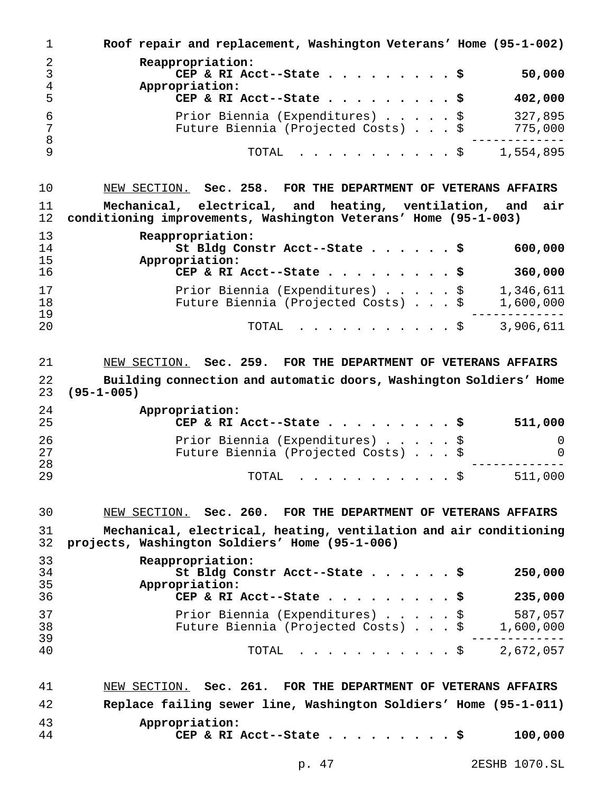| 1                 | Roof repair and replacement, Washington Veterans' Home (95-1-002)                                                               |
|-------------------|---------------------------------------------------------------------------------------------------------------------------------|
| $\mathbf{2}$<br>3 | Reappropriation:<br>50,000<br>CEP & RI Acct--State \$                                                                           |
| 4<br>5            | Appropriation:<br>402,000<br>CEP & RI Acct--State \$                                                                            |
| 6<br>7            | 327,895<br>Prior Biennia (Expenditures) \$<br>Future Biennia (Projected Costs) \$<br>775,000                                    |
| 8<br>9            | TOTAL<br>1,554,895<br>. \$                                                                                                      |
| 10                | NEW SECTION. Sec. 258. FOR THE DEPARTMENT OF VETERANS AFFAIRS                                                                   |
| 11<br>12          | Mechanical, electrical, and heating, ventilation, and<br>air<br>conditioning improvements, Washington Veterans' Home (95-1-003) |
| 13                | Reappropriation:                                                                                                                |
| 14<br>15          | 600,000<br>St Bldg Constr Acct--State \$<br>Appropriation:                                                                      |
| 16                | 360,000<br>CEP & RI Acct--State \$                                                                                              |
| 17<br>18<br>19    | 1,346,611<br>Prior Biennia (Expenditures) \$<br>Future Biennia (Projected Costs) \$<br>1,600,000                                |
| 20                | 3,906,611<br>TOTAL<br>$\mathfrak{g}$                                                                                            |
| 21                | NEW SECTION. Sec. 259. FOR THE DEPARTMENT OF VETERANS AFFAIRS                                                                   |
| 22<br>23          | Building connection and automatic doors, Washington Soldiers' Home<br>$(95 - 1 - 005)$                                          |
| 24<br>25          | Appropriation:<br>CEP & RI Acct--State<br>511,000<br>- 5                                                                        |
| 26<br>27          | Prior Biennia (Expenditures)<br>0<br>\$<br>Future Biennia (Projected Costs) \$<br>0                                             |
| 28<br>29          | 511,000<br>TOTAL<br>\$<br>.                                                                                                     |
| 30                | NEW SECTION. Sec. 260. FOR THE DEPARTMENT OF VETERANS AFFAIRS                                                                   |
| 31                | Mechanical, electrical, heating, ventilation and air conditioning                                                               |
| 32                | projects, Washington Soldiers' Home (95-1-006)                                                                                  |
| 33<br>34<br>35    | Reappropriation:<br>250,000<br>St Bldg Constr Acct--State \$<br>Appropriation:                                                  |
| 36                | 235,000<br>CEP & RI Acct--State<br>- 5                                                                                          |
| 37<br>38<br>39    | 587,057<br>Prior Biennia (Expenditures)<br>\$<br>Future Biennia (Projected Costs) \$<br>1,600,000                               |
| 40                | 2,672,057<br>TOTAL<br>. . S                                                                                                     |
| 41                | NEW SECTION. Sec. 261. FOR THE DEPARTMENT OF VETERANS AFFAIRS                                                                   |
| 42                | Replace failing sewer line, Washington Soldiers' Home (95-1-011)                                                                |
| 43<br>44          | Appropriation:<br>100,000<br>CEP & RI Acct--State \$                                                                            |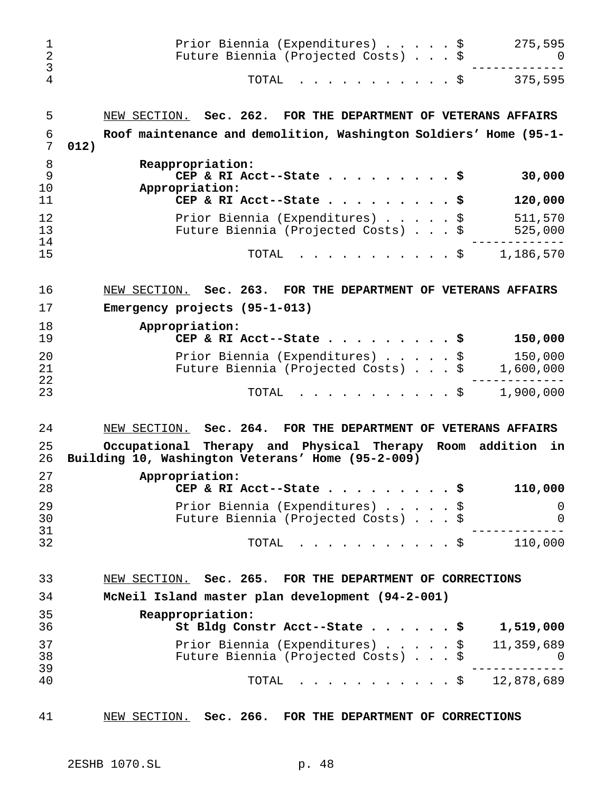| 1<br>$\overline{2}$<br>3<br>4 | Prior Biennia (Expenditures) \$<br>275,595<br>Future Biennia (Projected Costs) \$<br>O<br>375,595<br>TOTAL<br>. \$ |
|-------------------------------|--------------------------------------------------------------------------------------------------------------------|
| 5                             | NEW SECTION. Sec. 262. FOR THE DEPARTMENT OF VETERANS AFFAIRS                                                      |
| 6<br>7                        | Roof maintenance and demolition, Washington Soldiers' Home (95-1-<br>012)                                          |
| 8<br>9<br>10<br>11            | Reappropriation:<br>30,000<br>CEP & RI Acct--State \$<br>Appropriation:<br>CEP & RI Acct--State \$<br>120,000      |
| 12<br>13                      | Prior Biennia (Expenditures) \$<br>511,570<br>Future Biennia (Projected Costs) \$<br>525,000                       |
| 14<br>15                      | 1,186,570<br>TOTAL<br>. \$                                                                                         |
| 16                            | NEW SECTION. Sec. 263. FOR THE DEPARTMENT OF VETERANS AFFAIRS                                                      |
| 17                            | Emergency projects (95-1-013)                                                                                      |
| 18<br>19                      | Appropriation:<br>150,000<br>CEP & RI Acct--State \$                                                               |
| 20<br>21                      | 150,000<br>Prior Biennia (Expenditures) \$<br>Future Biennia (Projected Costs) \$<br>1,600,000                     |
| 22<br>23                      | . \$<br>1,900,000<br>TOTAL                                                                                         |
| 24                            | NEW SECTION. Sec. 264. FOR THE DEPARTMENT OF VETERANS AFFAIRS                                                      |
| 25<br>26                      | Occupational Therapy and Physical Therapy Room addition<br>in<br>Building 10, Washington Veterans' Home (95-2-009) |
| 27<br>28                      | Appropriation:<br>CEP & RI Acct--State \$<br>110,000                                                               |
| 29<br>30                      | Prior Biennia (Expenditures) \$<br>0<br>Future Biennia (Projected Costs) \$<br>0                                   |
| 31<br>32                      | 110,000<br>. \$<br>TOTAL                                                                                           |
| 33                            | NEW SECTION. Sec. 265. FOR THE DEPARTMENT OF CORRECTIONS                                                           |
| 34                            | McNeil Island master plan development (94-2-001)                                                                   |
| 35                            | Reappropriation:                                                                                                   |
| 36                            | St Bldg Constr Acct--State \$<br>1,519,000                                                                         |
| 37                            | Prior Biennia (Expenditures) \$<br>11,359,689                                                                      |
| 38<br>39                      | Future Biennia (Projected Costs) \$<br>U                                                                           |
| 40                            | . \$ 12,878,689<br>TOTAL                                                                                           |
| 41                            | NEW SECTION. Sec. 266. FOR THE DEPARTMENT OF CORRECTIONS                                                           |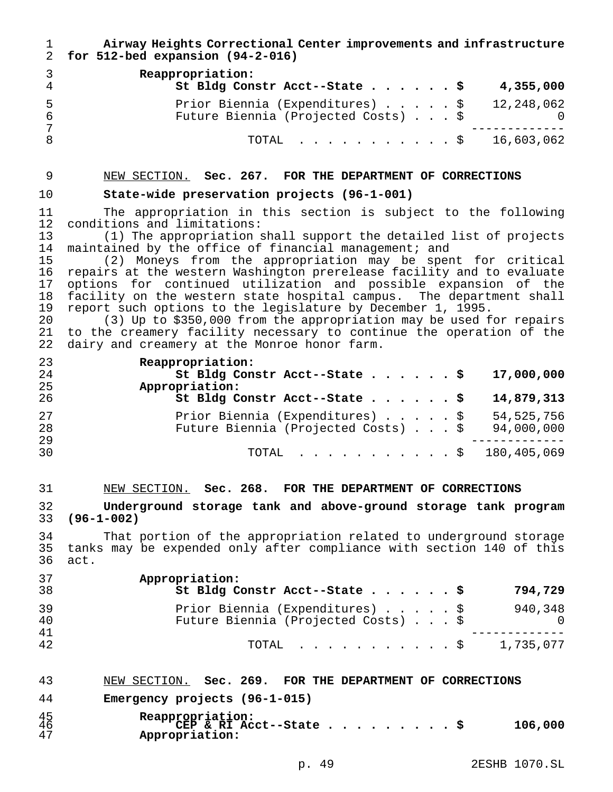| 1<br>$\overline{2}$                                                  | Airway Heights Correctional Center improvements and infrastructure<br>for 512-bed expansion (94-2-016)                                                                                                                                                                                                                                                                                                                                                                                                                                                                                                                                                                                                                                                                   |
|----------------------------------------------------------------------|--------------------------------------------------------------------------------------------------------------------------------------------------------------------------------------------------------------------------------------------------------------------------------------------------------------------------------------------------------------------------------------------------------------------------------------------------------------------------------------------------------------------------------------------------------------------------------------------------------------------------------------------------------------------------------------------------------------------------------------------------------------------------|
| 3<br>$\overline{4}$                                                  | Reappropriation:<br>St Bldg Constr Acct--State \$<br>4,355,000                                                                                                                                                                                                                                                                                                                                                                                                                                                                                                                                                                                                                                                                                                           |
| 5<br>$\epsilon$                                                      | 12, 248, 062<br>Prior Biennia (Expenditures) \$<br>Future Biennia (Projected Costs)<br>\$<br>0                                                                                                                                                                                                                                                                                                                                                                                                                                                                                                                                                                                                                                                                           |
| $\overline{7}$<br>8                                                  | 16,603,062<br>TOTAL<br>- \$                                                                                                                                                                                                                                                                                                                                                                                                                                                                                                                                                                                                                                                                                                                                              |
| 9                                                                    | NEW SECTION. Sec. 267. FOR THE DEPARTMENT OF CORRECTIONS                                                                                                                                                                                                                                                                                                                                                                                                                                                                                                                                                                                                                                                                                                                 |
| 10                                                                   | State-wide preservation projects (96-1-001)                                                                                                                                                                                                                                                                                                                                                                                                                                                                                                                                                                                                                                                                                                                              |
| 11<br>12<br>13<br>14<br>15<br>16<br>17<br>18<br>19<br>20<br>21<br>22 | The appropriation in this section is subject to the following<br>conditions and limitations:<br>(1) The appropriation shall support the detailed list of projects<br>maintained by the office of financial management; and<br>(2) Moneys from the appropriation may be spent for critical<br>repairs at the western Washington prerelease facility and to evaluate<br>options for continued utilization and possible expansion of the<br>facility on the western state hospital campus. The department shall<br>report such options to the legislature by December 1, 1995.<br>(3) Up to \$350,000 from the appropriation may be used for repairs<br>to the creamery facility necessary to continue the operation of the<br>dairy and creamery at the Monroe honor farm. |
| 23<br>24<br>25                                                       | Reappropriation:<br>17,000,000<br>St Bldg Constr Acct--State \$<br>Appropriation:                                                                                                                                                                                                                                                                                                                                                                                                                                                                                                                                                                                                                                                                                        |
| 26                                                                   | St Bldg Constr Acct--State \$<br>14,879,313                                                                                                                                                                                                                                                                                                                                                                                                                                                                                                                                                                                                                                                                                                                              |
| 27<br>28<br>29                                                       | 54, 525, 756<br>Prior Biennia (Expenditures) \$<br>Future Biennia (Projected Costs) \$<br>94,000,000                                                                                                                                                                                                                                                                                                                                                                                                                                                                                                                                                                                                                                                                     |
| 30                                                                   | 180, 405, 069<br>TOTAL<br>$\cdot$ \$                                                                                                                                                                                                                                                                                                                                                                                                                                                                                                                                                                                                                                                                                                                                     |
| 31                                                                   | NEW SECTION. Sec. 268. FOR THE DEPARTMENT OF CORRECTIONS                                                                                                                                                                                                                                                                                                                                                                                                                                                                                                                                                                                                                                                                                                                 |
| 32<br>33                                                             | Underground storage tank and above-ground storage tank program<br>$(96 - 1 - 002)$                                                                                                                                                                                                                                                                                                                                                                                                                                                                                                                                                                                                                                                                                       |
| 34<br>35<br>36                                                       | That portion of the appropriation related to underground storage<br>tanks may be expended only after compliance with section 140 of this<br>act.                                                                                                                                                                                                                                                                                                                                                                                                                                                                                                                                                                                                                         |
| 37<br>38                                                             | Appropriation:<br>St Bldg Constr Acct--State<br>794,729<br>. \$                                                                                                                                                                                                                                                                                                                                                                                                                                                                                                                                                                                                                                                                                                          |
| 39<br>40<br>41                                                       | Prior Biennia (Expenditures)<br>940,348<br>\$<br>Future Biennia (Projected Costs) \$<br>0                                                                                                                                                                                                                                                                                                                                                                                                                                                                                                                                                                                                                                                                                |
| 42                                                                   | 1,735,077<br>TOTAL<br>$\cdot$ $\cdot$ $\cdot$ $\circ$                                                                                                                                                                                                                                                                                                                                                                                                                                                                                                                                                                                                                                                                                                                    |
| 43                                                                   | NEW SECTION. Sec. 269. FOR THE DEPARTMENT OF CORRECTIONS                                                                                                                                                                                                                                                                                                                                                                                                                                                                                                                                                                                                                                                                                                                 |
| 44                                                                   | Emergency projects (96-1-015)                                                                                                                                                                                                                                                                                                                                                                                                                                                                                                                                                                                                                                                                                                                                            |
| 45<br>46<br>47                                                       | Reappropriation:<br>CEP & RI Acct--State<br>106,000<br>. \$<br>Appropriation:                                                                                                                                                                                                                                                                                                                                                                                                                                                                                                                                                                                                                                                                                            |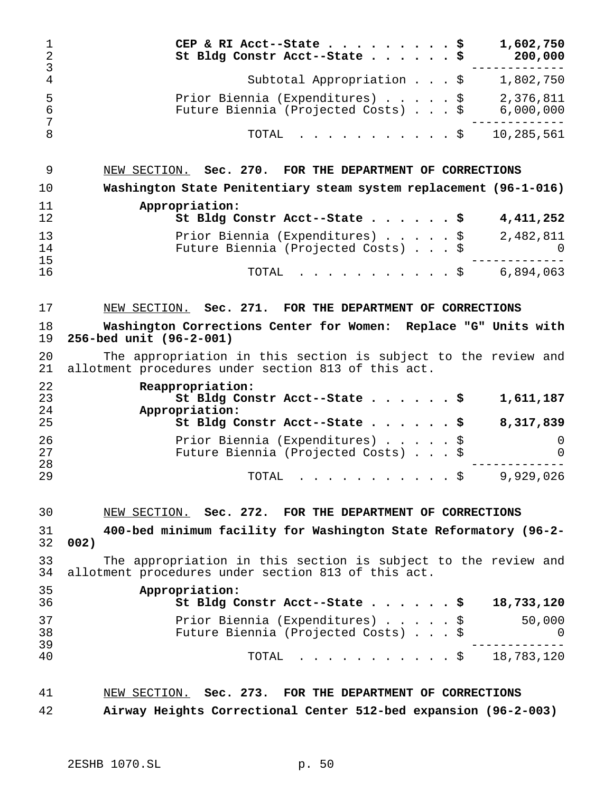| 1<br>$\overline{2}$<br>3 | CEP & RI Acct--State<br>1,602,750<br>\$<br>St Bldg Constr Acct--State<br>200,000<br>. \$                                       |
|--------------------------|--------------------------------------------------------------------------------------------------------------------------------|
| $\overline{4}$           | Subtotal Appropriation \$<br>1,802,750                                                                                         |
| 5<br>6<br>7              | Prior Biennia (Expenditures) \$<br>2,376,811<br>6,000,000<br>Future Biennia (Projected Costs) \$                               |
| 8                        | 10,285,561<br>TOTAL<br>. \$                                                                                                    |
| 9                        | NEW SECTION. Sec. 270. FOR THE DEPARTMENT OF CORRECTIONS                                                                       |
| 10                       | Washington State Penitentiary steam system replacement (96-1-016)                                                              |
| 11<br>12                 | Appropriation:<br>4, 411, 252<br>St Bldg Constr Acct--State \$                                                                 |
| 13<br>14                 | Prior Biennia (Expenditures) \$<br>2,482,811<br>Future Biennia (Projected Costs) \$<br>O                                       |
| 15<br>16                 | 6,894,063<br>TOTAL<br>. \$                                                                                                     |
| 17                       | NEW SECTION. Sec. 271. FOR THE DEPARTMENT OF CORRECTIONS                                                                       |
| 18<br>19                 | Washington Corrections Center for Women: Replace "G" Units with<br>256-bed unit (96-2-001)                                     |
| 20<br>21                 | The appropriation in this section is subject to the review and<br>allotment procedures under section 813 of this act.          |
| 22<br>23<br>24<br>25     | Reappropriation:<br>St Bldg Constr Acct--State \$<br>1,611,187<br>Appropriation:<br>St Bldg Constr Acct--State \$<br>8,317,839 |
| 26<br>27                 | Prior Biennia (Expenditures) \$<br>O<br>Future Biennia (Projected Costs) \$<br>$\left( \right)$                                |
| 28<br>29                 | 9,929,026<br>TOTAL<br>. \$                                                                                                     |
| 30                       | NEW SECTION. Sec. 272. FOR THE DEPARTMENT OF CORRECTIONS                                                                       |
| 31<br>32                 | 400-bed minimum facility for Washington State Reformatory (96-2-<br>002)                                                       |
| 33<br>34                 | The appropriation in this section is subject to the review and<br>allotment procedures under section 813 of this act.          |
| 35<br>36                 | Appropriation:<br>St Bldg Constr Acct--State \$<br>18,733,120                                                                  |
| 37<br>38<br>39           | 50,000<br>Prior Biennia (Expenditures) \$<br>Future Biennia (Projected Costs) \$<br>O                                          |
| 40                       | . \$ 18,783,120<br>TOTAL                                                                                                       |
| 41                       | NEW SECTION. Sec. 273. FOR THE DEPARTMENT OF CORRECTIONS                                                                       |

**Airway Heights Correctional Center 512-bed expansion (96-2-003)**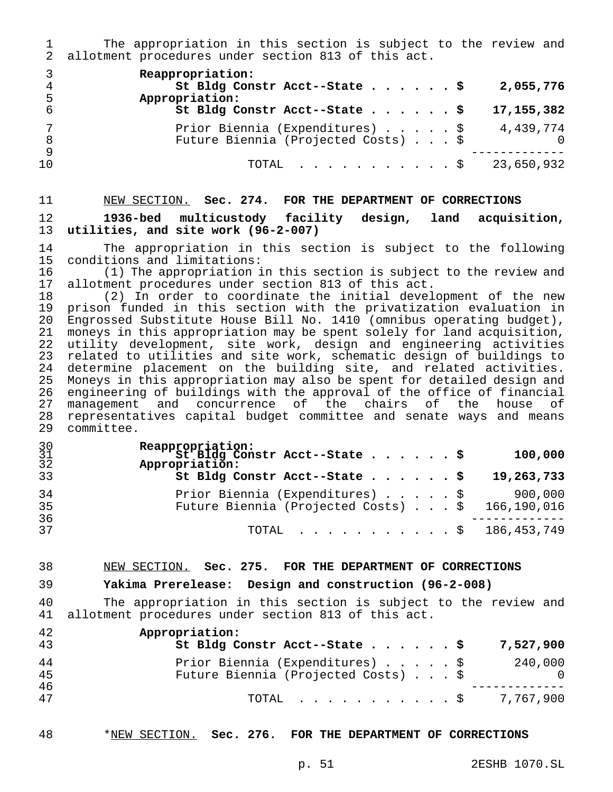The appropriation in this section is subject to the review and allotment procedures under section 813 of this act.

|          | Reappropriation:<br>St Bldg Constr Acct--State \$<br>2,055,776                                  |
|----------|-------------------------------------------------------------------------------------------------|
| 6        | Appropriation:<br>St Bldg Constr Acct--State $\sharp$<br>17, 155, 382                           |
| 8        | Prior Biennia (Expenditures) \$<br>4,439,774<br>Future Biennia (Projected Costs) \$<br>$\Omega$ |
| -9<br>10 | TOTAL \$ 23,650,932                                                                             |

# NEW SECTION. **Sec. 274. FOR THE DEPARTMENT OF CORRECTIONS 1936-bed multicustody facility design, land acquisition, utilities, and site work (96-2-007)**

14 The appropriation in this section is subject to the following<br>15 conditions and limitations: conditions and limitations:

 (1) The appropriation in this section is subject to the review and 17 allotment procedures under section 813 of this act.<br>18 (2) In order to coordinate the initial devel

 (2) In order to coordinate the initial development of the new prison funded in this section with the privatization evaluation in Engrossed Substitute House Bill No. 1410 (omnibus operating budget), moneys in this appropriation may be spent solely for land acquisition, utility development, site work, design and engineering activities 23 related to utilities and site work, schematic design of buildings to<br>24 determine placement on the building site, and related activities. determine placement on the building site, and related activities. Moneys in this appropriation may also be spent for detailed design and engineering of buildings with the approval of the office of financial management and concurrence of the chairs of the house of 28 representatives capital budget committee and senate ways and means<br>29 committee. committee.

| $\frac{30}{31}$<br>32 | Reappropriation:<br>St Bldg Constr Acct--State \$<br>Appropriation:                           |  |  | 100,000 |
|-----------------------|-----------------------------------------------------------------------------------------------|--|--|---------|
| 33                    | St Bldg Constr Acct--State $\frac{1}{5}$ 19,263,733                                           |  |  |         |
| 34<br>35<br>36        | Prior Biennia (Expenditures) \$900,000<br>Future Biennia (Projected Costs) $.$ \$ 166,190,016 |  |  |         |
| 37                    | TOTAL \$ 186,453,749                                                                          |  |  |         |

### NEW SECTION. **Sec. 275. FOR THE DEPARTMENT OF CORRECTIONS**

#### **Yakima Prerelease: Design and construction (96-2-008)**

 The appropriation in this section is subject to the review and allotment procedures under section 813 of this act.

| 42<br>43 | Appropriation:<br>St Bldg Constr Acct--State \$                        |  |  | 7,527,900      |
|----------|------------------------------------------------------------------------|--|--|----------------|
| 44<br>45 | Prior Biennia (Expenditures) \$<br>Future Biennia (Projected Costs) \$ |  |  | 240,000<br>- 0 |
| 46<br>47 | TOTAL $\ldots$ , $\ldots$ , $\ddot{S}$ 7,767,900                       |  |  |                |

#### \*NEW SECTION. **Sec. 276. FOR THE DEPARTMENT OF CORRECTIONS**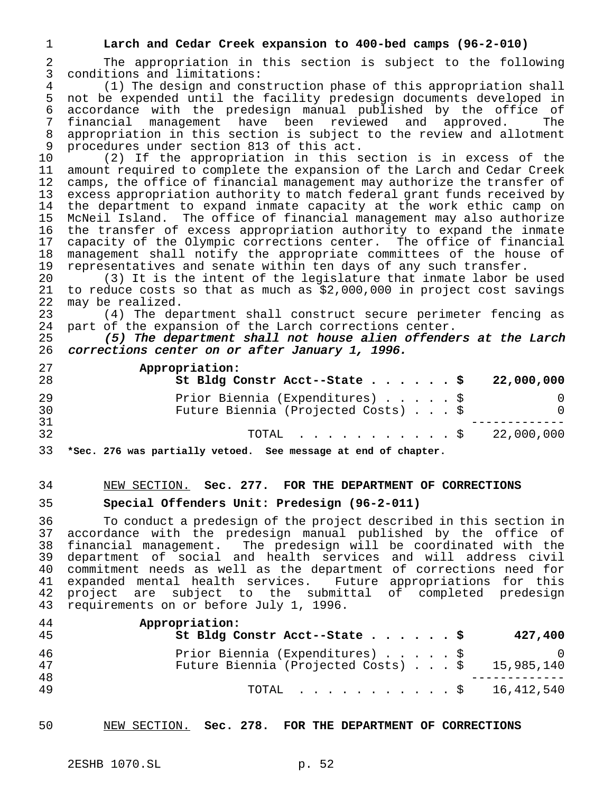#### **Larch and Cedar Creek expansion to 400-bed camps (96-2-010)**

 The appropriation in this section is subject to the following conditions and limitations:

4 (1) The design and construction phase of this appropriation shall<br>5 not be expended until the facility predesign documents developed in not be expended until the facility predesign documents developed in accordance with the predesign manual published by the office of financial management have been reviewed and approved. The appropriation in this section is subject to the review and allotment procedures under section 813 of this act.

 (2) If the appropriation in this section is in excess of the amount required to complete the expansion of the Larch and Cedar Creek camps, the office of financial management may authorize the transfer of excess appropriation authority to match federal grant funds received by the department to expand inmate capacity at the work ethic camp on McNeil Island. The office of financial management may also authorize the transfer of excess appropriation authority to expand the inmate capacity of the Olympic corrections center. The office of financial management shall notify the appropriate committees of the house of representatives and senate within ten days of any such transfer.

 (3) It is the intent of the legislature that inmate labor be used to reduce costs so that as much as \$2,000,000 in project cost savings may be realized.

23 (4) The department shall construct secure perimeter fencing as<br>24 part of the expansion of the Larch corrections center. part of the expansion of the Larch corrections center.

 (5) The department shall not house alien offenders at the Larch corrections center on or after January 1, 1996.

| 27<br>28 | Appropriation:<br>St Bldg Constr Acct--State \$                        | 22,000,000 |
|----------|------------------------------------------------------------------------|------------|
| 29<br>30 | Prior Biennia (Expenditures) \$<br>Future Biennia (Projected Costs) \$ | $\Omega$   |
| 31<br>32 | TOTAL \$ 22,000,000                                                    |            |
|          |                                                                        |            |

**\*Sec. 276 was partially vetoed. See message at end of chapter.**

#### NEW SECTION. **Sec. 277. FOR THE DEPARTMENT OF CORRECTIONS**

#### **Special Offenders Unit: Predesign (96-2-011)**

 To conduct a predesign of the project described in this section in accordance with the predesign manual published by the office of financial management. The predesign will be coordinated with the department of social and health services and will address civil commitment needs as well as the department of corrections need for expanded mental health services. Future appropriations for this project are subject to the submittal of completed predesign requirements on or before July 1, 1996.

| 44<br>45  | Appropriation:<br>St Bldg Constr Acct--State \$                                            |  |  | 427,400 |
|-----------|--------------------------------------------------------------------------------------------|--|--|---------|
| -46<br>47 | Prior Biennia (Expenditures) \$<br>Future Biennia (Projected Costs) $\ldots$ \$ 15,985,140 |  |  |         |
| 48<br>49  | TOTAL \$ 16,412,540                                                                        |  |  |         |

NEW SECTION. **Sec. 278. FOR THE DEPARTMENT OF CORRECTIONS**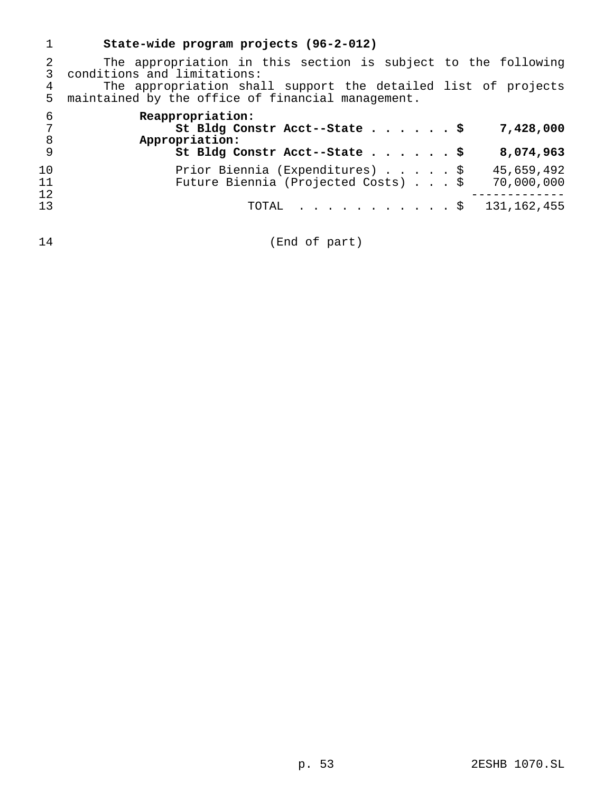|                | State-wide program projects (96-2-012)                                                                             |
|----------------|--------------------------------------------------------------------------------------------------------------------|
|                | The appropriation in this section is subject to the following<br>conditions and limitations:                       |
| 4<br>5         | The appropriation shall support the detailed list of projects<br>maintained by the office of financial management. |
| 6<br>8         | Reappropriation:<br>St Bldg Constr Acct--State \$<br>7,428,000<br>Appropriation:                                   |
| 9              | St Bldg Constr Acct--State \$<br>8,074,963                                                                         |
| 10<br>11<br>12 | Prior Biennia (Expenditures) \$<br>45,659,492<br>Future Biennia (Projected Costs) \$<br>70,000,000                 |
| 13             | TOTAL $\ldots$ \$<br>131,162,455                                                                                   |

(End of part)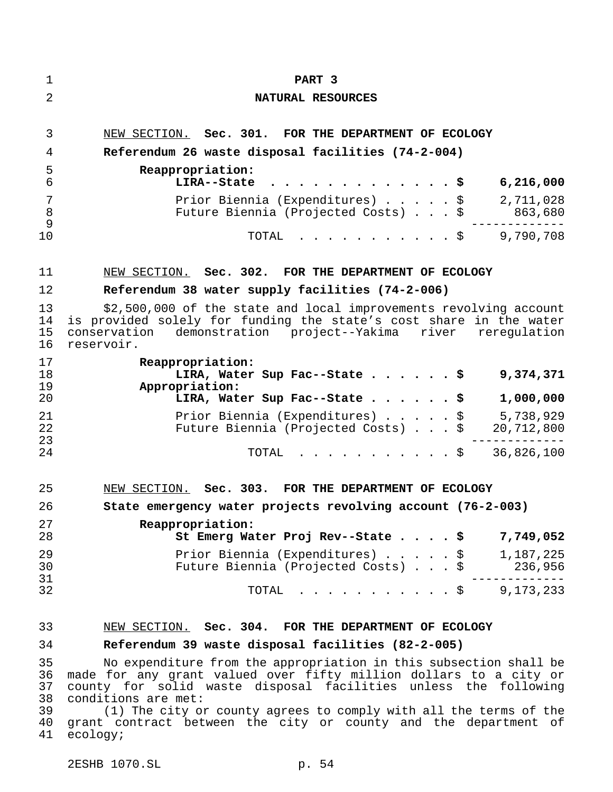| 1                          | PART 3                                                                                                                                                                                                                                                                                                |
|----------------------------|-------------------------------------------------------------------------------------------------------------------------------------------------------------------------------------------------------------------------------------------------------------------------------------------------------|
| 2                          | NATURAL RESOURCES                                                                                                                                                                                                                                                                                     |
| 3                          | NEW SECTION. Sec. 301. FOR THE DEPARTMENT OF ECOLOGY                                                                                                                                                                                                                                                  |
| 4                          | Referendum 26 waste disposal facilities (74-2-004)                                                                                                                                                                                                                                                    |
| 5<br>6                     | Reappropriation:<br>LIRA--State<br>6,216,000                                                                                                                                                                                                                                                          |
| 7<br>8                     | Prior Biennia (Expenditures) \$<br>2,711,028<br>Future Biennia (Projected Costs) \$<br>863,680                                                                                                                                                                                                        |
| 9<br>10                    | $\frac{1}{2}$ \$ 9,790,708<br>TOTAL                                                                                                                                                                                                                                                                   |
| 11                         | NEW SECTION. Sec. 302. FOR THE DEPARTMENT OF ECOLOGY                                                                                                                                                                                                                                                  |
| 12                         | Referendum 38 water supply facilities (74-2-006)                                                                                                                                                                                                                                                      |
| 13<br>14<br>15<br>16       | \$2,500,000 of the state and local improvements revolving account<br>is provided solely for funding the state's cost share in the water<br>conservation demonstration project--Yakima river reregulation<br>reservoir.                                                                                |
| 17<br>18<br>19             | Reappropriation:<br>LIRA, Water Sup Fac--State \$<br>9,374,371<br>Appropriation:                                                                                                                                                                                                                      |
| 20                         | 1,000,000<br>LIRA, Water Sup Fac--State \$                                                                                                                                                                                                                                                            |
| 21<br>22<br>23             | Prior Biennia (Expenditures)<br>\$<br>5,738,929<br>Future Biennia (Projected Costs)<br>20,712,800                                                                                                                                                                                                     |
| 24                         | 36,826,100<br>TOTAL<br>$\mathfrak{S}$                                                                                                                                                                                                                                                                 |
| 25                         | NEW SECTION. Sec. 303. FOR THE DEPARTMENT OF ECOLOGY                                                                                                                                                                                                                                                  |
| 26                         | State emergency water projects revolving account (76-2-003)                                                                                                                                                                                                                                           |
| 27<br>28                   | Reappropriation:<br>St Emerg Water Proj Rev--State \$<br>7,749,052                                                                                                                                                                                                                                    |
| 29                         | Prior Biennia (Expenditures) \$<br>1,187,225                                                                                                                                                                                                                                                          |
| 30<br>31                   | Future Biennia (Projected Costs) \$<br>236,956                                                                                                                                                                                                                                                        |
| 32                         | $\cdot$ $\cdot$ \$ 9,173,233<br>TOTAL                                                                                                                                                                                                                                                                 |
| 33                         | NEW SECTION. Sec. 304. FOR THE DEPARTMENT OF ECOLOGY                                                                                                                                                                                                                                                  |
| 34                         | Referendum 39 waste disposal facilities (82-2-005)                                                                                                                                                                                                                                                    |
| 35<br>36<br>37<br>38<br>39 | No expenditure from the appropriation in this subsection shall be<br>made for any grant valued over fifty million dollars to a city or<br>county for solid waste disposal facilities unless the following<br>conditions are met:<br>(1) The city or county agrees to comply with all the terms of the |
| 40<br>41                   | grant contract between the city or county and the department of<br>ecology;                                                                                                                                                                                                                           |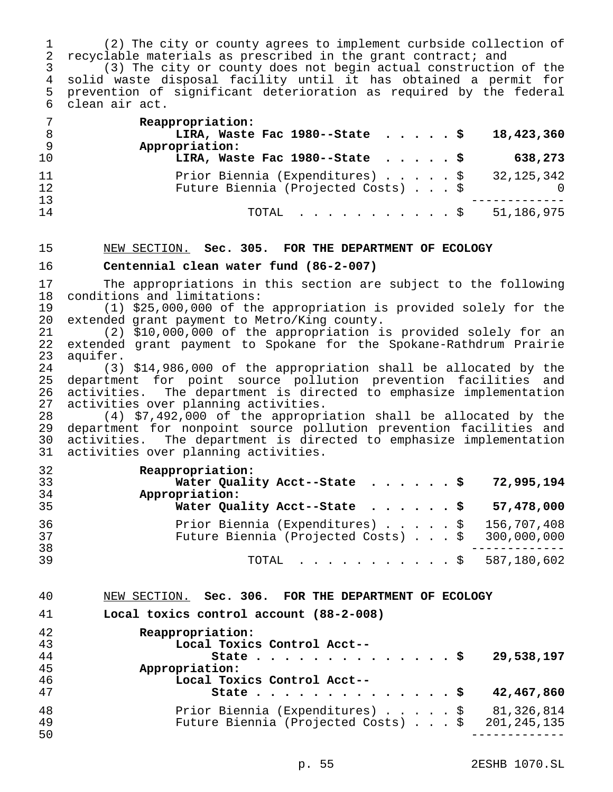(2) The city or county agrees to implement curbside collection of recyclable materials as prescribed in the grant contract; and

 (3) The city or county does not begin actual construction of the solid waste disposal facility until it has obtained a permit for prevention of significant deterioration as required by the federal clean air act.

| 7<br>- 8 | Reappropriation:<br>LIRA, Waste Fac 1980--State $\ldots$ , $\ddot{\text{s}}$<br>18,423,360 |
|----------|--------------------------------------------------------------------------------------------|
| - 9      | Appropriation:                                                                             |
| 10       | LIRA, Waste Fac 1980--State $\cdot \cdot \cdot \cdot$<br>638,273                           |
| 11       | Prior Biennia (Expenditures) $\ldots$ $\ldots$ $\frac{1}{5}$ 32,125,342                    |
| 12       | Future Biennia (Projected Costs) \$                                                        |
| 13       |                                                                                            |
| 14       | TOTAL $\ldots$ , $\ldots$ , $\ddot{S}$ 51,186,975                                          |

### NEW SECTION. **Sec. 305. FOR THE DEPARTMENT OF ECOLOGY**

#### **Centennial clean water fund (86-2-007)**

 The appropriations in this section are subject to the following 18 conditions and limitations:<br>19 (1) \$25,000,000 of the

(1) \$25,000,000 of the appropriation is provided solely for the extended grant payment to Metro/King county.

 (2) \$10,000,000 of the appropriation is provided solely for an extended grant payment to Spokane for the Spokane-Rathdrum Prairie 23 aquifer.<br>24 (3)

 (3) \$14,986,000 of the appropriation shall be allocated by the department for point source pollution prevention facilities and activities. The department is directed to emphasize implementation activities over planning activities.

 (4) \$7,492,000 of the appropriation shall be allocated by the department for nonpoint source pollution prevention facilities and activities. The department is directed to emphasize implementation activities over planning activities.

| 32       | Reappropriation:                                |
|----------|-------------------------------------------------|
| 33       | Water Quality Acct--State \$ 72,995,194         |
| 34       | Appropriation:                                  |
| 35       | Water Quality Acct--State \$ $57,478,000$       |
| 36       | Prior Biennia (Expenditures) \$ 156,707,408     |
| 37       | Future Biennia (Projected Costs) \$ 300,000,000 |
| 38<br>39 | TOTAL \$ 587,180,602                            |

#### NEW SECTION. **Sec. 306. FOR THE DEPARTMENT OF ECOLOGY**

**Local toxics control account (88-2-008)**

| 42 | Reappropriation:                                         |
|----|----------------------------------------------------------|
| 43 | Local Toxics Control Acct--                              |
| 44 | 29,538,197<br>State $\ldots$ $\ddot{\text{S}}$           |
| 45 | Appropriation:                                           |
| 46 | Local Toxics Control Acct--                              |
| 47 | 42,467,860<br>State                                      |
| 48 | Prior Biennia (Expenditures) \$ 81,326,814               |
| 49 | Future Biennia (Projected Costs) $\ldots$ \$ 201,245,135 |
| 50 |                                                          |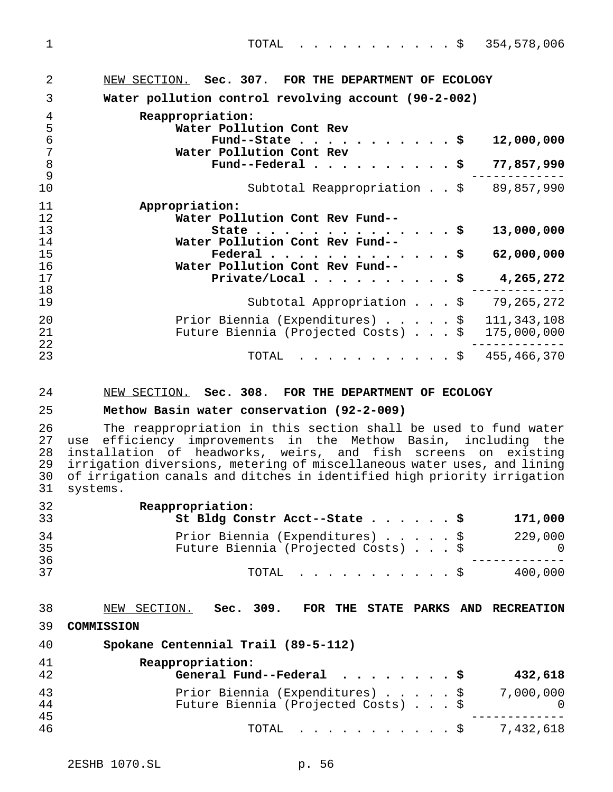| $\overline{2}$ | NEW SECTION. Sec. 307. FOR THE DEPARTMENT OF ECOLOGY                 |
|----------------|----------------------------------------------------------------------|
| 3              | Water pollution control revolving account (90-2-002)                 |
| 4              | Reappropriation:                                                     |
| 5              | Water Pollution Cont Rev                                             |
| 6              | 12,000,000<br>Fund--State $\cdots$ \$                                |
| 7              | Water Pollution Cont Rev                                             |
| 8              | Fund--Federal $\cdots$ $\cdots$ $\cdots$ $\cdots$<br>77,857,990      |
| 9              |                                                                      |
| 10             | 89,857,990<br>Subtotal Reappropriation \$                            |
| 11             | Appropriation:                                                       |
| 12             | Water Pollution Cont Rev Fund--                                      |
| 13             | 13,000,000<br>State $\ldots$ $\ddot{\text{S}}$                       |
| 14             | Water Pollution Cont Rev Fund--                                      |
| 15             | Federal $\ldots$ \$<br>62,000,000                                    |
| 16             | Water Pollution Cont Rev Fund--                                      |
| 17             | Private/Local $\cdots$ $\cdots$ $\cdots$ $\ddot{\circ}$<br>4,265,272 |
| 18             |                                                                      |
| 19             | Subtotal Appropriation \$<br>79, 265, 272                            |
| 20             | 111, 343, 108<br>Prior Biennia (Expenditures) \$                     |
| 21             | Future Biennia (Projected Costs) \$<br>175,000,000                   |
| 22             |                                                                      |
| 23             | 455,466,370<br>TOTAL<br>. \$                                         |

#### NEW SECTION. **Sec. 308. FOR THE DEPARTMENT OF ECOLOGY**

#### **Methow Basin water conservation (92-2-009)**

26 The reappropriation in this section shall be used to fund water<br>27 use efficiency improvements in the Methow Basin, including the 27 use efficiency improvements in the Methow Basin, including the<br>28 installation of headworks, weirs, and fish screens on existing 28 installation of headworks, weirs, and fish screens on existing<br>29 irrigation-diversions, metering-of-miscellaneous-water-uses, and-lining irrigation diversions, metering of miscellaneous water uses, and lining 30 of irrigation canals and ditches in identified high priority irrigation<br>31 systems. systems.

| 32<br>33 | Reappropriation:<br>St Bldg Constr Acct--State \$                      | 171,000        |
|----------|------------------------------------------------------------------------|----------------|
| 34<br>35 | Prior Biennia (Expenditures) \$<br>Future Biennia (Projected Costs) \$ | 229,000<br>- 0 |
| 36<br>37 | TOTAL Ş                                                                | 400,000        |

#### NEW SECTION. **Sec. 309. FOR THE STATE PARKS AND RECREATION**

**COMMISSION**

| Spokane Centennial Trail (89-5-112)<br>40 |  |
|-------------------------------------------|--|
|-------------------------------------------|--|

| 41<br>42 | Reappropriation:<br>General Fund--Federal $\ldots$ , \$<br>432,618               |
|----------|----------------------------------------------------------------------------------|
| 43<br>44 | Prior Biennia (Expenditures) \$ 7,000,000<br>Future Biennia (Projected Costs) \$ |
| 45<br>46 | TOTAL $\frac{1}{2}$ 7,432,618                                                    |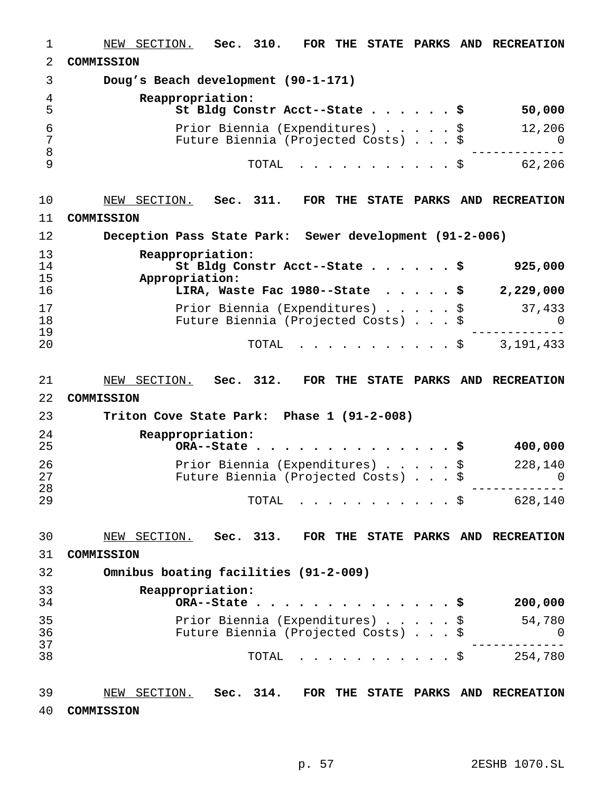NEW SECTION. **Sec. 310. FOR THE STATE PARKS AND RECREATION COMMISSION Doug's Beach development (90-1-171) Reappropriation: St Bldg Constr Acct--State......\$ 50,000** Prior Biennia (Expenditures).....\$ 12,206 Future Biennia (Projected Costs)...\$ 0 ------------- TOTAL ...........\$ 62,206 NEW SECTION. **Sec. 311. FOR THE STATE PARKS AND RECREATION COMMISSION Deception Pass State Park: Sewer development (91-2-006) Reappropriation: St Bldg Constr Acct--State......\$ 925,000 Appropriation: LIRA, Waste Fac 1980--State .....\$ 2,229,000** 17 Prior Biennia (Expenditures) . . . . \$ 37,433<br>18 Future Biennia (Projected Costs) . . . \$ 0 18 Future Biennia (Projected Costs) . . . \$ 0<br>19 ----------- ------------- TOTAL ...........\$ 3,191,433 NEW SECTION. **Sec. 312. FOR THE STATE PARKS AND RECREATION COMMISSION Triton Cove State Park: Phase 1 (91-2-008) Reappropriation: ORA--State..............\$ 400,000** Prior Biennia (Expenditures).....\$ 228,140 Future Biennia (Projected Costs)...\$ 0 ------------- <sup>29</sup> TOTAL ...........\$ 628,140 NEW SECTION. **Sec. 313. FOR THE STATE PARKS AND RECREATION COMMISSION Omnibus boating facilities (91-2-009) Reappropriation: ORA--State..............\$ 200,000** Prior Biennia (Expenditures).....\$ 54,780 Future Biennia (Projected Costs)...\$ 0 ------------- <sup>38</sup> TOTAL ...........\$ 254,780 NEW SECTION. **Sec. 314. FOR THE STATE PARKS AND RECREATION COMMISSION**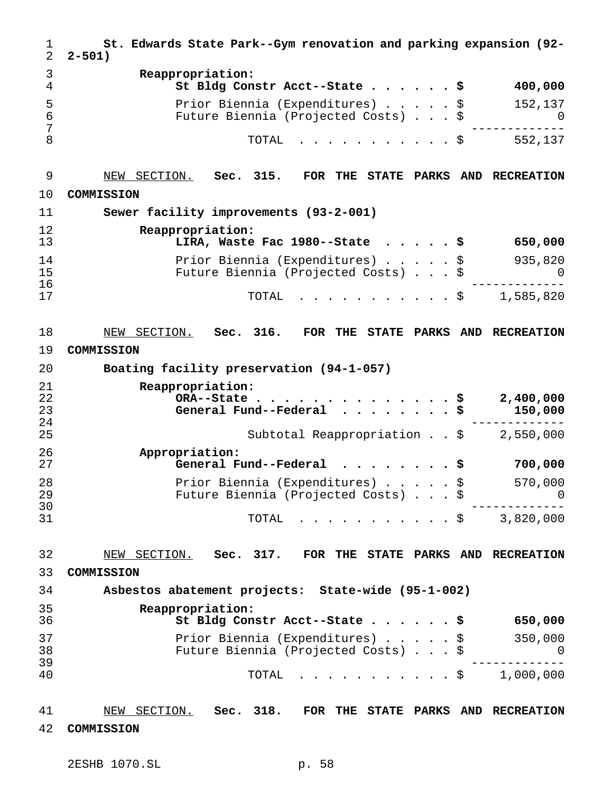**St. Edwards State Park--Gym renovation and parking expansion (92- 2-501) Reappropriation: St Bldg Constr Acct--State......\$ 400,000** Prior Biennia (Expenditures).....\$ 152,137 Future Biennia (Projected Costs)...\$ 0 ------------- 8 552,137 NEW SECTION. **Sec. 315. FOR THE STATE PARKS AND RECREATION COMMISSION Sewer facility improvements (93-2-001) Reappropriation: LIRA, Waste Fac 1980--State .....\$ 650,000** Prior Biennia (Expenditures).....\$ 935,820 Future Biennia (Projected Costs)...\$ 0 ------------- TOTAL ...........\$ 1,585,820 NEW SECTION. **Sec. 316. FOR THE STATE PARKS AND RECREATION COMMISSION Boating facility preservation (94-1-057) Reappropriation: ORA--State..............\$ 2,400,000 General Fund--Federal ........\$ 150,000** ------------- Subtotal Reappropriation . . \$ **Appropriation: General Fund--Federal ........\$ 700,000** Prior Biennia (Expenditures).....\$ 570,000 Future Biennia (Projected Costs)...\$ 0 ------------- TOTAL ...........\$ 3,820,000 NEW SECTION. **Sec. 317. FOR THE STATE PARKS AND RECREATION COMMISSION Asbestos abatement projects: State-wide (95-1-002) Reappropriation: St Bldg Constr Acct--State......\$ 650,000** Prior Biennia (Expenditures).....\$ 350,000 Future Biennia (Projected Costs)...\$ 0 ------------- TOTAL ...........\$ 1,000,000 NEW SECTION. **Sec. 318. FOR THE STATE PARKS AND RECREATION COMMISSION**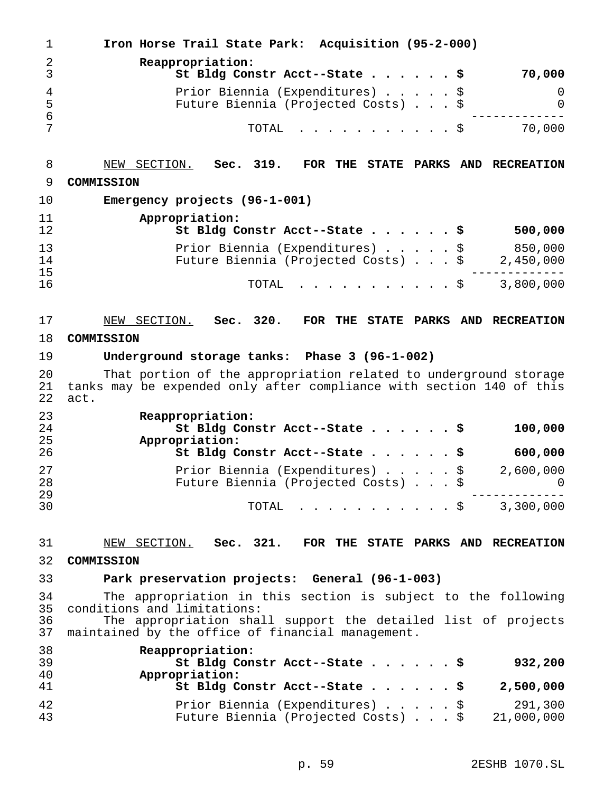**Iron Horse Trail State Park: Acquisition (95-2-000) Reappropriation: St Bldg Constr Acct--State......\$ 70,000** Prior Biennia (Expenditures).....\$ 0 Future Biennia (Projected Costs)...\$ 0 ------------- TOTAL ...........\$ 70,000 NEW SECTION. **Sec. 319. FOR THE STATE PARKS AND RECREATION COMMISSION Emergency projects (96-1-001) Appropriation: St Bldg Constr Acct--State......\$ 500,000** 13 Prior Biennia (Expenditures)......\$ 850,000<br>14 Future Biennia (Projected Costs)...\$ 2,450,000 14 Future Biennia (Projected Costs)...\$<br>15 ------------- TOTAL ...........\$ 3,800,000 NEW SECTION. **Sec. 320. FOR THE STATE PARKS AND RECREATION COMMISSION Underground storage tanks: Phase 3 (96-1-002)** 20 That portion of the appropriation related to underground storage<br>21 tanks may be expended only after compliance with section 140 of this 21 tanks may be expended only after compliance with section 140 of this<br>22 act. act. **Reappropriation: St Bldg Constr Acct--State......\$ 100,000 Appropriation: St Bldg Constr Acct--State......\$ 600,000** Prior Biennia (Expenditures).....\$ 2,600,000 Future Biennia (Projected Costs)...\$ 0 ------------- TOTAL ...........\$ 3,300,000 NEW SECTION. **Sec. 321. FOR THE STATE PARKS AND RECREATION COMMISSION Park preservation projects: General (96-1-003)** The appropriation in this section is subject to the following conditions and limitations: The appropriation shall support the detailed list of projects maintained by the office of financial management. **Reappropriation: St Bldg Constr Acct--State......\$ 932,200 Appropriation: St Bldg Constr Acct--State......\$ 2,500,000** Prior Biennia (Expenditures).....\$ 291,300 Future Biennia (Projected Costs)...\$ 21,000,000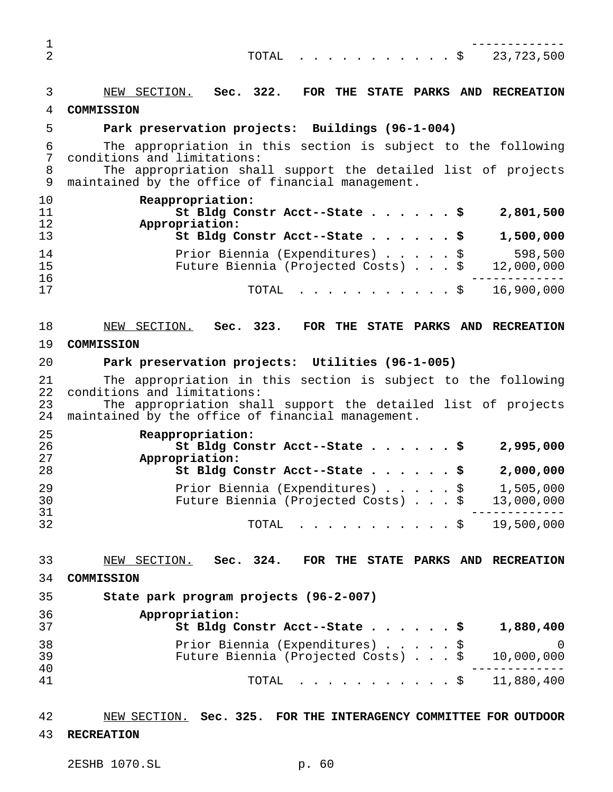| $\mathbf 1$<br>$\overline{2}$ | 23,723,500<br>TOTAL<br>. \$                                                                                                                                                                                        |
|-------------------------------|--------------------------------------------------------------------------------------------------------------------------------------------------------------------------------------------------------------------|
| 3<br>4                        | NEW SECTION. Sec. 322. FOR THE STATE PARKS AND RECREATION<br>COMMISSION                                                                                                                                            |
| 5                             | Park preservation projects: Buildings (96-1-004)                                                                                                                                                                   |
| 6<br>$\overline{7}$           | The appropriation in this section is subject to the following<br>conditions and limitations:                                                                                                                       |
| 8<br>9                        | The appropriation shall support the detailed list of projects<br>maintained by the office of financial management.                                                                                                 |
| 10<br>11<br>12<br>13          | Reappropriation:<br>St Bldg Constr Acct--State \$<br>2,801,500<br>Appropriation:<br>St Bldg Constr Acct--State \$<br>1,500,000                                                                                     |
| 14                            | 598,500<br>Prior Biennia (Expenditures) \$                                                                                                                                                                         |
| 15<br>16                      | Future Biennia (Projected Costs) \$<br>12,000,000                                                                                                                                                                  |
| 17                            | 16,900,000<br>TOTAL                                                                                                                                                                                                |
| 18                            | NEW SECTION. Sec. 323. FOR THE STATE PARKS AND RECREATION                                                                                                                                                          |
| 19                            | COMMISSION                                                                                                                                                                                                         |
| 20                            | Park preservation projects: Utilities (96-1-005)                                                                                                                                                                   |
| 21<br>22<br>23<br>24          | The appropriation in this section is subject to the following<br>conditions and limitations:<br>The appropriation shall support the detailed list of projects<br>maintained by the office of financial management. |
| 25                            | Reappropriation:                                                                                                                                                                                                   |
| 26<br>27                      | St Bldg Constr Acct--State \$<br>2,995,000<br>Appropriation:                                                                                                                                                       |
| 28                            | St Bldg Constr Acct--State \$<br>2,000,000                                                                                                                                                                         |
| 29<br>30                      | Prior Biennia (Expenditures) \$<br>1,505,000<br>Future Biennia (Projected Costs) \$<br>13,000,000                                                                                                                  |
| 31<br>32                      | . 5 19,500,000<br>TOTAL                                                                                                                                                                                            |
| 33                            | NEW SECTION.<br>Sec. 324.<br>FOR THE STATE PARKS AND RECREATION                                                                                                                                                    |
| 34                            | COMMISSION                                                                                                                                                                                                         |
| 35                            | State park program projects (96-2-007)                                                                                                                                                                             |
| 36<br>37                      | Appropriation:<br>St Bldg Constr Acct--State \$<br>1,880,400                                                                                                                                                       |
| 38<br>39                      | Prior Biennia (Expenditures)<br>0<br>Future Biennia (Projected Costs)<br>10,000,000                                                                                                                                |
| 40<br>41                      | . 5 11,880,400<br>TOTAL                                                                                                                                                                                            |
|                               |                                                                                                                                                                                                                    |
| 42                            | NEW SECTION. Sec. 325. FOR THE INTERAGENCY COMMITTEE FOR OUTDOOR                                                                                                                                                   |

**RECREATION**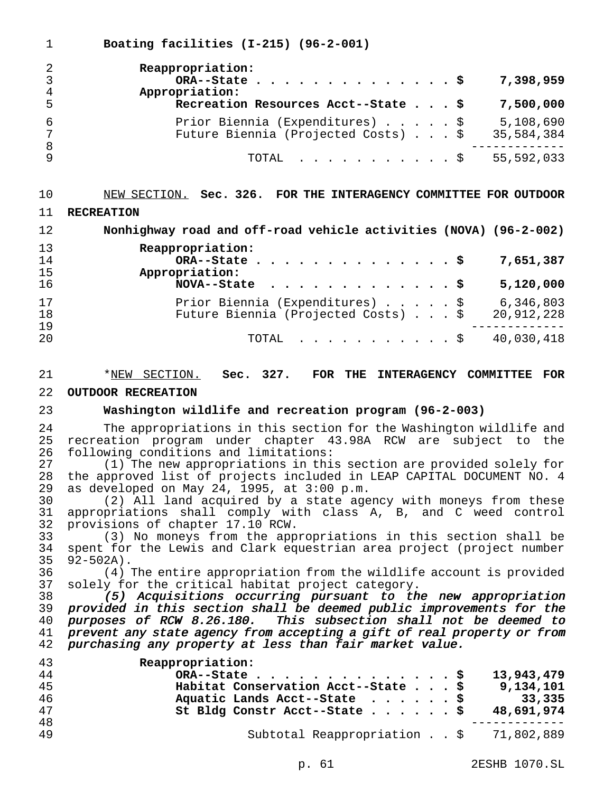**Boating facilities (I-215) (96-2-001)**

| 2<br>$\mathsf{3}$<br>$\overline{4}$ | Reappropriation:<br>Appropriation:                                     |  |  | 7,398,959               |
|-------------------------------------|------------------------------------------------------------------------|--|--|-------------------------|
| -5                                  | Recreation Resources Acct--State \$                                    |  |  | 7,500,000               |
| -6<br>$7\overline{ }$               | Prior Biennia (Expenditures) \$<br>Future Biennia (Projected Costs) \$ |  |  | 5,108,690<br>35,584,384 |
| 8<br>9                              | TOTAL \$ 55,592,033                                                    |  |  |                         |

### NEW SECTION. **Sec. 326. FOR THE INTERAGENCY COMMITTEE FOR OUTDOOR**

#### **RECREATION**

 **Nonhighway road and off-road vehicle activities (NOVA) (96-2-002) Reappropriation:**

| ∸∸ | <i>Reappropriacion.</i>                           |
|----|---------------------------------------------------|
| 14 | $ORA--State$<br>7,651,387                         |
| 15 | Appropriation:                                    |
| 16 | 5,120,000                                         |
| 17 | Prior Biennia (Expenditures) \$ 6,346,803         |
| 18 | Future Biennia (Projected Costs) \$<br>20,912,228 |
| 19 |                                                   |
| 20 | TOTAL $\frac{1}{9}$ 40,030,418                    |
|    |                                                   |

\*NEW SECTION. **Sec. 327. FOR THE INTERAGENCY COMMITTEE FOR**

#### **OUTDOOR RECREATION**

#### **Washington wildlife and recreation program (96-2-003)**

24 The appropriations in this section for the Washington wildlife and<br>25 recreation program under chapter 43.98A RCW are subject to the 25 recreation program under chapter 43.98A RCW are subject to the<br>26 following conditions and limitations: 26 following conditions and limitations:<br>27 (1) The new appropriations in thi

27 (1) The new appropriations in this section are provided solely for<br>28 the approved list of projects included in LEAP CAPITAL DOCUMENT NO. 4 28 the approved list of projects included in LEAP CAPITAL DOCUMENT NO. 4<br>29 as developed on May 24, 1995, at 3:00 p.m. 29 as developed on May 24, 1995, at 3:00 p.m.<br>30 (2) All land acquired by a state age

30 (2) All land acquired by a state agency with moneys from these<br>31 appropriations shall comply with class A. B. and C weed control 31 appropriations shall comply with class A, B, and C weed control<br>32 provisions of chapter 17.10 RCW. 32 provisions of chapter 17.10 RCW.<br>33 (3) No moneys from the app

 (3) No moneys from the appropriations in this section shall be 34 spent for the Lewis and Clark equestrian area project (project number<br>35 92-502A).  $35 \quad 92 - 502A$ ).<br>36 (4)

 (4) The entire appropriation from the wildlife account is provided solely for the critical habitat project category.

 (5) Acquisitions occurring pursuant to the new appropriation 39 provided in this section shall be deemed public improvements for the<br>40 purposes of RCW 8.26.180. This subsection shall not be deemed to 40 purposes of RCW 8.26.180. This subsection shall not be deemed to<br>41 prevent any state agency from accepting a gift of real property or from 41 prevent any state agency from accepting a gift of real property or from<br>42 purchasing any property at less than fair market value. purchasing any property at less than fair market value.

| Reappropriation:                                 |
|--------------------------------------------------|
| 13,943,479<br>ORA--State $\frac{5}{7}$           |
| Habitat Conservation Acct--State \$<br>9,134,101 |
| Aquatic Lands Acct--State $\ldots$ \$<br>33,335  |
| St Bldg Constr Acct--State \$<br>48,691,974      |
|                                                  |
| Subtotal Reappropriation \$ 71,802,889           |
|                                                  |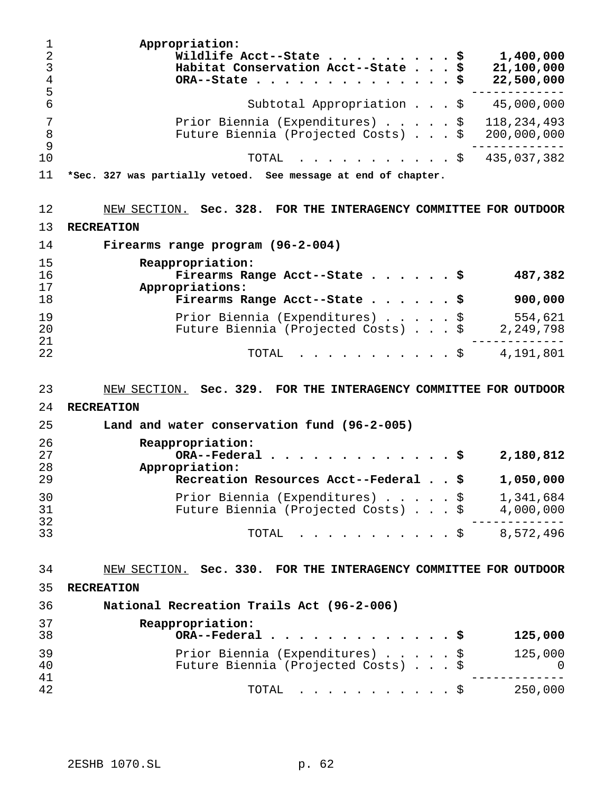| 1<br>$\overline{2}$<br>$\mathfrak{Z}$<br>$\overline{4}$<br>5 | Appropriation:<br>Wildlife Acct--State<br>1,400,000<br>\$<br>Habitat Conservation Acct--State<br>21,100,000<br>\$<br>22,500,000<br>\$<br>ORA--State |
|--------------------------------------------------------------|-----------------------------------------------------------------------------------------------------------------------------------------------------|
| 6                                                            | Subtotal Appropriation \$ 45,000,000                                                                                                                |
| 7<br>8<br>9                                                  | 118, 234, 493<br>Prior Biennia (Expenditures) \$<br>Future Biennia (Projected Costs) \$<br>200,000,000                                              |
| 10                                                           | 435,037,382<br>TOTAL<br>. \$                                                                                                                        |
| 11                                                           | *Sec. 327 was partially vetoed. See message at end of chapter.                                                                                      |
| 12                                                           | NEW SECTION. Sec. 328. FOR THE INTERAGENCY COMMITTEE FOR OUTDOOR                                                                                    |
| 13                                                           | <b>RECREATION</b>                                                                                                                                   |
| 14                                                           | Firearms range program (96-2-004)                                                                                                                   |
| 15<br>16<br>17                                               | Reappropriation:<br>Firearms Range Acct--State $\frac{1}{9}$<br>487,382<br>Appropriations:                                                          |
| 18                                                           | Firearms Range Acct--State \$<br>900,000                                                                                                            |
| 19<br>20<br>21                                               | 554,621<br>Prior Biennia (Expenditures) \$<br>Future Biennia (Projected Costs) \$<br>2,249,798                                                      |
| 22                                                           | $\frac{1}{2}$ \$ 4,191,801<br>TOTAL                                                                                                                 |
| 23                                                           | NEW SECTION. Sec. 329. FOR THE INTERAGENCY COMMITTEE FOR OUTDOOR                                                                                    |
| 24                                                           | <b>RECREATION</b>                                                                                                                                   |
| 25                                                           | Land and water conservation fund (96-2-005)                                                                                                         |
| 26<br>27<br>28                                               | Reappropriation:<br>ORA--Federal<br>- \$<br>2,180,812<br>Appropriation:                                                                             |
| 29                                                           | Recreation Resources Acct--Federal \$<br>1,050,000                                                                                                  |
| 30<br>31<br>32                                               | Prior Biennia (Expenditures)<br>\$<br>1,341,684<br>Future Biennia (Projected Costs) \$<br>4,000,000                                                 |
| 33                                                           | 8,572,496<br>TOTAL<br>$.$ \$                                                                                                                        |
| 34                                                           | NEW SECTION. Sec. 330. FOR THE INTERAGENCY COMMITTEE FOR OUTDOOR                                                                                    |
| 35                                                           | <b>RECREATION</b>                                                                                                                                   |
| 36                                                           | National Recreation Trails Act (96-2-006)                                                                                                           |
| 37<br>38                                                     | Reappropriation:<br>ORA--Federal<br>125,000                                                                                                         |
| 39<br>40<br>41                                               | Prior Biennia (Expenditures)<br>125,000<br>\$<br>Future Biennia (Projected Costs)<br>0                                                              |
| 42                                                           | 250,000<br>TOTAL<br>. \$                                                                                                                            |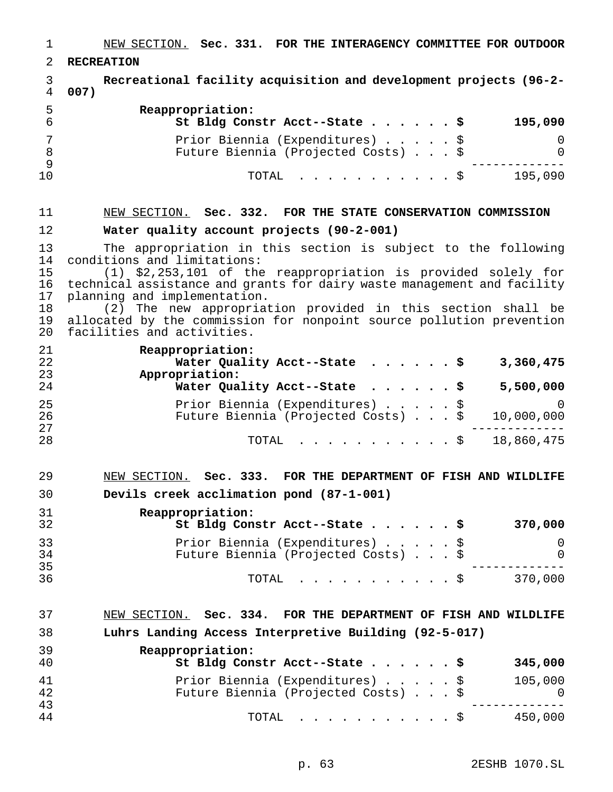NEW SECTION. **Sec. 331. FOR THE INTERAGENCY COMMITTEE FOR OUTDOOR RECREATION Recreational facility acquisition and development projects (96-2- 007) Reappropriation: St Bldg Constr Acct--State......\$ 195,090** Prior Biennia (Expenditures).....\$ 0 8 Future Biennia (Projected Costs) . . . \$ 0<br>9 ------------- TOTAL ...........\$ 195,090 NEW SECTION. **Sec. 332. FOR THE STATE CONSERVATION COMMISSION Water quality account projects (90-2-001)** 13 The appropriation in this section is subject to the following<br>14 conditions and limitations: 14 conditions and limitations:<br>15 (1) \$2,253,101 of the  $(1)$  \$2,253,101 of the reappropriation is provided solely for 16 technical assistance and grants for dairy waste management and facility<br>17 planning and implementation. 17 planning and implementation.<br>18 (2) The new appropriat (2) The new appropriation provided in this section shall be allocated by the commission for nonpoint source pollution prevention facilities and activities. **Reappropriation: Water Quality Acct--State ......\$ 3,360,475 Appropriation: Water Quality Acct--State ......\$ 5,500,000** Prior Biennia (Expenditures).....\$ 0 Future Biennia (Projected Costs)...\$ 10,000,000 ------------- TOTAL ...........\$ 18,860,475 NEW SECTION. **Sec. 333. FOR THE DEPARTMENT OF FISH AND WILDLIFE Devils creek acclimation pond (87-1-001) Reappropriation: St Bldg Constr Acct--State......\$ 370,000** Prior Biennia (Expenditures).....\$ 0 Future Biennia (Projected Costs)...\$ 0 ------------- TOTAL ...........\$ 370,000 NEW SECTION. **Sec. 334. FOR THE DEPARTMENT OF FISH AND WILDLIFE Luhrs Landing Access Interpretive Building (92-5-017) Reappropriation: St Bldg Constr Acct--State......\$ 345,000** Prior Biennia (Expenditures).....\$ 105,000 Future Biennia (Projected Costs) . . . \$ 0 ------------- TOTAL ...........\$ 450,000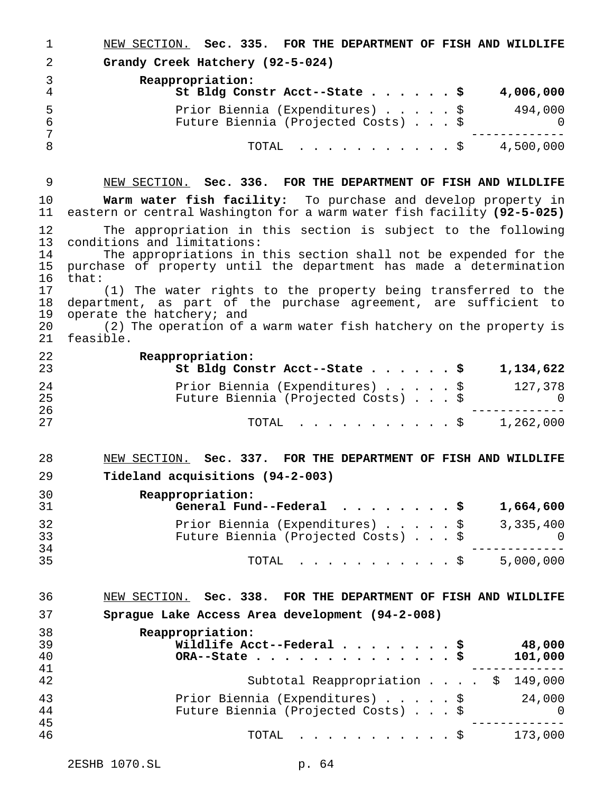NEW SECTION. **Sec. 335. FOR THE DEPARTMENT OF FISH AND WILDLIFE Grandy Creek Hatchery (92-5-024) Reappropriation: St Bldg Constr Acct--State......\$ 4,006,000** Prior Biennia (Expenditures).....\$ 494,000 Future Biennia (Projected Costs)...\$ 0 ------------- 8 TOTAL . . . . . . . . . . \$ 4,500,000 NEW SECTION. **Sec. 336. FOR THE DEPARTMENT OF FISH AND WILDLIFE Warm water fish facility:** To purchase and develop property in eastern or central Washington for a warm water fish facility **(92-5-025)** 12 The appropriation in this section is subject to the following<br>13 conditions and limitations: 13 conditions and limitations:<br>14 The appropriations in 14 The appropriations in this section shall not be expended for the<br>15 purchase of property until the department has made a determination purchase of property until the department has made a determination 16 that:<br>17 (1) The water rights to the property being transferred to the 18 department, as part of the purchase agreement, are sufficient to<br>19 operate the hatchery; and 19 operate the hatchery; and<br>20 (2) The operation of 20 (2) The operation of a warm water fish hatchery on the property is<br>21 feasible feasible. **Reappropriation: St Bldg Constr Acct--State......\$ 1,134,622** Prior Biennia (Expenditures).....\$ 127,378 Future Biennia (Projected Costs)...\$ 0 ------------- TOTAL ...........\$ 1,262,000 NEW SECTION. **Sec. 337. FOR THE DEPARTMENT OF FISH AND WILDLIFE Tideland acquisitions (94-2-003) Reappropriation: General Fund--Federal ........\$ 1,664,600** Prior Biennia (Expenditures).....\$ 3,335,400 Future Biennia (Projected Costs)...\$ 0 ------------- TOTAL ...........\$ 5,000,000 NEW SECTION. **Sec. 338. FOR THE DEPARTMENT OF FISH AND WILDLIFE Sprague Lake Access Area development (94-2-008) Reappropriation: Wildlife Acct--Federal........\$ 48,000 ORA--State..............\$ 101,000** ------------- Subtotal Reappropriation . . . . \$ 149,000 Prior Biennia (Expenditures).....\$ 24,000 Future Biennia (Projected Costs)...\$ 0 ------------- TOTAL ...........\$ 173,000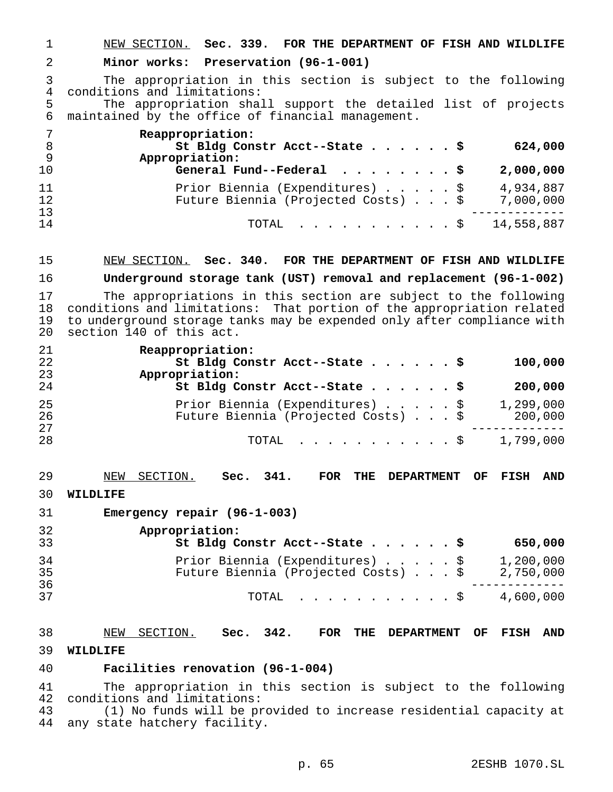NEW SECTION. **Sec. 339. FOR THE DEPARTMENT OF FISH AND WILDLIFE**

#### **Minor works: Preservation (96-1-001)**

 The appropriation in this section is subject to the following 4 conditions and limitations:<br>5 The appropriation shal

The appropriation shall support the detailed list of projects maintained by the office of financial management.

| -7<br>- 8<br>- 9 | Reappropriation:<br>St Bldg Constr Acct--State \$<br>624,000<br>Appropriation:                   |
|------------------|--------------------------------------------------------------------------------------------------|
| 10               | General Fund--Federal $\ldots$ , \$<br>2,000,000                                                 |
| 11<br>12         | 4,934,887<br>Prior Biennia (Expenditures) \$<br>Future Biennia (Projected Costs) \$<br>7,000,000 |
| 13<br>14         | TOTAL $\ldots$ , $\ldots$ , $\ddot{S}$ 14,558,887                                                |

#### NEW SECTION. **Sec. 340. FOR THE DEPARTMENT OF FISH AND WILDLIFE**

**Underground storage tank (UST) removal and replacement (96-1-002)**

 The appropriations in this section are subject to the following 18 conditions and limitations: That portion of the appropriation related<br>19 to underground storage tanks may be expended only after compliance with to underground storage tanks may be expended only after compliance with section 140 of this act.

| 21 | Reappropriation:                               |
|----|------------------------------------------------|
| 22 | St Bldg Constr Acct--State \$<br>100,000       |
| 23 | Appropriation:                                 |
| 24 | St Bldg Constr Acct--State \$<br>200,000       |
| 25 | Prior Biennia (Expenditures) \$<br>1,299,000   |
| 26 | Future Biennia (Projected Costs) \$<br>200,000 |
| 27 |                                                |
| 28 | 1,799,000<br>TOTAL $\ldots$ $\frac{1}{5}$      |

- NEW SECTION. **Sec. 341. FOR THE DEPARTMENT OF FISH AND**
- **WILDLIFE**
- **Emergency repair (96-1-003)**

| 32<br>33 | Appropriation:<br>St Bldg Constr Acct--State \$                        |  |  | 650,000                |
|----------|------------------------------------------------------------------------|--|--|------------------------|
| 34<br>35 | Prior Biennia (Expenditures) \$<br>Future Biennia (Projected Costs) \$ |  |  | 1,200,000<br>2,750,000 |
| 36<br>37 | TOTAL S                                                                |  |  | 4,600,000              |

# NEW SECTION. **Sec. 342. FOR THE DEPARTMENT OF FISH AND WILDLIFE**

#### **Facilities renovation (96-1-004)**

 The appropriation in this section is subject to the following conditions and limitations:

 (1) No funds will be provided to increase residential capacity at any state hatchery facility.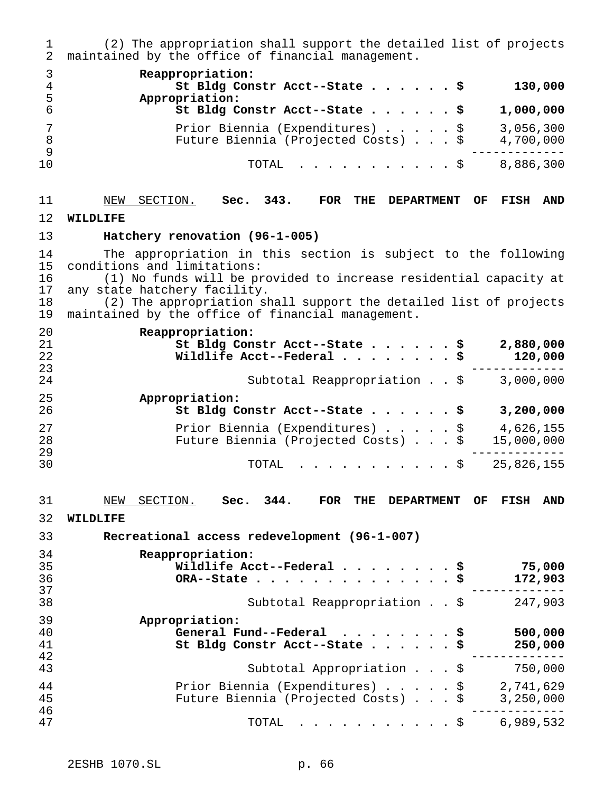(2) The appropriation shall support the detailed list of projects maintained by the office of financial management. **Reappropriation: St Bldg Constr Acct--State......\$ 130,000 Appropriation: St Bldg Constr Acct--State......\$ 1,000,000** Prior Biennia (Expenditures).....\$ 3,056,300 Future Biennia (Projected Costs)...\$ 4,700,000 ------------- TOTAL ...........\$ 8,886,300 NEW SECTION. **Sec. 343. FOR THE DEPARTMENT OF FISH AND WILDLIFE Hatchery renovation (96-1-005)** 14 The appropriation in this section is subject to the following<br>15 conditions and limitations: conditions and limitations: (1) No funds will be provided to increase residential capacity at any state hatchery facility. (2) The appropriation shall support the detailed list of projects maintained by the office of financial management. **Reappropriation: St Bldg Constr Acct--State......\$ 2,880,000 Wildlife Acct--Federal........\$ 120,000** 24 5ubtotal Reappropriation . . \$ 3,000,000 **Appropriation: St Bldg Constr Acct--State......\$ 3,200,000** Prior Biennia (Expenditures).....\$ 4,626,155 28 Future Biennia (Projected Costs) . . . \$<br>29 ------------- TOTAL ...........\$ 25,826,155 NEW SECTION. **Sec. 344. FOR THE DEPARTMENT OF FISH AND WILDLIFE Recreational access redevelopment (96-1-007) Reappropriation: Wildlife Acct--Federal........\$ 75,000 ORA--State..............\$ 172,903** ------------- Subtotal Reappropriation . . \$ 247,903 **Appropriation: General Fund--Federal ........\$ 500,000 St Bldg Constr Acct--State......\$ 250,000** ------------- <sup>43</sup> Subtotal Appropriation...\$ 750,000 Prior Biennia (Expenditures).....\$ 2,741,629 Future Biennia (Projected Costs)...\$ 3,250,000 ------------- TOTAL ...........\$ 6,989,532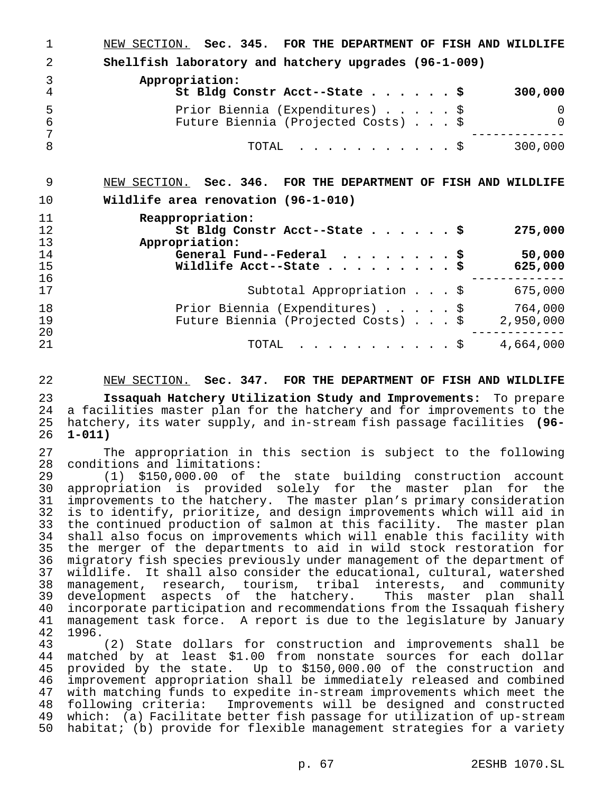NEW SECTION. **Sec. 345. FOR THE DEPARTMENT OF FISH AND WILDLIFE Shellfish laboratory and hatchery upgrades (96-1-009) Appropriation: St Bldg Constr Acct--State......\$ 300,000** Prior Biennia (Expenditures).....\$ 0 Future Biennia (Projected Costs)...\$ 0 ------------- TOTAL ...........\$ 300,000 NEW SECTION. **Sec. 346. FOR THE DEPARTMENT OF FISH AND WILDLIFE Wildlife area renovation (96-1-010) Reappropriation: St Bldg Constr Acct--State......\$ 275,000 Appropriation: General Fund--Federal ........\$ 50,000 Wildlife Acct--State.........\$ 625,000** ------------- <sup>17</sup> Subtotal Appropriation...\$ 675,000 18 Prior Biennia (Expenditures)......\$ 764,000<br>19 Future Biennia (Projected Costs)...\$ 2.950.000 Future Biennia (Projected Costs)...\$ 2,950,000 ------------- TOTAL ...........\$ 4,664,000

#### NEW SECTION. **Sec. 347. FOR THE DEPARTMENT OF FISH AND WILDLIFE**

 **Issaquah Hatchery Utilization Study and Improvements:** To prepare 24 a facilities master plan for the hatchery and for improvements to the<br>25 hatchery, its water supply, and in-stream fish passage facilities (96- hatchery, its water supply, and in-stream fish passage facilities **(96- 1-011)**

27 The appropriation in this section is subject to the following<br>28 conditions and limitations: 28 conditions and limitations:<br>29 (1) \$150,000.00 of t

 (1) \$150,000.00 of the state building construction account 30 appropriation is provided solely for the master plan for the<br>31 improvements to the hatchery. The master plan's primary consideration 31 improvements to the hatchery. The master plan's primary consideration<br>32 is to identify, prioritize, and design improvements which will aid in 32 is to identify, prioritize, and design improvements which will aid in<br>33 the continued production of salmon at this facility. The master plan 33 the continued production of salmon at this facility. The master plan<br>34 shall also focus on improvements which will enable this facility with 34 shall also focus on improvements which will enable this facility with<br>35 the merger of the departments to aid in wild stock restoration for 35 the merger of the departments to aid in wild stock restoration for<br>36 migratory fish species previously under management of the department of 36 migratory fish species previously under management of the department of<br>37 wildlife. It shall also consider the educational, cultural, watershed 37 wildlife. It shall also consider the educational, cultural, watershed<br>38 management, research, tourism, tribal interests, and community management, research, tourism, tribal interests, and community development aspects of the hatchery. This master plan shall 40 incorporate participation and recommendations from the Issaquah fishery<br>41 management task force. A report is due to the legislature by January management task force. A report is due to the legislature by January 1996.

 (2) State dollars for construction and improvements shall be 44 matched by at least \$1.00 from nonstate sources for each dollar<br>45 provided by the state. Up to \$150,000.00 of the construction and 45 provided by the state. Up to \$150,000.00 of the construction and<br>46 improvement appropriation shall be immediately released and combined improvement appropriation shall be immediately released and combined<br>47 with matching funds to expedite in-stream improvements which meet the 47 with matching funds to expedite in-stream improvements which meet the<br>48 following criteria: Improvements will be designed and constructed following criteria: Improvements will be designed and constructed which: (a) Facilitate better fish passage for utilization of up-stream habitat; (b) provide for flexible management strategies for a variety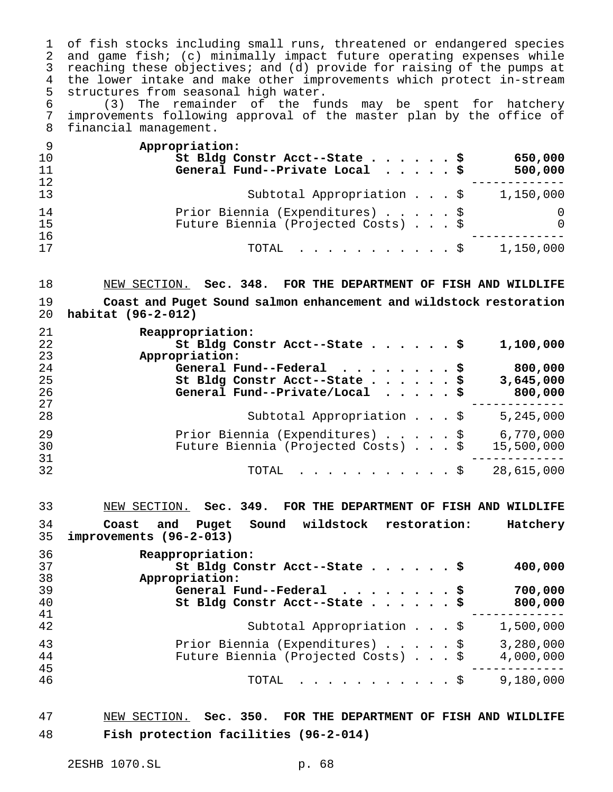of fish stocks including small runs, threatened or endangered species and game fish; (c) minimally impact future operating expenses while reaching these objectives; and (d) provide for raising of the pumps at the lower intake and make other improvements which protect in-stream 5 structures from seasonal high water.<br>6 (3) The remainder of the fu

 (3) The remainder of the funds may be spent for hatchery improvements following approval of the master plan by the office of financial management.

| - 9 | Appropriation:                                              |
|-----|-------------------------------------------------------------|
| 10  | St Bldg Constr Acct--State \$<br>650,000                    |
| 11  | General Fund--Private Local $\cdots$ , $\upbeta$<br>500,000 |
| 12  |                                                             |
| 13  | Subtotal Appropriation \$<br>1,150,000                      |
| 14  | Prior Biennia (Expenditures) \$<br>0                        |
| 15  | Future Biennia (Projected Costs) \$<br>$\Omega$             |
| 16  |                                                             |
| 17  | 1,150,000<br>TOTAL \$                                       |

 NEW SECTION. **Sec. 348. FOR THE DEPARTMENT OF FISH AND WILDLIFE Coast and Puget Sound salmon enhancement and wildstock restoration habitat (96-2-012)**

| 21 | Reappropriation:                                     |  |
|----|------------------------------------------------------|--|
| 22 | St Bldg Constr Acct--State \$<br>1,100,000           |  |
| 23 | Appropriation:                                       |  |
| 24 | General Fund--Federal $\cdots$ , \$<br>800,000       |  |
| 25 | St Bldg Constr Acct--State \$<br>3,645,000           |  |
| 26 | General Fund--Private/Local $\frac{1}{5}$<br>800,000 |  |
| 27 |                                                      |  |
| 28 | Subtotal Appropriation $\ldots$ \$<br>5,245,000      |  |
| 29 | 6,770,000<br>Prior Biennia (Expenditures) \$         |  |
| 30 | Future Biennia (Projected Costs) \$<br>15,500,000    |  |
| 31 |                                                      |  |
| 32 | 28,615,000<br>TOTAL $\ldots$ \$                      |  |

 NEW SECTION. **Sec. 349. FOR THE DEPARTMENT OF FISH AND WILDLIFE Coast and Puget Sound wildstock restoration: Hatchery improvements (96-2-013) Reappropriation:**

| ັບ | 1008PPI 0PI 1001011.                             |  |
|----|--------------------------------------------------|--|
| 37 | St Bldg Constr Acct--State \$<br>400,000         |  |
| 38 | Appropriation:                                   |  |
| 39 | 700,000<br>General Fund--Federal $\cdots$ \$     |  |
| 40 | St Bldg Constr Acct--State \$<br>800,000         |  |
| 41 |                                                  |  |
| 42 | Subtotal Appropriation \$<br>1,500,000           |  |
| 43 | Prior Biennia (Expenditures) \$<br>3,280,000     |  |
| 44 | Future Biennia (Projected Costs) \$<br>4,000,000 |  |
| 45 |                                                  |  |
| 46 | 9,180,000<br>$\text{TOTAL}$ $\S$                 |  |
|    |                                                  |  |

 NEW SECTION. **Sec. 350. FOR THE DEPARTMENT OF FISH AND WILDLIFE Fish protection facilities (96-2-014)**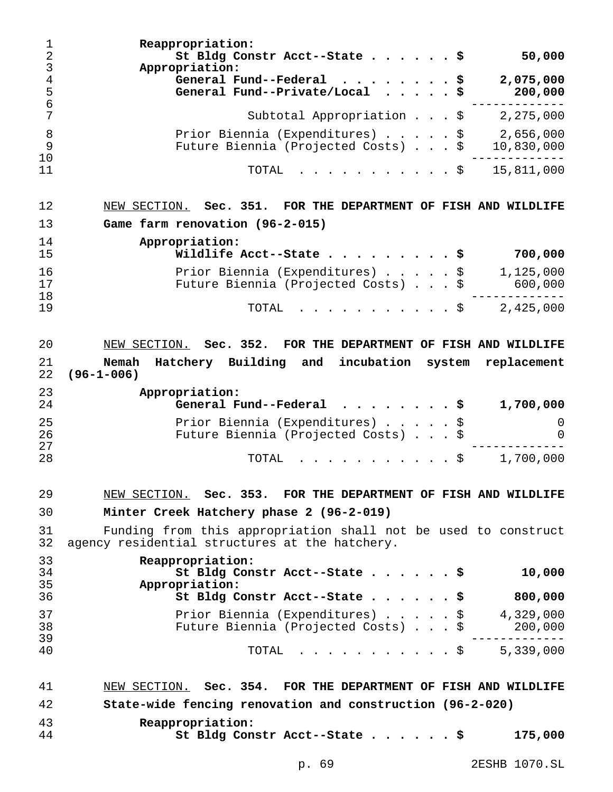**Reappropriation: St Bldg Constr Acct--State......\$ 50,000 Appropriation: General Fund--Federal ........\$ 2,075,000 General Fund--Private/Local .....\$ 200,000** 6<br>
Subtotal Appropriation . . . \$ 2,275,000 Subtotal Appropriation . . . \$ 2,275,000 8 Prior Biennia (Expenditures)......\$ 2,656,000 Future Biennia (Projected Costs)...\$ 10,830,000 ------------- TOTAL ...........\$ 15,811,000 NEW SECTION. **Sec. 351. FOR THE DEPARTMENT OF FISH AND WILDLIFE Game farm renovation (96-2-015) Appropriation: Wildlife Acct--State.........\$ 700,000** Prior Biennia (Expenditures).....\$ 1,125,000 17 Future Biennia (Projected Costs).... \$ ------------- TOTAL ...........\$ 2,425,000 NEW SECTION. **Sec. 352. FOR THE DEPARTMENT OF FISH AND WILDLIFE Nemah Hatchery Building and incubation system replacement (96-1-006) Appropriation: General Fund--Federal ........\$ 1,700,000** Prior Biennia (Expenditures).....\$ 0 Future Biennia (Projected Costs)...\$ 0 ------------- TOTAL ...........\$ 1,700,000 NEW SECTION. **Sec. 353. FOR THE DEPARTMENT OF FISH AND WILDLIFE Minter Creek Hatchery phase 2 (96-2-019)** Funding from this appropriation shall not be used to construct agency residential structures at the hatchery. **Reappropriation: St Bldg Constr Acct--State......\$ 10,000 Appropriation: St Bldg Constr Acct--State......\$ 800,000** Prior Biennia (Expenditures).....\$ 4,329,000 Future Biennia (Projected Costs)...\$ 200,000 ------------- TOTAL ...........\$ 5,339,000 NEW SECTION. **Sec. 354. FOR THE DEPARTMENT OF FISH AND WILDLIFE State-wide fencing renovation and construction (96-2-020) Reappropriation: St Bldg Constr Acct--State......\$ 175,000**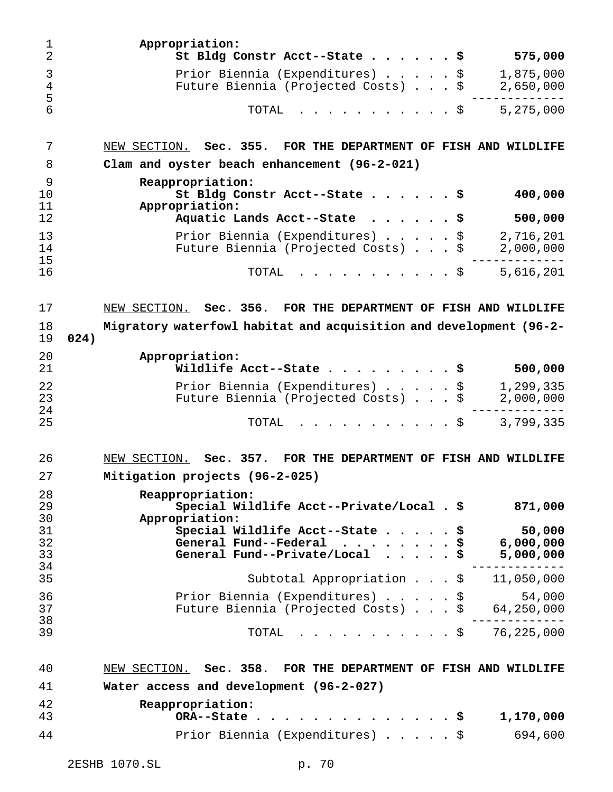| 1<br>$\overline{2}$  | Appropriation:<br>St Bldg Constr Acct--State                                         |                | 575,000                          |
|----------------------|--------------------------------------------------------------------------------------|----------------|----------------------------------|
| 3<br>4               | Prior Biennia (Expenditures)<br>Future Biennia (Projected Costs) \$                  | \$             | 1,875,000<br>2,650,000           |
| 5<br>6               | TOTAL                                                                                | \$             | 5,275,000                        |
| 7                    | NEW SECTION. Sec. 355. FOR THE DEPARTMENT OF FISH AND WILDLIFE                       |                |                                  |
| 8                    | Clam and oyster beach enhancement (96-2-021)                                         |                |                                  |
| 9<br>10<br>11        | Reappropriation:<br>St Bldg Constr Acct--State<br>Appropriation:                     |                | 400,000                          |
| 12                   | Aquatic Lands Acct--State                                                            |                | 500,000                          |
| 13<br>14<br>15       | Prior Biennia (Expenditures)<br>Future Biennia (Projected Costs)                     | \$<br>\$       | 2,716,201<br>2,000,000           |
| 16                   | TOTAL                                                                                | . \$           | 5,616,201                        |
| 17                   | Sec. 356.<br>FOR THE DEPARTMENT OF FISH AND WILDLIFE<br>NEW SECTION.                 |                |                                  |
| 18                   | Migratory waterfowl habitat and acquisition and development (96-2-                   |                |                                  |
| 19                   | 024)                                                                                 |                |                                  |
| 20<br>21             | Appropriation:<br>Wildlife Acct--State                                               | \$             | 500,000                          |
| 22                   | Prior Biennia (Expenditures)                                                         | \$             | 1,299,335                        |
| 23                   | Future Biennia (Projected Costs) \$                                                  |                | 2,000,000                        |
| 24<br>25             | TOTAL                                                                                | . \$           | 3,799,335                        |
| 26                   | Sec. 357. FOR THE DEPARTMENT OF FISH AND WILDLIFE<br>NEW SECTION.                    |                |                                  |
| 27                   | Mitigation projects (96-2-025)                                                       |                |                                  |
| 28<br>29<br>30       | Reappropriation:<br>Special Wildlife Acct--Private/Local . \$<br>Appropriation:      |                | 871,000                          |
| 31<br>32<br>33<br>34 | Special Wildlife Acct--State<br>General Fund--Federal<br>General Fund--Private/Local | \$<br>\$<br>\$ | 50,000<br>6,000,000<br>5,000,000 |
| 35                   | Subtotal Appropriation \$                                                            |                | 11,050,000                       |
| 36<br>37             | Prior Biennia (Expenditures)<br>Future Biennia (Projected Costs) \$                  | \$             | 54,000<br>64,250,000             |
| 38<br>39             | TOTAL                                                                                | . \$           | 76,225,000                       |
| 40                   | NEW SECTION. Sec. 358. FOR THE DEPARTMENT OF FISH AND WILDLIFE                       |                |                                  |
| 41                   | Water access and development (96-2-027)                                              |                |                                  |
| 42<br>43             | Reappropriation:<br>ORA--State                                                       | . s            | 1,170,000                        |
| 44                   | Prior Biennia (Expenditures) \$                                                      |                | 694,600                          |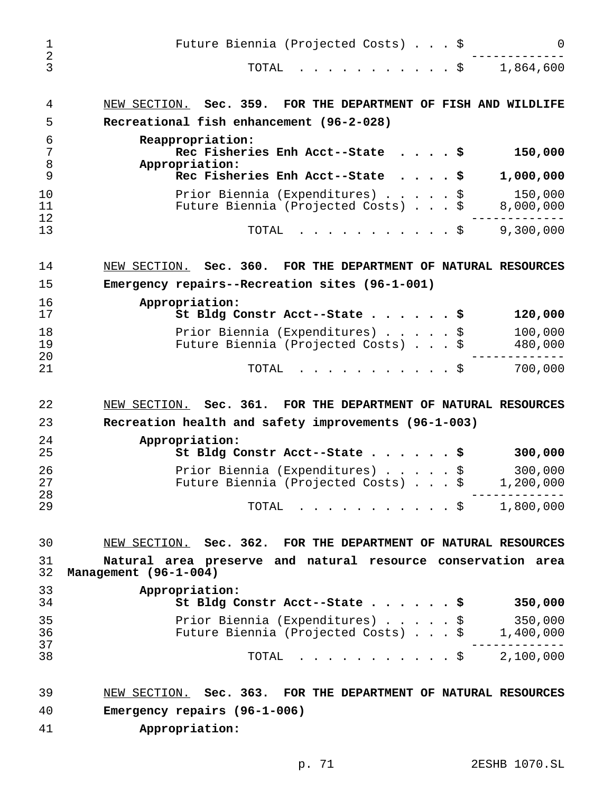| $\mathbf 1$<br>$\sqrt{2}$<br>3 | Future Biennia (Projected Costs) \$<br>$\cdot$ $\cdot$ $\cdot$ $\cdot$ $\cdot$ $\circ$<br>1,864,600<br>TOTAL | $\Omega$ |
|--------------------------------|--------------------------------------------------------------------------------------------------------------|----------|
|                                |                                                                                                              |          |
| 4                              | NEW SECTION. Sec. 359. FOR THE DEPARTMENT OF FISH AND WILDLIFE                                               |          |
| 5                              | Recreational fish enhancement (96-2-028)                                                                     |          |
| 6<br>7<br>8                    | Reappropriation:<br>Rec Fisheries Enh Acct--State<br>150,000<br>. \$<br>Appropriation:                       |          |
| 9<br>10                        | Rec Fisheries Enh Acct--State<br>1,000,000<br>Prior Biennia (Expenditures) \$<br>150,000                     |          |
| 11<br>12                       | Future Biennia (Projected Costs)<br>8,000,000                                                                |          |
| 13                             | 9,300,000<br>TOTAL<br>. \$                                                                                   |          |
| 14                             | NEW SECTION. Sec. 360. FOR THE DEPARTMENT OF NATURAL RESOURCES                                               |          |
| 15                             | Emergency repairs--Recreation sites (96-1-001)                                                               |          |
| 16<br>17                       | Appropriation:<br>St Bldg Constr Acct--State \$<br>120,000                                                   |          |
| 18                             | 100,000<br>Prior Biennia (Expenditures) \$                                                                   |          |
| 19<br>20                       | 480,000<br>Future Biennia (Projected Costs) \$                                                               |          |
| 21                             | 700,000<br>TOTAL<br>. \$                                                                                     |          |
|                                |                                                                                                              |          |
| 22                             | NEW SECTION. Sec. 361. FOR THE DEPARTMENT OF NATURAL RESOURCES                                               |          |
| 23                             | Recreation health and safety improvements (96-1-003)                                                         |          |
| 24<br>25                       | Appropriation:<br>St Bldg Constr Acct--State \$<br>300,000                                                   |          |
| 26                             | 300,000<br>Prior Biennia (Expenditures) \$                                                                   |          |
| 27<br>28                       | Future Biennia (Projected Costs) \$<br>1,200,000                                                             |          |
| 29                             | $\cdot$ \$ 1,800,000<br>TOTAL                                                                                |          |
| 30                             | NEW SECTION. Sec. 362. FOR THE DEPARTMENT OF NATURAL RESOURCES                                               |          |
| 31<br>32                       | Natural area preserve and natural resource conservation area<br>Management (96-1-004)                        |          |
| 33                             | Appropriation:                                                                                               |          |
| 34                             | 350,000<br>St Bldg Constr Acct--State \$                                                                     |          |
| 35<br>36                       | 350,000<br>Prior Biennia (Expenditures) \$<br>Future Biennia (Projected Costs) \$<br>1,400,000               |          |
| 37<br>38                       | $\cdot$ $\cdot$ $\frac{100}{000}$<br>TOTAL                                                                   |          |
| 39                             | NEW SECTION. Sec. 363. FOR THE DEPARTMENT OF NATURAL RESOURCES                                               |          |
| 40                             | Emergency repairs (96-1-006)                                                                                 |          |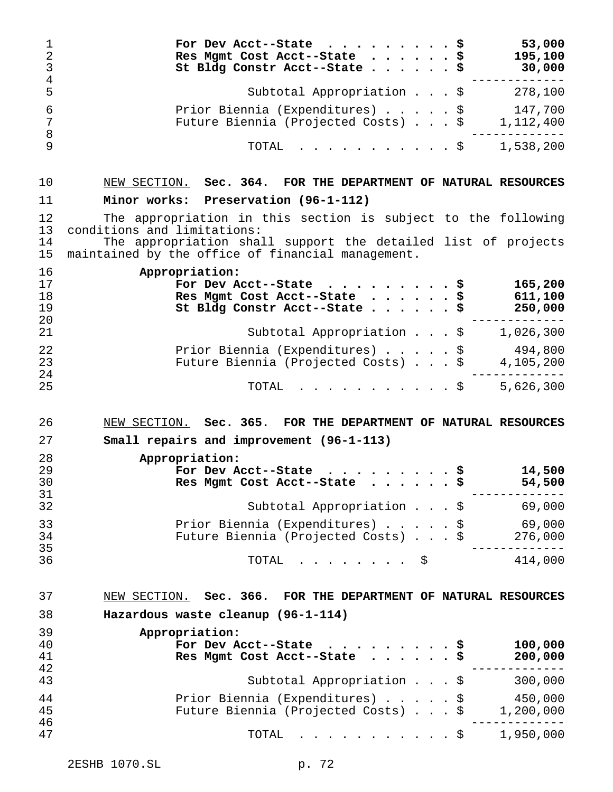| $\mathbf 1$<br>$\sqrt{2}$<br>$\mathsf 3$<br>$\bf 4$ | For Dev Acct--State \$<br>Res Mgmt Cost Acct--State \$<br>St Bldg Constr Acct--State \$                                                                       | 53,000<br>195,100<br>30,000                           |
|-----------------------------------------------------|---------------------------------------------------------------------------------------------------------------------------------------------------------------|-------------------------------------------------------|
| 5                                                   | Subtotal Appropriation $\zeta$ 278,100                                                                                                                        |                                                       |
| $\epsilon$<br>$\overline{7}$<br>$\, 8$              | Prior Biennia (Expenditures) \$ 147,700<br>Future Biennia (Projected Costs) \$ 1,112,400                                                                      |                                                       |
| 9                                                   | TOTAL<br>. \$                                                                                                                                                 | 1,538,200                                             |
| 10                                                  | NEW SECTION. Sec. 364. FOR THE DEPARTMENT OF NATURAL RESOURCES                                                                                                |                                                       |
| 11                                                  | Minor works: Preservation (96-1-112)                                                                                                                          |                                                       |
| 12<br>13<br>14                                      | The appropriation in this section is subject to the following<br>conditions and limitations:<br>The appropriation shall support the detailed list of projects |                                                       |
| 15                                                  | maintained by the office of financial management.                                                                                                             |                                                       |
| 16<br>17<br>18<br>19<br>20                          | Appropriation:<br>For Dev Acct--State \$<br>Res Mgmt Cost Acct--State \$<br>St Bldg Constr Acct--State \$                                                     | 165,200<br>611,100<br>250,000                         |
| 21                                                  | Subtotal Appropriation $\zeta$ 1,026,300                                                                                                                      |                                                       |
| 22<br>23<br>24                                      | Prior Biennia (Expenditures) \$ 494,800<br>Future Biennia (Projected Costs) \$ 4,105,200                                                                      |                                                       |
|                                                     | . \$<br>TOTAL                                                                                                                                                 | 5,626,300                                             |
| 25                                                  |                                                                                                                                                               |                                                       |
| 26                                                  | NEW SECTION. Sec. 365. FOR THE DEPARTMENT OF NATURAL RESOURCES                                                                                                |                                                       |
| 27                                                  | Small repairs and improvement (96-1-113)                                                                                                                      |                                                       |
| 28<br>29<br>30                                      | Appropriation:<br>For Dev Acct--State<br>Res Mgmt Cost Acct--State                                                                                            | 14,500                                                |
| 31<br>32                                            | Subtotal Appropriation \$ 69,000                                                                                                                              | 54,500                                                |
| 33<br>34                                            | Prior Biennia (Expenditures) \$<br>Future Biennia (Projected Costs) \$                                                                                        |                                                       |
| 35<br>36                                            | TOTAL $\ldots$ $\ldots$ $\uparrow$ $\uparrow$                                                                                                                 | 69,000<br>276,000<br>. _ _ _ _ _ _ _ _ _ _<br>414,000 |
| 37                                                  | NEW SECTION. Sec. 366. FOR THE DEPARTMENT OF NATURAL RESOURCES                                                                                                |                                                       |
| 38                                                  | Hazardous waste cleanup (96-1-114)                                                                                                                            |                                                       |
| 39                                                  | Appropriation:                                                                                                                                                |                                                       |
| 40<br>41<br>42                                      | For Dev Acct--State<br>Res Mgmt Cost Acct--State \$                                                                                                           | 100,000<br>200,000<br>. <u>.</u> .                    |
| 43                                                  | Subtotal Appropriation \$ 300,000                                                                                                                             |                                                       |
| 44<br>45<br>46                                      | Prior Biennia (Expenditures) \$ 450,000<br>Future Biennia (Projected Costs) \$ 1,200,000                                                                      |                                                       |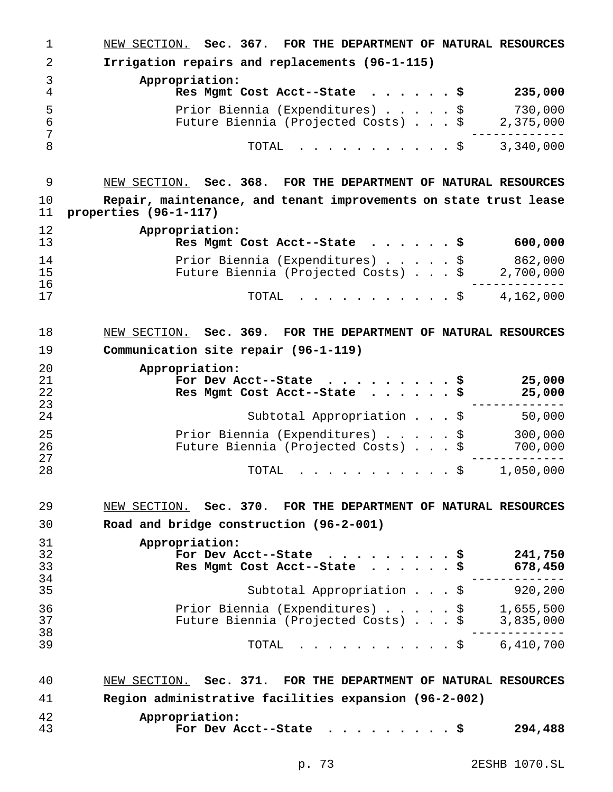NEW SECTION. **Sec. 367. FOR THE DEPARTMENT OF NATURAL RESOURCES Irrigation repairs and replacements (96-1-115) Appropriation: Res Mgmt Cost Acct--State ......\$ 235,000** 5 Prior Biennia (Expenditures) . . . . . \$ 730,000<br>6 Future Biennia (Projected Costs) . . . \$ 2,375,000 Future Biennia (Projected Costs)...\$ 2,375,000 ------------- TOTAL ...........\$ 3,340,000 NEW SECTION. **Sec. 368. FOR THE DEPARTMENT OF NATURAL RESOURCES Repair, maintenance, and tenant improvements on state trust lease properties (96-1-117) Appropriation: Res Mgmt Cost Acct--State ......\$ 600,000** 14 Prior Biennia (Expenditures) . . . . . \$ 862,000<br>15 Future Biennia (Projected Costs) . . . \$ 2,700,000 Future Biennia (Projected Costs)... $\frac{1}{2}$  ------------- TOTAL ...........\$ 4,162,000 NEW SECTION. **Sec. 369. FOR THE DEPARTMENT OF NATURAL RESOURCES Communication site repair (96-1-119) Appropriation: For Dev Acct--State .........\$ 25,000 Res Mgmt Cost Acct--State ......\$ 25,000** ------------- Subtotal Appropriation...\$ 50,000 Prior Biennia (Expenditures).....\$ 300,000 Future Biennia (Projected Costs)...\$ 700,000 ------------- TOTAL ...........\$ 1,050,000 NEW SECTION. **Sec. 370. FOR THE DEPARTMENT OF NATURAL RESOURCES Road and bridge construction (96-2-001) Appropriation: For Dev Acct--State .........\$ 241,750 Res Mgmt Cost Acct--State ......\$ 678,450** ------------- Subtotal Appropriation...\$ 920,200 Prior Biennia (Expenditures).....\$ 1,655,500 37 Future Biennia (Projected Costs)...\$ ------------- TOTAL ...........\$ 6,410,700 NEW SECTION. **Sec. 371. FOR THE DEPARTMENT OF NATURAL RESOURCES Region administrative facilities expansion (96-2-002) Appropriation: For Dev Acct--State .........\$ 294,488**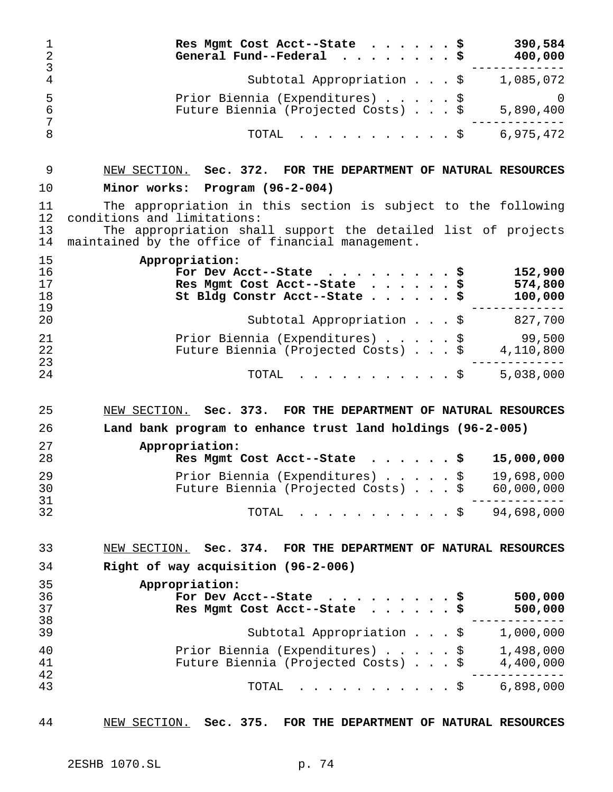| 1<br>$\overline{2}$<br>3   | Res Mgmt Cost Acct--State<br>General Fund--Federal                                                                                                                                                                 | . \$ | 390,584<br>\$<br>400,000                                     |
|----------------------------|--------------------------------------------------------------------------------------------------------------------------------------------------------------------------------------------------------------------|------|--------------------------------------------------------------|
| $\overline{4}$             | Subtotal Appropriation \$                                                                                                                                                                                          |      | 1,085,072                                                    |
| 5<br>$\epsilon$<br>7       | Prior Biennia (Expenditures) \$<br>Future Biennia (Projected Costs) \$                                                                                                                                             |      | $\overline{0}$<br>5,890,400                                  |
| 8                          | TOTAL                                                                                                                                                                                                              |      | 6,975,472<br>$.$ \$                                          |
| 9                          | NEW SECTION. Sec. 372. FOR THE DEPARTMENT OF NATURAL RESOURCES                                                                                                                                                     |      |                                                              |
| 10                         | Minor works: Program (96-2-004)                                                                                                                                                                                    |      |                                                              |
| 11<br>12<br>13<br>14       | The appropriation in this section is subject to the following<br>conditions and limitations:<br>The appropriation shall support the detailed list of projects<br>maintained by the office of financial management. |      |                                                              |
| 15<br>16<br>17<br>18<br>19 | Appropriation:<br>For Dev Acct--State<br>Res Mgmt Cost Acct--State<br>St Bldg Constr Acct--State \$                                                                                                                |      | \$<br>152,900<br>574,800<br>\$<br>100,000<br>- - - - - - - - |
| 20                         | Subtotal Appropriation $\ldots$ \$                                                                                                                                                                                 |      | 827,700                                                      |
| 21<br>22<br>23             | Prior Biennia (Expenditures) \$<br>Future Biennia (Projected Costs) \$                                                                                                                                             |      | 99,500<br>4,110,800                                          |
| 24                         | TOTAL                                                                                                                                                                                                              | . \$ | 5,038,000                                                    |
| 25                         | NEW SECTION. Sec. 373. FOR THE DEPARTMENT OF NATURAL RESOURCES                                                                                                                                                     |      |                                                              |
| 26                         | Land bank program to enhance trust land holdings (96-2-005)                                                                                                                                                        |      |                                                              |
| 27<br>28                   | Appropriation:<br>Res Mgmt Cost Acct--State                                                                                                                                                                        |      | 15,000,000                                                   |
| 29                         | Prior Biennia (Expenditures)                                                                                                                                                                                       |      | 19,698,000<br>\$                                             |
| 30<br>31                   | Future Biennia (Projected Costs) \$                                                                                                                                                                                |      | 60,000,000                                                   |
| 32                         | TOTAL                                                                                                                                                                                                              |      | $. \$$ 94,698,000                                            |
| 33                         | NEW SECTION. Sec. 374. FOR THE DEPARTMENT OF NATURAL RESOURCES                                                                                                                                                     |      |                                                              |
| 34                         | Right of way acquisition (96-2-006)                                                                                                                                                                                |      |                                                              |
| 35<br>36<br>37<br>38       | Appropriation:<br>For Dev Acct--State<br>Res Mgmt Cost Acct--State                                                                                                                                                 |      | 500,000<br>500,000                                           |
| 39                         | Subtotal Appropriation \$                                                                                                                                                                                          |      | 1,000,000                                                    |
| 40<br>41<br>42             | Prior Biennia (Expenditures) \$<br>Future Biennia (Projected Costs) \$                                                                                                                                             |      | 1,498,000<br>4,400,000                                       |
| 43                         | . \$<br>TOTAL                                                                                                                                                                                                      |      | 6,898,000                                                    |

NEW SECTION. **Sec. 375. FOR THE DEPARTMENT OF NATURAL RESOURCES**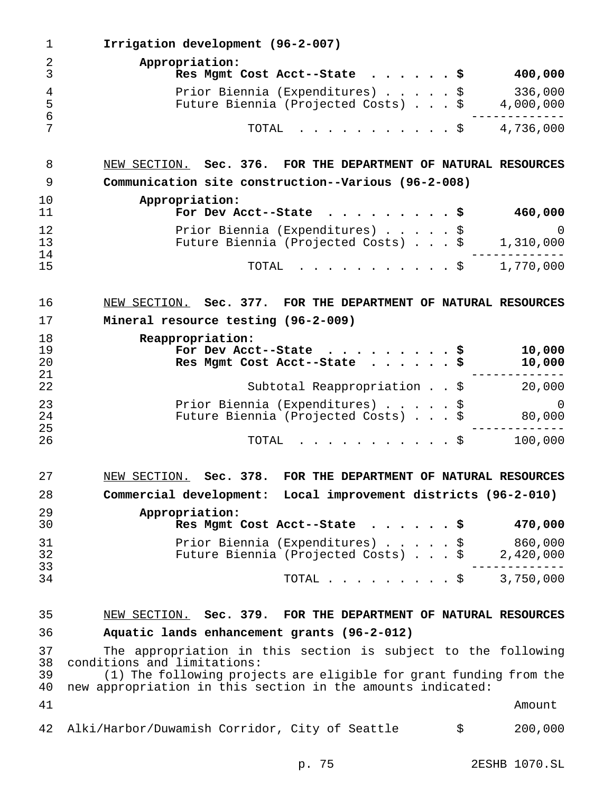| 1                    | Irrigation development (96-2-007)                                                                                                 |
|----------------------|-----------------------------------------------------------------------------------------------------------------------------------|
| 2<br>3               | Appropriation:<br>400,000<br>Res Mgmt Cost Acct--State $\frac{1}{2}$                                                              |
| 4<br>5<br>6          | 336,000<br>Prior Biennia (Expenditures) \$<br>Future Biennia (Projected Costs) \$<br>4,000,000                                    |
| 7                    | TOTAL<br>4,736,000<br>. \$                                                                                                        |
| 8                    | NEW SECTION. Sec. 376. FOR THE DEPARTMENT OF NATURAL RESOURCES                                                                    |
| 9                    | Communication site construction--Various (96-2-008)                                                                               |
| 10<br>11             | Appropriation:<br>For Dev Acct--State<br>460,000<br>. s                                                                           |
| 12<br>13             | Prior Biennia (Expenditures) \$<br>0<br>Future Biennia (Projected Costs) \$<br>1,310,000                                          |
| 14<br>15             | 1,770,000<br>. \$<br>TOTAL                                                                                                        |
| 16                   | NEW SECTION. Sec. 377. FOR THE DEPARTMENT OF NATURAL RESOURCES                                                                    |
| 17                   | Mineral resource testing (96-2-009)                                                                                               |
| 18<br>19<br>20<br>21 | Reappropriation:<br>10,000<br>For Dev Acct--State<br>୍β<br>10,000<br>Res Mgmt Cost Acct--State                                    |
| 22                   | Subtotal Reappropriation \$<br>20,000                                                                                             |
| 23<br>24<br>25       | Prior Biennia (Expenditures) \$<br>$\left( \right)$<br>Future Biennia (Projected Costs) \$<br>80,000                              |
| 26                   | 100,000<br>TOTAL<br>.<br>. \$                                                                                                     |
| 27                   | NEW SECTION. Sec. 378. FOR THE DEPARTMENT OF NATURAL RESOURCES                                                                    |
| 28                   | Commercial development: Local improvement districts (96-2-010)                                                                    |
| 29<br>30             | Appropriation:<br>470,000<br>Res Mgmt Cost Acct--State $\frac{1}{2}$                                                              |
| 31<br>32<br>33       | 860,000<br>Prior Biennia (Expenditures) \$<br>Future Biennia (Projected Costs) \$<br>2,420,000                                    |
| 34                   | TOTAL \$ 3,750,000                                                                                                                |
| 35                   | NEW SECTION. Sec. 379. FOR THE DEPARTMENT OF NATURAL RESOURCES                                                                    |
| 36                   | Aquatic lands enhancement grants (96-2-012)                                                                                       |
| 37<br>38             | The appropriation in this section is subject to the following<br>conditions and limitations:                                      |
| 39<br>40             | (1) The following projects are eligible for grant funding from the<br>new appropriation in this section in the amounts indicated: |
| 41                   | Amount                                                                                                                            |
| 42                   | Alki/Harbor/Duwamish Corridor, City of Seattle<br>200,000<br>\$                                                                   |

p. 75 2ESHB 1070.SL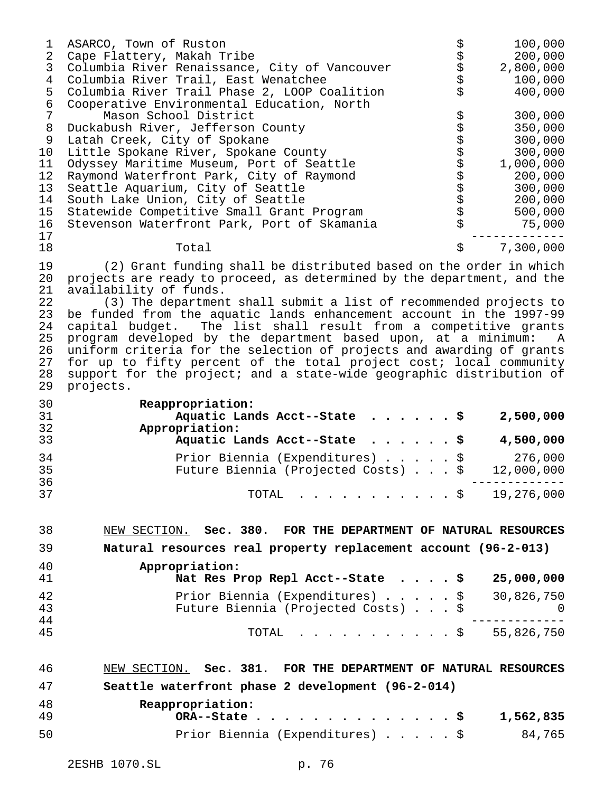| 1<br>$\overline{2}$<br>3<br>$\overline{4}$<br>5<br>$\epsilon$<br>$\overline{7}$<br>8<br>9<br>10<br>11<br>12<br>13<br>14<br>15 | ASARCO, Town of Ruston<br>Cape Flattery, Makah Tribe<br>Columbia River Renaissance, City of Vancouver<br>Columbia River Trail, East Wenatchee<br>Columbia River Trail Phase 2, LOOP Coalition<br>Cooperative Environmental Education, North<br>Mason School District<br>Duckabush River, Jefferson County<br>Latah Creek, City of Spokane<br>Little Spokane River, Spokane County<br>Odyssey Maritime Museum, Port of Seattle<br>Raymond Waterfront Park, City of Raymond<br>Seattle Aquarium, City of Seattle<br>South Lake Union, City of Seattle<br>Statewide Competitive Small Grant Program                                                                                            | \$\$\$\$\$\$\$<br><u>ሪን ላን ላን ላን ላን ላን ላን ላን ላን ላን </u> | 100,000<br>200,000<br>2,800,000<br>100,000<br>400,000<br>300,000<br>350,000<br>300,000<br>300,000<br>1,000,000<br>200,000<br>300,000<br>200,000<br>500,000 |
|-------------------------------------------------------------------------------------------------------------------------------|---------------------------------------------------------------------------------------------------------------------------------------------------------------------------------------------------------------------------------------------------------------------------------------------------------------------------------------------------------------------------------------------------------------------------------------------------------------------------------------------------------------------------------------------------------------------------------------------------------------------------------------------------------------------------------------------|---------------------------------------------------------|------------------------------------------------------------------------------------------------------------------------------------------------------------|
| 16<br>17                                                                                                                      | Stevenson Waterfront Park, Port of Skamania                                                                                                                                                                                                                                                                                                                                                                                                                                                                                                                                                                                                                                                 |                                                         | 75,000                                                                                                                                                     |
| 18                                                                                                                            | Total                                                                                                                                                                                                                                                                                                                                                                                                                                                                                                                                                                                                                                                                                       | \$                                                      | 7,300,000                                                                                                                                                  |
| 19<br>20<br>21<br>22<br>23<br>24<br>25<br>26<br>27<br>28<br>29                                                                | (2) Grant funding shall be distributed based on the order in which<br>projects are ready to proceed, as determined by the department, and the<br>availability of funds.<br>(3) The department shall submit a list of recommended projects to<br>be funded from the aquatic lands enhancement account in the 1997-99<br>capital budget. The list shall result from a competitive grants<br>program developed by the department based upon, at a minimum:<br>uniform criteria for the selection of projects and awarding of grants<br>for up to fifty percent of the total project cost; local community<br>support for the project; and a state-wide geographic distribution of<br>projects. |                                                         | $\mathbb A$                                                                                                                                                |
| 30<br>31<br>32                                                                                                                | Reappropriation:<br>Aquatic Lands Acct--State<br>Appropriation:                                                                                                                                                                                                                                                                                                                                                                                                                                                                                                                                                                                                                             |                                                         | 2,500,000                                                                                                                                                  |
| 33<br>34                                                                                                                      | Aquatic Lands Acct--State                                                                                                                                                                                                                                                                                                                                                                                                                                                                                                                                                                                                                                                                   |                                                         | 4,500,000<br>276,000                                                                                                                                       |
| 35<br>36                                                                                                                      | Prior Biennia (Expenditures) \$<br>Future Biennia (Projected Costs) \$                                                                                                                                                                                                                                                                                                                                                                                                                                                                                                                                                                                                                      |                                                         | 12,000,000                                                                                                                                                 |
| 37                                                                                                                            | TOTAL $\ldots$ \$                                                                                                                                                                                                                                                                                                                                                                                                                                                                                                                                                                                                                                                                           |                                                         | 19,276,000                                                                                                                                                 |
| 38                                                                                                                            | NEW SECTION. Sec. 380. FOR THE DEPARTMENT OF NATURAL RESOURCES                                                                                                                                                                                                                                                                                                                                                                                                                                                                                                                                                                                                                              |                                                         |                                                                                                                                                            |
| 39                                                                                                                            | Natural resources real property replacement account (96-2-013)                                                                                                                                                                                                                                                                                                                                                                                                                                                                                                                                                                                                                              |                                                         |                                                                                                                                                            |
| 40<br>41                                                                                                                      | Appropriation:<br>Nat Res Prop Repl Acct--State $\ldots$ , \$                                                                                                                                                                                                                                                                                                                                                                                                                                                                                                                                                                                                                               |                                                         | 25,000,000                                                                                                                                                 |
| 42<br>43<br>44                                                                                                                | Prior Biennia (Expenditures)<br>Future Biennia (Projected Costs) \$                                                                                                                                                                                                                                                                                                                                                                                                                                                                                                                                                                                                                         | \$                                                      | 30,826,750<br>0                                                                                                                                            |
| 45                                                                                                                            | TOTAL<br>. <b>.</b> \$                                                                                                                                                                                                                                                                                                                                                                                                                                                                                                                                                                                                                                                                      |                                                         | 55,826,750                                                                                                                                                 |
| 46                                                                                                                            | NEW SECTION. Sec. 381. FOR THE DEPARTMENT OF NATURAL RESOURCES                                                                                                                                                                                                                                                                                                                                                                                                                                                                                                                                                                                                                              |                                                         |                                                                                                                                                            |
| 47                                                                                                                            | Seattle waterfront phase 2 development (96-2-014)                                                                                                                                                                                                                                                                                                                                                                                                                                                                                                                                                                                                                                           |                                                         |                                                                                                                                                            |
| 48<br>49                                                                                                                      | Reappropriation:<br>$ORA--State$                                                                                                                                                                                                                                                                                                                                                                                                                                                                                                                                                                                                                                                            |                                                         | 1,562,835                                                                                                                                                  |
| 50                                                                                                                            | Prior Biennia (Expenditures) \$                                                                                                                                                                                                                                                                                                                                                                                                                                                                                                                                                                                                                                                             |                                                         | 84,765                                                                                                                                                     |
|                                                                                                                               |                                                                                                                                                                                                                                                                                                                                                                                                                                                                                                                                                                                                                                                                                             |                                                         |                                                                                                                                                            |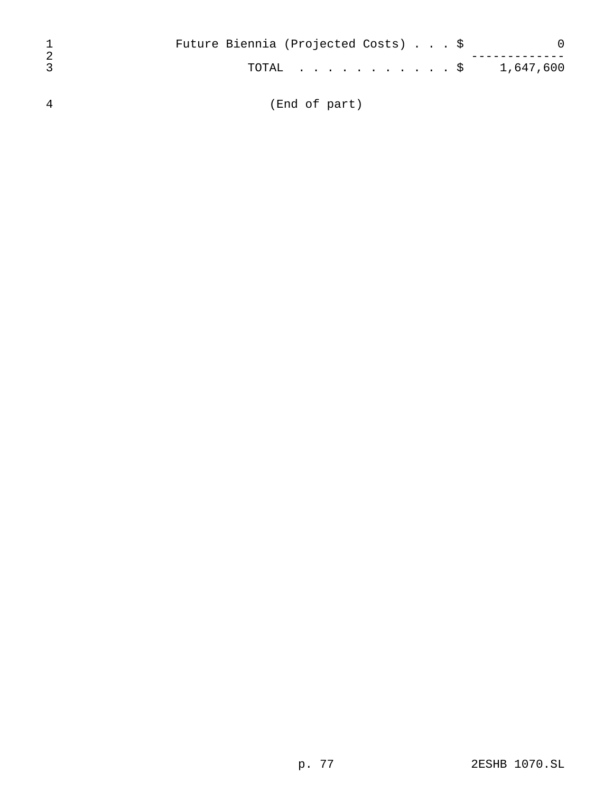|    | Future Biennia (Projected Costs) \$ |  |
|----|-------------------------------------|--|
| -2 | $\text{TOTAL}$ \$ 1,647,600         |  |
| 4  | (End of part)                       |  |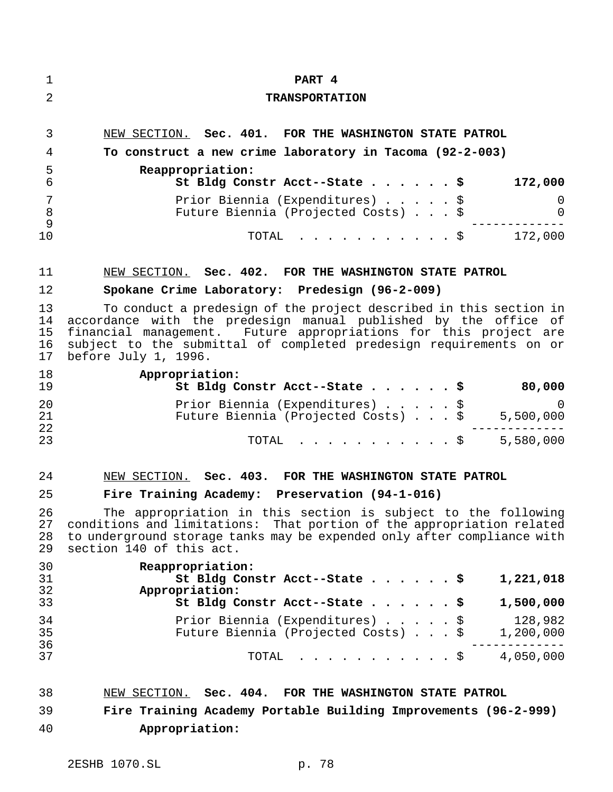| 1                          | PART 4                                                                                                                                                                                                                                                                                                  |
|----------------------------|---------------------------------------------------------------------------------------------------------------------------------------------------------------------------------------------------------------------------------------------------------------------------------------------------------|
| $\overline{2}$             | <b>TRANSPORTATION</b>                                                                                                                                                                                                                                                                                   |
| 3                          | NEW SECTION. Sec. 401. FOR THE WASHINGTON STATE PATROL                                                                                                                                                                                                                                                  |
| 4                          | To construct a new crime laboratory in Tacoma (92-2-003)                                                                                                                                                                                                                                                |
| 5<br>6                     | Reappropriation:<br>St Bldg Constr Acct--State \$<br>172,000                                                                                                                                                                                                                                            |
| 7<br>8                     | Prior Biennia (Expenditures) \$<br>0<br>Future Biennia (Projected Costs) \$<br>$\mathbf 0$                                                                                                                                                                                                              |
| 9<br>10                    | TOTAL \$ 172,000                                                                                                                                                                                                                                                                                        |
| 11                         | NEW SECTION. Sec. 402. FOR THE WASHINGTON STATE PATROL                                                                                                                                                                                                                                                  |
| 12                         | Spokane Crime Laboratory: Predesign (96-2-009)                                                                                                                                                                                                                                                          |
| 13<br>14<br>15<br>16<br>17 | To conduct a predesign of the project described in this section in<br>accordance with the predesign manual published by the office of<br>financial management. Future appropriations for this project are<br>subject to the submittal of completed predesign requirements on or<br>before July 1, 1996. |
| 18<br>19                   | Appropriation:<br>St Bldg Constr Acct--State \$<br>80,000                                                                                                                                                                                                                                               |
| 20<br>21<br>22             | Prior Biennia (Expenditures) \$<br>$\Omega$<br>Future Biennia (Projected Costs) \$<br>5,500,000                                                                                                                                                                                                         |
| 23                         | . \$<br>5,580,000<br>TOTAL                                                                                                                                                                                                                                                                              |
| 24                         | NEW SECTION. Sec. 403. FOR THE WASHINGTON STATE PATROL                                                                                                                                                                                                                                                  |
| 25                         | Fire Training Academy: Preservation (94-1-016)                                                                                                                                                                                                                                                          |
| 26<br>27<br>28<br>29       | The appropriation in this section is subject to the following<br>conditions and limitations: That portion of the appropriation related<br>to underground storage tanks may be expended only after compliance with<br>section 140 of this act.                                                           |
| 30<br>31<br>32             | Reappropriation:<br>1,221,018<br>St Bldg Constr Acct--State \$<br>Appropriation:                                                                                                                                                                                                                        |
| 33                         | 1,500,000<br>St Bldg Constr Acct--State \$                                                                                                                                                                                                                                                              |
| 34<br>35<br>36             | 128,982<br>Prior Biennia (Expenditures) \$<br>Future Biennia (Projected Costs) \$<br>1,200,000                                                                                                                                                                                                          |
| 37                         | 4,050,000<br>TOTAL<br>. \$                                                                                                                                                                                                                                                                              |
| 38                         | NEW SECTION. Sec. 404. FOR THE WASHINGTON STATE PATROL                                                                                                                                                                                                                                                  |
| 39                         | Fire Training Academy Portable Building Improvements (96-2-999)                                                                                                                                                                                                                                         |
| 40                         | Appropriation:                                                                                                                                                                                                                                                                                          |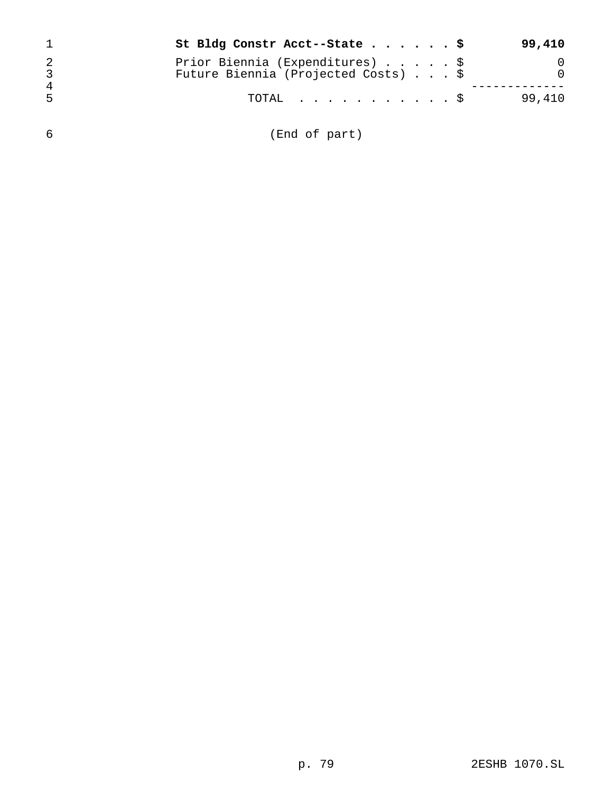|   | St Bldg Constr Acct--State \$                                          |  |  | 99,410 |
|---|------------------------------------------------------------------------|--|--|--------|
| 4 | Prior Biennia (Expenditures) \$<br>Future Biennia (Projected Costs) \$ |  |  |        |
| 5 | TOTAL Ş                                                                |  |  | 99,410 |

(End of part)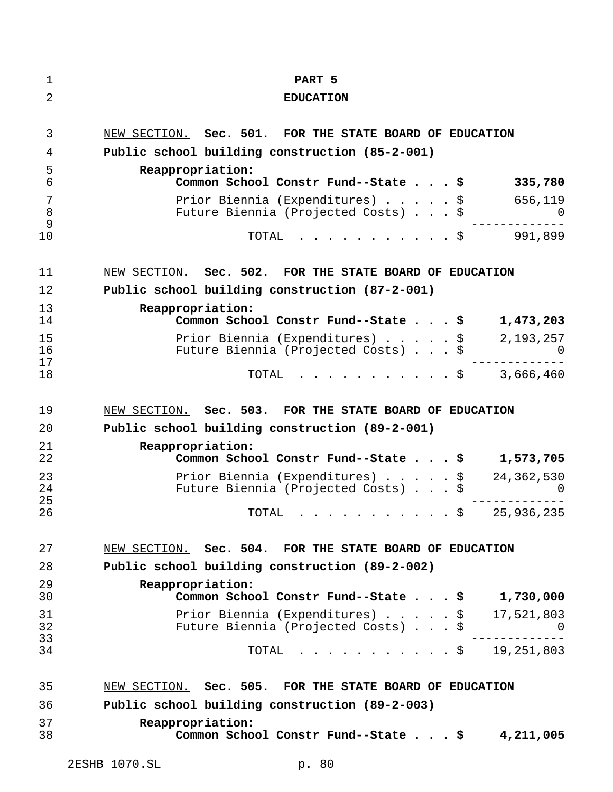| 1              | PART <sub>5</sub>                                                      |                        |
|----------------|------------------------------------------------------------------------|------------------------|
| 2              | <b>EDUCATION</b>                                                       |                        |
|                |                                                                        |                        |
| 3              | NEW SECTION. Sec. 501. FOR THE STATE BOARD OF EDUCATION                |                        |
| 4              | Public school building construction (85-2-001)                         |                        |
| 5<br>6         | Reappropriation:<br>Common School Constr Fund--State \$                | 335,780                |
| 7<br>8         | Prior Biennia (Expenditures) \$<br>Future Biennia (Projected Costs) \$ | 656,119<br>$\Omega$    |
| 9<br>10        | TOTAL<br>. \$                                                          | 991,899                |
| 11             | NEW SECTION. Sec. 502. FOR THE STATE BOARD OF EDUCATION                |                        |
| 12             | Public school building construction (87-2-001)                         |                        |
| 13<br>14       | Reappropriation:<br>Common School Constr Fund--State \$                | 1,473,203              |
| 15<br>16       | Prior Biennia (Expenditures) \$<br>Future Biennia (Projected Costs) \$ | 2,193,257              |
| 17<br>18       | TOTAL<br>. \$                                                          | 3,666,460              |
| 19             | NEW SECTION. Sec. 503. FOR THE STATE BOARD OF EDUCATION                |                        |
| 20             | Public school building construction (89-2-001)                         |                        |
| 21<br>22       | Reappropriation:<br>Common School Constr Fund--State \$                | 1,573,705              |
| 23<br>24<br>25 | Prior Biennia (Expenditures) \$<br>Future Biennia (Projected Costs) \$ | 24,362,530<br>$\Omega$ |
| 26             | TOTAL<br>. \$                                                          | 25,936,235             |
| 27             | NEW SECTION. Sec. 504. FOR THE STATE BOARD OF EDUCATION                |                        |
| 28             | Public school building construction (89-2-002)                         |                        |
| 29<br>30       | Reappropriation:<br>Common School Constr Fund--State \$                | 1,730,000              |
| 31<br>32<br>33 | Prior Biennia (Expenditures) \$<br>Future Biennia (Projected Costs) \$ | 17,521,803<br>U        |
| 34             | . \$ 19,251,803<br>TOTAL                                               |                        |
| 35             | NEW SECTION. Sec. 505. FOR THE STATE BOARD OF EDUCATION                |                        |
| 36             | Public school building construction (89-2-003)                         |                        |
| 37<br>38       | Reappropriation:<br>Common School Constr Fund--State \$ 4,211,005      |                        |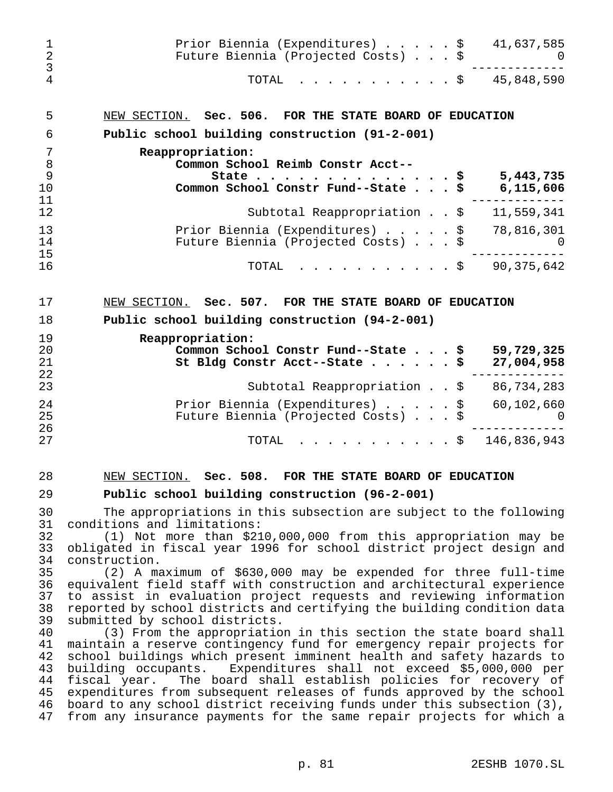| 1<br>$\overline{c}$<br>$\mathfrak{Z}$        | Prior Biennia (Expenditures) $\ldots$ , $\frac{1}{2}$ 41,637,585<br>Future Biennia (Projected Costs) \$                                                                                                                                                                                                                                                                                                                                                                                                                                                                                  |
|----------------------------------------------|------------------------------------------------------------------------------------------------------------------------------------------------------------------------------------------------------------------------------------------------------------------------------------------------------------------------------------------------------------------------------------------------------------------------------------------------------------------------------------------------------------------------------------------------------------------------------------------|
| 4                                            | $\cdot \cdot \cdot \cdot \cdot \cdot \cdot \cdot \cdot \cdot \cdot \cdot \cdot \cdot$ \$45,848,590<br>TOTAL                                                                                                                                                                                                                                                                                                                                                                                                                                                                              |
| 5                                            | NEW SECTION. Sec. 506. FOR THE STATE BOARD OF EDUCATION                                                                                                                                                                                                                                                                                                                                                                                                                                                                                                                                  |
| 6                                            | Public school building construction (91-2-001)                                                                                                                                                                                                                                                                                                                                                                                                                                                                                                                                           |
| 7<br>8<br>9                                  | Reappropriation:<br>Common School Reimb Constr Acct--<br>State<br>5,443,735<br>- \$                                                                                                                                                                                                                                                                                                                                                                                                                                                                                                      |
| 10<br>11                                     | Common School Constr Fund--State \$<br>6,115,606                                                                                                                                                                                                                                                                                                                                                                                                                                                                                                                                         |
| 12                                           | Subtotal Reappropriation \$ 11,559,341                                                                                                                                                                                                                                                                                                                                                                                                                                                                                                                                                   |
| 13<br>14<br>15                               | Prior Biennia (Expenditures) $\ldots$ , $\frac{1}{5}$ 78,816,301<br>Future Biennia (Projected Costs) \$                                                                                                                                                                                                                                                                                                                                                                                                                                                                                  |
| 16                                           | $\cdot$ \$ 90,375,642<br>TOTAL                                                                                                                                                                                                                                                                                                                                                                                                                                                                                                                                                           |
| 17                                           | NEW SECTION. Sec. 507. FOR THE STATE BOARD OF EDUCATION                                                                                                                                                                                                                                                                                                                                                                                                                                                                                                                                  |
| 18                                           | Public school building construction (94-2-001)                                                                                                                                                                                                                                                                                                                                                                                                                                                                                                                                           |
| 19<br>20<br>21<br>22                         | Reappropriation:<br>Common School Constr Fund--State \$<br>59,729,325<br>27,004,958<br>St Bldg Constr Acct--State $\ldots$ \$                                                                                                                                                                                                                                                                                                                                                                                                                                                            |
| 23                                           | Subtotal Reappropriation \$ 86,734,283                                                                                                                                                                                                                                                                                                                                                                                                                                                                                                                                                   |
| 24<br>25                                     | Prior Biennia (Expenditures) \$<br>60,102,660<br>Future Biennia (Projected Costs) \$<br>$\Omega$                                                                                                                                                                                                                                                                                                                                                                                                                                                                                         |
| 26<br>27                                     | . \$<br>146,836,943<br>TOTAL                                                                                                                                                                                                                                                                                                                                                                                                                                                                                                                                                             |
| 28                                           | NEW SECTION. Sec. 508. FOR THE STATE BOARD OF EDUCATION                                                                                                                                                                                                                                                                                                                                                                                                                                                                                                                                  |
| 29                                           | Public school building construction (96-2-001)                                                                                                                                                                                                                                                                                                                                                                                                                                                                                                                                           |
| 30<br>31                                     | The appropriations in this subsection are subject to the following<br>conditions and limitations:                                                                                                                                                                                                                                                                                                                                                                                                                                                                                        |
| 32<br>33<br>34                               | (1) Not more than \$210,000,000 from this appropriation may be<br>obligated in fiscal year 1996 for school district project design and<br>construction.                                                                                                                                                                                                                                                                                                                                                                                                                                  |
| 35<br>36<br>37<br>38<br>39                   | (2) A maximum of \$630,000 may be expended for three full-time<br>equivalent field staff with construction and architectural experience<br>to assist in evaluation project requests and reviewing information<br>reported by school districts and certifying the building condition data<br>submitted by school districts.                                                                                                                                                                                                                                                               |
| 40<br>41<br>42<br>43<br>44<br>45<br>46<br>47 | (3) From the appropriation in this section the state board shall<br>maintain a reserve contingency fund for emergency repair projects for<br>school buildings which present imminent health and safety hazards to<br>building occupants. Expenditures shall not exceed \$5,000,000 per<br>The board shall establish policies for recovery of<br>fiscal year.<br>expenditures from subsequent releases of funds approved by the school<br>board to any school district receiving funds under this subsection (3),<br>from any insurance payments for the same repair projects for which a |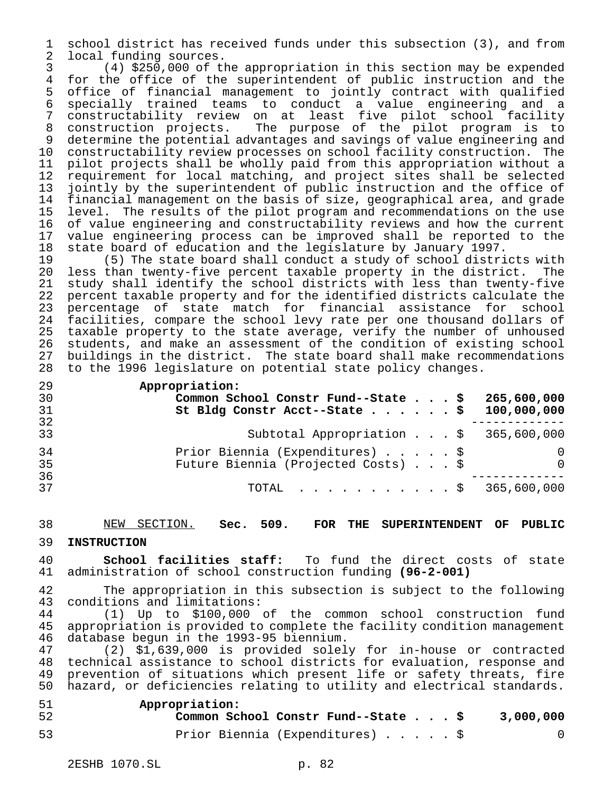school district has received funds under this subsection (3), and from local funding sources.

 (4) \$250,000 of the appropriation in this section may be expended for the office of the superintendent of public instruction and the office of financial management to jointly contract with qualified specially trained teams to conduct a value engineering and a constructability review on at least five pilot school facility construction projects. The purpose of the pilot program is to determine the potential advantages and savings of value engineering and constructability review processes on school facility construction. The 11 pilot projects shall be wholly paid from this appropriation without a<br>12 requirement for local matching, and project sites shall be selected requirement for local matching, and project sites shall be selected jointly by the superintendent of public instruction and the office of financial management on the basis of size, geographical area, and grade level. The results of the pilot program and recommendations on the use 16 of value engineering and constructability reviews and how the current<br>17 value engineering process can be improved shall be reported to the value engineering process can be improved shall be reported to the state board of education and the legislature by January 1997.

 (5) The state board shall conduct a study of school districts with less than twenty-five percent taxable property in the district. The 21 study shall identify the school districts with less than twenty-five<br>22 percent taxable property and for the identified districts calculate the 22 percent taxable property and for the identified districts calculate the<br>23 percentage of state match for financial assistance for school percentage of state match for financial assistance for school facilities, compare the school levy rate per one thousand dollars of taxable property to the state average, verify the number of unhoused students, and make an assessment of the condition of existing school buildings in the district. The state board shall make recommendations to the 1996 legislature on potential state policy changes.

**Appropriation:**

| 30<br>31<br>32 | Common School Constr Fund--State \$<br>St Bldg Constr Acct--State \$ | 265,600,000<br>100,000,000 |
|----------------|----------------------------------------------------------------------|----------------------------|
|                |                                                                      |                            |
| 33             | Subtotal Appropriation $\sharp$ 365,600,000                          |                            |
| 34             | Prior Biennia (Expenditures) \$                                      |                            |
| 35             | Future Biennia (Projected Costs) \$                                  | $\overline{0}$             |
| 36             |                                                                      |                            |
| 37             | TOTAL $\ldots$ , $\ldots$ , $\ldots$ , $\frac{1}{2}$ 365,600,000     |                            |

#### NEW SECTION. **Sec. 509. FOR THE SUPERINTENDENT OF PUBLIC**

#### **INSTRUCTION**

 **School facilities staff:** To fund the direct costs of state administration of school construction funding **(96-2-001)**

 The appropriation in this subsection is subject to the following conditions and limitations:

 (1) Up to \$100,000 of the common school construction fund 45 appropriation is provided to complete the facility condition management<br>46 database bequn in the 1993-95 biennium. 46 database begun in the 1993-95 biennium.<br>47 (2) \$1,639,000 is provided solel

 (2) \$1,639,000 is provided solely for in-house or contracted technical assistance to school districts for evaluation, response and prevention of situations which present life or safety threats, fire hazard, or deficiencies relating to utility and electrical standards.

| 51 | Appropriation:                      |           |
|----|-------------------------------------|-----------|
| 52 | Common School Constr Fund--State \$ | 3,000,000 |
| 53 | Prior Biennia (Expenditures) \$     |           |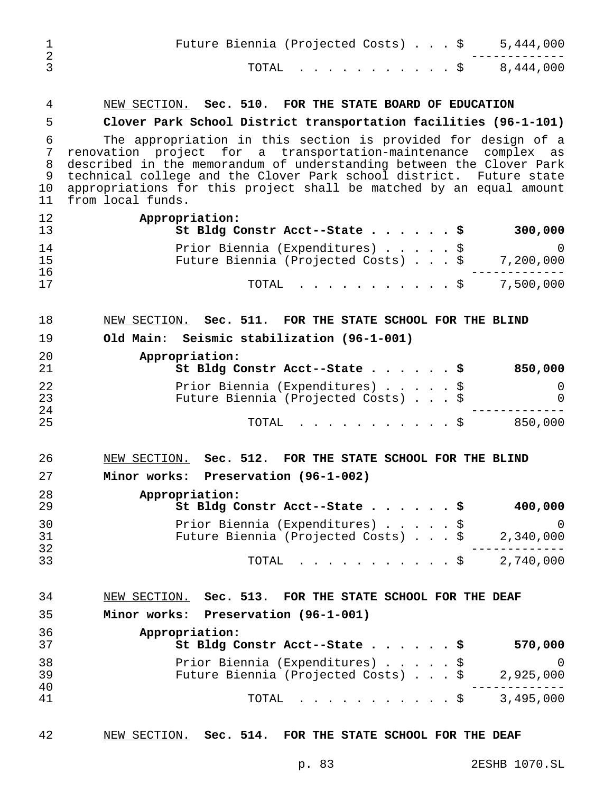| $\mathbf 1$<br>$\overline{2}$ | Future Biennia (Projected Costs) $\ldots$ \$ 5,444,000                                                                                                                                                                                                                                                                                                                     |
|-------------------------------|----------------------------------------------------------------------------------------------------------------------------------------------------------------------------------------------------------------------------------------------------------------------------------------------------------------------------------------------------------------------------|
| $\overline{3}$                | . \$ 8,444,000<br>TOTAL                                                                                                                                                                                                                                                                                                                                                    |
| 4                             | NEW SECTION. Sec. 510. FOR THE STATE BOARD OF EDUCATION                                                                                                                                                                                                                                                                                                                    |
| 5                             | Clover Park School District transportation facilities (96-1-101)                                                                                                                                                                                                                                                                                                           |
| 6<br>7<br>8<br>9<br>10<br>11  | The appropriation in this section is provided for design of a<br>renovation project for a transportation-maintenance complex as<br>described in the memorandum of understanding between the Clover Park<br>technical college and the Clover Park school district. Future state<br>appropriations for this project shall be matched by an equal amount<br>from local funds. |
| 12<br>13                      | Appropriation:<br>St Bldg Constr Acct--State \$<br>300,000                                                                                                                                                                                                                                                                                                                 |
| 14<br>15<br>16                | Prior Biennia (Expenditures) \$<br>0<br>Future Biennia (Projected Costs) \$<br>7,200,000                                                                                                                                                                                                                                                                                   |
| 17                            | 7,500,000<br>. \$<br>TOTAL                                                                                                                                                                                                                                                                                                                                                 |
| 18                            | NEW SECTION. Sec. 511. FOR THE STATE SCHOOL FOR THE BLIND                                                                                                                                                                                                                                                                                                                  |
| 19                            | Old Main: Seismic stabilization (96-1-001)                                                                                                                                                                                                                                                                                                                                 |
| 20<br>21                      | Appropriation:<br>850,000<br>St Bldg Constr Acct--State \$                                                                                                                                                                                                                                                                                                                 |
| 22<br>23                      | Prior Biennia (Expenditures) \$<br>0<br>Future Biennia (Projected Costs) \$<br>0                                                                                                                                                                                                                                                                                           |
| 24<br>25                      | . \$<br>850,000<br>TOTAL                                                                                                                                                                                                                                                                                                                                                   |
| 26                            | NEW SECTION. Sec. 512. FOR THE STATE SCHOOL FOR THE BLIND                                                                                                                                                                                                                                                                                                                  |
| 27                            | Minor works: Preservation (96-1-002)                                                                                                                                                                                                                                                                                                                                       |
| 28<br>29                      | Appropriation:<br>St Bldg Constr Acct--State \$<br>400,000                                                                                                                                                                                                                                                                                                                 |
| 30<br>31<br>32                | Prior Biennia (Expenditures) \$<br>0<br>Future Biennia (Projected Costs) \$<br>2,340,000                                                                                                                                                                                                                                                                                   |
| 33                            | $\cdot$ \$ 2,740,000<br>TOTAL                                                                                                                                                                                                                                                                                                                                              |
| 34                            | NEW SECTION. Sec. 513. FOR THE STATE SCHOOL FOR THE DEAF                                                                                                                                                                                                                                                                                                                   |
| 35                            | Minor works: Preservation (96-1-001)                                                                                                                                                                                                                                                                                                                                       |
| 36<br>37                      | Appropriation:<br>St Bldg Constr Acct--State \$<br>570,000                                                                                                                                                                                                                                                                                                                 |
| 38                            | Prior Biennia (Expenditures) \$<br>$\Omega$                                                                                                                                                                                                                                                                                                                                |
| 39                            | 2,925,000<br>Future Biennia (Projected Costs) \$                                                                                                                                                                                                                                                                                                                           |
| 40<br>41                      | $\cdot$ \$ 3,495,000<br>TOTAL                                                                                                                                                                                                                                                                                                                                              |

# NEW SECTION. **Sec. 514. FOR THE STATE SCHOOL FOR THE DEAF**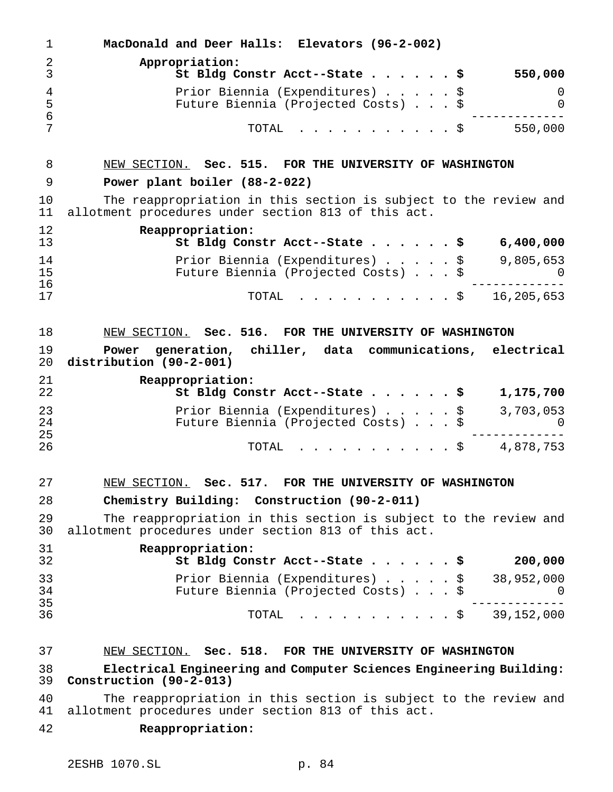| $\mathbf{1}$ | MacDonald and Deer Halls: Elevators (96-2-002)                                                                          |
|--------------|-------------------------------------------------------------------------------------------------------------------------|
| 2<br>3       | Appropriation:<br>550,000<br>St Bldg Constr Acct--State \$                                                              |
| 4<br>5<br>6  | Prior Biennia (Expenditures) \$<br>0<br>Future Biennia (Projected Costs) \$<br>$\mathbf 0$                              |
| 7            | 550,000<br>TOTAL<br>. \$                                                                                                |
| 8            | NEW SECTION. Sec. 515. FOR THE UNIVERSITY OF WASHINGTON                                                                 |
| 9            | Power plant boiler (88-2-022)                                                                                           |
| 10<br>11     | The reappropriation in this section is subject to the review and<br>allotment procedures under section 813 of this act. |
| 12<br>13     | Reappropriation:<br>6,400,000<br>St Bldg Constr Acct--State \$                                                          |
| 14<br>15     | 9,805,653<br>Prior Biennia (Expenditures) \$<br>Future Biennia (Projected Costs) \$<br>0                                |
| 16<br>17     | 16,205,653<br>TOTAL<br>. \$                                                                                             |
| 18           | NEW SECTION. Sec. 516. FOR THE UNIVERSITY OF WASHINGTON                                                                 |
| 19<br>20     | generation, chiller, data communications, electrical<br>Power<br>distribution (90-2-001)                                |
| 21<br>22     | Reappropriation:<br>St Bldg Constr Acct--State \$<br>1,175,700                                                          |
| 23           | Prior Biennia (Expenditures) \$<br>3,703,053                                                                            |
| 24<br>25     | Future Biennia (Projected Costs) \$<br>U                                                                                |
| 26           | . \$ 4,878,753<br>TOTAL                                                                                                 |
| 27           | NEW SECTION. Sec.<br>517. FOR THE UNIVERSITY OF WASHINGTON                                                              |
| 28           | Chemistry Building: Construction (90-2-011)                                                                             |
| 29<br>30     | The reappropriation in this section is subject to the review and<br>allotment procedures under section 813 of this act. |
| 31<br>32     | Reappropriation:<br>200,000<br>St Bldg Constr Acct--State \$                                                            |
| 33<br>34     | 38,952,000<br>Prior Biennia (Expenditures) \$<br>Future Biennia (Projected Costs) \$<br>0                               |
| 35<br>36     | $\cdot$ \$ 39,152,000<br>TOTAL                                                                                          |
| 37           | NEW SECTION. Sec. 518. FOR THE UNIVERSITY OF WASHINGTON                                                                 |
| 38<br>39     | Electrical Engineering and Computer Sciences Engineering Building:<br>Construction (90-2-013)                           |
| 40<br>41     | The reappropriation in this section is subject to the review and<br>allotment procedures under section 813 of this act. |
| 42           | Reappropriation:                                                                                                        |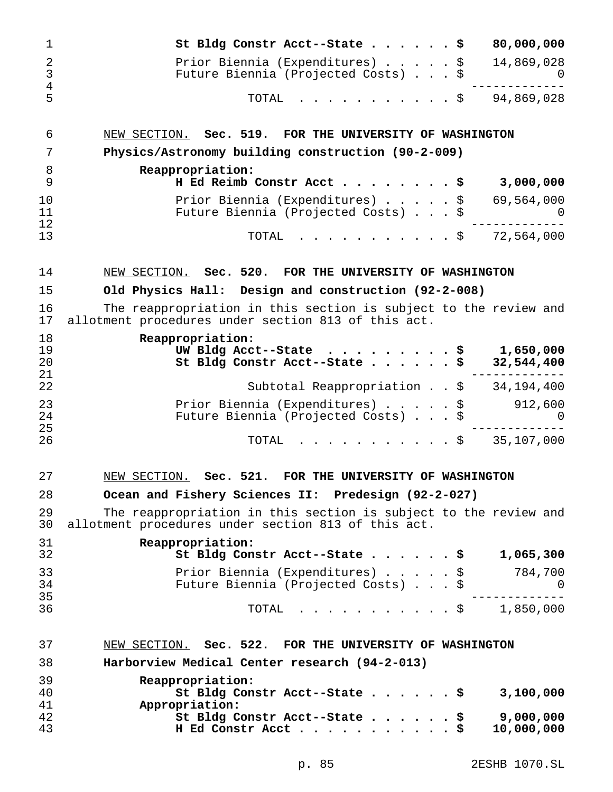| $\mathbf 1$              | 80,000,000<br>St Bldg Constr Acct--State $\frac{5}{7}$                                                                  |
|--------------------------|-------------------------------------------------------------------------------------------------------------------------|
| 2<br>$\mathfrak{Z}$<br>4 | Prior Biennia (Expenditures) \$<br>14,869,028<br>Future Biennia (Projected Costs)<br>\$<br>U                            |
| 5                        | $\frac{1}{5}$ 94,869,028<br>TOTAL                                                                                       |
| 6                        | NEW SECTION. Sec. 519. FOR THE UNIVERSITY OF WASHINGTON                                                                 |
| 7                        | Physics/Astronomy building construction (90-2-009)                                                                      |
| 8<br>9                   | Reappropriation:<br>H Ed Reimb Constr Acct<br>3,000,000                                                                 |
| 10<br>11                 | Prior Biennia (Expenditures)<br>69,564,000<br>\$<br>Future Biennia (Projected Costs) \$<br>$\Omega$                     |
| 12<br>13                 | TOTAL<br>72,564,000<br>$\cdot$ \$                                                                                       |
| 14                       | NEW SECTION. Sec. 520. FOR THE UNIVERSITY OF WASHINGTON                                                                 |
| 15                       | Old Physics Hall: Design and construction (92-2-008)                                                                    |
| 16<br>17                 | The reappropriation in this section is subject to the review and<br>allotment procedures under section 813 of this act. |
| 18<br>19<br>20<br>21     | Reappropriation:<br>UW Bldg Acct--State<br>1,650,000<br>\$<br>St Bldg Constr Acct--State<br>32,544,400                  |
| 22                       | Subtotal Reappropriation $. 5 34,194,400$                                                                               |
| 23<br>24<br>25           | Prior Biennia (Expenditures)<br>\$<br>912,600<br>Future Biennia (Projected Costs) \$<br>$\Omega$                        |
| 26                       | 35,107,000<br>TOTAL<br>$\cdot$ \$                                                                                       |
| 27                       | Sec. 521.<br>NEW SECTION.<br>FOR THE UNIVERSITY OF WASHINGTON                                                           |
| 28                       | Ocean and Fishery Sciences II: Predesign (92-2-027)                                                                     |
| 29<br>30                 | The reappropriation in this section is subject to the review and<br>allotment procedures under section 813 of this act. |
| 31<br>32                 | Reappropriation:<br>St Bldg Constr Acct--State $\ldots$ \$<br>1,065,300                                                 |
| 33<br>34                 | Prior Biennia (Expenditures) \$ 784,700<br>Future Biennia (Projected Costs) \$<br>$\overline{0}$                        |
| 35<br>36                 | TOTAL \$ 1,850,000                                                                                                      |
| 37                       | NEW SECTION. Sec. 522. FOR THE UNIVERSITY OF WASHINGTON                                                                 |
| 38                       | Harborview Medical Center research (94-2-013)                                                                           |
| 39<br>40<br>41           | Reappropriation:<br>St Bldg Constr Acct--State \$<br>3,100,000<br>Appropriation:                                        |
| 42<br>43                 | St Bldg Constr Acct--State<br>9,000,000<br>10,000,000                                                                   |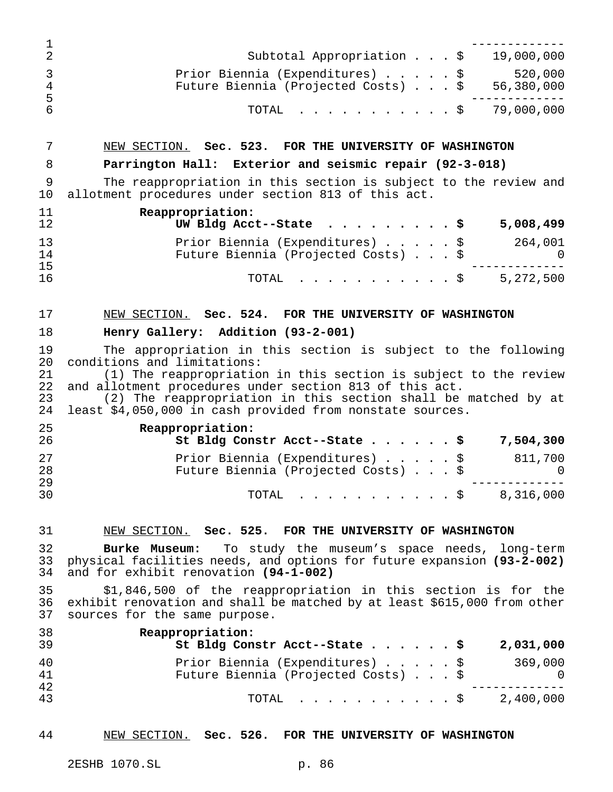|         | Subtotal Appropriation \$                                                         | 19,000,000 |
|---------|-----------------------------------------------------------------------------------|------------|
| 4<br>-5 | Prior Biennia (Expenditures) \$<br>Future Biennia (Projected Costs) \$ 56,380,000 | 520,000    |
|         | TOTAL \$ 79,000,000                                                               |            |

# NEW SECTION. **Sec. 523. FOR THE UNIVERSITY OF WASHINGTON**

# **Parrington Hall: Exterior and seismic repair (92-3-018)**

 The reappropriation in this section is subject to the review and allotment procedures under section 813 of this act.

| 11<br>12 | Reappropriation:<br>UW Bldg Acct--State $\ldots$ \$                    | 5,008,499                 |
|----------|------------------------------------------------------------------------|---------------------------|
| 13<br>14 | Prior Biennia (Expenditures) \$<br>Future Biennia (Projected Costs) \$ | 264,001<br>$\overline{0}$ |
| 15       |                                                                        |                           |
| 16       | TOTAL Ş                                                                | 5,272,500                 |

# NEW SECTION. **Sec. 524. FOR THE UNIVERSITY OF WASHINGTON**

#### **Henry Gallery: Addition (93-2-001)**

 The appropriation in this section is subject to the following 20 conditions and limitations:<br>21 (1) The reappropriation

21 (1) The reappropriation in this section is subject to the review<br>22 and allotment procedures under section 813 of this act. 22 and allotment procedures under section 813 of this act.<br>23 (2) The reappropriation in this section shall be

23 (2) The reappropriation in this section shall be matched by at 24 least \$4.050.000 in cash provided from nonstate sources. least \$4,050,000 in cash provided from nonstate sources.

| 25<br>26 | Reappropriation:<br>St Bldg Constr Acct--State $\frac{1}{5}$<br>7,504,300                |
|----------|------------------------------------------------------------------------------------------|
| 27<br>28 | Prior Biennia (Expenditures) \$<br>811,700<br>Future Biennia (Projected Costs) \$<br>- 0 |
| 29<br>30 | TOTAL \$ 8,316,000                                                                       |

#### NEW SECTION. **Sec. 525. FOR THE UNIVERSITY OF WASHINGTON**

 **Burke Museum:** To study the museum's space needs, long-term physical facilities needs, and options for future expansion **(93-2-002)** and for exhibit renovation **(94-1-002)**

 \$1,846,500 of the reappropriation in this section is for the exhibit renovation and shall be matched by at least \$615,000 from other sources for the same purpose.

| 38<br>39       | Reappropriation:<br>St Bldg Constr Acct--State \$<br>2,031,000                                |
|----------------|-----------------------------------------------------------------------------------------------|
| 40<br>41<br>42 | Prior Biennia (Expenditures) \$<br>369,000<br>Future Biennia (Projected Costs) \$<br>$\cup$ 0 |
| 43             | 2,400,000<br>TOTAL S                                                                          |

## NEW SECTION. **Sec. 526. FOR THE UNIVERSITY OF WASHINGTON**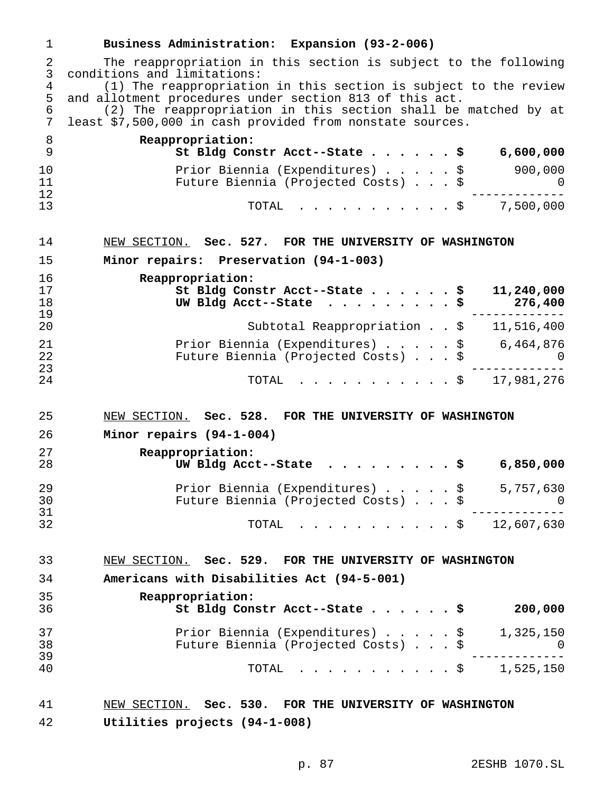| $\mathbf{1}$        | Business Administration: Expansion (93-2-006)                                                                               |
|---------------------|-----------------------------------------------------------------------------------------------------------------------------|
| 2<br>$\mathfrak{Z}$ | The reappropriation in this section is subject to the following<br>conditions and limitations:                              |
| $\overline{4}$<br>5 | (1) The reappropriation in this section is subject to the review<br>and allotment procedures under section 813 of this act. |
| 6<br>7              | (2) The reappropriation in this section shall be matched by at<br>least \$7,500,000 in cash provided from nonstate sources. |
| 8<br>9              | Reappropriation:<br>St Bldg Constr Acct--State $\ldots$ \$ 6,600,000                                                        |
| 10                  | Prior Biennia (Expenditures) \$ 900,000                                                                                     |
| 11                  | Future Biennia (Projected Costs) \$                                                                                         |
| 12<br>13            | TOTAL \$ 7,500,000                                                                                                          |
| 14                  | NEW SECTION. Sec. 527. FOR THE UNIVERSITY OF WASHINGTON                                                                     |
| 15                  | Minor repairs: Preservation (94-1-003)                                                                                      |
| 16                  | Reappropriation:                                                                                                            |
| 17<br>18            | St Bldg Constr Acct--State \$<br>11,240,000                                                                                 |
| 19                  | UW Bldg Acct--State<br>276,400                                                                                              |
| 20                  | Subtotal Reappropriation \$ 11,516,400                                                                                      |
| 21                  | Prior Biennia (Expenditures) $\ldots$ , $\frac{1}{5}$ 6,464,876                                                             |
| 22<br>23            | Future Biennia (Projected Costs) \$<br>$\Omega$                                                                             |
| 24                  | TOTAL $\frac{1}{2}$ 17,981,276                                                                                              |
| 25                  | NEW SECTION. Sec. 528. FOR THE UNIVERSITY OF WASHINGTON                                                                     |
| 26                  | Minor repairs (94-1-004)                                                                                                    |
| 27                  | Reappropriation:                                                                                                            |
| 28                  | UW Bldg Acct--State \$<br>6,850,000                                                                                         |
| 29                  | Prior Biennia (Expenditures) $\ldots$ , $\frac{1}{5}$ , 757,630                                                             |
| 30<br>31            | Future Biennia (Projected Costs) \$<br>$\overline{a}$                                                                       |
| 32                  | TOTAL \$ 12,607,630                                                                                                         |
| 33                  | NEW SECTION. Sec. 529. FOR THE UNIVERSITY OF WASHINGTON                                                                     |
| 34                  | Americans with Disabilities Act (94-5-001)                                                                                  |
| 35                  | Reappropriation:                                                                                                            |
| 36                  | St Bldg Constr Acct--State \$<br>200,000                                                                                    |
| 37                  | Prior Biennia (Expenditures) \$ 1,325,150<br>Future Biennia (Projected Costs) \$ 0                                          |
| 38<br>39            |                                                                                                                             |
| 40                  | TOTAL \$ 1,525,150                                                                                                          |
| 41                  | NEW SECTION. Sec. 530. FOR THE UNIVERSITY OF WASHINGTON                                                                     |
| 42                  | Utilities projects (94-1-008)                                                                                               |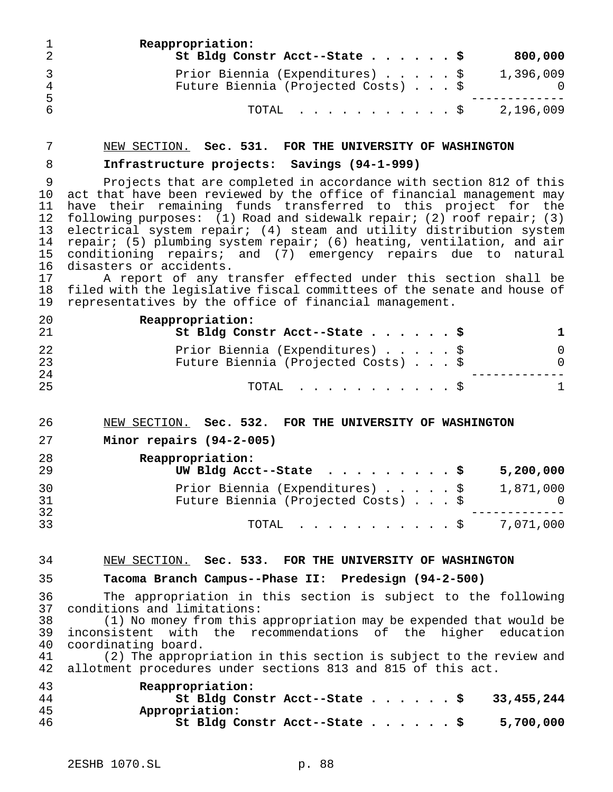|           | Reappropriation:<br>St Bldg Constr Acct--State \$                      |  |  | 800,000   |
|-----------|------------------------------------------------------------------------|--|--|-----------|
| -4<br>- 5 | Prior Biennia (Expenditures) \$<br>Future Biennia (Projected Costs) \$ |  |  | 1,396,009 |
|           | TOTAL S                                                                |  |  | 2,196,009 |

#### NEW SECTION. **Sec. 531. FOR THE UNIVERSITY OF WASHINGTON**

# **Infrastructure projects: Savings (94-1-999)**

 Projects that are completed in accordance with section 812 of this act that have been reviewed by the office of financial management may have their remaining funds transferred to this project for the following purposes: (1) Road and sidewalk repair; (2) roof repair; (3) electrical system repair; (4) steam and utility distribution system repair; (5) plumbing system repair; (6) heating, ventilation, and air conditioning repairs; and (7) emergency repairs due to natural disasters or accidents.

 A report of any transfer effected under this section shall be filed with the legislative fiscal committees of the senate and house of representatives by the office of financial management.

| 20<br>21 | Reappropriation:<br>St Bldg Constr Acct--State \$                      |          |
|----------|------------------------------------------------------------------------|----------|
| 22<br>23 | Prior Biennia (Expenditures) \$<br>Future Biennia (Projected Costs) \$ | $\Omega$ |
| 24<br>25 | TOTAL S                                                                |          |

#### NEW SECTION. **Sec. 532. FOR THE UNIVERSITY OF WASHINGTON**

```
27 Minor repairs (94-2-005)
```

| 28<br>29 | Reappropriation:<br>UW Bldg Acct--State $\ldots$ \$                    |  | 5,200,000 |
|----------|------------------------------------------------------------------------|--|-----------|
| 30<br>31 | Prior Biennia (Expenditures) \$<br>Future Biennia (Projected Costs) \$ |  | 1,871,000 |
| 32<br>33 | TOTAL $\ldots$ \$ 7,071,000                                            |  |           |

## NEW SECTION. **Sec. 533. FOR THE UNIVERSITY OF WASHINGTON**

#### **Tacoma Branch Campus--Phase II: Predesign (94-2-500)**

 The appropriation in this section is subject to the following 37 conditions and limitations:<br>38 (1) No money from this

(1) No money from this appropriation may be expended that would be inconsistent with the recommendations of the higher education coordinating board.

 (2) The appropriation in this section is subject to the review and allotment procedures under sections 813 and 815 of this act.

| 43  | Reappropriation:                            |
|-----|---------------------------------------------|
| -44 | St Bldg Constr Acct--State \$<br>33,455,244 |
| -45 | Appropriation:                              |
| -46 | St Bldg Constr Acct--State \$<br>5,700,000  |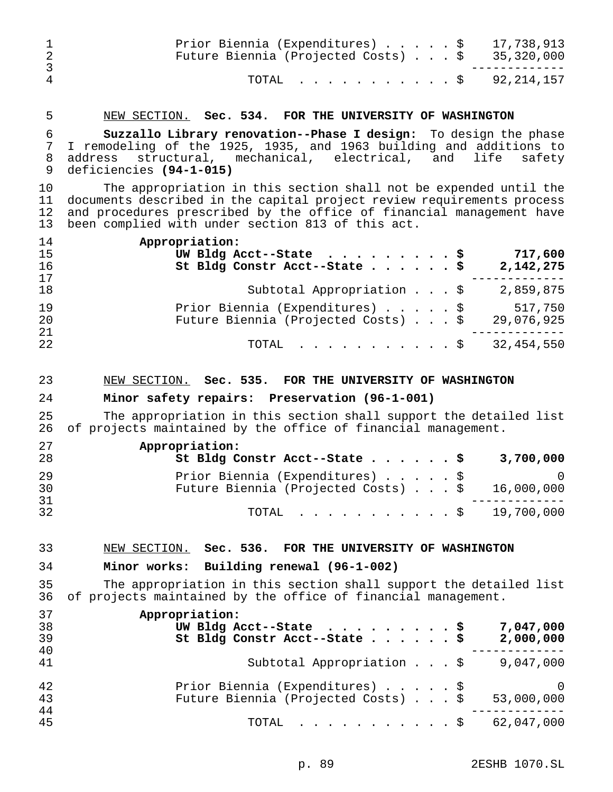| 1<br>$\overline{2}$<br>$\mathfrak{Z}$ | 17,738,913<br>Prior Biennia (Expenditures) \$<br>Future Biennia (Projected Costs) \$<br>35,320,000                                                                                                                                                                       |
|---------------------------------------|--------------------------------------------------------------------------------------------------------------------------------------------------------------------------------------------------------------------------------------------------------------------------|
| $\overline{4}$                        | TOTAL<br>92, 214, 157<br>$\cdot$ $\cdot$ \$                                                                                                                                                                                                                              |
| 5                                     | NEW SECTION. Sec. 534. FOR THE UNIVERSITY OF WASHINGTON                                                                                                                                                                                                                  |
| 6<br>7<br>8<br>9                      | Suzzallo Library renovation--Phase I design: To design the phase<br>I remodeling of the 1925, 1935, and 1963 building and additions to<br>structural, mechanical, electrical, and<br>life<br>safety<br>address<br>deficiencies (94-1-015)                                |
| 10<br>11<br>12<br>13                  | The appropriation in this section shall not be expended until the<br>documents described in the capital project review requirements process<br>and procedures prescribed by the office of financial management have<br>been complied with under section 813 of this act. |
| 14<br>15<br>16<br>17                  | Appropriation:<br>UW Bldg Acct--State $\ldots$ \$<br>717,600<br>St Bldg Constr Acct--State \$<br>2,142,275                                                                                                                                                               |
| 18                                    | Subtotal Appropriation \$ 2,859,875                                                                                                                                                                                                                                      |
| 19<br>20<br>21                        | Prior Biennia (Expenditures) \$<br>517,750<br>Future Biennia (Projected Costs) \$<br>29,076,925                                                                                                                                                                          |
| 22                                    | 32, 454, 550<br>TOTAL<br>. \$                                                                                                                                                                                                                                            |
|                                       |                                                                                                                                                                                                                                                                          |
| 23<br>24                              | NEW SECTION. Sec. 535. FOR THE UNIVERSITY OF WASHINGTON<br>Minor safety repairs: Preservation (96-1-001)                                                                                                                                                                 |
| 25<br>26                              | The appropriation in this section shall support the detailed list                                                                                                                                                                                                        |
| 27<br>28                              | of projects maintained by the office of financial management.<br>Appropriation:<br>St Bldg Constr Acct--State \$<br>3,700,000                                                                                                                                            |
| 29<br>30                              | Prior Biennia (Expenditures) \$<br>$\mathbf 0$<br>16,000,000<br>Future Biennia (Projected Costs) \$                                                                                                                                                                      |
| 31<br>32                              | $. \$ 19,700,000$<br>TOTAL                                                                                                                                                                                                                                               |
| 33                                    | NEW SECTION. Sec. 536. FOR THE UNIVERSITY OF WASHINGTON                                                                                                                                                                                                                  |
| 34                                    | Minor works: Building renewal (96-1-002)                                                                                                                                                                                                                                 |
| 35<br>36                              | The appropriation in this section shall support the detailed list<br>of projects maintained by the office of financial management.                                                                                                                                       |
| 37<br>38<br>39                        | Appropriation:<br>7,047,000<br>UW Bldg Acct--State $\ldots$<br>. \$<br>St Bldg Constr Acct--State \$<br>2,000,000                                                                                                                                                        |
| 40<br>41                              | Subtotal Appropriation \$<br>9,047,000                                                                                                                                                                                                                                   |
| 42<br>43<br>44                        | Prior Biennia (Expenditures) \$<br>$\Omega$<br>Future Biennia (Projected Costs) \$<br>53,000,000                                                                                                                                                                         |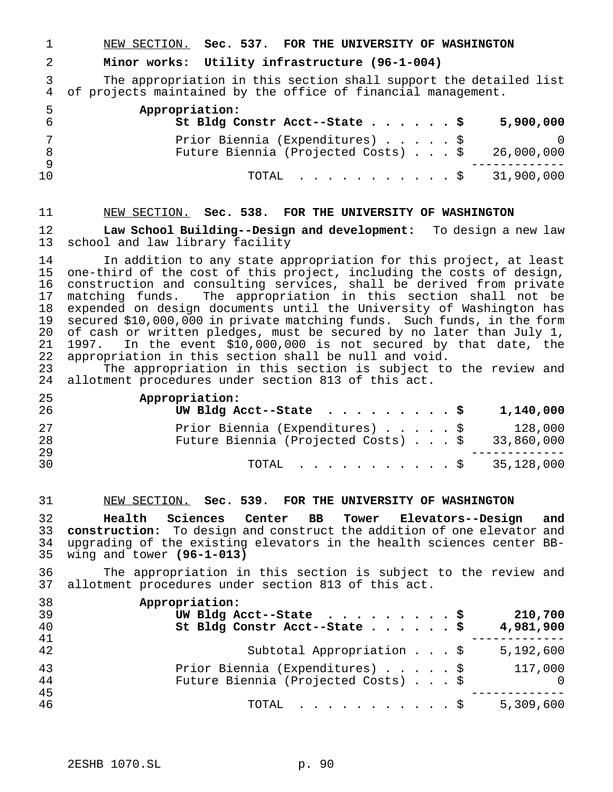NEW SECTION. **Sec. 537. FOR THE UNIVERSITY OF WASHINGTON**

## **Minor works: Utility infrastructure (96-1-004)**

 The appropriation in this section shall support the detailed list of projects maintained by the office of financial management.

| -5 | Appropriation:<br>St Bldg Constr Acct--State $\frac{1}{5}$ |  |  | 5,900,000  |
|----|------------------------------------------------------------|--|--|------------|
|    | Prior Biennia (Expenditures) \$                            |  |  |            |
|    | Future Biennia (Projected Costs) \$                        |  |  | 26,000,000 |
| 10 | TOTAL $\ldots$ \$ 31,900,000                               |  |  |            |

#### NEW SECTION. **Sec. 538. FOR THE UNIVERSITY OF WASHINGTON**

 **Law School Building--Design and development:** To design a new law school and law library facility

14 In addition to any state appropriation for this project, at least<br>15 one-third of the cost of this project, including the costs of design, one-third of the cost of this project, including the costs of design, construction and consulting services, shall be derived from private matching funds. The appropriation in this section shall not be 18 expended on design documents until the University of Washington has<br>19 secured \$10,000,000 in private matching funds. Such funds, in the form 19 secured \$10,000,000 in private matching funds. Such funds, in the form<br>20 of cash or written pledges, must be secured by no later than July 1, 20 of cash or written pledges, must be secured by no later than July 1,<br>21 1997. In the event \$10,000,000 is not secured by that date, the 21 1997. In the event \$10,000,000 is not secured by that date, the<br>22 appropriation in this section shall be null and void. 22 appropriation in this section shall be null and void.<br>23 The appropriation in this section is subject to

The appropriation in this section is subject to the review and allotment procedures under section 813 of this act.

| 25<br>26 | Appropriation:<br>UW Bldg Acct--State $\ldots$ \$<br>1,140,000                                        |
|----------|-------------------------------------------------------------------------------------------------------|
| 27<br>28 | Prior Biennia (Expenditures) \$<br>128,000<br>Future Biennia (Projected Costs) $\ldots$ \$ 33,860,000 |
| 29<br>30 | TOTAL $\ldots$ , $\ldots$ , $\ldots$ , $\frac{1}{28}$ , 000                                           |

#### NEW SECTION. **Sec. 539. FOR THE UNIVERSITY OF WASHINGTON**

 **Health Sciences Center BB Tower Elevators--Design and construction:** To design and construct the addition of one elevator and upgrading of the existing elevators in the health sciences center BB-wing and tower **(96-1-013)**

 The appropriation in this section is subject to the review and allotment procedures under section 813 of this act.

| 38 | Appropriation:                                        |
|----|-------------------------------------------------------|
| 39 | UW Bldg Acct--State $\ldots$ \$<br>210,700            |
| 40 | St Bldg Constr Acct--State \$<br>4,981,900            |
| 41 |                                                       |
| 42 | Subtotal Appropriation \$<br>5,192,600                |
| 43 | Prior Biennia (Expenditures) \$<br>117,000            |
| 44 | Future Biennia (Projected Costs) \$<br>$\overline{0}$ |
| 45 |                                                       |
| 46 | 5,309,600<br>$\text{TOTAL}$ $\S$                      |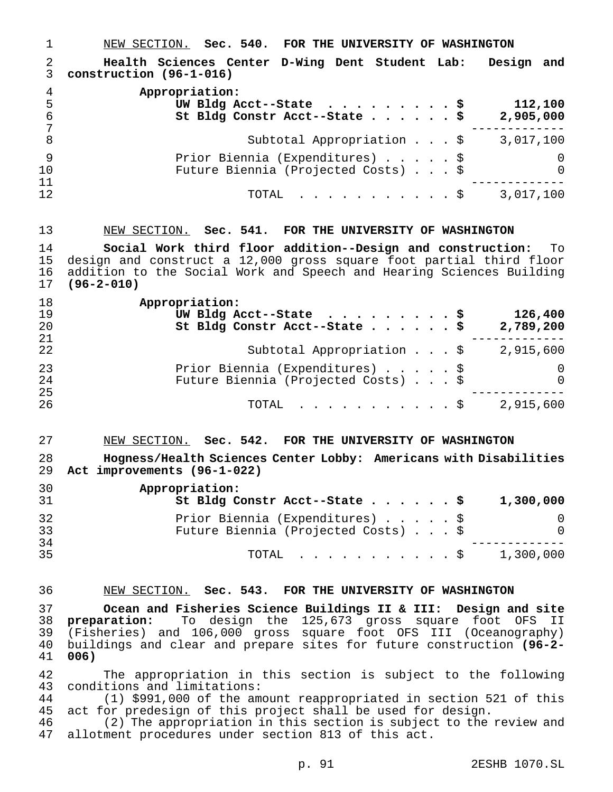NEW SECTION. **Sec. 540. FOR THE UNIVERSITY OF WASHINGTON Health Sciences Center D-Wing Dent Student Lab: Design and construction (96-1-016) Appropriation: UW Bldg Acct--State .........\$ 112,100 St Bldg Constr Acct--State......\$ 2,905,000** ------------- 8 Subtotal Appropriation . . . \$ 3,017,100 Prior Biennia (Expenditures).....\$ 0 Future Biennia (Projected Costs) . . . \$ 0 ------------- TOTAL ...........\$ 3,017,100

 NEW SECTION. **Sec. 541. FOR THE UNIVERSITY OF WASHINGTON Social Work third floor addition--Design and construction:** To design and construct a 12,000 gross square foot partial third floor addition to the Social Work and Speech and Hearing Sciences Building **(96-2-010)**

| 18<br>19<br>20 | Appropriation:<br>UW Bldg Acct--State $\ldots$ \$<br>126,400<br>St Bldg Constr Acct--State \$<br>2,789,200 |
|----------------|------------------------------------------------------------------------------------------------------------|
| 21             |                                                                                                            |
| 22             | Subtotal Appropriation \$<br>2,915,600                                                                     |
| 23             | Prior Biennia (Expenditures) \$<br>0                                                                       |
| 24             | Future Biennia (Projected Costs) \$<br>0                                                                   |
| 25             |                                                                                                            |
| 26             | TOTAL $\ldots$ \$ 2,915,600                                                                                |

# NEW SECTION. **Sec. 542. FOR THE UNIVERSITY OF WASHINGTON Hogness/Health Sciences Center Lobby: Americans with Disabilities Act improvements (96-1-022)**

| 30<br>-31 | Appropriation:<br>St Bldg Constr Acct--State \$<br>1,300,000 |
|-----------|--------------------------------------------------------------|
| -32       | Prior Biennia (Expenditures) \$                              |
| 33        | Future Biennia (Projected Costs) \$<br>$\Omega$              |
| 34        |                                                              |
| 35        | 1,300,000<br>TOTAL Ş                                         |

# NEW SECTION. **Sec. 543. FOR THE UNIVERSITY OF WASHINGTON**

 **Ocean and Fisheries Science Buildings II & III: Design and site preparation:** To design the 125,673 gross square foot OFS II (Fisheries) and 106,000 gross square foot OFS III (Oceanography) buildings and clear and prepare sites for future construction **(96-2- 006)**

 The appropriation in this section is subject to the following conditions and limitations:

 (1) \$991,000 of the amount reappropriated in section 521 of this act for predesign of this project shall be used for design.

 (2) The appropriation in this section is subject to the review and allotment procedures under section 813 of this act.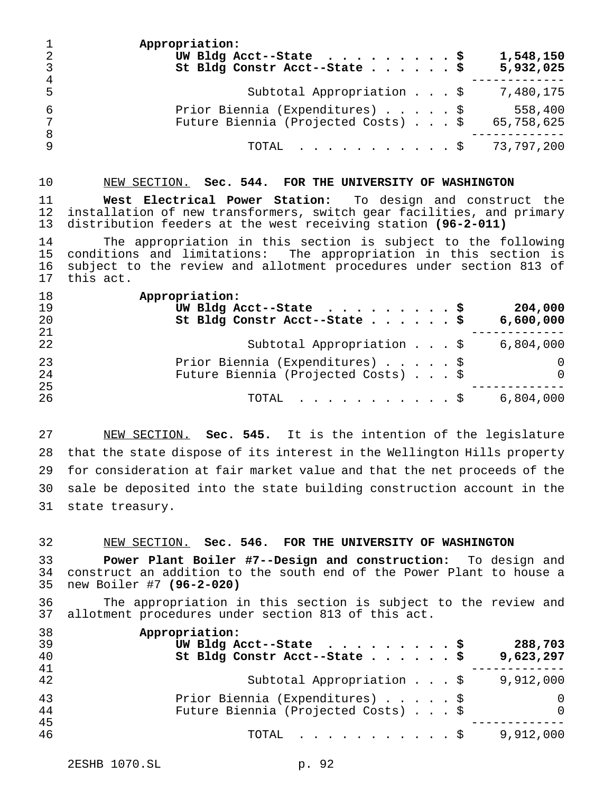| $\mathbf{1}$<br>-2<br>$\mathsf{3}$<br>$\overline{4}$ | Appropriation:<br>1,548,150<br>UW Bldg Acct--State $\ldots$ \$<br>St Bldg Constr Acct--State \$<br>5,932,025 |
|------------------------------------------------------|--------------------------------------------------------------------------------------------------------------|
| -5                                                   | Subtotal Appropriation \$<br>7,480,175                                                                       |
| -6<br>7<br>8                                         | Prior Biennia (Expenditures) \$<br>558,400<br>Future Biennia (Projected Costs) \$<br>65,758,625              |
| 9                                                    | TOTAL \$ 73,797,200                                                                                          |

#### NEW SECTION. **Sec. 544. FOR THE UNIVERSITY OF WASHINGTON**

 **West Electrical Power Station:** To design and construct the installation of new transformers, switch gear facilities, and primary distribution feeders at the west receiving station **(96-2-011)**

 The appropriation in this section is subject to the following conditions and limitations: The appropriation in this section is subject to the review and allotment procedures under section 813 of this act.

| 18 | Appropriation:                                  |
|----|-------------------------------------------------|
| 19 | UW Bldg Acct--State $\ldots$ \$<br>204,000      |
| 20 | St Bldg Constr Acct--State \$<br>6,600,000      |
| 21 |                                                 |
| 22 | 6,804,000<br>Subtotal Appropriation \$          |
| 23 | Prior Biennia (Expenditures) \$<br>0            |
| 24 | Future Biennia (Projected Costs) \$<br>$\Omega$ |
| 25 |                                                 |
| 26 | 6,804,000<br>TOTAL $\ldots$ \$                  |

 NEW SECTION. **Sec. 545.** It is the intention of the legislature that the state dispose of its interest in the Wellington Hills property for consideration at fair market value and that the net proceeds of the sale be deposited into the state building construction account in the state treasury.

#### NEW SECTION. **Sec. 546. FOR THE UNIVERSITY OF WASHINGTON**

 **Power Plant Boiler #7--Design and construction:** To design and 34 construct an addition to the south end of the Power Plant to house a<br>35 new Boiler #7 (96-2-020) new Boiler #7 **(96-2-020)**

 The appropriation in this section is subject to the review and allotment procedures under section 813 of this act.

| 38 | Appropriation:                                  |
|----|-------------------------------------------------|
| 39 | UW Bldg Acct--State $\ldots$ \$<br>288,703      |
| 40 | St Bldg Constr Acct--State \$<br>9,623,297      |
| 41 |                                                 |
| 42 | Subtotal Appropriation \$<br>9,912,000          |
| 43 | Prior Biennia (Expenditures) \$<br>0            |
| 44 | Future Biennia (Projected Costs) \$<br>$\Omega$ |
| 45 |                                                 |
| 46 | 9,912,000<br>TOTAL $\ldots$ $\S$                |
|    |                                                 |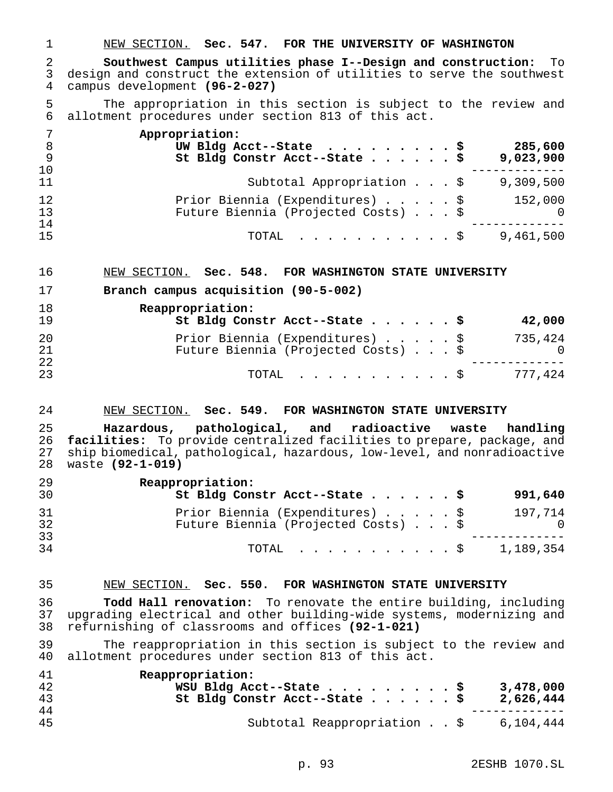NEW SECTION. **Sec. 547. FOR THE UNIVERSITY OF WASHINGTON**

 **Southwest Campus utilities phase I--Design and construction:** To 3 design and construct the extension of utilities to serve the southwest<br>4 campus development (96-2-027) campus development **(96-2-027)**

 The appropriation in this section is subject to the review and allotment procedures under section 813 of this act.

|     | Appropriation:                                   |
|-----|--------------------------------------------------|
| - 8 | UW Bldg Acct--State $\ldots$ \$<br>285,600       |
| 9   | St Bldg Constr Acct--State \$<br>9,023,900       |
| 10  |                                                  |
| 11  | Subtotal Appropriation \$<br>9,309,500           |
| 12  | Prior Biennia (Expenditures) \$<br>152,000       |
| 13  | Future Biennia (Projected Costs) \$<br>$\bigcap$ |
| 14  |                                                  |
| 15  | 9,461,500<br>TOTAL \$                            |

- NEW SECTION. **Sec. 548. FOR WASHINGTON STATE UNIVERSITY**
- **Branch campus acquisition (90-5-002)**

| 18<br>19 | Reappropriation:<br>St Bldg Constr Acct--State \$<br>42,000                       |
|----------|-----------------------------------------------------------------------------------|
| 20<br>21 | Prior Biennia (Expenditures) \$<br>735,424<br>Future Biennia (Projected Costs) \$ |
| 22<br>23 | 777,424<br>TOTAL Ş                                                                |

#### NEW SECTION. **Sec. 549. FOR WASHINGTON STATE UNIVERSITY**

 **Hazardous, pathological, and radioactive waste handling facilities:** To provide centralized facilities to prepare, package, and ship biomedical, pathological, hazardous, low-level, and nonradioactive waste **(92-1-019)**

| 29<br>30 | Reappropriation:<br>St Bldg Constr Acct--State \$<br>991,640                      |
|----------|-----------------------------------------------------------------------------------|
| 31<br>32 | Prior Biennia (Expenditures) \$<br>197,714<br>Future Biennia (Projected Costs) \$ |
| 33<br>34 | 1,189,354<br>TOTAL S                                                              |

## NEW SECTION. **Sec. 550. FOR WASHINGTON STATE UNIVERSITY**

 **Todd Hall renovation:** To renovate the entire building, including upgrading electrical and other building-wide systems, modernizing and refurnishing of classrooms and offices **(92-1-021)**

 The reappropriation in this section is subject to the review and allotment procedures under section 813 of this act.

| 41<br>42<br>43<br>44 | Reappropriation:<br>WSU Bldg Acct--State \$<br>3,478,000<br>2,626,444<br>St Bldg Constr Acct--State $\frac{1}{5}$ |
|----------------------|-------------------------------------------------------------------------------------------------------------------|
| 45                   | Subtotal Reappropriation \$<br>6,104,444                                                                          |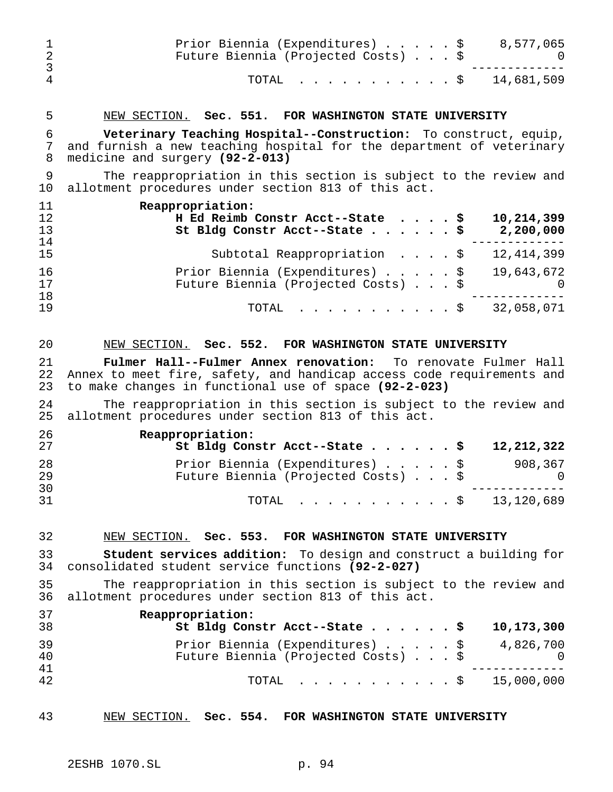| 1<br>$\overline{2}$<br>3 | Prior Biennia (Expenditures) \$<br>8,577,065<br>Future Biennia (Projected Costs) \$                                                                                                             | O        |
|--------------------------|-------------------------------------------------------------------------------------------------------------------------------------------------------------------------------------------------|----------|
| $\overline{4}$           | 14,681,509<br>TOTAL<br>. \$                                                                                                                                                                     |          |
| 5                        | NEW SECTION. Sec. 551. FOR WASHINGTON STATE UNIVERSITY                                                                                                                                          |          |
| 6<br>7<br>8              | Veterinary Teaching Hospital--Construction: To construct, equip,<br>and furnish a new teaching hospital for the department of veterinary<br>medicine and surgery (92-2-013)                     |          |
| 9<br>10                  | The reappropriation in this section is subject to the review and<br>allotment procedures under section 813 of this act.                                                                         |          |
| 11<br>12<br>13           | Reappropriation:<br>H Ed Reimb Constr Acct--State \$<br>10,214,399<br>2,200,000<br>St Bldg Constr Acct--State<br>. \$                                                                           |          |
| 14<br>15                 | Subtotal Reappropriation \$<br>12,414,399                                                                                                                                                       |          |
| 16<br>17                 | Prior Biennia (Expenditures) \$<br>19,643,672<br>Future Biennia (Projected Costs) \$                                                                                                            | $\Omega$ |
| 18<br>19                 | 32,058,071<br>TOTAL<br>. \$                                                                                                                                                                     |          |
| 20                       | NEW SECTION. Sec. 552. FOR WASHINGTON STATE UNIVERSITY                                                                                                                                          |          |
| 21<br>22<br>23           | Fulmer Hall--Fulmer Annex renovation: To renovate Fulmer Hall<br>Annex to meet fire, safety, and handicap access code requirements and<br>to make changes in functional use of space (92-2-023) |          |
| 24<br>25                 | The reappropriation in this section is subject to the review and<br>allotment procedures under section 813 of this act.                                                                         |          |
| 26<br>27                 | Reappropriation:<br>St Bldg Constr Acct--State \$<br>12, 212, 322                                                                                                                               |          |
| 28<br>29<br>30           | Prior Biennia (Expenditures) \$<br>908,367<br>Future Biennia (Projected Costs)                                                                                                                  | 0        |
| 31                       | $\ldots$ \$ 13,120,689<br>TOTAL                                                                                                                                                                 |          |
| 32                       | NEW SECTION. Sec. 553. FOR WASHINGTON STATE UNIVERSITY                                                                                                                                          |          |
| 33<br>34                 | <b>Student services addition:</b> To design and construct a building for<br>consolidated student service functions (92-2-027)                                                                   |          |
| 35<br>36                 | The reappropriation in this section is subject to the review and<br>allotment procedures under section 813 of this act.                                                                         |          |
| 37<br>38                 | Reappropriation:<br>10,173,300<br>St Bldg Constr Acct--State \$                                                                                                                                 |          |
| 39<br>40                 | Prior Biennia (Expenditures) \$<br>4,826,700<br>Future Biennia (Projected Costs) \$                                                                                                             | $\Omega$ |
| 41<br>42                 | 15,000,000<br>TOTAL<br>$\mathcal{S}$                                                                                                                                                            |          |
| 43                       | NEW SECTION. Sec. 554. FOR WASHINGTON STATE UNIVERSITY                                                                                                                                          |          |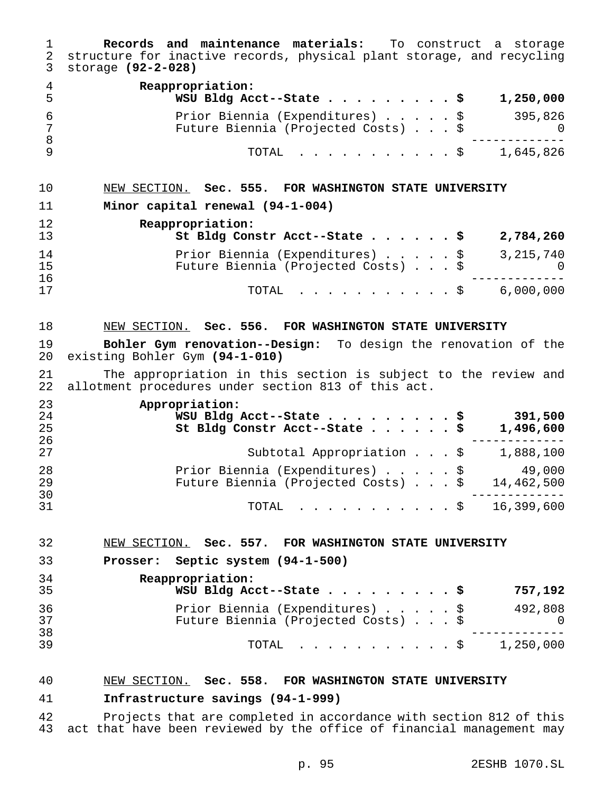| 1<br>$\overline{2}$<br>3 | <b>Records and maintenance materials:</b> To construct a storage<br>structure for inactive records, physical plant storage, and recycling<br>storage (92-2-028) |
|--------------------------|-----------------------------------------------------------------------------------------------------------------------------------------------------------------|
| 4<br>5                   | Reappropriation:<br>WSU Bldg Acct--State \$<br>1,250,000                                                                                                        |
| 6<br>7<br>8              | Prior Biennia (Expenditures) \$<br>395,826<br>Future Biennia (Projected Costs) \$<br>U                                                                          |
| 9                        | TOTAL<br>1,645,826<br>. \$                                                                                                                                      |
| 10                       | NEW SECTION. Sec. 555. FOR WASHINGTON STATE UNIVERSITY                                                                                                          |
| 11                       | Minor capital renewal (94-1-004)                                                                                                                                |
| 12<br>13                 | Reappropriation:<br>St Bldg Constr Acct--State \$<br>2,784,260                                                                                                  |
| 14<br>15                 | Prior Biennia (Expenditures) \$<br>3, 215, 740<br>Future Biennia (Projected Costs) \$                                                                           |
| 16<br>17                 | 6,000,000<br>. \$<br>TOTAL                                                                                                                                      |
| 18                       | NEW SECTION. Sec. 556. FOR WASHINGTON STATE UNIVERSITY                                                                                                          |
| 19                       | Bohler Gym renovation--Design: To design the renovation of the                                                                                                  |
| 20                       | existing Bohler Gym (94-1-010)                                                                                                                                  |
| 21<br>22                 | The appropriation in this section is subject to the review and<br>allotment procedures under section 813 of this act.                                           |
| 23<br>24<br>25<br>26     | Appropriation:<br>391,500<br>WSU Bldg Acct--State \$<br>1,496,600<br>St Bldg Constr Acct--State \$                                                              |
| 27                       | Subtotal Appropriation \$<br>1,888,100                                                                                                                          |
| 28<br>29                 | 49,000<br>Prior Biennia (Expenditures) \$<br>14,462,500<br>Future Biennia (Projected Costs)                                                                     |
| 30<br>31                 | TOTAL \$ 16,399,600                                                                                                                                             |
| 32                       | NEW SECTION. Sec. 557. FOR WASHINGTON STATE UNIVERSITY                                                                                                          |
| 33                       | Prosser: Septic system (94-1-500)                                                                                                                               |
| 34                       | Reappropriation:                                                                                                                                                |
| 35                       | WSU Bldg Acct--State \$<br>757,192                                                                                                                              |
| 36<br>37                 | 492,808<br>Prior Biennia (Expenditures) \$<br>Future Biennia (Projected Costs) \$<br>0                                                                          |
| 38<br>39                 | $\cdot$ \$ 1,250,000<br>TOTAL                                                                                                                                   |
| 40                       | NEW SECTION. Sec. 558. FOR WASHINGTON STATE UNIVERSITY                                                                                                          |

# **Infrastructure savings (94-1-999)**

 Projects that are completed in accordance with section 812 of this act that have been reviewed by the office of financial management may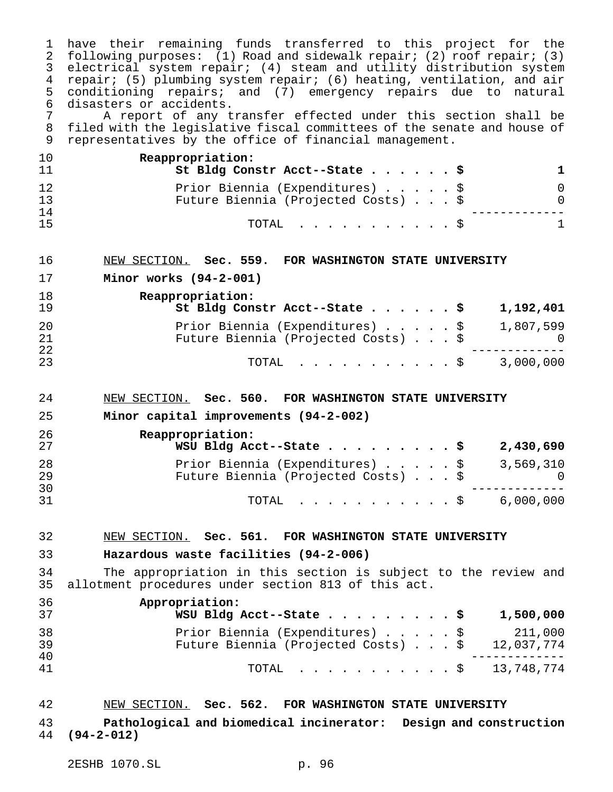have their remaining funds transferred to this project for the following purposes: (1) Road and sidewalk repair; (2) roof repair; (3) electrical system repair; (4) steam and utility distribution system repair; (5) plumbing system repair; (6) heating, ventilation, and air conditioning repairs; and (7) emergency repairs due to natural 6 disasters or accidents.<br>7 A report of any t

 A report of any transfer effected under this section shall be filed with the legislative fiscal committees of the senate and house of representatives by the office of financial management.

| 10             | Reappropriation:<br>St Bldg Constr Acct--State \$                      |  |  |  |
|----------------|------------------------------------------------------------------------|--|--|--|
| 12<br>13<br>14 | Prior Biennia (Expenditures) \$<br>Future Biennia (Projected Costs) \$ |  |  |  |
| 15             | TOTAL Ş                                                                |  |  |  |

#### NEW SECTION. **Sec. 559. FOR WASHINGTON STATE UNIVERSITY**

**Minor works (94-2-001)**

| 18<br>19 | Reappropriation:<br>St Bldg Constr Acct--State \$                      | 1,192,401 |
|----------|------------------------------------------------------------------------|-----------|
| 20<br>21 | Prior Biennia (Expenditures) \$<br>Future Biennia (Projected Costs) \$ | 1,807,599 |
| 22<br>23 | TOTAL \$ 3,000,000                                                     |           |

#### NEW SECTION. **Sec. 560. FOR WASHINGTON STATE UNIVERSITY**

**Minor capital improvements (94-2-002)**

| 26<br>27 | Reappropriation:<br>WSU Bldg Acct--State \$                            |  |  | 2,430,690        |
|----------|------------------------------------------------------------------------|--|--|------------------|
| 28<br>29 | Prior Biennia (Expenditures) \$<br>Future Biennia (Projected Costs) \$ |  |  | 3,569,310<br>- 0 |
| 30<br>31 | TOTAL Ş                                                                |  |  | 6,000,000        |

## NEW SECTION. **Sec. 561. FOR WASHINGTON STATE UNIVERSITY**

# **Hazardous waste facilities (94-2-006)**

 The appropriation in this section is subject to the review and allotment procedures under section 813 of this act.

| 36<br>37       | Appropriation:<br>WSU Bldg Acct--State \$<br>1,500,000                                                |
|----------------|-------------------------------------------------------------------------------------------------------|
| 38<br>39<br>40 | Prior Biennia (Expenditures) \$<br>211,000<br>Future Biennia (Projected Costs) $\ldots$ \$ 12,037,774 |
| 41             | TOTAL \$ 13,748,774                                                                                   |

# NEW SECTION. **Sec. 562. FOR WASHINGTON STATE UNIVERSITY**

 **Pathological and biomedical incinerator: Design and construction (94-2-012)**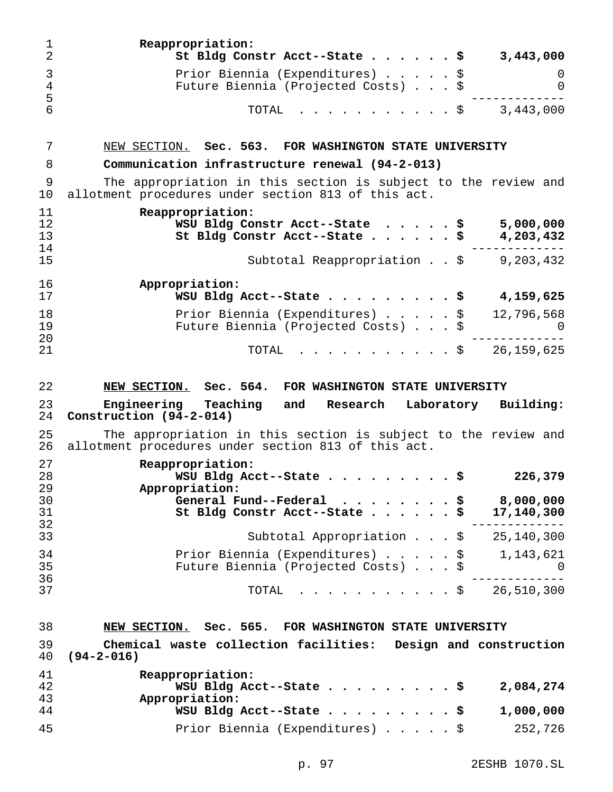| 1<br>$\overline{2}$  | Reappropriation:<br>St Bldg Constr Acct--State \$<br>3,443,000                                                                              |
|----------------------|---------------------------------------------------------------------------------------------------------------------------------------------|
| 3<br>$\overline{4}$  | Prior Biennia (Expenditures) \$<br>0<br>Future Biennia (Projected Costs) \$<br>0                                                            |
| 5<br>6               | 3,443,000<br>TOTAL<br>. \$                                                                                                                  |
| 7                    | NEW SECTION. Sec. 563. FOR WASHINGTON STATE UNIVERSITY                                                                                      |
| 8                    | Communication infrastructure renewal (94-2-013)                                                                                             |
| 9<br>10              | The appropriation in this section is subject to the review and<br>allotment procedures under section 813 of this act.                       |
| 11<br>12<br>13<br>14 | Reappropriation:<br>WSU Bldg Constr Acct--State<br>5,000,000<br>. \$<br>. \$<br>4,203,432<br>St Bldg Constr Acct--State                     |
| 15                   | Subtotal Reappropriation $\therefore$ \$ 9,203,432                                                                                          |
| 16<br>17             | Appropriation:<br>4,159,625<br>WSU Bldg Acct--State                                                                                         |
| 18<br>19             | Prior Biennia (Expenditures) \$<br>12,796,568<br>Future Biennia (Projected Costs) \$<br>0                                                   |
| 20<br>21             | 26, 159, 625<br>TOTAL<br>. <b>.</b> \$                                                                                                      |
| 22                   | NEW SECTION. Sec. 564. FOR WASHINGTON STATE UNIVERSITY                                                                                      |
| 23<br>24             | Engineering Teaching and<br>Laboratory<br>Building:<br>Research<br>Construction (94-2-014)                                                  |
| 25<br>26             | The appropriation in this section is subject to the review and<br>allotment procedures under section 813 of this act.                       |
| 27<br>28<br>29       | Reappropriation:<br>WSU Bldg Acct--State \$<br>226,379<br>Appropriation:                                                                    |
| 30<br>31<br>32       | 8,000,000<br>General Fund--Federal $\cdots$<br>St Bldg Constr Acct--State<br>17,140,300                                                     |
| 33                   | Subtotal Appropriation $\ldots$ , $\frac{1}{2}$ 25,140,300                                                                                  |
| 34                   | Prior Biennia (Expenditures) $\ldots$ , $\frac{1}{3}$ , 1,143,621                                                                           |
| 35                   | Future Biennia (Projected Costs) \$<br>. O                                                                                                  |
| 36<br>37             | $\dot{s}$ 26,510,300<br>TOTAL                                                                                                               |
|                      |                                                                                                                                             |
| 38<br>39<br>40       | NEW SECTION. Sec. 565. FOR WASHINGTON STATE UNIVERSITY<br>Chemical waste collection facilities: Design and construction<br>$(94 - 2 - 016)$ |
| 41                   | Reappropriation:                                                                                                                            |
| 42<br>43<br>44       | 2,084,274<br>WSU Bldg Acct--State<br>. \$<br>Appropriation:<br>1,000,000<br>WSU Bldg Acct--State \$                                         |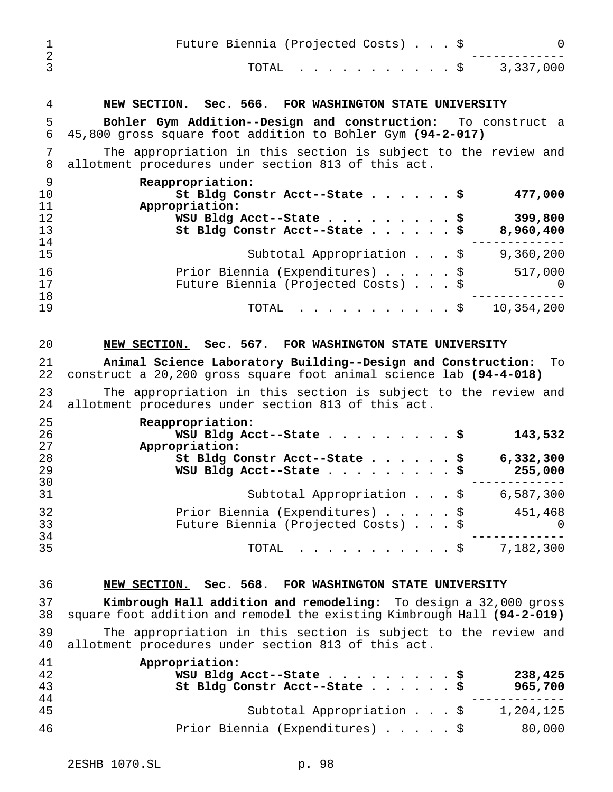| 1<br>$\overline{a}$  | Future Biennia (Projected Costs) \$<br>0                                                                                                    |
|----------------------|---------------------------------------------------------------------------------------------------------------------------------------------|
| 3                    | 3,337,000<br>TOTAL<br>$\cdot$ $\cdot$ \$                                                                                                    |
| 4                    | NEW SECTION. Sec. 566. FOR WASHINGTON STATE UNIVERSITY                                                                                      |
| 5<br>6               | Bohler Gym Addition--Design and construction: To construct a<br>45,800 gross square foot addition to Bohler Gym (94-2-017)                  |
| 7<br>8               | The appropriation in this section is subject to the review and<br>allotment procedures under section 813 of this act.                       |
| 9<br>10<br>11        | Reappropriation:<br>477,000<br>St Bldg Constr Acct--State \$                                                                                |
| 12<br>13<br>14       | Appropriation:<br>399,800<br>WSU Bldg Acct--State \$<br>8,960,400<br>St Bldg Constr Acct--State \$                                          |
| 15                   | 9,360,200<br>Subtotal Appropriation \$                                                                                                      |
| 16<br>17<br>18       | Prior Biennia (Expenditures) \$<br>517,000<br>Future Biennia (Projected Costs) \$<br>0                                                      |
| 19                   | 10,354,200<br>TOTAL<br>. \$                                                                                                                 |
| 20                   | Sec. 567. FOR WASHINGTON STATE UNIVERSITY<br>NEW SECTION.                                                                                   |
| 21<br>22             | Animal Science Laboratory Building--Design and Construction:<br>To<br>construct a 20,200 gross square foot animal science lab (94-4-018)    |
| 23<br>24             | The appropriation in this section is subject to the review and<br>allotment procedures under section 813 of this act.                       |
| 25<br>26<br>27       | Reappropriation:<br>WSU Bldg Acct--State<br>143,532<br>Appropriation:                                                                       |
| 28<br>29<br>30       | 6,332,300<br>St Bldg Constr Acct--State<br>\$<br>WSU Bldg Acct--State<br>\$<br>255,000                                                      |
| 31                   | Subtotal Appropriation $\ldots$ , \$ 6,587,300                                                                                              |
| 32<br>33<br>34       | Prior Biennia (Expenditures) \$<br>451,468<br>Future Biennia (Projected Costs) \$<br>$\overline{0}$                                         |
| 35                   | TOTAL \$ 7,182,300                                                                                                                          |
| 36                   | NEW SECTION. Sec. 568. FOR WASHINGTON STATE UNIVERSITY                                                                                      |
| 37<br>38             | Kimbrough Hall addition and remodeling: To design a 32,000 gross<br>square foot addition and remodel the existing Kimbrough Hall (94-2-019) |
| 39<br>40             | The appropriation in this section is subject to the review and<br>allotment procedures under section 813 of this act.                       |
| 41<br>42<br>43<br>44 | Appropriation:<br>238,425<br>WSU Bldg Acct--State \$<br>St Bldg Constr Acct--State \$<br>965,700                                            |
| 45                   | Subtotal Appropriation $\ldots$ , $\sharp$ 1,204,125                                                                                        |
| 46                   | Prior Biennia (Expenditures) \$ 80,000                                                                                                      |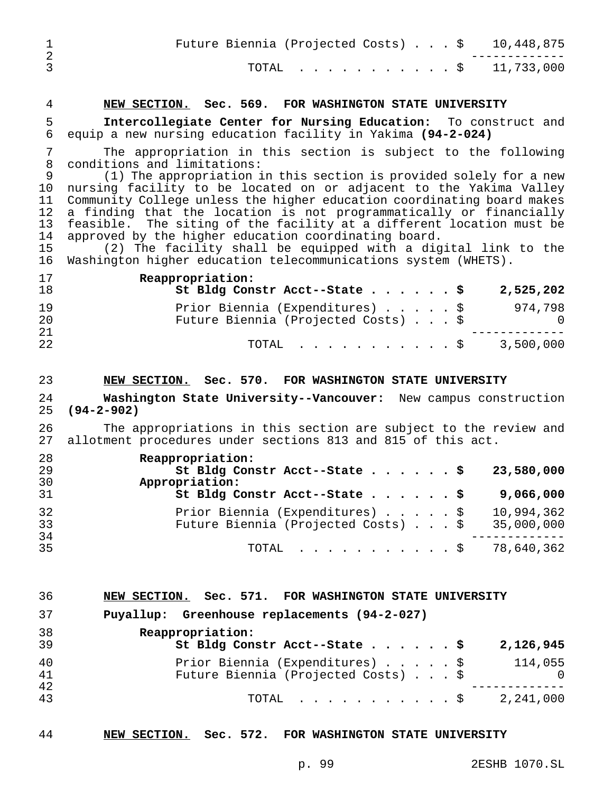|  |  |  | Future Biennia (Projected Costs) $\ldots$ \$ 10,448,875 |
|--|--|--|---------------------------------------------------------|
|  |  |  | TOTAL \$ 11,733,000                                     |

## **NEW SECTION. Sec. 569. FOR WASHINGTON STATE UNIVERSITY**

 **Intercollegiate Center for Nursing Education:** To construct and equip a new nursing education facility in Yakima **(94-2-024)**

 The appropriation in this section is subject to the following conditions and limitations:

 (1) The appropriation in this section is provided solely for a new nursing facility to be located on or adjacent to the Yakima Valley Community College unless the higher education coordinating board makes a finding that the location is not programmatically or financially feasible. The siting of the facility at a different location must be approved by the higher education coordinating board.

 (2) The facility shall be equipped with a digital link to the Washington higher education telecommunications system (WHETS).

 **Reappropriation: St Bldg Constr Acct--State......\$ 2,525,202** Prior Biennia (Expenditures).....\$ 974,798 Future Biennia (Projected Costs)...\$ 0 ------------- TOTAL ...........\$ 3,500,000

#### **NEW SECTION. Sec. 570. FOR WASHINGTON STATE UNIVERSITY**

 **Washington State University--Vancouver:** New campus construction **(94-2-902)**

26 The appropriations in this section are subject to the review and<br>27 allotment procedures under sections 813 and 815 of this act. allotment procedures under sections 813 and 815 of this act.

| 28<br>29<br>30 | Reappropriation:<br>St Bldg Constr Acct--State \$<br>23,580,000<br>Appropriation:                  |
|----------------|----------------------------------------------------------------------------------------------------|
| 31             | St Bldg Constr Acct--State \$<br>9,066,000                                                         |
| 32<br>33<br>34 | Prior Biennia (Expenditures) \$<br>10,994,362<br>Future Biennia (Projected Costs) \$<br>35,000,000 |
| 35             | TOTAL $\ldots$ , $\ldots$ , $\ldots$ , $\frac{1}{2}$ 78,640,362                                    |

| 36 |  |  | NEW SECTION. Sec. 571. FOR WASHINGTON STATE UNIVERSITY |  |  |
|----|--|--|--------------------------------------------------------|--|--|
|----|--|--|--------------------------------------------------------|--|--|

**Puyallup: Greenhouse replacements (94-2-027)**

| 38<br>39 | Reappropriation:<br>St Bldg Constr Acct--State \$<br>2,126,945                    |
|----------|-----------------------------------------------------------------------------------|
| 40<br>41 | Prior Biennia (Expenditures) \$<br>114,055<br>Future Biennia (Projected Costs) \$ |
| 42<br>43 | 2,241,000<br>TOTAL S                                                              |

#### **NEW SECTION. Sec. 572. FOR WASHINGTON STATE UNIVERSITY**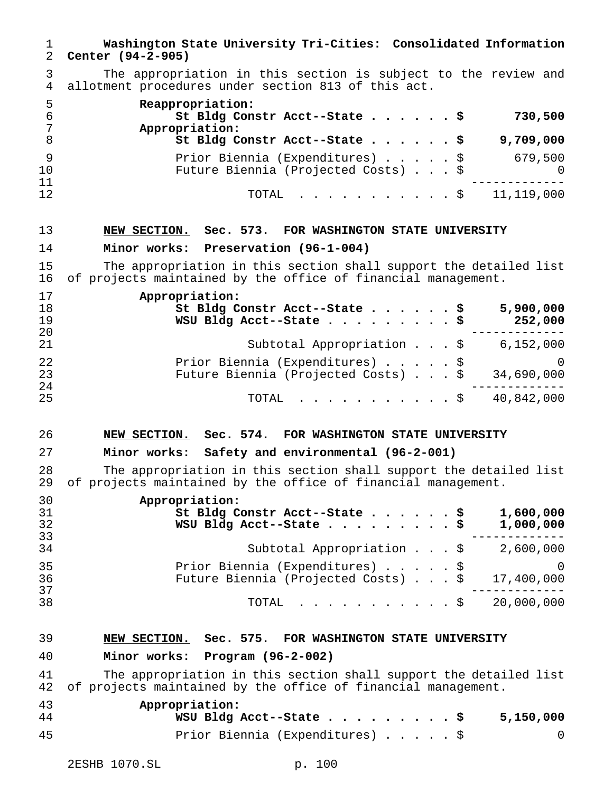| 1<br>2               | Washington State University Tri-Cities: Consolidated Information<br>Center (94-2-905)                                              |
|----------------------|------------------------------------------------------------------------------------------------------------------------------------|
| 3<br>4               | The appropriation in this section is subject to the review and<br>allotment procedures under section 813 of this act.              |
| 5<br>6<br>7<br>8     | Reappropriation:<br>St Bldg Constr Acct--State \$<br>730,500<br>Appropriation:<br>9,709,000<br>St Bldg Constr Acct--State \$       |
| 9<br>10<br>11        | 679,500<br>Prior Biennia (Expenditures) \$<br>Future Biennia (Projected Costs) \$<br>O                                             |
| 12                   | 11,119,000<br>TOTAL<br>. \$                                                                                                        |
| 13                   | NEW SECTION. Sec. 573. FOR WASHINGTON STATE UNIVERSITY                                                                             |
| 14                   | Minor works: Preservation (96-1-004)                                                                                               |
| 15<br>16             | The appropriation in this section shall support the detailed list<br>of projects maintained by the office of financial management. |
| 17<br>18<br>19<br>20 | Appropriation:<br>St Bldg Constr Acct--State<br>5,900,000<br>. \$<br>WSU Bldg Acct--State<br>252,000                               |
| 21                   | Subtotal Appropriation $\ldots$ , \$ 6,152,000                                                                                     |
| 22<br>23<br>24       | Prior Biennia (Expenditures) \$<br>$\Omega$<br>34,690,000<br>Future Biennia (Projected Costs) \$                                   |
| 25                   | 40,842,000<br>. \$<br>TOTAL                                                                                                        |
| 26                   | NEW SECTION. Sec. 574. FOR WASHINGTON STATE UNIVERSITY                                                                             |
| 27                   | Minor works: Safety and environmental (96-2-001)                                                                                   |
| 28<br>29             | The appropriation in this section shall support the detailed list<br>of projects maintained by the office of financial management. |
| 30<br>31<br>32<br>33 | Appropriation:<br>1,600,000<br>St Bldg Constr Acct--State $\ldots$ \$<br>1,000,000<br>WSU Bldg Acct--State \$                      |
| 34                   | Subtotal Appropriation $\ldots$ , $\sharp$ 2,600,000                                                                               |
| 35<br>36<br>37       | Prior Biennia (Expenditures) \$<br>$\Omega$<br>Future Biennia (Projected Costs) \$<br>17,400,000                                   |
| 38                   | $\cdot$ \$ 20,000,000<br>TOTAL                                                                                                     |
| 39                   | NEW SECTION. Sec. 575. FOR WASHINGTON STATE UNIVERSITY                                                                             |
| 40                   | Minor works: Program (96-2-002)                                                                                                    |
| 41<br>42             | The appropriation in this section shall support the detailed list<br>of projects maintained by the office of financial management. |
| 43<br>44             | Appropriation:<br>WSU Bldg Acct--State \$<br>5,150,000                                                                             |
| 45                   | Prior Biennia (Expenditures) \$<br>0                                                                                               |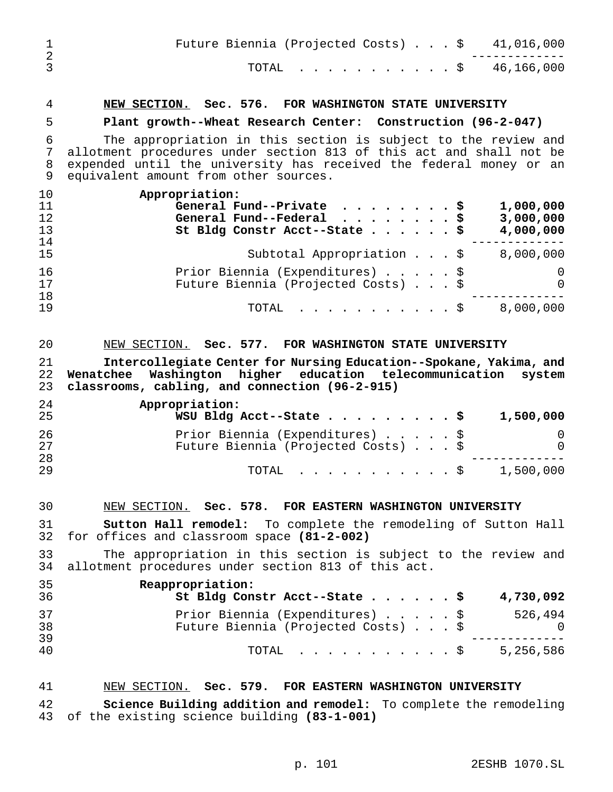| 1                          | Future Biennia (Projected Costs) \$<br>41,016,000                                                                                                                                                                                                      |
|----------------------------|--------------------------------------------------------------------------------------------------------------------------------------------------------------------------------------------------------------------------------------------------------|
| $\overline{2}$<br>3        | 46,166,000<br>TOTAL<br>$\cdot$ $\cdot$ $\circ$                                                                                                                                                                                                         |
| 4                          | NEW SECTION. Sec. 576. FOR WASHINGTON STATE UNIVERSITY                                                                                                                                                                                                 |
| 5                          | Plant growth--Wheat Research Center: Construction (96-2-047)                                                                                                                                                                                           |
| 6<br>7<br>8<br>9           | The appropriation in this section is subject to the review and<br>allotment procedures under section 813 of this act and shall not be<br>expended until the university has received the federal money or an<br>equivalent amount from other sources.   |
| 10<br>11<br>12<br>13<br>14 | Appropriation:<br>General Fund--Private<br>1,000,000<br>\$<br>.<br>3,000,000<br>General Fund--Federal $\cdots$<br>\$<br>4,000,000<br>St Bldg Constr Acct--State<br>. \$                                                                                |
| 15                         | 8,000,000<br>Subtotal Appropriation \$                                                                                                                                                                                                                 |
| 16<br>17                   | Prior Biennia (Expenditures) \$<br>0<br>Future Biennia (Projected Costs) \$<br>O                                                                                                                                                                       |
| 18<br>19                   | 8,000,000<br>TOTAL<br>$\cdot$ $\cdot$ \$                                                                                                                                                                                                               |
| 21<br>22<br>23<br>24<br>25 | Intercollegiate Center for Nursing Education--Spokane, Yakima, and<br>higher education telecommunication system<br>Washington<br>Wenatchee<br>classrooms, cabling, and connection (96-2-915)<br>Appropriation:<br>1,500,000<br>WSU Bldg Acct--State \$ |
| 26<br>27                   | Prior Biennia (Expenditures)<br>\$<br>0<br>Future Biennia (Projected Costs) \$<br>0                                                                                                                                                                    |
| 28<br>29                   | 1,500,000<br>TOTAL.<br>$\mathfrak{g}$                                                                                                                                                                                                                  |
| 30                         | NEW SECTION. Sec. 578. FOR EASTERN WASHINGTON UNIVERSITY                                                                                                                                                                                               |
| 31<br>32                   | Sutton Hall remodel: To complete the remodeling of Sutton Hall<br>for offices and classroom space (81-2-002)                                                                                                                                           |
| 33<br>34                   | The appropriation in this section is subject to the review and<br>allotment procedures under section 813 of this act.                                                                                                                                  |
| 35<br>36                   | Reappropriation:<br>4,730,092<br>St Bldg Constr Acct--State \$                                                                                                                                                                                         |
| 37<br>38<br>39             | Prior Biennia (Expenditures) \$<br>526,494<br>Future Biennia (Projected Costs) \$<br>0                                                                                                                                                                 |
| 40                         | 5,256,586<br>TOTAL<br>. \$                                                                                                                                                                                                                             |
| 41                         | NEW SECTION. Sec. 579. FOR EASTERN WASHINGTON UNIVERSITY                                                                                                                                                                                               |
| 42                         | Science Building addition and remodel: To complete the remodeling                                                                                                                                                                                      |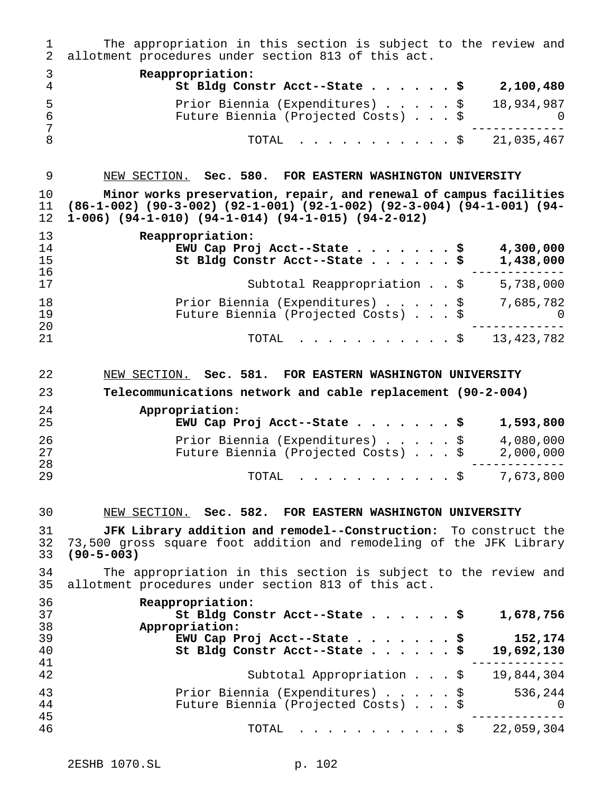| ı.<br>$\overline{2}$       | The appropriation in this section is subject to the review and<br>allotment procedures under section 813 of this act.                                                                                 |   |
|----------------------------|-------------------------------------------------------------------------------------------------------------------------------------------------------------------------------------------------------|---|
| 3<br>4                     | Reappropriation:<br>St Bldg Constr Acct--State \$<br>2,100,480                                                                                                                                        |   |
| 5<br>6<br>7<br>8           | 18,934,987<br>Prior Biennia (Expenditures) \$<br>Future Biennia (Projected Costs) \$                                                                                                                  | O |
|                            | 21,035,467<br>TOTAL<br>$.$ \$                                                                                                                                                                         |   |
| 9                          | NEW SECTION. Sec. 580. FOR EASTERN WASHINGTON UNIVERSITY                                                                                                                                              |   |
| 10<br>11<br>12             | Minor works preservation, repair, and renewal of campus facilities<br>(86-1-002) (90-3-002) (92-1-001) (92-1-002) (92-3-004) (94-1-001) (94-<br>$1-006$ ) (94-1-010) (94-1-014) (94-1-015) (94-2-012) |   |
| 13<br>14<br>15<br>16       | Reappropriation:<br>EWU Cap Proj Acct--State \$<br>4,300,000<br>St Bldg Constr Acct--State \$<br>1,438,000                                                                                            |   |
| 17                         | 5,738,000<br>Subtotal Reappropriation \$                                                                                                                                                              |   |
| 18<br>19                   | Prior Biennia (Expenditures) \$<br>7,685,782<br>Future Biennia (Projected Costs) \$                                                                                                                   | 0 |
| 20<br>21                   | 13, 423, 782<br>TOTAL<br>$\cdot$ \$                                                                                                                                                                   |   |
| 22                         | NEW SECTION. Sec. 581. FOR EASTERN WASHINGTON UNIVERSITY                                                                                                                                              |   |
| 23                         | Telecommunications network and cable replacement (90-2-004)                                                                                                                                           |   |
| 24<br>25                   | Appropriation:<br>EWU Cap Proj Acct--State \$<br>1,593,800                                                                                                                                            |   |
| 26<br>27<br>28             | 4,080,000<br>Prior Biennia (Expenditures) \$<br>Future Biennia (Projected Costs) \$<br>2,000,000                                                                                                      |   |
| 29                         | 7,673,800<br>. \$<br>TOTAL                                                                                                                                                                            |   |
| 30                         | NEW SECTION. Sec. 582. FOR EASTERN WASHINGTON UNIVERSITY                                                                                                                                              |   |
| 31<br>32<br>33             | JFK Library addition and remodel--Construction: To construct the<br>73,500 gross square foot addition and remodeling of the JFK Library<br>$(90 - 5 - 003)$                                           |   |
| 34<br>35                   | The appropriation in this section is subject to the review and<br>allotment procedures under section 813 of this act.                                                                                 |   |
| 36<br>37<br>38<br>39<br>40 | Reappropriation:<br>1,678,756<br>St Bldg Constr Acct--State \$<br>Appropriation:                                                                                                                      |   |
|                            | 152,174<br>EWU Cap Proj Acct--State \$<br>St Bldg Constr Acct--State \$<br>19,692,130                                                                                                                 |   |
| 41<br>42                   | 19,844,304<br>Subtotal Appropriation \$                                                                                                                                                               |   |
| 43<br>44                   | Prior Biennia (Expenditures) \$<br>536,244<br>Future Biennia (Projected Costs) \$                                                                                                                     | 0 |
| 45<br>46                   | 22,059,304<br>TOTAL<br>. \$                                                                                                                                                                           |   |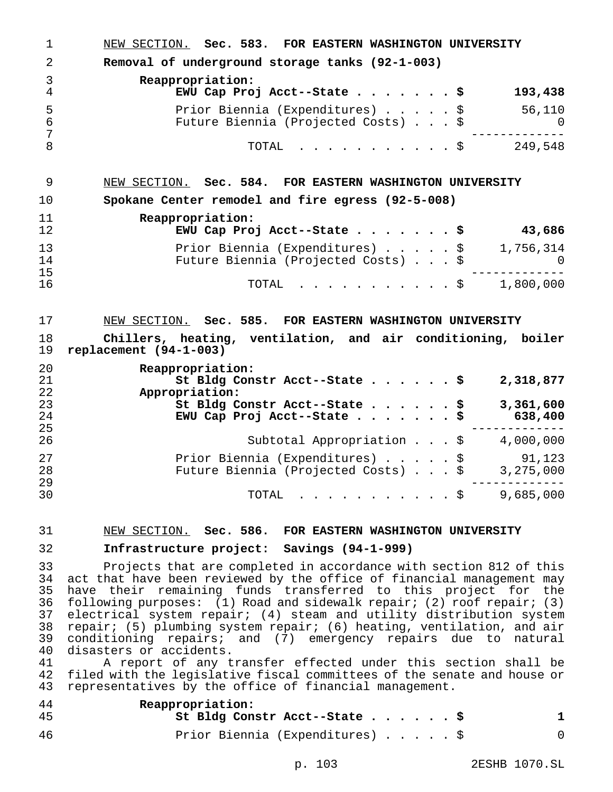| 1                                                              | NEW SECTION. Sec. 583. FOR EASTERN WASHINGTON UNIVERSITY                                                                                                                                                                                                                                                                                                                                                                                                                                                                                                                                                                                                                                                                                         |
|----------------------------------------------------------------|--------------------------------------------------------------------------------------------------------------------------------------------------------------------------------------------------------------------------------------------------------------------------------------------------------------------------------------------------------------------------------------------------------------------------------------------------------------------------------------------------------------------------------------------------------------------------------------------------------------------------------------------------------------------------------------------------------------------------------------------------|
| 2                                                              | Removal of underground storage tanks (92-1-003)                                                                                                                                                                                                                                                                                                                                                                                                                                                                                                                                                                                                                                                                                                  |
| 3<br>4                                                         | Reappropriation:<br>EWU Cap Proj Acct--State \$<br>193,438                                                                                                                                                                                                                                                                                                                                                                                                                                                                                                                                                                                                                                                                                       |
| 5<br>$\epsilon$                                                | Prior Biennia (Expenditures) \$<br>56,110<br>Future Biennia (Projected Costs) \$<br>0                                                                                                                                                                                                                                                                                                                                                                                                                                                                                                                                                                                                                                                            |
| 7<br>8                                                         | TOTAL \$ 249,548                                                                                                                                                                                                                                                                                                                                                                                                                                                                                                                                                                                                                                                                                                                                 |
| 9                                                              | NEW SECTION. Sec. 584. FOR EASTERN WASHINGTON UNIVERSITY                                                                                                                                                                                                                                                                                                                                                                                                                                                                                                                                                                                                                                                                                         |
| 10                                                             | Spokane Center remodel and fire egress (92-5-008)                                                                                                                                                                                                                                                                                                                                                                                                                                                                                                                                                                                                                                                                                                |
| 11<br>12                                                       | Reappropriation:<br>EWU Cap Proj Acct--State \$ 43,686                                                                                                                                                                                                                                                                                                                                                                                                                                                                                                                                                                                                                                                                                           |
| 13<br>14                                                       | Prior Biennia (Expenditures) \$ 1,756,314<br>Future Biennia (Projected Costs) \$ 0                                                                                                                                                                                                                                                                                                                                                                                                                                                                                                                                                                                                                                                               |
| 15<br>16                                                       | TOTAL \$ 1,800,000                                                                                                                                                                                                                                                                                                                                                                                                                                                                                                                                                                                                                                                                                                                               |
| 17                                                             | NEW SECTION. Sec. 585. FOR EASTERN WASHINGTON UNIVERSITY                                                                                                                                                                                                                                                                                                                                                                                                                                                                                                                                                                                                                                                                                         |
| 18<br>19                                                       | Chillers, heating, ventilation, and air conditioning, boiler<br>replacement $(94-1-003)$                                                                                                                                                                                                                                                                                                                                                                                                                                                                                                                                                                                                                                                         |
| 20<br>21<br>22<br>23                                           | Reappropriation:<br>St Bldg Constr Acct--State \$<br>2,318,877<br>Appropriation:<br>St Bldg Constr Acct--State \$<br>3,361,600                                                                                                                                                                                                                                                                                                                                                                                                                                                                                                                                                                                                                   |
| 24<br>25<br>26                                                 | EWU Cap Proj Acct--State \$ 638,400<br>Subtotal Appropriation $\ldots$ , $\sharp$ 4,000,000                                                                                                                                                                                                                                                                                                                                                                                                                                                                                                                                                                                                                                                      |
| 27<br>28<br>29                                                 | Prior Biennia (Expenditures) \$ 91,123<br>Future Biennia (Projected Costs) \$ 3,275,000                                                                                                                                                                                                                                                                                                                                                                                                                                                                                                                                                                                                                                                          |
| 30                                                             | 9,685,000<br>TOTAL $\ldots$ \$                                                                                                                                                                                                                                                                                                                                                                                                                                                                                                                                                                                                                                                                                                                   |
| 31                                                             | NEW SECTION. Sec. 586. FOR EASTERN WASHINGTON UNIVERSITY                                                                                                                                                                                                                                                                                                                                                                                                                                                                                                                                                                                                                                                                                         |
| 32                                                             | Infrastructure project: Savings (94-1-999)                                                                                                                                                                                                                                                                                                                                                                                                                                                                                                                                                                                                                                                                                                       |
| 33<br>34<br>35<br>36<br>37<br>38<br>39<br>40<br>41<br>42<br>43 | Projects that are completed in accordance with section 812 of this<br>act that have been reviewed by the office of financial management may<br>have their remaining funds transferred to this project for the<br>following purposes: $(1)$ Road and sidewalk repair; $(2)$ roof repair; $(3)$<br>electrical system repair; (4) steam and utility distribution system<br>repair; (5) plumbing system repair; (6) heating, ventilation, and air<br>conditioning repairs; and (7) emergency repairs due to natural<br>disasters or accidents.<br>A report of any transfer effected under this section shall be<br>filed with the legislative fiscal committees of the senate and house or<br>representatives by the office of financial management. |
| 44<br>45                                                       | Reappropriation:<br>St Bldg Constr Acct--State \$<br>$\mathbf 1$                                                                                                                                                                                                                                                                                                                                                                                                                                                                                                                                                                                                                                                                                 |
| 46                                                             | Prior Biennia (Expenditures) \$<br>0                                                                                                                                                                                                                                                                                                                                                                                                                                                                                                                                                                                                                                                                                                             |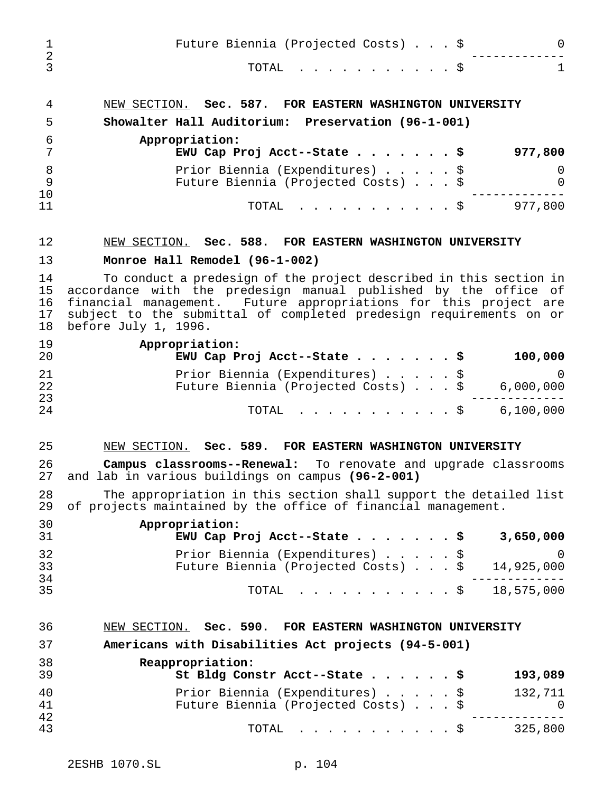| 1<br>$\overline{2}$        | Future Biennia (Projected Costs) \$<br>0                                                                                                                                                                                                                                                                |  |
|----------------------------|---------------------------------------------------------------------------------------------------------------------------------------------------------------------------------------------------------------------------------------------------------------------------------------------------------|--|
| 3                          | $\mathbf{1}$<br>TOTAL<br>$\cdot$ \$                                                                                                                                                                                                                                                                     |  |
| 4                          | NEW SECTION. Sec. 587. FOR EASTERN WASHINGTON UNIVERSITY                                                                                                                                                                                                                                                |  |
| 5                          | Showalter Hall Auditorium: Preservation (96-1-001)                                                                                                                                                                                                                                                      |  |
| 6<br>7                     | Appropriation:<br>EWU Cap Proj Acct--State \$<br>977,800                                                                                                                                                                                                                                                |  |
| 8<br>$\mathsf 9$<br>10     | Prior Biennia (Expenditures) \$<br>0<br>Future Biennia (Projected Costs) \$<br>0                                                                                                                                                                                                                        |  |
| 11                         | 977,800<br>. \$<br>TOTAL                                                                                                                                                                                                                                                                                |  |
| 12                         | NEW SECTION. Sec. 588. FOR EASTERN WASHINGTON UNIVERSITY                                                                                                                                                                                                                                                |  |
| 13                         | Monroe Hall Remodel (96-1-002)                                                                                                                                                                                                                                                                          |  |
| 14<br>15<br>16<br>17<br>18 | To conduct a predesign of the project described in this section in<br>accordance with the predesign manual published by the office of<br>financial management. Future appropriations for this project are<br>subject to the submittal of completed predesign requirements on or<br>before July 1, 1996. |  |
| 19<br>20                   | Appropriation:<br>100,000<br>EWU Cap Proj Acct--State \$                                                                                                                                                                                                                                                |  |
| 21<br>22<br>23             | Prior Biennia (Expenditures) \$<br>$\overline{0}$<br>Future Biennia (Projected Costs) \$<br>6,000,000                                                                                                                                                                                                   |  |
| 24                         | 6,100,000<br>TOTAL<br>. \$                                                                                                                                                                                                                                                                              |  |
| 25                         | NEW SECTION. Sec. 589. FOR EASTERN WASHINGTON UNIVERSITY                                                                                                                                                                                                                                                |  |
| 26<br>27                   | <b>Campus classrooms--Renewal:</b> To renovate and upgrade classrooms<br>and lab in various buildings on campus (96-2-001)                                                                                                                                                                              |  |
| 28<br>29                   | The appropriation in this section shall support the detailed list<br>of projects maintained by the office of financial management.                                                                                                                                                                      |  |
| 30<br>31                   | Appropriation:<br>3,650,000<br>EWU Cap Proj Acct--State \$                                                                                                                                                                                                                                              |  |
| 32<br>33                   | Prior Biennia (Expenditures) \$<br>0<br>Future Biennia (Projected Costs) \$<br>14,925,000                                                                                                                                                                                                               |  |
| 34<br>35                   | 18,575,000<br>TOTAL<br>$\cdot$ \$                                                                                                                                                                                                                                                                       |  |
| 36                         | NEW SECTION. Sec. 590. FOR EASTERN WASHINGTON UNIVERSITY                                                                                                                                                                                                                                                |  |
| 37                         | Americans with Disabilities Act projects (94-5-001)                                                                                                                                                                                                                                                     |  |
| 38<br>39                   | Reappropriation:<br>St Bldg Constr Acct--State<br>193,089<br>- \$                                                                                                                                                                                                                                       |  |
| 40<br>41                   | Prior Biennia (Expenditures) \$<br>132,711<br>Future Biennia (Projected Costs) \$<br>0                                                                                                                                                                                                                  |  |
| 42<br>43                   | . \$<br>325,800<br>TOTAL                                                                                                                                                                                                                                                                                |  |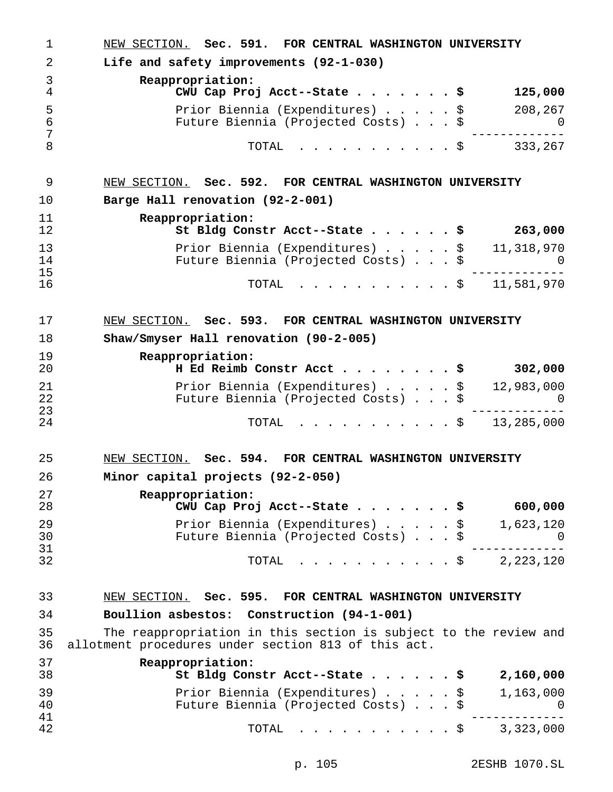| 1                    | NEW SECTION. Sec. 591. FOR CENTRAL WASHINGTON UNIVERSITY                                                                |  |
|----------------------|-------------------------------------------------------------------------------------------------------------------------|--|
| 2                    | Life and safety improvements (92-1-030)                                                                                 |  |
| 3<br>4               | Reappropriation:<br>CWU Cap Proj Acct--State $\cdots$ $\cdots$ $\zeta$<br>125,000                                       |  |
| 5<br>$\epsilon$<br>7 | Prior Biennia (Expenditures) \$<br>208,267<br>Future Biennia (Projected Costs) \$<br>$\Omega$                           |  |
| 8                    | 333,267<br>TOTAL<br>. \$                                                                                                |  |
| 9                    | NEW SECTION. Sec. 592. FOR CENTRAL WASHINGTON UNIVERSITY                                                                |  |
| 10                   | Barge Hall renovation (92-2-001)                                                                                        |  |
| 11<br>12             | Reappropriation:<br>St Bldg Constr Acct--State \$<br>263,000                                                            |  |
| 13<br>14<br>15       | Prior Biennia (Expenditures) \$<br>11,318,970<br>Future Biennia (Projected Costs) \$<br>$\cup$                          |  |
| 16                   | $\dot{s}$ 11,581,970<br>TOTAL                                                                                           |  |
| 17                   | NEW SECTION. Sec. 593. FOR CENTRAL WASHINGTON UNIVERSITY                                                                |  |
| 18                   | Shaw/Smyser Hall renovation (90-2-005)                                                                                  |  |
| 19<br>20             | Reappropriation:<br>H Ed Reimb Constr Acct \$<br>302,000                                                                |  |
| 21<br>22<br>23       | Prior Biennia (Expenditures) \$<br>12,983,000<br>Future Biennia (Projected Costs) \$<br>0                               |  |
| 24                   | 13,285,000<br>. \$<br>TOTAL                                                                                             |  |
| 25                   | NEW SECTION. Sec. 594. FOR CENTRAL WASHINGTON UNIVERSITY                                                                |  |
| 26                   | Minor capital projects (92-2-050)                                                                                       |  |
| 27<br>28             | Reappropriation:<br>CWU Cap Proj Acct--State \$<br>600,000                                                              |  |
| 29<br>30             | Prior Biennia (Expenditures) \$<br>1,623,120<br>Future Biennia (Projected Costs) \$<br>0                                |  |
| 31<br>32             | 2,223,120<br>TOTAL<br>. \$                                                                                              |  |
|                      |                                                                                                                         |  |
| 33                   | NEW SECTION. Sec. 595. FOR CENTRAL WASHINGTON UNIVERSITY                                                                |  |
| 34                   | Boullion asbestos: Construction (94-1-001)                                                                              |  |
| 35<br>36             | The reappropriation in this section is subject to the review and<br>allotment procedures under section 813 of this act. |  |
| 37<br>38             | Reappropriation:<br>St Bldg Constr Acct--State \$<br>2,160,000                                                          |  |
| 39<br>40<br>41       | Prior Biennia (Expenditures) \$<br>1,163,000<br>Future Biennia (Projected Costs) \$<br>0                                |  |
| 42                   | 3,323,000<br>TOTAL<br>. \$                                                                                              |  |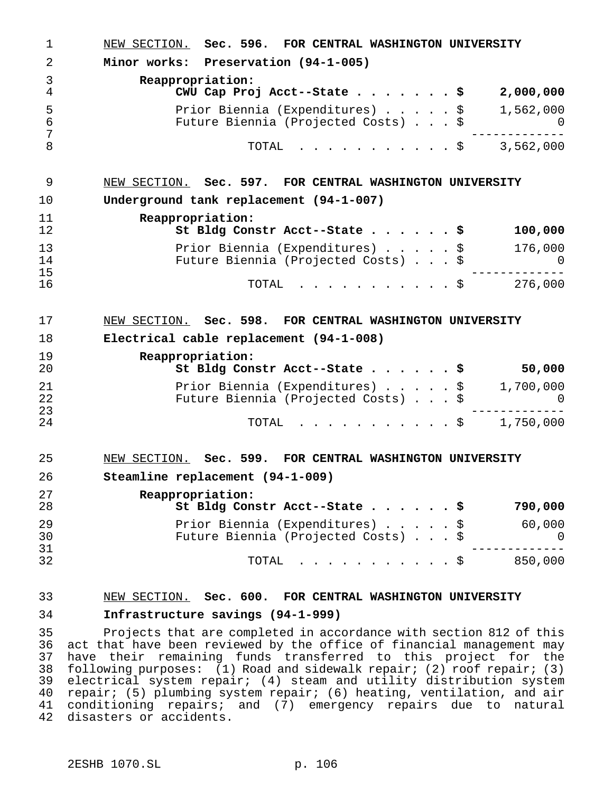| 1              | NEW SECTION. Sec. 596. FOR CENTRAL WASHINGTON UNIVERSITY                            |    |
|----------------|-------------------------------------------------------------------------------------|----|
| 2              | Minor works: Preservation (94-1-005)                                                |    |
| 3<br>4         | Reappropriation:<br>CWU Cap Proj Acct--State \$<br>2,000,000                        |    |
| 5<br>6<br>7    | 1,562,000<br>Prior Biennia (Expenditures) \$<br>Future Biennia (Projected Costs) \$ | O. |
| 8              | 3,562,000<br>TOTAL<br>. \$                                                          |    |
| 9              | NEW SECTION. Sec. 597. FOR CENTRAL WASHINGTON UNIVERSITY                            |    |
| 10             | Underground tank replacement (94-1-007)                                             |    |
| 11<br>12       | Reappropriation:<br>100,000<br>St Bldg Constr Acct--State \$                        |    |
| 13<br>14<br>15 | 176,000<br>Prior Biennia (Expenditures) \$<br>Future Biennia (Projected Costs) \$   | O  |
| 16             | TOTAL<br>276,000<br>. \$                                                            |    |
| 17             | NEW SECTION. Sec. 598. FOR CENTRAL WASHINGTON UNIVERSITY                            |    |
| 18             | Electrical cable replacement (94-1-008)                                             |    |
| 19<br>20       | Reappropriation:<br>St Bldg Constr Acct--State \$<br>50,000                         |    |
| 21<br>22<br>23 | 1,700,000<br>Prior Biennia (Expenditures) \$<br>Future Biennia (Projected Costs) \$ |    |
| 24             | 1,750,000<br>. \$<br>TOTAL                                                          |    |
| 25             | NEW SECTION. Sec. 599. FOR CENTRAL WASHINGTON UNIVERSITY                            |    |
| 26             | Steamline replacement (94-1-009)                                                    |    |
| 27<br>28       | Reappropriation:<br>St Bldg Constr Acct--State \$<br>790,000                        |    |
| 29<br>30       | Prior Biennia (Expenditures) \$<br>60,000<br>Future Biennia (Projected Costs) \$    | U  |
| 31<br>32       | TOTAL<br>850,000<br>$\cdot$ \$                                                      |    |
|                |                                                                                     |    |

# NEW SECTION. **Sec. 600. FOR CENTRAL WASHINGTON UNIVERSITY**

# **Infrastructure savings (94-1-999)**

 Projects that are completed in accordance with section 812 of this act that have been reviewed by the office of financial management may have their remaining funds transferred to this project for the following purposes: (1) Road and sidewalk repair; (2) roof repair; (3) 39 electrical system repair; (4) steam and utility distribution system<br>40 repair; (5) plumbing system repair; (6) heating, ventilation, and air repair; (5) plumbing system repair; (6) heating, ventilation, and air conditioning repairs; and (7) emergency repairs due to natural disasters or accidents.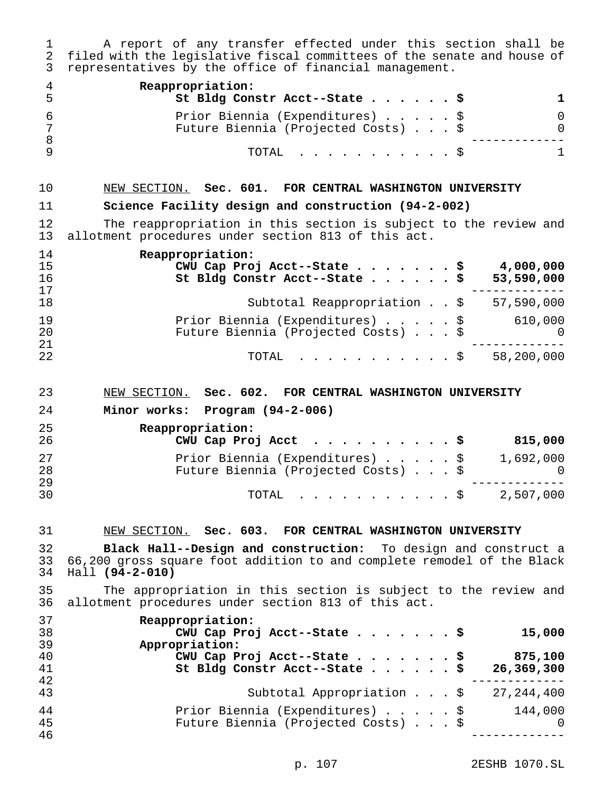A report of any transfer effected under this section shall be filed with the legislative fiscal committees of the senate and house of representatives by the office of financial management.

| Reappropriation:<br>St Bldg Constr Acct--State \$                      |  |
|------------------------------------------------------------------------|--|
| Prior Biennia (Expenditures) \$<br>Future Biennia (Projected Costs) \$ |  |
| TOTAL Ş                                                                |  |

# NEW SECTION. **Sec. 601. FOR CENTRAL WASHINGTON UNIVERSITY**

# **Science Facility design and construction (94-2-002)**

12 The reappropriation in this section is subject to the review and<br>13 allotment procedures under section 813 of this act. allotment procedures under section 813 of this act.

| 14 | Reappropriation:                                      |
|----|-------------------------------------------------------|
| 15 | CWU Cap Proj Acct--State \$<br>4,000,000              |
| 16 | St Bldg Constr Acct--State \$<br>53,590,000           |
| 17 |                                                       |
| 18 | Subtotal Reappropriation \$<br>57,590,000             |
| 19 | Prior Biennia (Expenditures) \$<br>610,000            |
| 20 | Future Biennia (Projected Costs) \$<br>$\overline{0}$ |
| 21 |                                                       |
| 22 | 58,200,000<br>$\texttt{TOTAL}$ \$                     |

#### NEW SECTION. **Sec. 602. FOR CENTRAL WASHINGTON UNIVERSITY**

**Minor works: Program (94-2-006)**

| 25<br>26       | Reappropriation:<br>CWU Cap Proj Acct \$                               | 815,000                 |
|----------------|------------------------------------------------------------------------|-------------------------|
| 27<br>28<br>29 | Prior Biennia (Expenditures) \$<br>Future Biennia (Projected Costs) \$ | 1,692,000<br>$\bigcirc$ |
| 30             | TOTAL \$ 2,507,000                                                     |                         |

#### NEW SECTION. **Sec. 603. FOR CENTRAL WASHINGTON UNIVERSITY**

 **Black Hall--Design and construction:** To design and construct a 66,200 gross square foot addition to and complete remodel of the Black Hall **(94-2-010)**

 The appropriation in this section is subject to the review and allotment procedures under section 813 of this act.

| 37 | Reappropriation:                                |
|----|-------------------------------------------------|
| 38 | CWU Cap Proj Acct--State \$<br>15,000           |
| 39 | Appropriation:                                  |
| 40 | CWU Cap Proj Acct--State \$<br>875,100          |
| 41 | St Bldg Constr Acct--State \$<br>26,369,300     |
| 42 |                                                 |
| 43 | Subtotal Appropriation \$<br>27,244,400         |
| 44 | Prior Biennia (Expenditures) \$<br>144,000      |
| 45 | Future Biennia (Projected Costs) \$<br>$\Omega$ |
| 46 |                                                 |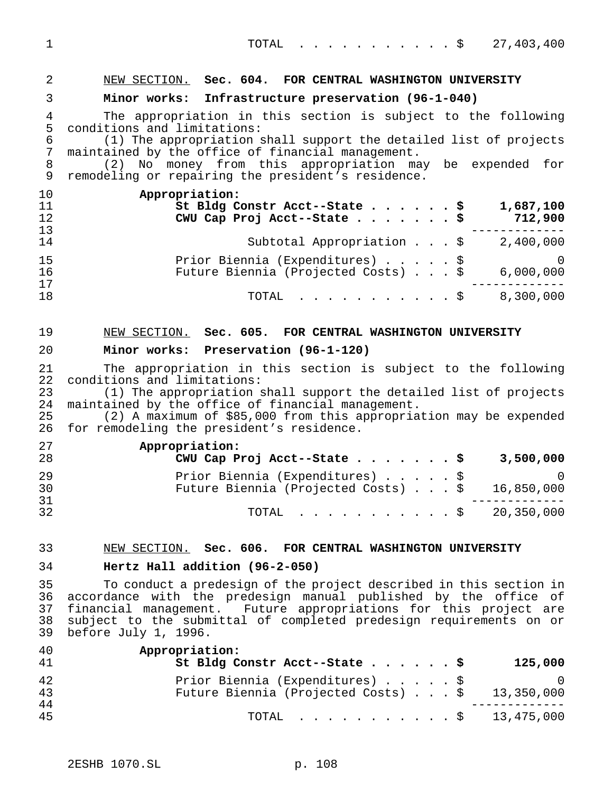| $\overline{2}$                                                   | NEW SECTION. Sec. 604. FOR CENTRAL WASHINGTON UNIVERSITY                                                                                                                                                                                                                                                                                 |
|------------------------------------------------------------------|------------------------------------------------------------------------------------------------------------------------------------------------------------------------------------------------------------------------------------------------------------------------------------------------------------------------------------------|
| 3                                                                | Minor works: Infrastructure preservation (96-1-040)                                                                                                                                                                                                                                                                                      |
| $\overline{4}$<br>5<br>$\epsilon$<br>$\boldsymbol{7}$<br>$\,8\,$ | The appropriation in this section is subject to the following<br>conditions and limitations:<br>(1) The appropriation shall support the detailed list of projects<br>maintained by the office of financial management.<br>(2) No money from this appropriation may be expended for                                                       |
| $\mathsf 9$                                                      | remodeling or repairing the president's residence.                                                                                                                                                                                                                                                                                       |
| 10<br>11<br>12<br>13                                             | Appropriation:<br>St Bldg Constr Acct--State \$<br>1,687,100<br>712,900<br>CWU Cap Proj Acct--State \$                                                                                                                                                                                                                                   |
| 14                                                               | Subtotal Appropriation $\ldots$ , $\sharp$ 2,400,000                                                                                                                                                                                                                                                                                     |
| 15<br>16<br>17                                                   | Prior Biennia (Expenditures) \$<br>$\Omega$<br>Future Biennia (Projected Costs) \$<br>6,000,000                                                                                                                                                                                                                                          |
| 18                                                               | 8,300,000<br>TOTAL<br>. \$                                                                                                                                                                                                                                                                                                               |
| 19                                                               | NEW SECTION. Sec. 605. FOR CENTRAL WASHINGTON UNIVERSITY                                                                                                                                                                                                                                                                                 |
| 20                                                               | Minor works: Preservation (96-1-120)                                                                                                                                                                                                                                                                                                     |
| 21<br>22<br>23<br>24<br>25<br>26                                 | The appropriation in this section is subject to the following<br>conditions and limitations:<br>(1) The appropriation shall support the detailed list of projects<br>maintained by the office of financial management.<br>(2) A maximum of \$85,000 from this appropriation may be expended<br>for remodeling the president's residence. |
| 27                                                               | Appropriation:                                                                                                                                                                                                                                                                                                                           |
| 28<br>29<br>30                                                   | CWU Cap Proj Acct--State \$<br>3,500,000<br>Prior Biennia (Expenditures) \$<br>$\Omega$<br>Future Biennia (Projected Costs) \$<br>16,850,000                                                                                                                                                                                             |
| 31<br>32                                                         | 20,350,000<br>. \$<br>TOTAL                                                                                                                                                                                                                                                                                                              |
| 33                                                               | NEW SECTION. Sec. 606. FOR CENTRAL WASHINGTON UNIVERSITY                                                                                                                                                                                                                                                                                 |
| 34                                                               | Hertz Hall addition (96-2-050)                                                                                                                                                                                                                                                                                                           |
| 35<br>36<br>37<br>38<br>39                                       | To conduct a predesign of the project described in this section in<br>accordance with the predesign manual published by the office of<br>financial management. Future appropriations for this project are<br>subject to the submittal of completed predesign requirements on or<br>before July 1, 1996.                                  |
| 40<br>41                                                         | Appropriation:<br>St Bldg Constr Acct--State \$<br>125,000                                                                                                                                                                                                                                                                               |
| 42<br>43                                                         | Prior Biennia (Expenditures) \$<br>$\Omega$<br>Future Biennia (Projected Costs)<br>13,350,000                                                                                                                                                                                                                                            |
| 44<br>45                                                         | TOTAL \$ 13,475,000                                                                                                                                                                                                                                                                                                                      |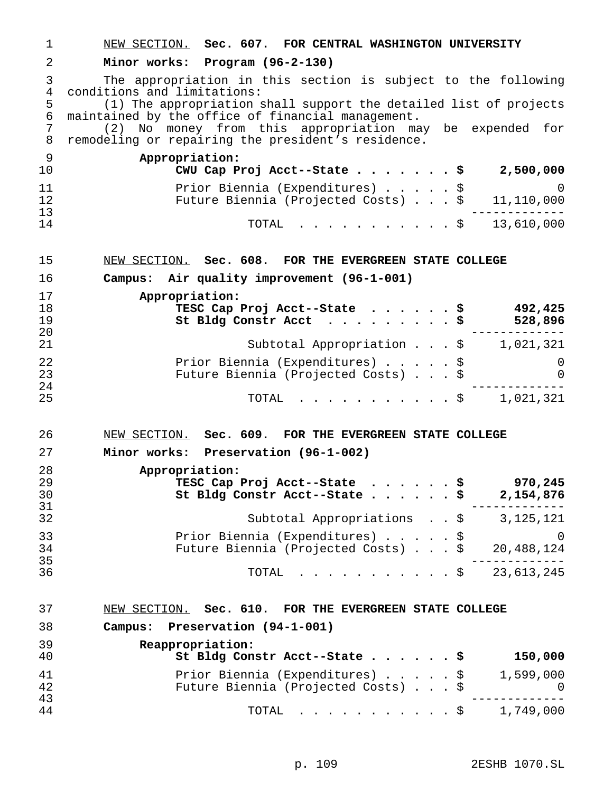| 1                        | NEW SECTION. Sec. 607. FOR CENTRAL WASHINGTON UNIVERSITY                                                                                                          |
|--------------------------|-------------------------------------------------------------------------------------------------------------------------------------------------------------------|
| 2                        | Minor works: Program (96-2-130)                                                                                                                                   |
| 3<br>$\overline{4}$<br>5 | The appropriation in this section is subject to the following<br>conditions and limitations:<br>(1) The appropriation shall support the detailed list of projects |
| 6                        | maintained by the office of financial management.                                                                                                                 |
| 7<br>8                   | (2) No money from this appropriation may be expended for<br>remodeling or repairing the president's residence.                                                    |
| 9<br>10                  | Appropriation:<br>CWU Cap Proj Acct--State $\ldots$ \$ 2,500,000                                                                                                  |
| 11<br>12<br>13           | Prior Biennia (Expenditures) \$ 0<br>Future Biennia (Projected Costs) \$ 11,110,000                                                                               |
| 14                       | TOTAL \$ 13,610,000                                                                                                                                               |
| 15                       | NEW SECTION. Sec. 608. FOR THE EVERGREEN STATE COLLEGE                                                                                                            |
| 16                       | Campus: Air quality improvement (96-1-001)                                                                                                                        |
| 17<br>18<br>19<br>20     | Appropriation:<br>TESC Cap Proj Acct--State \$ 492,425<br>528,896<br>St Bldg Constr Acct $\ldots$ \$                                                              |
| 21                       | Subtotal Appropriation $\ldots$ , $\sharp$ 1,021,321                                                                                                              |
| 22<br>23                 | Prior Biennia (Expenditures) \$<br>0<br>Future Biennia (Projected Costs) \$<br>0                                                                                  |
| 24<br>25                 | $\cdots$ \$ 1,021,321<br>TOTAL                                                                                                                                    |
| 26                       | NEW SECTION. Sec. 609. FOR THE EVERGREEN STATE COLLEGE                                                                                                            |
| 27                       | Minor works: Preservation (96-1-002)                                                                                                                              |
| 28<br>29<br>30           | Appropriation:<br>TESC Cap Proj Acct--State .<br>S.<br>970,245<br>St Bldg Constr Acct--State \$<br>2,154,876                                                      |
| 31<br>32                 | Subtotal Appropriations \$ 3,125,121                                                                                                                              |
| 33<br>34                 | Prior Biennia (Expenditures) \$<br>0<br>20,488,124<br>Future Biennia (Projected Costs) \$                                                                         |
| 35<br>36                 | . - - - - - - - - -<br>$\cdot \cdot \cdot \cdot \cdot \cdot \cdot$ \$ 23,613,245<br>TOTAL                                                                         |
| 37                       | NEW SECTION. Sec. 610. FOR THE EVERGREEN STATE COLLEGE                                                                                                            |
| 38                       | Campus: Preservation (94-1-001)                                                                                                                                   |
| 39<br>40                 | Reappropriation:<br>St Bldg Constr Acct--State \$<br>150,000                                                                                                      |
| 41<br>42<br>43           | Prior Biennia (Expenditures) \$<br>1,599,000<br>Future Biennia (Projected Costs) \$<br>U                                                                          |
| 44                       | TOTAL<br>1,749,000<br>. \$                                                                                                                                        |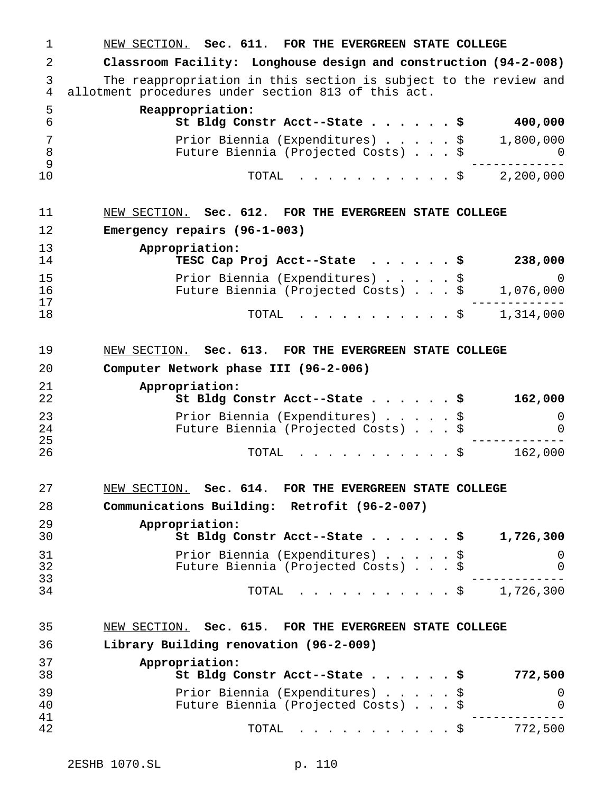NEW SECTION. **Sec. 611. FOR THE EVERGREEN STATE COLLEGE Classroom Facility: Longhouse design and construction (94-2-008)** The reappropriation in this section is subject to the review and allotment procedures under section 813 of this act. **Reappropriation: St Bldg Constr Acct--State......\$ 400,000** Prior Biennia (Expenditures).....\$ 1,800,000 Future Biennia (Projected Costs)...\$ 0 ------------- TOTAL ...........\$ 2,200,000 NEW SECTION. **Sec. 612. FOR THE EVERGREEN STATE COLLEGE Emergency repairs (96-1-003) Appropriation: TESC Cap Proj Acct--State ......\$ 238,000** Prior Biennia (Expenditures).....\$ 0 16 Future Biennia (Projected Costs)...\$<br>17 ------------- TOTAL ...........\$ 1,314,000 NEW SECTION. **Sec. 613. FOR THE EVERGREEN STATE COLLEGE Computer Network phase III (96-2-006) Appropriation: St Bldg Constr Acct--State......\$ 162,000** Prior Biennia (Expenditures).....\$ 0 Future Biennia (Projected Costs)...\$ 0 ------------- <sup>26</sup> TOTAL ...........\$ 162,000 NEW SECTION. **Sec. 614. FOR THE EVERGREEN STATE COLLEGE Communications Building: Retrofit (96-2-007) Appropriation: St Bldg Constr Acct--State......\$ 1,726,300** Prior Biennia (Expenditures).....\$ 0 Future Biennia (Projected Costs)...\$ 0 ------------- TOTAL ...........\$ 1,726,300 NEW SECTION. **Sec. 615. FOR THE EVERGREEN STATE COLLEGE Library Building renovation (96-2-009) Appropriation: St Bldg Constr Acct--State......\$ 772,500** Prior Biennia (Expenditures).....\$ 0 Future Biennia (Projected Costs)...\$ 0 ------------- TOTAL ...........\$ 772,500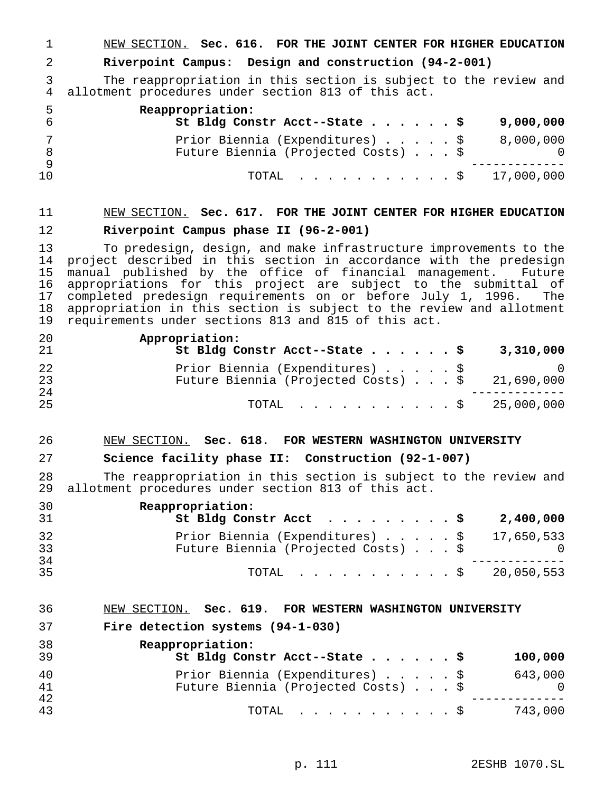NEW SECTION. **Sec. 616. FOR THE JOINT CENTER FOR HIGHER EDUCATION**

### **Riverpoint Campus: Design and construction (94-2-001)**

 The reappropriation in this section is subject to the review and allotment procedures under section 813 of this act.

| -5. | Reappropriation:<br>St Bldg Constr Acct--State $\sharp$                |  |  | 9,000,000 |
|-----|------------------------------------------------------------------------|--|--|-----------|
|     | Prior Biennia (Expenditures) \$<br>Future Biennia (Projected Costs) \$ |  |  | 8,000,000 |
| 10  | TOTAL $\ldots$ \$ 17,000,000                                           |  |  |           |

# NEW SECTION. **Sec. 617. FOR THE JOINT CENTER FOR HIGHER EDUCATION Riverpoint Campus phase II (96-2-001)**

13 To predesign, design, and make infrastructure improvements to the<br>14 project described in this section in accordance with the predesign 14 project described in this section in accordance with the predesign<br>15 manual published by the office of financial management. Future 15 manual published by the office of financial management. Future<br>16 appropriations for this project are subject to the submittal of appropriations for this project are subject to the submittal of completed predesign requirements on or before July 1, 1996. The 18 appropriation in this section is subject to the review and allotment<br>19 requirements under sections 813 and 815 of this act. requirements under sections 813 and 815 of this act.

| 20<br>-21 | Appropriation:<br>St Bldg Constr Acct--State \$<br>3,310,000                               |
|-----------|--------------------------------------------------------------------------------------------|
| 22<br>23  | Prior Biennia (Expenditures) \$<br>Future Biennia (Projected Costs) $\ldots$ \$ 21,690,000 |
| 24        |                                                                                            |
| 25        | TOTAL $\frac{1}{2}$ 25,000,000                                                             |

## NEW SECTION. **Sec. 618. FOR WESTERN WASHINGTON UNIVERSITY**

## **Science facility phase II: Construction (92-1-007)**

 The reappropriation in this section is subject to the review and allotment procedures under section 813 of this act.

| 30<br>-31 | Reappropriation:<br>St Bldg Constr Acct $\ldots$ \$<br>2,400,000                                        |
|-----------|---------------------------------------------------------------------------------------------------------|
| 32<br>33  | Prior Biennia (Expenditures) $\ldots$ , $\frac{1}{5}$ 17,650,533<br>Future Biennia (Projected Costs) \$ |
| 34<br>35  | TOTAL $\frac{1}{2}$ 20,050,553                                                                          |

#### NEW SECTION. **Sec. 619. FOR WESTERN WASHINGTON UNIVERSITY**

#### **Fire detection systems (94-1-030)**

| 38<br>39 | Reappropriation:<br>St Bldg Constr Acct--State \$                      |  |  | 100,000      |
|----------|------------------------------------------------------------------------|--|--|--------------|
| 40<br>41 | Prior Biennia (Expenditures) \$<br>Future Biennia (Projected Costs) \$ |  |  | 643,000<br>0 |
| 42<br>43 | TOTAL Ş                                                                |  |  | 743,000      |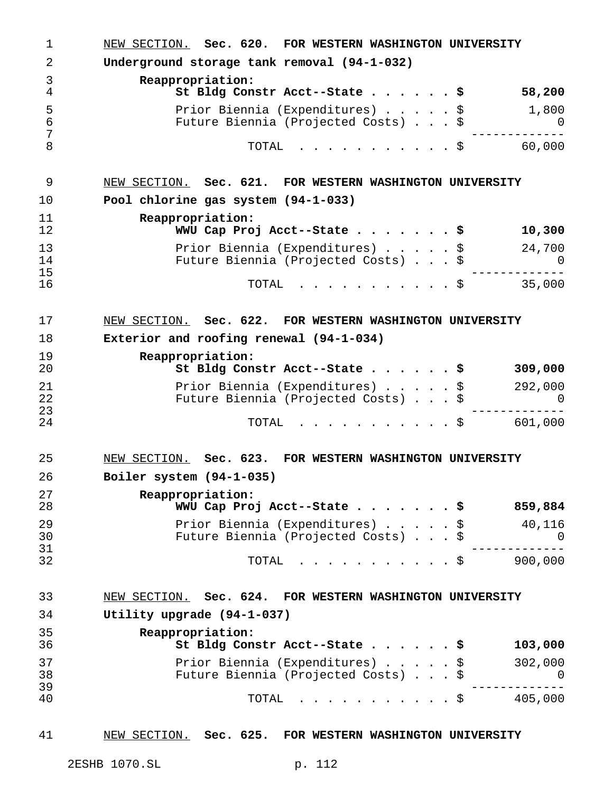| 1              | NEW SECTION. Sec. 620. FOR WESTERN WASHINGTON UNIVERSITY                            |        |
|----------------|-------------------------------------------------------------------------------------|--------|
| 2              | Underground storage tank removal (94-1-032)                                         |        |
| 3<br>4         | Reappropriation:<br>St Bldg Constr Acct--State \$<br>58,200                         |        |
| 5<br>6<br>7    | Prior Biennia (Expenditures) \$<br>1,800<br>Future Biennia (Projected Costs) \$     | 0      |
| 8              | 60,000<br>TOTAL<br>. \$                                                             |        |
| 9              | NEW SECTION. Sec. 621. FOR WESTERN WASHINGTON UNIVERSITY                            |        |
| 10             | Pool chlorine gas system (94-1-033)                                                 |        |
| 11<br>12       | Reappropriation:<br>WWU Cap Proj Acct--State \$<br>10,300                           |        |
| 13<br>14<br>15 | Prior Biennia (Expenditures) \$<br>24,700<br>Future Biennia (Projected Costs) \$    | $\cup$ |
| 16             | 35,000<br>TOTAL<br>$\cdot$ $\cdot$ \$                                               |        |
| 17             | NEW SECTION. Sec. 622. FOR WESTERN WASHINGTON UNIVERSITY                            |        |
| 18             | Exterior and roofing renewal (94-1-034)                                             |        |
| 19<br>20       | Reappropriation:<br>St Bldg Constr Acct--State \$<br>309,000                        |        |
| 21<br>22       | Prior Biennia (Expenditures) \$<br>292,000<br>Future Biennia (Projected Costs) \$   | 0      |
| 23<br>24       | . \$<br>601,000<br>TOTAL                                                            |        |
| 25             | NEW SECTION. Sec. 623. FOR WESTERN WASHINGTON UNIVERSITY                            |        |
| 26             | Boiler system (94-1-035)                                                            |        |
| 27<br>28       | Reappropriation:<br>WWU Cap Proj Acct--State \$<br>859,884                          |        |
| 29<br>30<br>31 | Prior Biennia (Expenditures)<br>40,116<br>\$<br>Future Biennia (Projected Costs) \$ | 0      |
| 32             | 900,000<br>TOTAL<br>. \$                                                            |        |
| 33             | NEW SECTION. Sec. 624. FOR WESTERN WASHINGTON UNIVERSITY                            |        |
| 34             | Utility upgrade (94-1-037)                                                          |        |
| 35<br>36       | Reappropriation:<br>St Bldg Constr Acct--State<br>103,000<br>. s                    |        |
| 37<br>38<br>39 | Prior Biennia (Expenditures) \$<br>302,000<br>Future Biennia (Projected Costs)      | 0      |
| 40             | 405,000<br>TOTAL<br>$\cdot$ $\cdot$ $\circ$                                         |        |

# NEW SECTION. **Sec. 625. FOR WESTERN WASHINGTON UNIVERSITY**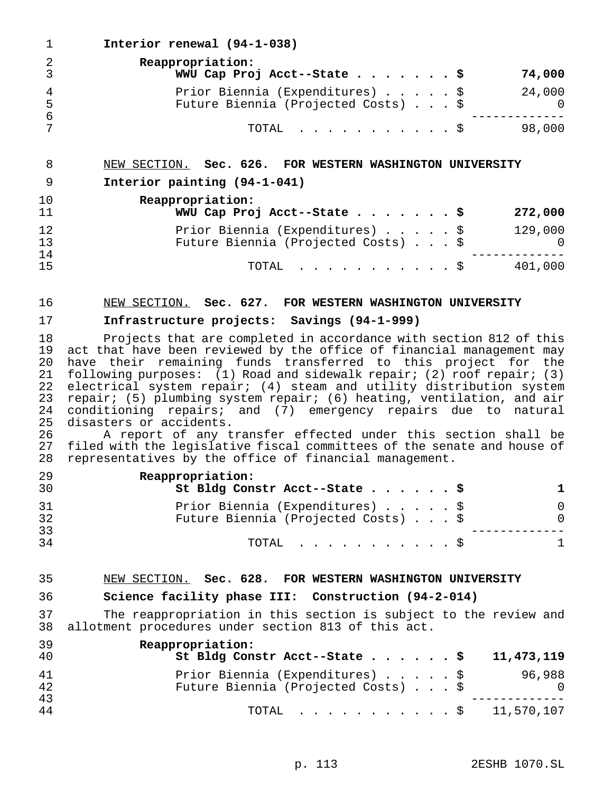**Interior renewal (94-1-038) Reappropriation: WWU Cap Proj Acct--State.......\$ 74,000** 4 Prior Biennia (Expenditures) . . . . . \$ 24,000<br>5 Future Biennia (Projected Costs) . . . \$ 0 Future Biennia (Projected Costs)...\$ 0 ------------- TOTAL ...........\$ 98,000 NEW SECTION. **Sec. 626. FOR WESTERN WASHINGTON UNIVERSITY Interior painting (94-1-041) Reappropriation: WWU Cap Proj Acct--State.......\$ 272,000** 12 Prior Biennia (Expenditures) . . . . . \$ 129,000<br>13 Future Biennia (Projected Costs) . . . \$ 0 13 Future Biennia (Projected Costs) . . . \$ 0<br>14 ----------- ------------- <sup>15</sup> TOTAL ...........\$ 401,000 NEW SECTION. **Sec. 627. FOR WESTERN WASHINGTON UNIVERSITY Infrastructure projects: Savings (94-1-999)** 18 Projects that are completed in accordance with section 812 of this<br>19 act that have been reviewed by the office of financial management may 19 act that have been reviewed by the office of financial management may<br>20 have their remaining funds transferred to this project for the 20 have their remaining funds transferred to this project for the<br>21 following purposes: (1) Road and sidewalk repair; (2) roof repair; (3) 21 following purposes:  $(1)$  Road and sidewalk repair;  $(2)$  roof repair;  $(3)$ <br>22 electrical system repair;  $(4)$  steam and utility distribution system 22 electrical system repair; (4) steam and utility distribution system<br>23 repair; (5) plumbing system repair; (6) heating, ventilation, and air repair; (5) plumbing system repair; (6) heating, ventilation, and air 24 conditioning repairs; and (7) emergency repairs due to natural<br>25 disasters or accidents. 25 disasters or accidents.<br>26 A report of any t 26 A report of any transfer effected under this section shall be<br>27 filed with the legislative fiscal committees of the senate and house of 27 filed with the legislative fiscal committees of the senate and house of<br>28 representatives by the office of financial management. representatives by the office of financial management. **Reappropriation: St Bldg Constr Acct--State......\$ 1** Prior Biennia (Expenditures).....\$ 0 Future Biennia (Projected Costs)...\$ 0 -------------

TOTAL ...........\$ 1

## NEW SECTION. **Sec. 628. FOR WESTERN WASHINGTON UNIVERSITY**

## **Science facility phase III: Construction (94-2-014)**

 The reappropriation in this section is subject to the review and allotment procedures under section 813 of this act.

| 39<br>40 | Reappropriation:<br>St Bldg Constr Acct--State $\frac{1}{5}$<br>11,473,119                     |
|----------|------------------------------------------------------------------------------------------------|
| 41<br>42 | Prior Biennia (Expenditures) \$<br>96,988<br>Future Biennia (Projected Costs) \$<br>$\bigcirc$ |
| 43<br>44 | TOTAL \$ 11,570,107                                                                            |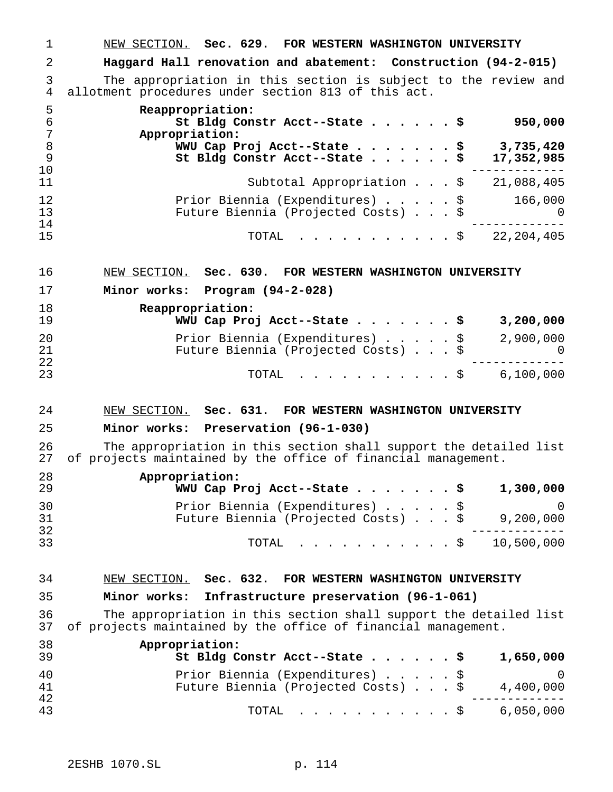NEW SECTION. **Sec. 629. FOR WESTERN WASHINGTON UNIVERSITY Haggard Hall renovation and abatement: Construction (94-2-015)** The appropriation in this section is subject to the review and allotment procedures under section 813 of this act. **Reappropriation:**

| -6             | St Bldg Constr Acct--State \$<br>950,000<br>Appropriation:                                     |
|----------------|------------------------------------------------------------------------------------------------|
| - 8<br>9<br>10 | WWU Cap Proj Acct--State \$<br>3,735,420<br>St Bldg Constr Acct--State \$<br>17,352,985        |
| 11             | Subtotal Appropriation \$<br>21,088,405                                                        |
| 12<br>13<br>14 | Prior Biennia (Expenditures) \$<br>166,000<br>Future Biennia (Projected Costs) \$<br>$\bigcap$ |
| 15             | 22,204,405<br>TOTAL $\ldots$ \$                                                                |

NEW SECTION. **Sec. 630. FOR WESTERN WASHINGTON UNIVERSITY**

**Minor works: Program (94-2-028)**

| 18<br>19 | Reappropriation:<br>WWU Cap Proj Acct--State \$<br>3,200,000                        |
|----------|-------------------------------------------------------------------------------------|
| 20<br>21 | Prior Biennia (Expenditures) \$<br>2,900,000<br>Future Biennia (Projected Costs) \$ |
| 22<br>23 | TOTAL $\ldots$ , $\ldots$ , $\vdots$ , $\vdots$ , $\vdots$ , $\vdots$               |

## NEW SECTION. **Sec. 631. FOR WESTERN WASHINGTON UNIVERSITY**

## **Minor works: Preservation (96-1-030)**

 The appropriation in this section shall support the detailed list of projects maintained by the office of financial management.

| 28<br>29 | Appropriation:<br>WWU Cap Proj Acct--State \$<br>1,300,000                          |
|----------|-------------------------------------------------------------------------------------|
| 30<br>31 | Prior Biennia (Expenditures) \$<br>Future Biennia (Projected Costs) \$<br>9,200,000 |
| 32<br>33 | TOTAL \$ 10,500,000                                                                 |

## NEW SECTION. **Sec. 632. FOR WESTERN WASHINGTON UNIVERSITY**

## **Minor works: Infrastructure preservation (96-1-061)**

36 The appropriation in this section shall support the detailed list<br>37 of projects maintained by the office of financial management. of projects maintained by the office of financial management.

| 38<br>39 | Appropriation:<br>St Bldg Constr Acct--State \$<br>1,650,000                        |
|----------|-------------------------------------------------------------------------------------|
| 40<br>41 | Prior Biennia (Expenditures) \$<br>Future Biennia (Projected Costs) \$<br>4,400,000 |
| 42<br>43 | TOTAL $\ldots$ , $\ldots$ , $\ldots$ , $\frac{1}{2}$ 6,050,000                      |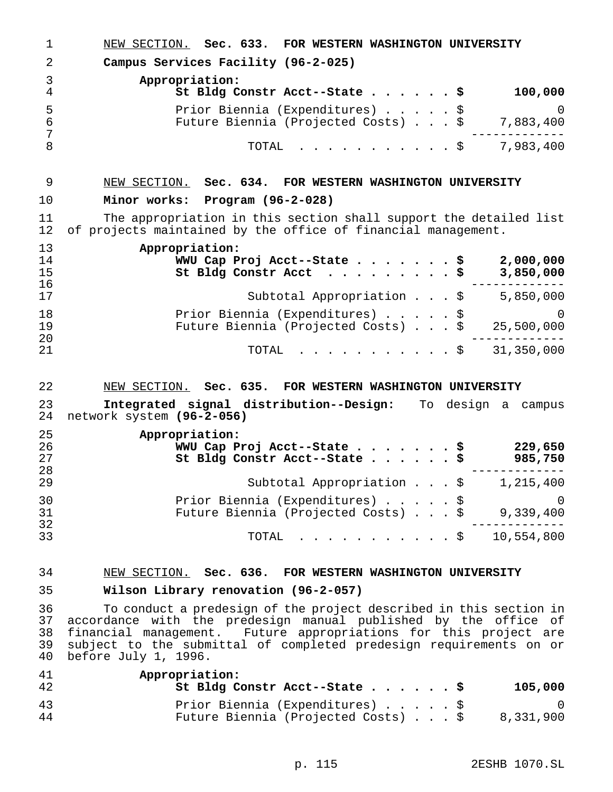NEW SECTION. **Sec. 633. FOR WESTERN WASHINGTON UNIVERSITY Campus Services Facility (96-2-025) Appropriation: St Bldg Constr Acct--State......\$ 100,000** Prior Biennia (Expenditures).....\$ 0 6 Future Biennia (Projected Costs)...\$<br>7 ------------- 8 TOTAL . . . . . . . . . \$ 7,983,400

## NEW SECTION. **Sec. 634. FOR WESTERN WASHINGTON UNIVERSITY**

## **Minor works: Program (96-2-028)**

 The appropriation in this section shall support the detailed list of projects maintained by the office of financial management.

| 13 | Appropriation:                                |            |
|----|-----------------------------------------------|------------|
| 14 | WWU Cap Proj Acct--State \$                   | 2,000,000  |
| 15 | St Bldg Constr Acct \$                        | 3,850,000  |
| 16 |                                               |            |
| 17 | Subtotal Appropriation $\cdot \cdot \cdot$ \$ | 5,850,000  |
| 18 | Prior Biennia (Expenditures) \$               |            |
| 19 | Future Biennia (Projected Costs) \$           | 25,500,000 |
| 20 |                                               |            |
| 21 | TOTAL \$                                      | 31,350,000 |

## NEW SECTION. **Sec. 635. FOR WESTERN WASHINGTON UNIVERSITY**

 **Integrated signal distribution--Design:** To design a campus network system **(96-2-056)**

| 25 | Appropriation:                                   |
|----|--------------------------------------------------|
| 26 | WWU Cap Proj Acct--State \$<br>229,650           |
| 27 | St Bldg Constr Acct--State \$<br>985,750         |
| 28 |                                                  |
| 29 | Subtotal Appropriation \$<br>1,215,400           |
| 30 | Prior Biennia (Expenditures) \$<br>0             |
| 31 | Future Biennia (Projected Costs) \$<br>9,339,400 |
| 32 |                                                  |
| 33 | 10,554,800<br>$\text{TOTAL}$ $\frac{1}{5}$       |

## NEW SECTION. **Sec. 636. FOR WESTERN WASHINGTON UNIVERSITY**

**Wilson Library renovation (96-2-057)**

 To conduct a predesign of the project described in this section in accordance with the predesign manual published by the office of financial management. Future appropriations for this project are subject to the submittal of completed predesign requirements on or before July 1, 1996.

| 41<br>42 | Appropriation:<br>St Bldg Constr Acct--State \$                        | 105,000   |
|----------|------------------------------------------------------------------------|-----------|
| 43<br>44 | Prior Biennia (Expenditures) \$<br>Future Biennia (Projected Costs) \$ | 8,331,900 |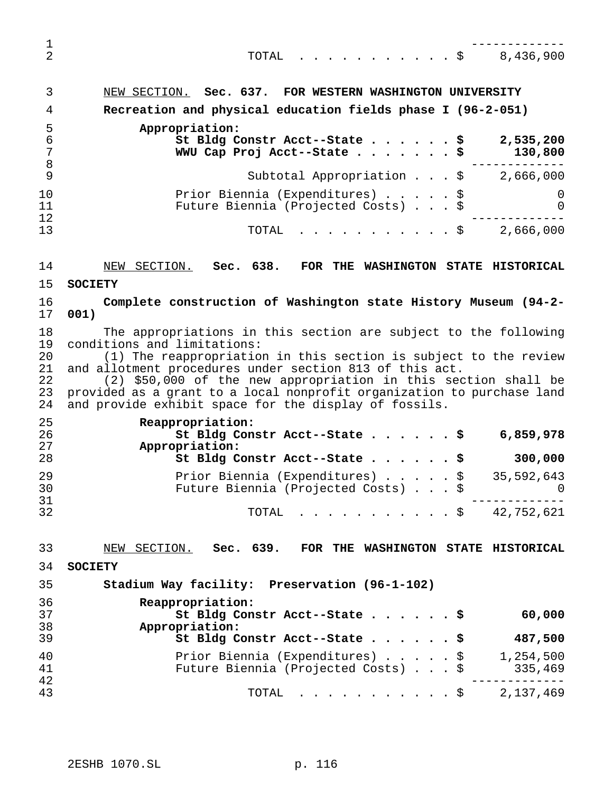| 1<br>$\overline{2}$                    | $\cdot$ \$ 8,436,900<br>TOTAL                                                                                                                                                                                                                                                                                                                                                                                                      |
|----------------------------------------|------------------------------------------------------------------------------------------------------------------------------------------------------------------------------------------------------------------------------------------------------------------------------------------------------------------------------------------------------------------------------------------------------------------------------------|
| 3                                      | NEW SECTION. Sec. 637. FOR WESTERN WASHINGTON UNIVERSITY                                                                                                                                                                                                                                                                                                                                                                           |
| 4                                      | Recreation and physical education fields phase I (96-2-051)                                                                                                                                                                                                                                                                                                                                                                        |
| 5                                      | Appropriation:                                                                                                                                                                                                                                                                                                                                                                                                                     |
| 6<br>$\overline{7}$<br>$\,8\,$         | St Bldg Constr Acct--State \$<br>2,535,200<br>WWU Cap Proj Acct--State \$<br>130,800                                                                                                                                                                                                                                                                                                                                               |
| 9                                      | Subtotal Appropriation $\ldots$ , $\sharp$ 2,666,000                                                                                                                                                                                                                                                                                                                                                                               |
| 10<br>11<br>12                         | Prior Biennia (Expenditures) \$<br>0<br>Future Biennia (Projected Costs) \$<br>0                                                                                                                                                                                                                                                                                                                                                   |
| 13                                     | . \$2,666,000<br>TOTAL                                                                                                                                                                                                                                                                                                                                                                                                             |
| 14                                     | NEW SECTION.<br>Sec. 638.<br>FOR THE WASHINGTON STATE HISTORICAL                                                                                                                                                                                                                                                                                                                                                                   |
| 15                                     | <b>SOCIETY</b>                                                                                                                                                                                                                                                                                                                                                                                                                     |
| 16                                     | Complete construction of Washington state History Museum (94-2-                                                                                                                                                                                                                                                                                                                                                                    |
| 17                                     | 001)                                                                                                                                                                                                                                                                                                                                                                                                                               |
| 18<br>19<br>20<br>21<br>22<br>23<br>24 | The appropriations in this section are subject to the following<br>conditions and limitations:<br>(1) The reappropriation in this section is subject to the review<br>and allotment procedures under section 813 of this act.<br>(2) \$50,000 of the new appropriation in this section shall be<br>provided as a grant to a local nonprofit organization to purchase land<br>and provide exhibit space for the display of fossils. |
| 25<br>26                               | Reappropriation:<br>St Bldg Constr Acct--State \$<br>6,859,978                                                                                                                                                                                                                                                                                                                                                                     |
| 27                                     | Appropriation:                                                                                                                                                                                                                                                                                                                                                                                                                     |
| 28                                     | 300,000<br>St Bldg Constr Acct--State \$                                                                                                                                                                                                                                                                                                                                                                                           |
| 29<br>30<br>31                         | Prior Biennia (Expenditures) \$<br>35,592,643<br>Future Biennia (Projected Costs) \$<br>$\Omega$                                                                                                                                                                                                                                                                                                                                   |
| 32                                     | $\cdot \cdot \cdot \cdot \cdot \cdot \cdot \cdot \cdot \cdot$ \$ 42,752,621<br>TOTAL                                                                                                                                                                                                                                                                                                                                               |
| 33                                     | NEW SECTION.<br>Sec. 639. FOR THE WASHINGTON STATE HISTORICAL                                                                                                                                                                                                                                                                                                                                                                      |
| 34                                     | <b>SOCIETY</b>                                                                                                                                                                                                                                                                                                                                                                                                                     |
| 35                                     | Stadium Way facility: Preservation (96-1-102)                                                                                                                                                                                                                                                                                                                                                                                      |
| 36                                     | Reappropriation:                                                                                                                                                                                                                                                                                                                                                                                                                   |
| 37<br>38                               | St Bldg Constr Acct--State \$<br>60,000<br>Appropriation:                                                                                                                                                                                                                                                                                                                                                                          |
| 39                                     | St Bldg Constr Acct--State \$<br>487,500                                                                                                                                                                                                                                                                                                                                                                                           |
| 40<br>41<br>42                         | Prior Biennia (Expenditures) \$<br>1,254,500<br>Future Biennia (Projected Costs) \$<br>335,469                                                                                                                                                                                                                                                                                                                                     |

TOTAL ...........\$ 2,137,469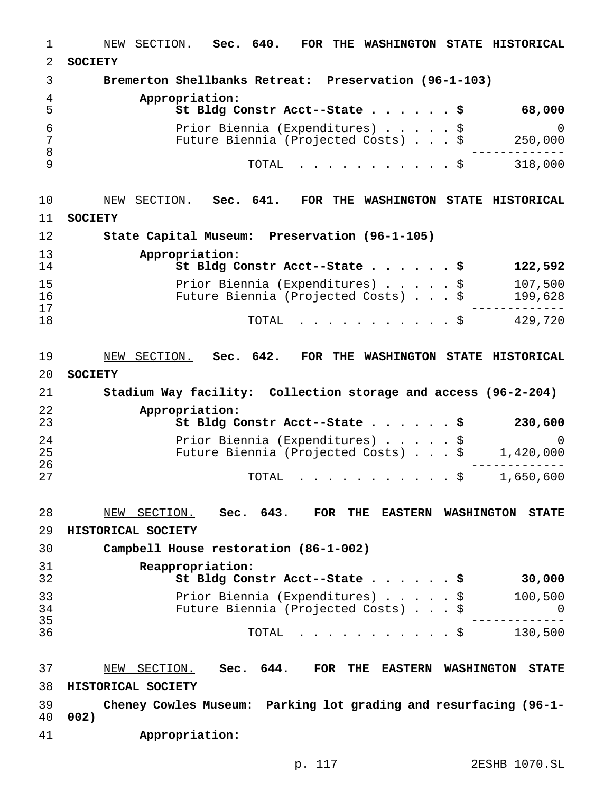NEW SECTION. **Sec. 640. FOR THE WASHINGTON STATE HISTORICAL SOCIETY Bremerton Shellbanks Retreat: Preservation (96-1-103) Appropriation: St Bldg Constr Acct--State......\$ 68,000** Prior Biennia (Expenditures).....\$ 0 Future Biennia (Projected Costs)...\$ 250,000 ------------- TOTAL ...........\$ 318,000 NEW SECTION. **Sec. 641. FOR THE WASHINGTON STATE HISTORICAL SOCIETY State Capital Museum: Preservation (96-1-105) Appropriation: St Bldg Constr Acct--State......\$ 122,592** Prior Biennia (Expenditures).....\$ 107,500 16 Future Biennia (Projected Costs)...\$<br>17 ------------- <sup>18</sup> TOTAL ...........\$ 429,720 NEW SECTION. **Sec. 642. FOR THE WASHINGTON STATE HISTORICAL SOCIETY Stadium Way facility: Collection storage and access (96-2-204) Appropriation: St Bldg Constr Acct--State......\$ 230,600** Prior Biennia (Expenditures).....\$ 0 Future Biennia (Projected Costs)...\$ 1,420,000 ------------- TOTAL ...........\$ 1,650,600 NEW SECTION. **Sec. 643. FOR THE EASTERN WASHINGTON STATE HISTORICAL SOCIETY Campbell House restoration (86-1-002) Reappropriation: St Bldg Constr Acct--State......\$ 30,000** Prior Biennia (Expenditures).....\$ 100,500 Future Biennia (Projected Costs)...\$ 0 ------------- TOTAL ...........\$ 130,500 NEW SECTION. **Sec. 644. FOR THE EASTERN WASHINGTON STATE HISTORICAL SOCIETY Cheney Cowles Museum: Parking lot grading and resurfacing (96-1- 002) Appropriation:**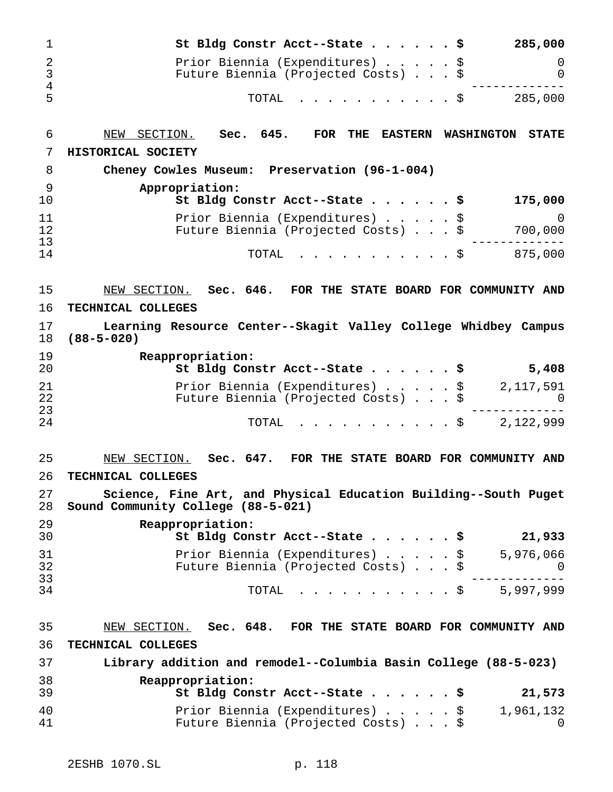| St Bldg Constr Acct--State \$                                          | 285,000  |
|------------------------------------------------------------------------|----------|
| Prior Biennia (Expenditures) \$<br>Future Biennia (Projected Costs) \$ | $\Omega$ |
| TOTAL Ş                                                                | 285,000  |

NEW SECTION. **Sec. 645. FOR THE EASTERN WASHINGTON STATE**

 **HISTORICAL SOCIETY Cheney Cowles Museum: Preservation (96-1-004) Appropriation: St Bldg Constr Acct--State......\$ 175,000** Prior Biennia (Expenditures).....\$ 0 12 Future Biennia (Projected Costs) . . . \$<br>13 ------------- TOTAL ...........\$ 875,000

NEW SECTION. **Sec. 646. FOR THE STATE BOARD FOR COMMUNITY AND**

### **TECHNICAL COLLEGES**

 **Learning Resource Center--Skagit Valley College Whidbey Campus (88-5-020)**

| 19<br>20 | Reappropriation:<br>St Bldg Constr Acct--State \$<br>5,408                          |
|----------|-------------------------------------------------------------------------------------|
| 21<br>22 | Prior Biennia (Expenditures) \$<br>2,117,591<br>Future Biennia (Projected Costs) \$ |
| 23       |                                                                                     |
| 24       | 2,122,999<br>TOTAL Ş                                                                |

# NEW SECTION. **Sec. 647. FOR THE STATE BOARD FOR COMMUNITY AND TECHNICAL COLLEGES**

 **Science, Fine Art, and Physical Education Building--South Puget Sound Community College (88-5-021)**

| 29<br>30 | Reappropriation:<br>St Bldg Constr Acct--State \$<br>21,933                         |
|----------|-------------------------------------------------------------------------------------|
| 31<br>32 | Prior Biennia (Expenditures) \$<br>5,976,066<br>Future Biennia (Projected Costs) \$ |
| 33<br>34 | 5,997,999<br>TOTAL S                                                                |

# NEW SECTION. **Sec. 648. FOR THE STATE BOARD FOR COMMUNITY AND TECHNICAL COLLEGES Library addition and remodel--Columbia Basin College (88-5-023) Reappropriation: St Bldg Constr Acct--State......\$ 21,573** Prior Biennia (Expenditures).....\$ 1,961,132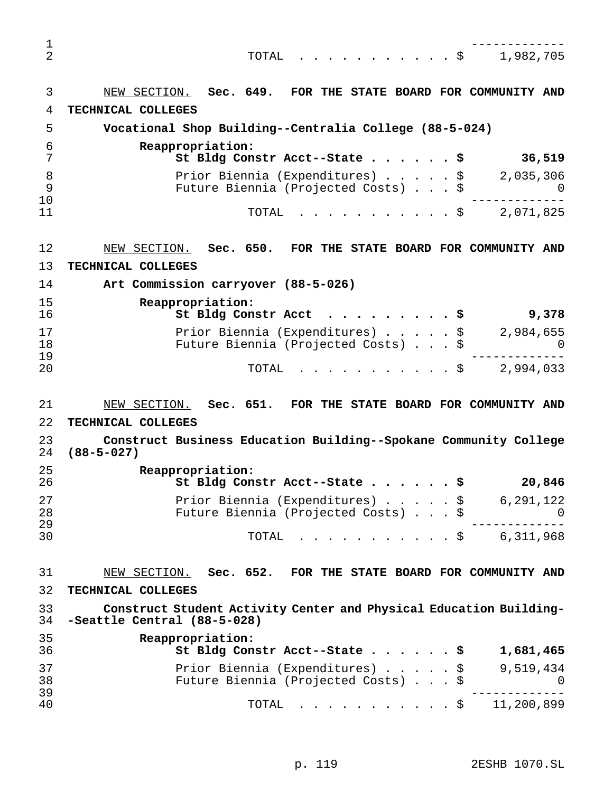| 1<br>$\overline{2}$ | 1,982,705<br>TOTAL<br>$\cdot$ \$<br>$\mathbf{r}$ . The set of the set of the set of $\mathbf{r}$              |
|---------------------|---------------------------------------------------------------------------------------------------------------|
| 3                   | Sec. 649.<br>FOR THE STATE BOARD FOR COMMUNITY AND<br>NEW SECTION.                                            |
| 4                   | TECHNICAL COLLEGES                                                                                            |
| 5                   | Vocational Shop Building--Centralia College (88-5-024)                                                        |
| 6<br>7              | Reappropriation:<br>36,519<br>St Bldg Constr Acct--State \$                                                   |
| 8<br>9<br>10        | Prior Biennia (Expenditures) \$<br>2,035,306<br>Future Biennia (Projected Costs) \$<br>U                      |
| 11                  | TOTAL<br>2,071,825<br>. \$                                                                                    |
| 12                  | NEW SECTION.<br>Sec. 650.<br>FOR THE STATE BOARD FOR COMMUNITY AND                                            |
| 13                  | TECHNICAL COLLEGES                                                                                            |
| 14                  | Art Commission carryover (88-5-026)                                                                           |
| 15<br>16            | Reappropriation:<br>St Bldg Constr Acct<br>9,378<br>. \$                                                      |
| 17<br>18<br>19      | Prior Biennia (Expenditures) \$<br>2,984,655<br>Future Biennia (Projected Costs) \$<br>$\Omega$               |
| 20                  | TOTAL<br>2,994,033<br>$\cdot$ \$                                                                              |
| 21                  | Sec. 651.<br>FOR THE STATE BOARD FOR COMMUNITY AND<br>NEW SECTION.                                            |
| 22                  | TECHNICAL COLLEGES                                                                                            |
| 23<br>24            | Construct Business Education Building--Spokane Community College<br>$(88 - 5 - 027)$                          |
| 25<br>26            | Reappropriation:<br>St Bldg Constr Acct--State \$<br>20,846                                                   |
| 27<br>28            | Prior Biennia (Expenditures) $\frac{1}{9}$ 6,291,122<br>Future Biennia (Projected Costs) \$<br>$\overline{0}$ |
| 29<br>30            | TOTAL \$ 6,311,968                                                                                            |
| 31                  | NEW SECTION. Sec. 652. FOR THE STATE BOARD FOR COMMUNITY AND                                                  |
| 32                  | TECHNICAL COLLEGES                                                                                            |
| 33<br>34            | Construct Student Activity Center and Physical Education Building-<br>-Seattle Central (88-5-028)             |
| 35<br>36            | Reappropriation:<br>St Bldg Constr Acct--State \$<br>1,681,465                                                |
| 37<br>38            | Prior Biennia (Expenditures) $\sqrt{}$ 9,519,434<br>Future Biennia (Projected Costs) \$<br>$\overline{0}$     |
| 39<br>40            | TOTAL \$ 11,200,899                                                                                           |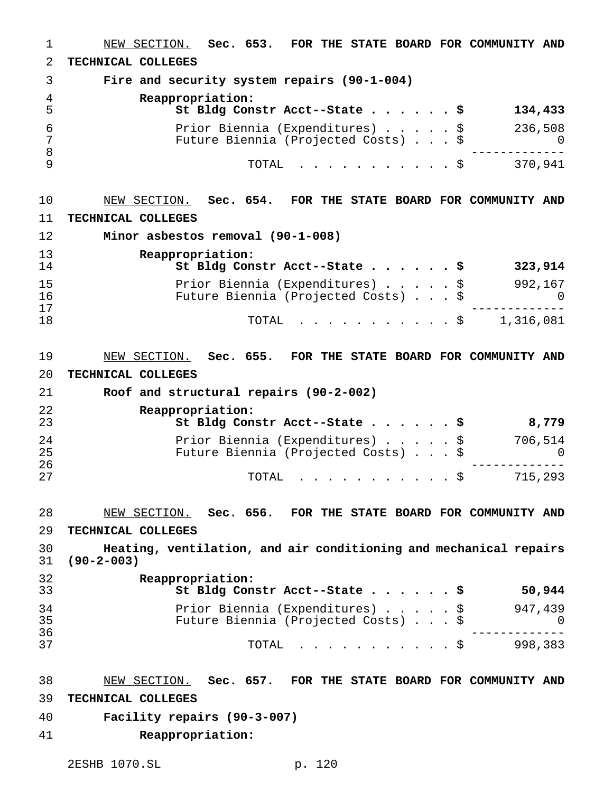NEW SECTION. **Sec. 653. FOR THE STATE BOARD FOR COMMUNITY AND TECHNICAL COLLEGES Fire and security system repairs (90-1-004) Reappropriation: St Bldg Constr Acct--State......\$ 134,433** Prior Biennia (Expenditures).....\$ 236,508 Future Biennia (Projected Costs)...\$ 0 ------------- TOTAL ...........\$ 370,941 NEW SECTION. **Sec. 654. FOR THE STATE BOARD FOR COMMUNITY AND TECHNICAL COLLEGES Minor asbestos removal (90-1-008) Reappropriation: St Bldg Constr Acct--State......\$ 323,914** Prior Biennia (Expenditures).....\$ 992,167 16 Future Biennia (Projected Costs)...\$ 0<br>17 ------------- TOTAL ...........\$ 1,316,081 NEW SECTION. **Sec. 655. FOR THE STATE BOARD FOR COMMUNITY AND TECHNICAL COLLEGES Roof and structural repairs (90-2-002) Reappropriation: St Bldg Constr Acct--State......\$ 8,779** Prior Biennia (Expenditures).....\$ 706,514 Future Biennia (Projected Costs) . . . \$ 0 ------------- <sup>27</sup> TOTAL ...........\$ 715,293 NEW SECTION. **Sec. 656. FOR THE STATE BOARD FOR COMMUNITY AND TECHNICAL COLLEGES Heating, ventilation, and air conditioning and mechanical repairs (90-2-003) Reappropriation: St Bldg Constr Acct--State......\$ 50,944** Prior Biennia (Expenditures).....\$ 947,439 Future Biennia (Projected Costs)...\$ 0 ------------- TOTAL ...........\$ 998,383 NEW SECTION. **Sec. 657. FOR THE STATE BOARD FOR COMMUNITY AND TECHNICAL COLLEGES Facility repairs (90-3-007) Reappropriation:**

2ESHB 1070.SL p. 120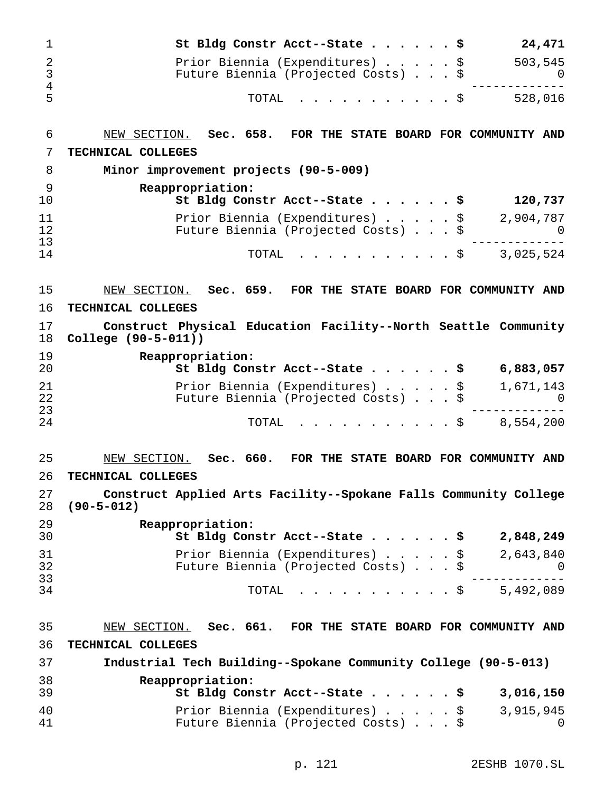| 1                   | 24,471<br>St Bldg Constr Acct--State \$                                                          |
|---------------------|--------------------------------------------------------------------------------------------------|
| 2                   | Prior Biennia (Expenditures) \$<br>503,545                                                       |
| 3<br>$\overline{4}$ | Future Biennia (Projected Costs) \$<br>0                                                         |
| 5                   | 528,016<br>TOTAL<br>. \$                                                                         |
| 6                   | NEW SECTION. Sec. 658. FOR THE STATE BOARD FOR COMMUNITY AND                                     |
| 7                   | TECHNICAL COLLEGES                                                                               |
| 8                   | Minor improvement projects (90-5-009)                                                            |
| 9<br>10             | Reappropriation:<br>St Bldg Constr Acct--State \$<br>120,737                                     |
| 11<br>12            | Prior Biennia (Expenditures)<br>2,904,787<br>\$<br>Future Biennia (Projected Costs) \$<br>$\cup$ |
| 13                  |                                                                                                  |
| 14                  | 3,025,524<br>TOTAL<br>. \$                                                                       |
| 15                  | NEW SECTION. Sec. 659. FOR THE STATE BOARD FOR COMMUNITY AND                                     |
| 16                  | TECHNICAL COLLEGES                                                                               |
| 17<br>18            | Construct Physical Education Facility--North Seattle Community<br>College (90-5-011))            |
| 19<br>20            | Reappropriation:<br>St Bldg Constr Acct--State \$<br>6,883,057                                   |
| 21                  | Prior Biennia (Expenditures) \$<br>1,671,143                                                     |
| 22<br>23            | Future Biennia (Projected Costs) \$<br>0                                                         |
| 24                  | 8,554,200<br>TOTAL<br>. \$                                                                       |
| 25                  | Sec. 660. FOR THE STATE BOARD FOR COMMUNITY AND<br>NEW SECTION.                                  |
| 26                  | TECHNICAL COLLEGES                                                                               |
| 27<br>28            | Construct Applied Arts Facility--Spokane Falls Community College<br>$(90 - 5 - 012)$             |
| 29<br>30            | Reappropriation:<br>2,848,249<br>St Bldg Constr Acct--State \$                                   |
| 31                  | Prior Biennia (Expenditures) \$<br>2,643,840                                                     |
| 32                  | Future Biennia (Projected Costs) \$<br>- 0                                                       |
| 33<br>34            | 5,492,089<br>TOTAL<br>$\mathfrak{S}$                                                             |
| 35                  | NEW SECTION. Sec. 661. FOR THE STATE BOARD FOR COMMUNITY AND                                     |
| 36                  | TECHNICAL COLLEGES                                                                               |
| 37                  | Industrial Tech Building--Spokane Community College (90-5-013)                                   |
| 38                  | Reappropriation:                                                                                 |
| 39                  | 3,016,150<br>St Bldg Constr Acct--State \$                                                       |
| 40                  | Prior Biennia (Expenditures) \$<br>3,915,945                                                     |
| 41                  | Future Biennia (Projected Costs) \$<br>0                                                         |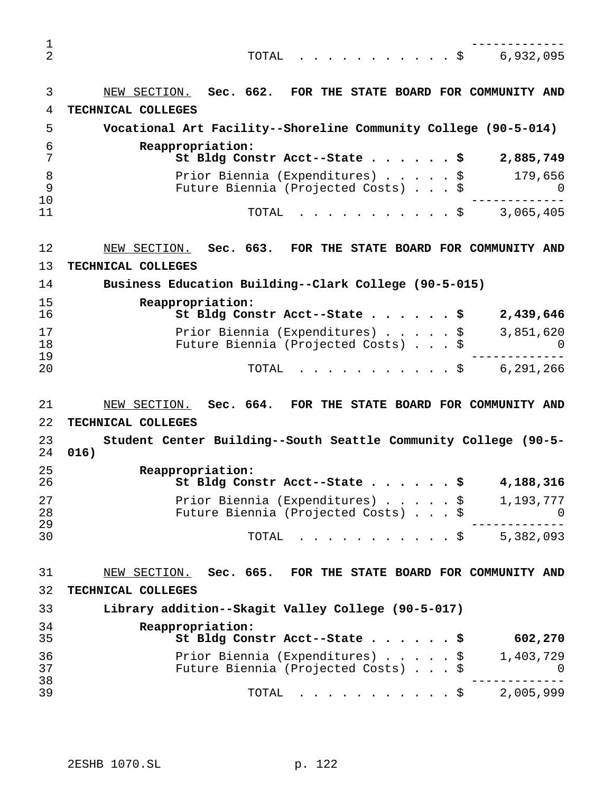------------- TOTAL ...........\$ 6,932,095 NEW SECTION. **Sec. 662. FOR THE STATE BOARD FOR COMMUNITY AND TECHNICAL COLLEGES Vocational Art Facility--Shoreline Community College (90-5-014) Reappropriation: St Bldg Constr Acct--State......\$ 2,885,749** 8 Prior Biennia (Expenditures)......\$ 179,656 Future Biennia (Projected Costs)...\$ 0 ------------- TOTAL ...........\$ 3,065,405 NEW SECTION. **Sec. 663. FOR THE STATE BOARD FOR COMMUNITY AND TECHNICAL COLLEGES Business Education Building--Clark College (90-5-015) Reappropriation: St Bldg Constr Acct--State......\$ 2,439,646** 17 Prior Biennia (Expenditures) . . . . . \$ 3,851,620<br>18 Future Biennia (Projected Costs) . . . \$ 0 18 Future Biennia (Projected Costs) . . . \$<br>19 ------------- TOTAL ...........\$ 6,291,266 NEW SECTION. **Sec. 664. FOR THE STATE BOARD FOR COMMUNITY AND TECHNICAL COLLEGES Student Center Building--South Seattle Community College (90-5- 016) Reappropriation: St Bldg Constr Acct--State......\$ 4,188,316** Prior Biennia (Expenditures).....\$ 1,193,777 Future Biennia (Projected Costs)...\$ 0 ------------- TOTAL ...........\$ 5,382,093 NEW SECTION. **Sec. 665. FOR THE STATE BOARD FOR COMMUNITY AND TECHNICAL COLLEGES Library addition--Skagit Valley College (90-5-017) Reappropriation: St Bldg Constr Acct--State......\$ 602,270** Prior Biennia (Expenditures).....\$ 1,403,729 Future Biennia (Projected Costs)...\$ 0 ------------- TOTAL ...........\$ 2,005,999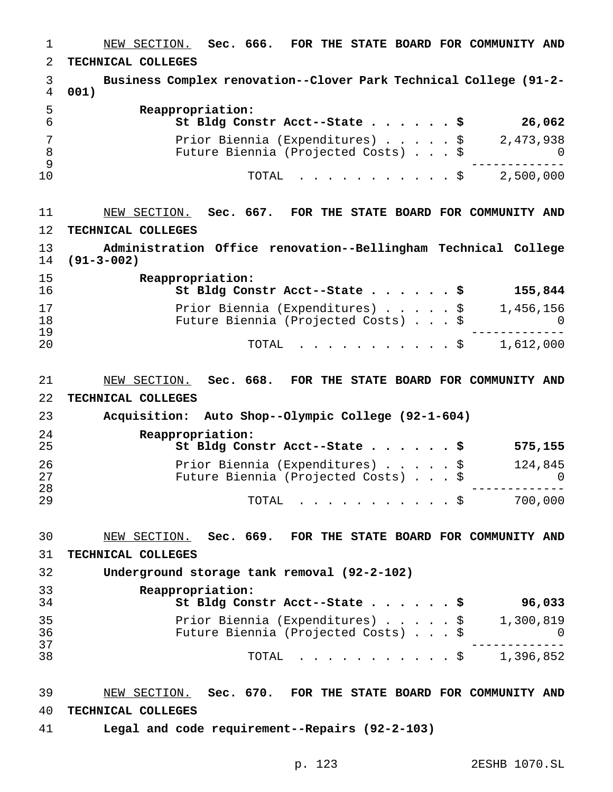NEW SECTION. **Sec. 666. FOR THE STATE BOARD FOR COMMUNITY AND TECHNICAL COLLEGES Business Complex renovation--Clover Park Technical College (91-2- 001) Reappropriation: St Bldg Constr Acct--State......\$ 26,062** 7 Prior Biennia (Expenditures)......\$ 2,473,938 8 Future Biennia (Projected Costs) . . . \$ 0<br>9 ------------- TOTAL ...........\$ 2,500,000 NEW SECTION. **Sec. 667. FOR THE STATE BOARD FOR COMMUNITY AND TECHNICAL COLLEGES Administration Office renovation--Bellingham Technical College (91-3-002) Reappropriation: St Bldg Constr Acct--State......\$ 155,844** 17 Prior Biennia (Expenditures) . . . . \$ 1,456,156<br>18 Future Biennia (Projected Costs) . . . \$ 0 Future Biennia (Projected Costs)...\$ 0 ------------- TOTAL ...........\$ 1,612,000 NEW SECTION. **Sec. 668. FOR THE STATE BOARD FOR COMMUNITY AND TECHNICAL COLLEGES Acquisition: Auto Shop--Olympic College (92-1-604) Reappropriation: St Bldg Constr Acct--State......\$ 575,155** Prior Biennia (Expenditures).....\$ 124,845 Future Biennia (Projected Costs)...\$ 0 ------------- <sup>29</sup> TOTAL ...........\$ 700,000 NEW SECTION. **Sec. 669. FOR THE STATE BOARD FOR COMMUNITY AND TECHNICAL COLLEGES Underground storage tank removal (92-2-102) Reappropriation: St Bldg Constr Acct--State......\$ 96,033** Prior Biennia (Expenditures).....\$ 1,300,819 Future Biennia (Projected Costs)...\$ 0 ------------- TOTAL ...........\$ 1,396,852 NEW SECTION. **Sec. 670. FOR THE STATE BOARD FOR COMMUNITY AND TECHNICAL COLLEGES Legal and code requirement--Repairs (92-2-103)**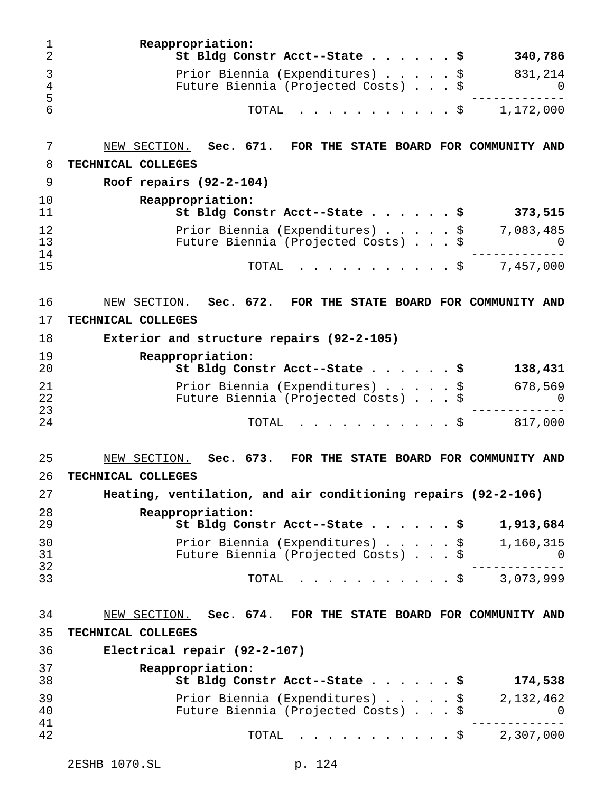| 1<br>$\overline{2}$ | Reappropriation:<br>St Bldg Constr Acct--State \$                      | 340,786               |
|---------------------|------------------------------------------------------------------------|-----------------------|
| 3<br>4              | Prior Biennia (Expenditures) \$<br>Future Biennia (Projected Costs) \$ | 831,214<br>0          |
| 5<br>6              | TOTAL<br>. \$                                                          | 1,172,000             |
| 7                   | NEW SECTION. Sec. 671. FOR THE STATE BOARD FOR COMMUNITY AND           |                       |
| 8                   | TECHNICAL COLLEGES                                                     |                       |
| 9                   | Roof repairs $(92-2-104)$                                              |                       |
| 10<br>11            | Reappropriation:<br>St Bldg Constr Acct--State \$                      | 373,515               |
| 12<br>13            | Prior Biennia (Expenditures) \$<br>Future Biennia (Projected Costs) \$ | 7,083,485<br>$\Omega$ |
| 14<br>15            | . \$<br>TOTAL                                                          | 7,457,000             |
| 16                  | NEW SECTION. Sec. 672. FOR THE STATE BOARD FOR COMMUNITY AND           |                       |
| 17                  | TECHNICAL COLLEGES                                                     |                       |
| 18                  | Exterior and structure repairs (92-2-105)                              |                       |
| 19<br>20            | Reappropriation:<br>St Bldg Constr Acct--State \$                      | 138,431               |
| 21<br>22            | Prior Biennia (Expenditures) \$<br>Future Biennia (Projected Costs) \$ | 678,569<br>O          |
| 23<br>24            | . \$<br>TOTAL                                                          | 817,000               |
| 25                  | FOR THE STATE BOARD FOR COMMUNITY AND<br>NEW SECTION. Sec. 673.        |                       |
| 26                  | TECHNICAL COLLEGES                                                     |                       |
| 27                  | Heating, ventilation, and air conditioning repairs (92-2-106)          |                       |
| 28<br>29            | Reappropriation:<br>St Bldg Constr Acct--State \$                      | 1,913,684             |
| 30<br>31<br>32      | Prior Biennia (Expenditures) \$<br>Future Biennia (Projected Costs) \$ | 1,160,315             |
| 33                  | $\cdot$ \$ 3,073,999<br>TOTAL                                          |                       |
| 34                  | NEW SECTION. Sec. 674. FOR THE STATE BOARD FOR COMMUNITY AND           |                       |
| 35                  | TECHNICAL COLLEGES                                                     |                       |
| 36                  | Electrical repair (92-2-107)                                           |                       |
| 37<br>38            | Reappropriation:<br>St Bldg Constr Acct--State \$                      | 174,538               |

| 39<br>40 | Prior Biennia (Expenditures) \$<br>Future Biennia (Projected Costs) \$ | 2,132,462 |
|----------|------------------------------------------------------------------------|-----------|
| 41       |                                                                        |           |
| 42.      | TOTAL \$ 2,307,000                                                     |           |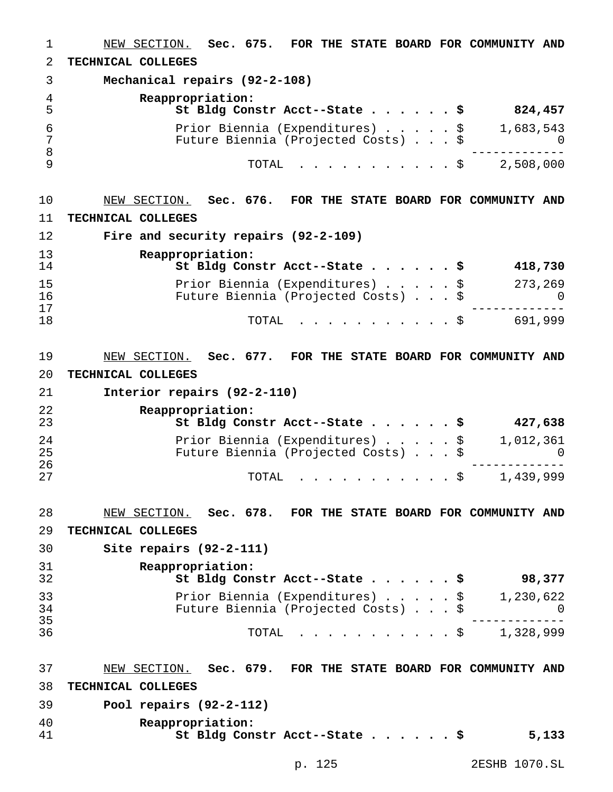NEW SECTION. **Sec. 675. FOR THE STATE BOARD FOR COMMUNITY AND TECHNICAL COLLEGES Mechanical repairs (92-2-108) Reappropriation: St Bldg Constr Acct--State......\$ 824,457** Prior Biennia (Expenditures).....\$ 1,683,543 Future Biennia (Projected Costs)...\$ 0 ------------- TOTAL ...........\$ 2,508,000 NEW SECTION. **Sec. 676. FOR THE STATE BOARD FOR COMMUNITY AND TECHNICAL COLLEGES Fire and security repairs (92-2-109) Reappropriation: St Bldg Constr Acct--State......\$ 418,730** Prior Biennia (Expenditures).....\$ 273,269 16 Future Biennia (Projected Costs)...\$ 0<br>17 ------------- <sup>18</sup> TOTAL ...........\$ 691,999 NEW SECTION. **Sec. 677. FOR THE STATE BOARD FOR COMMUNITY AND TECHNICAL COLLEGES Interior repairs (92-2-110) Reappropriation: St Bldg Constr Acct--State......\$ 427,638** Prior Biennia (Expenditures).....\$ 1,012,361 Future Biennia (Projected Costs) . . . \$ 0 ------------- TOTAL ...........\$ 1,439,999 NEW SECTION. **Sec. 678. FOR THE STATE BOARD FOR COMMUNITY AND TECHNICAL COLLEGES Site repairs (92-2-111) Reappropriation: St Bldg Constr Acct--State......\$ 98,377** Prior Biennia (Expenditures).....\$ 1,230,622 Future Biennia (Projected Costs)...\$ 0 ------------- TOTAL ...........\$ 1,328,999 NEW SECTION. **Sec. 679. FOR THE STATE BOARD FOR COMMUNITY AND TECHNICAL COLLEGES Pool repairs (92-2-112) Reappropriation: St Bldg Constr Acct--State......\$ 5,133**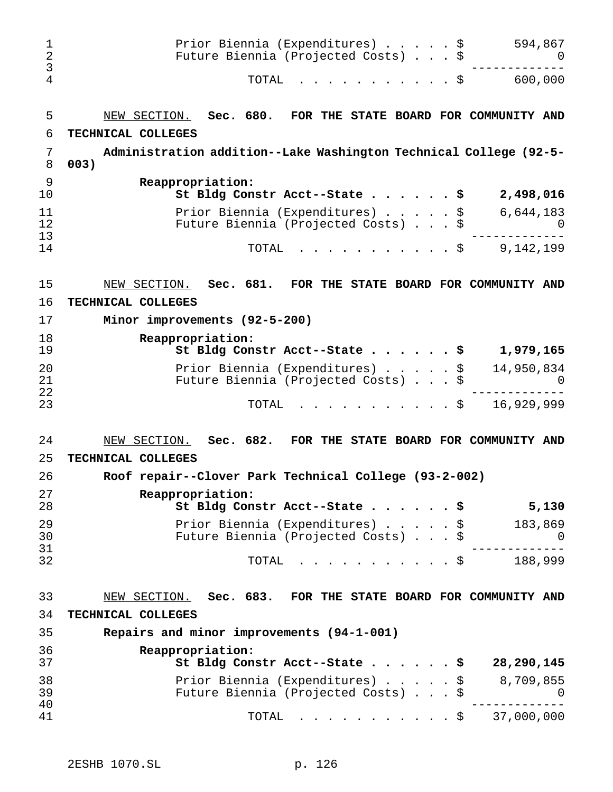| 1<br>$\overline{2}$<br>3<br>$\overline{4}$ | Prior Biennia (Expenditures) \$<br>Future Biennia (Projected Costs) \$<br>TOTAL<br>. \$                        | 594,867<br>U<br>600,000 |
|--------------------------------------------|----------------------------------------------------------------------------------------------------------------|-------------------------|
| 5                                          | NEW SECTION. Sec. 680. FOR THE STATE BOARD FOR COMMUNITY AND                                                   |                         |
| 6                                          | TECHNICAL COLLEGES                                                                                             |                         |
| 7<br>8                                     | Administration addition--Lake Washington Technical College (92-5-<br>003)                                      |                         |
| 9<br>10                                    | Reappropriation:<br>St Bldg Constr Acct--State \$                                                              | 2,498,016               |
| 11<br>12                                   | Prior Biennia (Expenditures) \$<br>Future Biennia (Projected Costs) \$                                         | 6,644,183               |
| 13<br>14                                   | TOTAL<br>. \$                                                                                                  | 9,142,199               |
| 15                                         | NEW SECTION. Sec. 681. FOR THE STATE BOARD FOR COMMUNITY AND                                                   |                         |
| 16                                         | TECHNICAL COLLEGES                                                                                             |                         |
| 17                                         | Minor improvements (92-5-200)                                                                                  |                         |
| 18<br>19                                   | Reappropriation:<br>St Bldg Constr Acct--State \$                                                              | 1,979,165               |
| 20<br>21                                   | Prior Biennia (Expenditures) \$<br>Future Biennia (Projected Costs) \$                                         | 14,950,834              |
| 22<br>23                                   | . \$<br>TOTAL                                                                                                  | 16,929,999              |
| 24                                         | NEW SECTION. Sec. 682. FOR THE STATE BOARD FOR COMMUNITY AND                                                   |                         |
| 25                                         | TECHNICAL COLLEGES                                                                                             |                         |
| 26                                         | Roof repair--Clover Park Technical College (93-2-002)                                                          |                         |
| 27<br>28                                   | Reappropriation:<br>St Bldg Constr Acct--State \$                                                              | 5,130                   |
| 29<br>30<br>31                             | Prior Biennia (Expenditures) \$<br>Future Biennia (Projected Costs) \$                                         | 183,869<br>U            |
| 32                                         | TOTAL<br>$\mathbf{r}$ , $\mathbf{r}$ , $\mathbf{r}$ , $\mathbf{r}$ , $\mathbf{r}$ , $\mathbf{r}$<br>$\cdot$ \$ | 188,999                 |
| 33                                         | NEW SECTION. Sec. 683. FOR THE STATE BOARD FOR COMMUNITY AND                                                   |                         |
| 34                                         | TECHNICAL COLLEGES                                                                                             |                         |
| 35                                         | Repairs and minor improvements (94-1-001)                                                                      |                         |
| 36<br>37                                   | Reappropriation:<br>St Bldg Constr Acct--State \$                                                              | 28,290,145              |
| 38<br>39                                   | Prior Biennia (Expenditures)<br>\$<br>Future Biennia (Projected Costs) \$                                      | 8,709,855<br>U          |
| 40<br>41                                   | $\cdot$ \$ 37,000,000<br>TOTAL                                                                                 |                         |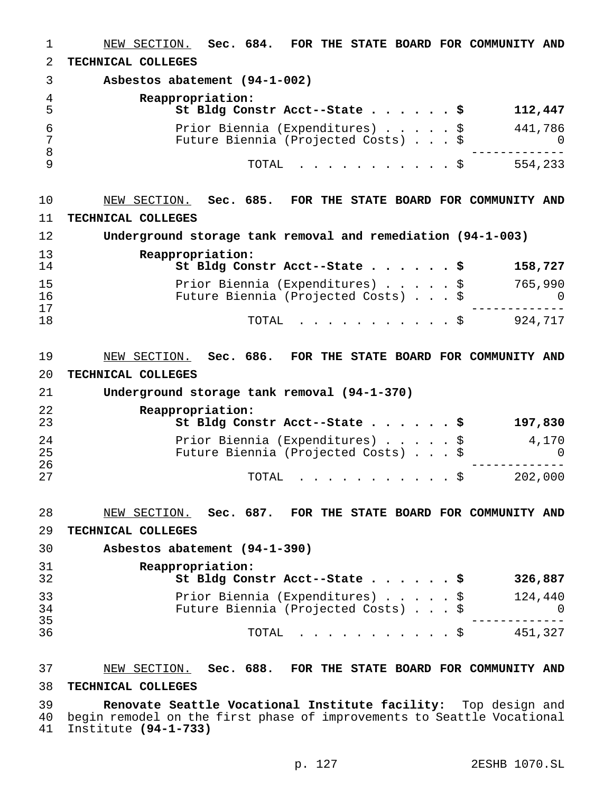NEW SECTION. **Sec. 684. FOR THE STATE BOARD FOR COMMUNITY AND TECHNICAL COLLEGES Asbestos abatement (94-1-002) Reappropriation: St Bldg Constr Acct--State......\$ 112,447** Prior Biennia (Expenditures).....\$ 441,786 Future Biennia (Projected Costs)...\$ 0 ------------- TOTAL ...........\$ 554,233 NEW SECTION. **Sec. 685. FOR THE STATE BOARD FOR COMMUNITY AND TECHNICAL COLLEGES Underground storage tank removal and remediation (94-1-003) Reappropriation: St Bldg Constr Acct--State......\$ 158,727** Prior Biennia (Expenditures).....\$ 765,990 16 Future Biennia (Projected Costs)...\$ 0<br>17 ------------- <sup>18</sup> TOTAL ...........\$ 924,717 NEW SECTION. **Sec. 686. FOR THE STATE BOARD FOR COMMUNITY AND TECHNICAL COLLEGES Underground storage tank removal (94-1-370) Reappropriation: St Bldg Constr Acct--State......\$ 197,830** Prior Biennia (Expenditures).....\$ 4,170 Future Biennia (Projected Costs)...\$ 0 ------------- <sup>27</sup> TOTAL ...........\$ 202,000 NEW SECTION. **Sec. 687. FOR THE STATE BOARD FOR COMMUNITY AND TECHNICAL COLLEGES Asbestos abatement (94-1-390) Reappropriation: St Bldg Constr Acct--State......\$ 326,887** Prior Biennia (Expenditures).....\$ 124,440 Future Biennia (Projected Costs)...\$ 0 ------------- TOTAL ...........\$ 451,327 NEW SECTION. **Sec. 688. FOR THE STATE BOARD FOR COMMUNITY AND**

#### **TECHNICAL COLLEGES**

 **Renovate Seattle Vocational Institute facility:** Top design and begin remodel on the first phase of improvements to Seattle Vocational Institute **(94-1-733)**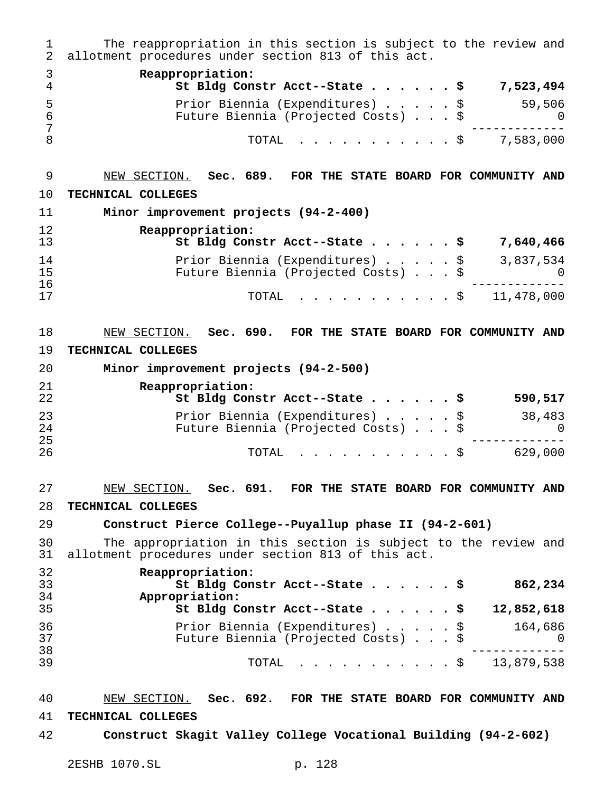The reappropriation in this section is subject to the review and allotment procedures under section 813 of this act. **Reappropriation: St Bldg Constr Acct--State......\$ 7,523,494** Prior Biennia (Expenditures).....\$ 59,506 Future Biennia (Projected Costs)...\$ 0 ------------- TOTAL ...........\$ 7,583,000 NEW SECTION. **Sec. 689. FOR THE STATE BOARD FOR COMMUNITY AND TECHNICAL COLLEGES Minor improvement projects (94-2-400) Reappropriation: St Bldg Constr Acct--State......\$ 7,640,466** 14 Prior Biennia (Expenditures) . . . . \$ 3,837,534<br>15 Puture Biennia (Projected Costs) . . . . \$ 3,837,534 Future Biennia (Projected Costs)...\$ 0 ------------- <sup>17</sup> TOTAL ...........\$ 11,478,000 NEW SECTION. **Sec. 690. FOR THE STATE BOARD FOR COMMUNITY AND TECHNICAL COLLEGES Minor improvement projects (94-2-500) Reappropriation: St Bldg Constr Acct--State......\$ 590,517** Prior Biennia (Expenditures).....\$ 38,483 Future Biennia (Projected Costs)...\$ 0 ------------- TOTAL ...........\$ 629,000 NEW SECTION. **Sec. 691. FOR THE STATE BOARD FOR COMMUNITY AND TECHNICAL COLLEGES Construct Pierce College--Puyallup phase II (94-2-601)** The appropriation in this section is subject to the review and allotment procedures under section 813 of this act. **Reappropriation: St Bldg Constr Acct--State......\$ 862,234 Appropriation: St Bldg Constr Acct--State......\$ 12,852,618** Prior Biennia (Expenditures).....\$ 164,686 Future Biennia (Projected Costs)...\$ 0 ------------- <sup>39</sup> TOTAL ...........\$ 13,879,538 NEW SECTION. **Sec. 692. FOR THE STATE BOARD FOR COMMUNITY AND**

## **TECHNICAL COLLEGES**

**Construct Skagit Valley College Vocational Building (94-2-602)**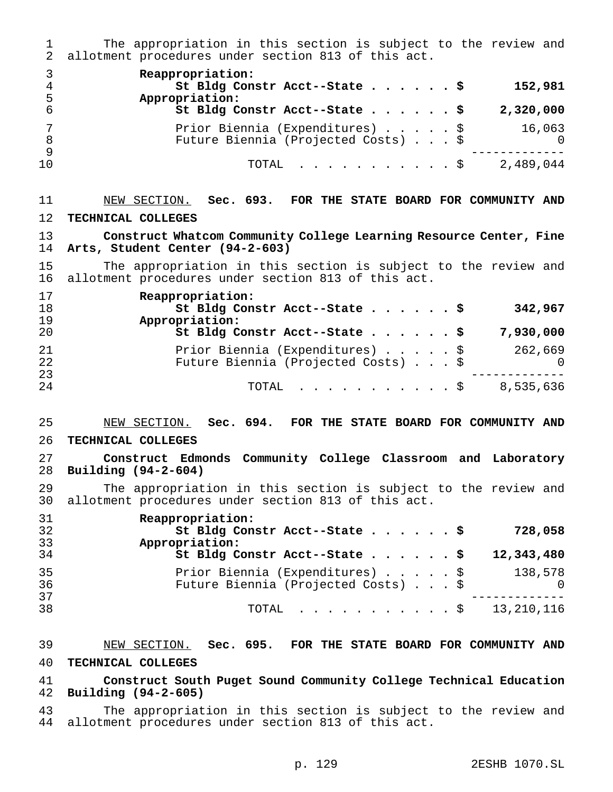The appropriation in this section is subject to the review and allotment procedures under section 813 of this act.

| 5  | Reappropriation:<br>St Bldg Constr Acct--State \$<br>152,981<br>Appropriation:               |
|----|----------------------------------------------------------------------------------------------|
|    | St Bldg Constr Acct--State \$<br>2,320,000                                                   |
|    | Prior Biennia (Expenditures) \$<br>16,063<br>Future Biennia (Projected Costs) \$<br>$\Omega$ |
| 10 | 2,489,044<br>$\texttt{TOTAL}$ $\S$                                                           |

# NEW SECTION. **Sec. 693. FOR THE STATE BOARD FOR COMMUNITY AND TECHNICAL COLLEGES**

 **Construct Whatcom Community College Learning Resource Center, Fine Arts, Student Center (94-2-603)**

 The appropriation in this section is subject to the review and allotment procedures under section 813 of this act.

| 17<br>18<br>19 | Reappropriation:<br>St Bldg Constr Acct--State \$<br>342,967<br>Appropriation:           |
|----------------|------------------------------------------------------------------------------------------|
| 20             | St Bldg Constr Acct--State \$<br>7,930,000                                               |
| 21<br>22       | Prior Biennia (Expenditures) \$<br>262,669<br>Future Biennia (Projected Costs) \$<br>- 0 |
| 23<br>24       | 8,535,636<br>$\texttt{TOTAL}$ $\texttt{S}$                                               |

# NEW SECTION. **Sec. 694. FOR THE STATE BOARD FOR COMMUNITY AND**

#### **TECHNICAL COLLEGES**

 **Construct Edmonds Community College Classroom and Laboratory Building (94-2-604)**

29 The appropriation in this section is subject to the review and<br>30 allotment procedures under section 813 of this act. allotment procedures under section 813 of this act.

| 31<br>32<br>33 | Reappropriation:<br>St Bldg Constr Acct--State \$<br>728,058<br>Appropriation:                |
|----------------|-----------------------------------------------------------------------------------------------|
| 34             | St Bldg Constr Acct--State $\frac{1}{5}$<br>12,343,480                                        |
| 35<br>36       | Prior Biennia (Expenditures) \$<br>138,578<br>Future Biennia (Projected Costs) \$<br>$\Omega$ |
| 37<br>38       | TOTAL \$ 13,210,116                                                                           |

# NEW SECTION. **Sec. 695. FOR THE STATE BOARD FOR COMMUNITY AND TECHNICAL COLLEGES**

 **Construct South Puget Sound Community College Technical Education Building (94-2-605)**

 The appropriation in this section is subject to the review and allotment procedures under section 813 of this act.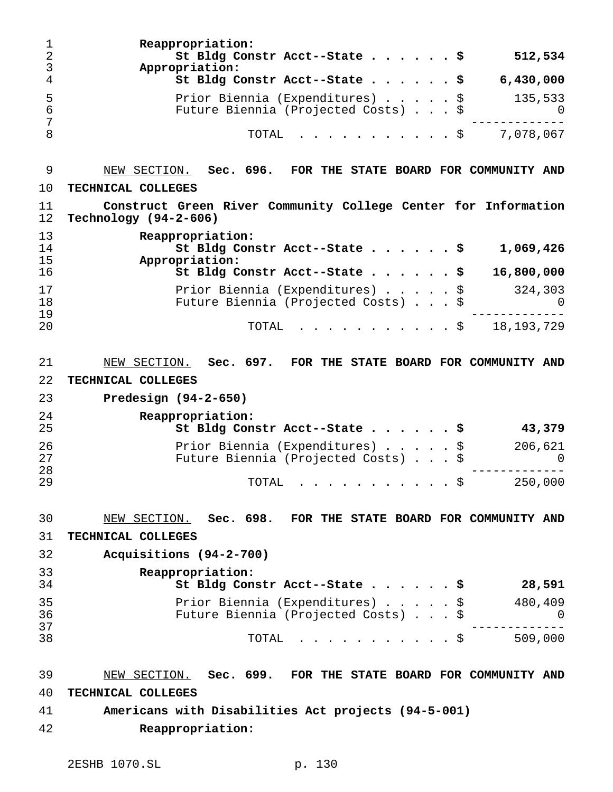**Reappropriation: St Bldg Constr Acct--State......\$ 512,534 Appropriation: St Bldg Constr Acct--State......\$ 6,430,000** Prior Biennia (Expenditures).....\$ 135,533 Future Biennia (Projected Costs)...\$ 0 ------------- TOTAL ...........\$ 7,078,067 NEW SECTION. **Sec. 696. FOR THE STATE BOARD FOR COMMUNITY AND TECHNICAL COLLEGES Construct Green River Community College Center for Information Technology (94-2-606) Reappropriation: St Bldg Constr Acct--State......\$ 1,069,426 Appropriation: St Bldg Constr Acct--State......\$ 16,800,000** Prior Biennia (Expenditures).....\$ 324,303 Future Biennia (Projected Costs)...\$ 0 ------------- TOTAL ...........\$ 18,193,729 NEW SECTION. **Sec. 697. FOR THE STATE BOARD FOR COMMUNITY AND TECHNICAL COLLEGES Predesign (94-2-650) Reappropriation: St Bldg Constr Acct--State......\$ 43,379** Prior Biennia (Expenditures).....\$ 206,621 Future Biennia (Projected Costs)...\$ 0 ------------- TOTAL ...........\$ 250,000 NEW SECTION. **Sec. 698. FOR THE STATE BOARD FOR COMMUNITY AND TECHNICAL COLLEGES Acquisitions (94-2-700) Reappropriation: St Bldg Constr Acct--State......\$ 28,591** Prior Biennia (Expenditures).....\$ 480,409 Future Biennia (Projected Costs)...\$ 0 ------------- <sup>38</sup> TOTAL ...........\$ 509,000 NEW SECTION. **Sec. 699. FOR THE STATE BOARD FOR COMMUNITY AND TECHNICAL COLLEGES Americans with Disabilities Act projects (94-5-001) Reappropriation:**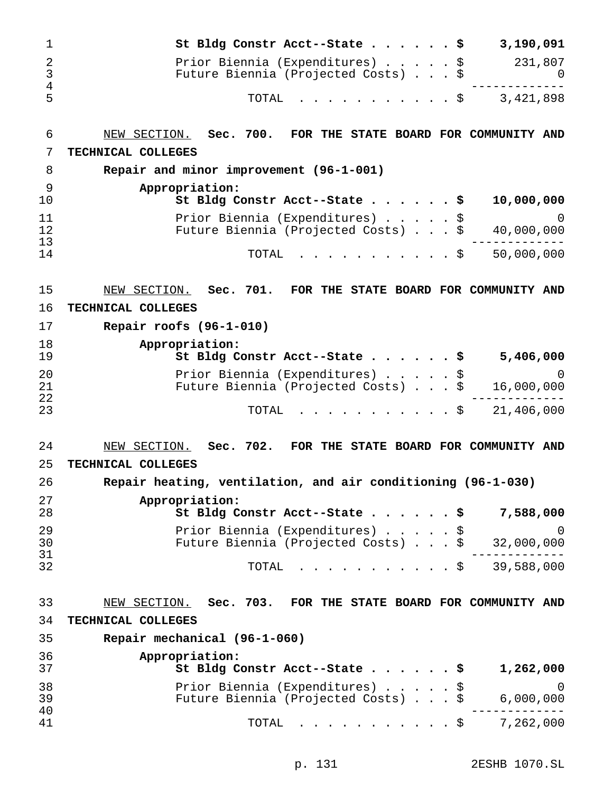| $\mathbf 1$            | 3,190,091<br>St Bldg Constr Acct--State \$                                                    |
|------------------------|-----------------------------------------------------------------------------------------------|
| 2<br>$\mathbf{3}$<br>4 | Prior Biennia (Expenditures) \$<br>231,807<br>Future Biennia (Projected Costs) \$<br>U        |
| 5                      | $\frac{1}{5}$ 3,421,898<br>TOTAL                                                              |
| 6                      | NEW SECTION. Sec. 700. FOR THE STATE BOARD FOR COMMUNITY AND                                  |
| 7                      | TECHNICAL COLLEGES                                                                            |
| 8                      | Repair and minor improvement (96-1-001)                                                       |
| 9<br>10                | Appropriation:<br>St Bldg Constr Acct--State \$<br>10,000,000                                 |
| 11<br>12<br>13         | Prior Biennia (Expenditures) \$<br>0<br>Future Biennia (Projected Costs) \$<br>40,000,000     |
| 14                     | 50,000,000<br>TOTAL<br>$\cdot$ \$                                                             |
| 15                     | NEW SECTION. Sec. 701. FOR THE STATE BOARD FOR COMMUNITY AND                                  |
| 16                     | TECHNICAL COLLEGES                                                                            |
| 17                     | Repair roofs $(96-1-010)$                                                                     |
| 18                     | Appropriation:                                                                                |
| 19                     | St Bldg Constr Acct--State \$<br>5,406,000                                                    |
| 20<br>21<br>22         | Prior Biennia (Expenditures) \$<br>0<br>Future Biennia (Projected Costs) \$<br>16,000,000     |
| 23                     | $\frac{1}{2}$ \$ 21,406,000<br>TOTAL                                                          |
| 24                     | NEW SECTION. Sec. 702. FOR THE STATE BOARD FOR COMMUNITY AND                                  |
| 25                     | TECHNICAL COLLEGES                                                                            |
| 26                     | Repair heating, ventilation, and air conditioning (96-1-030)                                  |
| 27<br>28               | Appropriation:<br>St Bldg Constr Acct--State \$<br>7,588,000                                  |
| 29<br>30               | Prior Biennia (Expenditures) \$<br>- 0<br>Future Biennia (Projected Costs) \$<br>32,000,000   |
| 31<br>32               | 39,588,000<br>TOTAL<br>$\cdot$ \$                                                             |
| 33                     | NEW SECTION. Sec. 703. FOR THE STATE BOARD FOR COMMUNITY AND                                  |
| 34                     | TECHNICAL COLLEGES                                                                            |
| 35                     | Repair mechanical (96-1-060)                                                                  |
| 36<br>37               | Appropriation:<br>St Bldg Constr Acct--State \$<br>1,262,000                                  |
| 38<br>39<br>40         | Prior Biennia (Expenditures)<br>- 0<br>\$<br>Future Biennia (Projected Costs) \$<br>6,000,000 |
| 41                     | 7,262,000<br>TOTAL<br>. \$                                                                    |

p. 131 2ESHB 1070.SL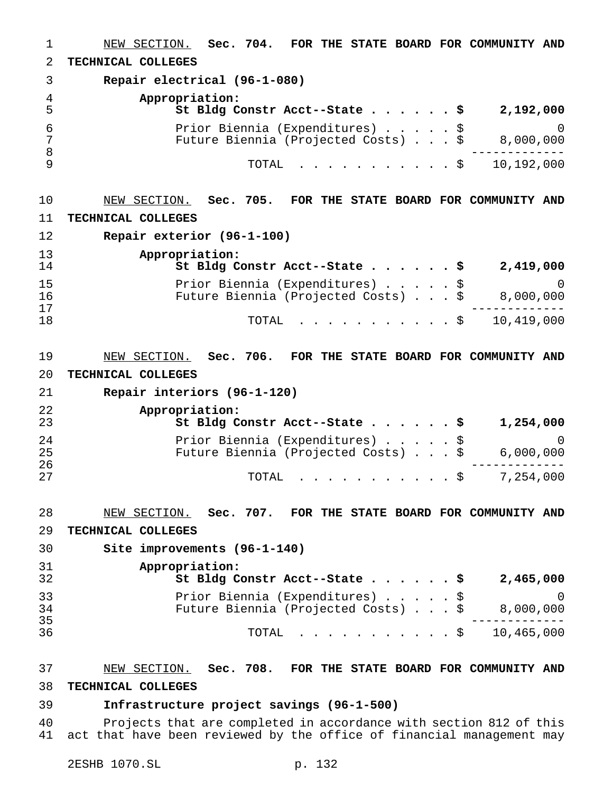NEW SECTION. **Sec. 704. FOR THE STATE BOARD FOR COMMUNITY AND TECHNICAL COLLEGES Repair electrical (96-1-080) Appropriation: St Bldg Constr Acct--State......\$ 2,192,000** Prior Biennia (Expenditures).....\$ 0 Future Biennia (Projected Costs)...\$ 8,000,000 ------------- TOTAL ...........\$ 10,192,000 NEW SECTION. **Sec. 705. FOR THE STATE BOARD FOR COMMUNITY AND TECHNICAL COLLEGES Repair exterior (96-1-100) Appropriation: St Bldg Constr Acct--State......\$ 2,419,000** Prior Biennia (Expenditures).....\$ 0 16 Future Biennia (Projected Costs) . . . \$<br>17 ------------- <sup>18</sup> TOTAL ...........\$ 10,419,000 NEW SECTION. **Sec. 706. FOR THE STATE BOARD FOR COMMUNITY AND TECHNICAL COLLEGES Repair interiors (96-1-120) Appropriation: St Bldg Constr Acct--State......\$ 1,254,000** Prior Biennia (Expenditures).....\$ 0 Future Biennia (Projected Costs)...\$ 6,000,000 ------------- TOTAL ...........\$ 7,254,000 NEW SECTION. **Sec. 707. FOR THE STATE BOARD FOR COMMUNITY AND TECHNICAL COLLEGES Site improvements (96-1-140) Appropriation: St Bldg Constr Acct--State......\$ 2,465,000** Prior Biennia (Expenditures).....\$ 0 Future Biennia (Projected Costs)...\$ 8,000,000 ------------- TOTAL ...........\$ 10,465,000 NEW SECTION. **Sec. 708. FOR THE STATE BOARD FOR COMMUNITY AND TECHNICAL COLLEGES**

### **Infrastructure project savings (96-1-500)**

 Projects that are completed in accordance with section 812 of this act that have been reviewed by the office of financial management may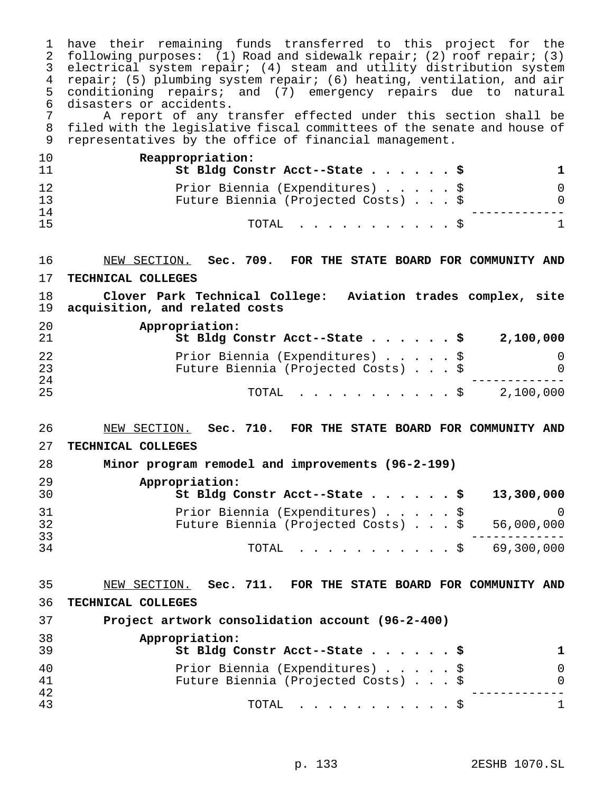have their remaining funds transferred to this project for the following purposes: (1) Road and sidewalk repair; (2) roof repair; (3) electrical system repair; (4) steam and utility distribution system repair; (5) plumbing system repair; (6) heating, ventilation, and air conditioning repairs; and (7) emergency repairs due to natural 6 disasters or accidents.<br>7 A report of any t

 A report of any transfer effected under this section shall be filed with the legislative fiscal committees of the senate and house of representatives by the office of financial management.

| 10              | Reappropriation:<br>St Bldg Constr Acct--State \$                      |  |  |              |
|-----------------|------------------------------------------------------------------------|--|--|--------------|
| 12<br>-13<br>14 | Prior Biennia (Expenditures) \$<br>Future Biennia (Projected Costs) \$ |  |  | <sup>0</sup> |
| 15              | TOTAL Ş                                                                |  |  |              |

NEW SECTION. **Sec. 709. FOR THE STATE BOARD FOR COMMUNITY AND**

**TECHNICAL COLLEGES**

 **Clover Park Technical College: Aviation trades complex, site acquisition, and related costs**

| 20<br>21 | Appropriation:<br>St Bldg Constr Acct--State \$<br>2,100,000 |
|----------|--------------------------------------------------------------|
| 22       | Prior Biennia (Expenditures) \$                              |
| 23<br>24 | Future Biennia (Projected Costs) \$<br>$\Omega$              |
| 25       | 2,100,000<br>TOTAL S                                         |

 NEW SECTION. **Sec. 710. FOR THE STATE BOARD FOR COMMUNITY AND TECHNICAL COLLEGES**

| 28       | Minor program remodel and improvements (96-2-199)                                     |            |
|----------|---------------------------------------------------------------------------------------|------------|
| 29<br>30 | Appropriation:<br>St Bldg Constr Acct--State \$                                       | 13,300,000 |
| 31<br>32 | Prior Biennia (Expenditures) \$<br>Future Biennia (Projected Costs) $.$ \$ 56,000,000 | $\Omega$   |
| 33<br>34 | TOTAL \$ 69,300,000                                                                   |            |

 NEW SECTION. **Sec. 711. FOR THE STATE BOARD FOR COMMUNITY AND TECHNICAL COLLEGES**

| 37       | Project artwork consolidation account (96-2-400)                       |  |  |  |  |  |  |
|----------|------------------------------------------------------------------------|--|--|--|--|--|--|
| 38<br>39 | Appropriation:<br>St Bldg Constr Acct--State \$                        |  |  |  |  |  |  |
| 40<br>41 | Prior Biennia (Expenditures) \$<br>Future Biennia (Projected Costs) \$ |  |  |  |  |  |  |
| 42<br>43 | TOTAL $\ldots$ $\S$                                                    |  |  |  |  |  |  |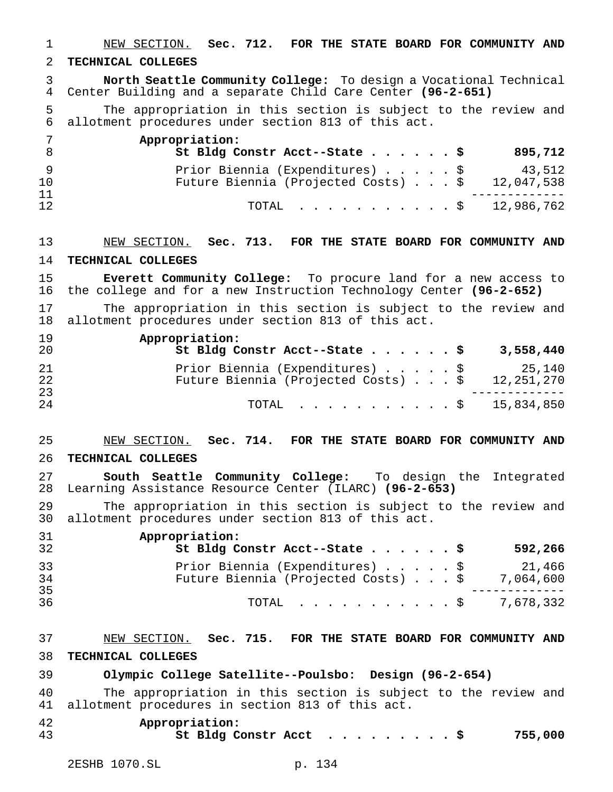NEW SECTION. **Sec. 712. FOR THE STATE BOARD FOR COMMUNITY AND TECHNICAL COLLEGES North Seattle Community College:** To design a Vocational Technical Center Building and a separate Child Care Center **(96-2-651)** The appropriation in this section is subject to the review and allotment procedures under section 813 of this act. **Appropriation: St Bldg Constr Acct--State......\$ 895,712** 9 Prior Biennia (Expenditures)......\$ 43,512 Future Biennia (Projected Costs)...\$ 12,047,538 ------------- TOTAL ...........\$ 12,986,762 NEW SECTION. **Sec. 713. FOR THE STATE BOARD FOR COMMUNITY AND TECHNICAL COLLEGES Everett Community College:** To procure land for a new access to the college and for a new Instruction Technology Center **(96-2-652)** 17 The appropriation in this section is subject to the review and<br>18 allotment procedures under section 813 of this act. allotment procedures under section 813 of this act. **Appropriation: St Bldg Constr Acct--State......\$ 3,558,440** Prior Biennia (Expenditures).....\$ 25,140 Future Biennia (Projected Costs)...\$ 12,251,270 ------------- <sup>24</sup> TOTAL ...........\$ 15,834,850 NEW SECTION. **Sec. 714. FOR THE STATE BOARD FOR COMMUNITY AND TECHNICAL COLLEGES South Seattle Community College:** To design the Integrated Learning Assistance Resource Center (ILARC) **(96-2-653)** The appropriation in this section is subject to the review and allotment procedures under section 813 of this act. **Appropriation: St Bldg Constr Acct--State......\$ 592,266** Prior Biennia (Expenditures).....\$ 21,466 Future Biennia (Projected Costs)...\$ 7,064,600 ------------- TOTAL ...........\$ 7,678,332 NEW SECTION. **Sec. 715. FOR THE STATE BOARD FOR COMMUNITY AND TECHNICAL COLLEGES Olympic College Satellite--Poulsbo: Design (96-2-654)** The appropriation in this section is subject to the review and allotment procedures in section 813 of this act. **Appropriation: St Bldg Constr Acct .........\$ 755,000**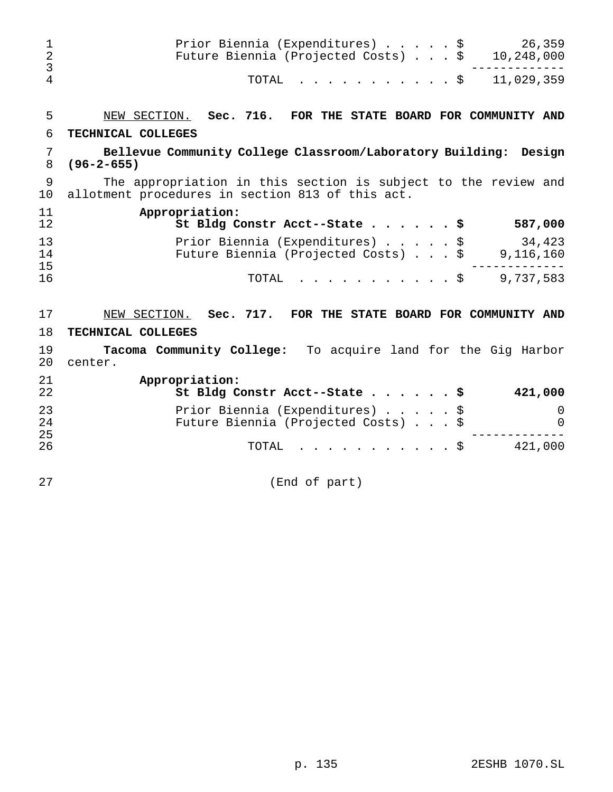| $\mathbf 1$<br>$\overline{a}$<br>$\mathfrak{Z}$ | 26,359<br>Prior Biennia (Expenditures) \$<br>Future Biennia (Projected Costs) \$<br>10,248,000                     |
|-------------------------------------------------|--------------------------------------------------------------------------------------------------------------------|
| $\overline{4}$                                  | 11,029,359<br>TOTAL<br>$\cdot$ $\cdot$ $\cdot$ $\circ$                                                             |
| 5                                               | NEW SECTION. Sec. 716.<br>FOR THE STATE BOARD FOR COMMUNITY AND                                                    |
| 6                                               | TECHNICAL COLLEGES                                                                                                 |
| 7<br>8                                          | Bellevue Community College Classroom/Laboratory Building: Design<br>$(96 - 2 - 655)$                               |
| 9<br>10                                         | The appropriation in this section is subject to the review and<br>allotment procedures in section 813 of this act. |
| 11<br>12                                        | Appropriation:<br>St Bldg Constr Acct--State \$<br>587,000                                                         |
| 13<br>14<br>15                                  | Prior Biennia (Expenditures) \$<br>34,423<br>Future Biennia (Projected Costs) \$<br>9,116,160                      |
| 16                                              | 9,737,583<br>TOTAL<br>. \$                                                                                         |
| 17                                              | NEW SECTION. Sec. 717. FOR THE STATE BOARD FOR COMMUNITY AND                                                       |
| 18                                              | TECHNICAL COLLEGES                                                                                                 |
| 19<br>20                                        | Tacoma Community College: To acquire land for the Gig Harbor<br>center.                                            |
| 21<br>22                                        | Appropriation:<br>St Bldg Constr Acct--State \$<br>421,000                                                         |
| 23<br>24<br>25                                  | Prior Biennia (Expenditures)<br>\$<br>0<br>Future Biennia (Projected Costs) \$<br>$\Omega$                         |
| 26                                              | 421,000<br>. \$<br>TOTAL                                                                                           |
| 27                                              | (End of part)                                                                                                      |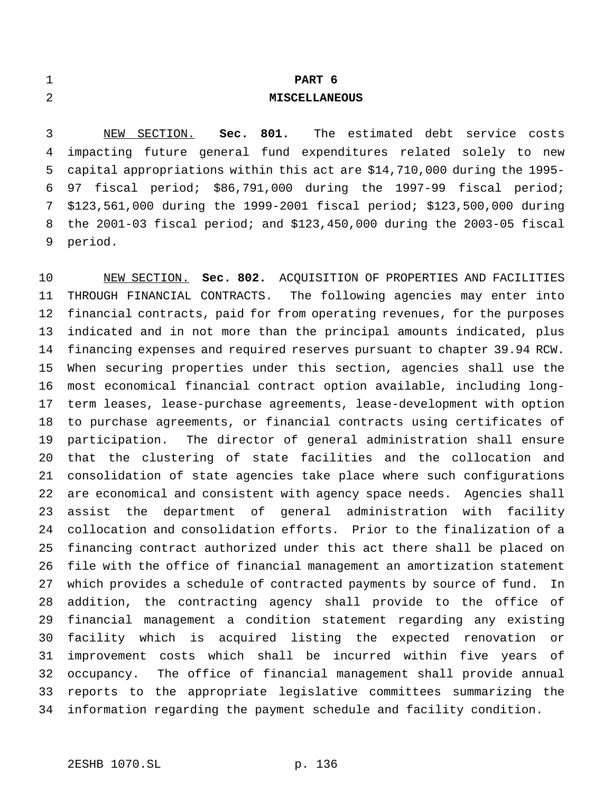| 1            |                                                                            |              |  | PART 6               |  |                                            |  |
|--------------|----------------------------------------------------------------------------|--------------|--|----------------------|--|--------------------------------------------|--|
| 2            |                                                                            |              |  | <b>MISCELLANEOUS</b> |  |                                            |  |
|              |                                                                            |              |  |                      |  |                                            |  |
| $\mathbf{3}$ |                                                                            | NEW SECTION. |  |                      |  | Sec. 801. The estimated debt service costs |  |
|              | 4 impacting future general fund expenditures related solely to new         |              |  |                      |  |                                            |  |
|              | 5 capital appropriations within this act are \$14,710,000 during the 1995- |              |  |                      |  |                                            |  |

 97 fiscal period; \$86,791,000 during the 1997-99 fiscal period; \$123,561,000 during the 1999-2001 fiscal period; \$123,500,000 during the 2001-03 fiscal period; and \$123,450,000 during the 2003-05 fiscal period.

 NEW SECTION. **Sec. 802.** ACQUISITION OF PROPERTIES AND FACILITIES THROUGH FINANCIAL CONTRACTS. The following agencies may enter into financial contracts, paid for from operating revenues, for the purposes indicated and in not more than the principal amounts indicated, plus financing expenses and required reserves pursuant to chapter 39.94 RCW. When securing properties under this section, agencies shall use the most economical financial contract option available, including long- term leases, lease-purchase agreements, lease-development with option to purchase agreements, or financial contracts using certificates of participation. The director of general administration shall ensure that the clustering of state facilities and the collocation and consolidation of state agencies take place where such configurations are economical and consistent with agency space needs. Agencies shall assist the department of general administration with facility collocation and consolidation efforts. Prior to the finalization of a financing contract authorized under this act there shall be placed on file with the office of financial management an amortization statement which provides a schedule of contracted payments by source of fund. In addition, the contracting agency shall provide to the office of financial management a condition statement regarding any existing facility which is acquired listing the expected renovation or improvement costs which shall be incurred within five years of occupancy. The office of financial management shall provide annual reports to the appropriate legislative committees summarizing the information regarding the payment schedule and facility condition.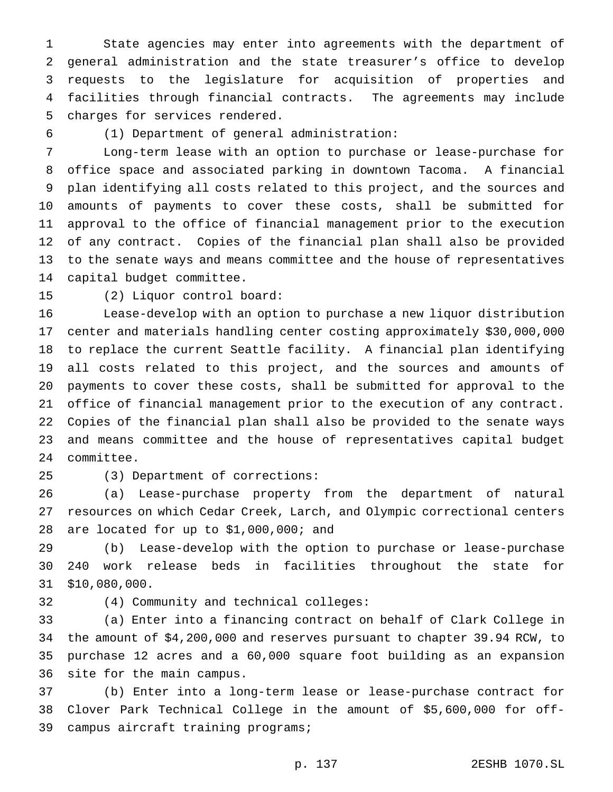State agencies may enter into agreements with the department of general administration and the state treasurer's office to develop requests to the legislature for acquisition of properties and facilities through financial contracts. The agreements may include charges for services rendered.

(1) Department of general administration:

 Long-term lease with an option to purchase or lease-purchase for office space and associated parking in downtown Tacoma. A financial plan identifying all costs related to this project, and the sources and amounts of payments to cover these costs, shall be submitted for approval to the office of financial management prior to the execution of any contract. Copies of the financial plan shall also be provided to the senate ways and means committee and the house of representatives capital budget committee.

(2) Liquor control board:

 Lease-develop with an option to purchase a new liquor distribution center and materials handling center costing approximately \$30,000,000 to replace the current Seattle facility. A financial plan identifying all costs related to this project, and the sources and amounts of payments to cover these costs, shall be submitted for approval to the office of financial management prior to the execution of any contract. Copies of the financial plan shall also be provided to the senate ways and means committee and the house of representatives capital budget committee.

(3) Department of corrections:

 (a) Lease-purchase property from the department of natural resources on which Cedar Creek, Larch, and Olympic correctional centers are located for up to \$1,000,000; and

 (b) Lease-develop with the option to purchase or lease-purchase 240 work release beds in facilities throughout the state for \$10,080,000.

(4) Community and technical colleges:

 (a) Enter into a financing contract on behalf of Clark College in the amount of \$4,200,000 and reserves pursuant to chapter 39.94 RCW, to purchase 12 acres and a 60,000 square foot building as an expansion site for the main campus.

 (b) Enter into a long-term lease or lease-purchase contract for Clover Park Technical College in the amount of \$5,600,000 for off-campus aircraft training programs;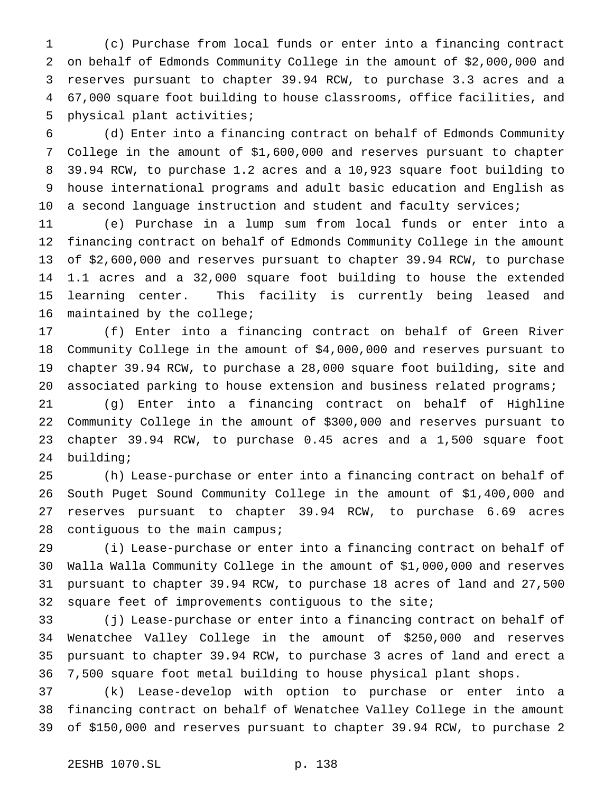(c) Purchase from local funds or enter into a financing contract on behalf of Edmonds Community College in the amount of \$2,000,000 and reserves pursuant to chapter 39.94 RCW, to purchase 3.3 acres and a 67,000 square foot building to house classrooms, office facilities, and physical plant activities;

 (d) Enter into a financing contract on behalf of Edmonds Community College in the amount of \$1,600,000 and reserves pursuant to chapter 39.94 RCW, to purchase 1.2 acres and a 10,923 square foot building to house international programs and adult basic education and English as 10 a second language instruction and student and faculty services;

 (e) Purchase in a lump sum from local funds or enter into a financing contract on behalf of Edmonds Community College in the amount of \$2,600,000 and reserves pursuant to chapter 39.94 RCW, to purchase 1.1 acres and a 32,000 square foot building to house the extended learning center. This facility is currently being leased and maintained by the college;

 (f) Enter into a financing contract on behalf of Green River Community College in the amount of \$4,000,000 and reserves pursuant to chapter 39.94 RCW, to purchase a 28,000 square foot building, site and 20 associated parking to house extension and business related programs;

 (g) Enter into a financing contract on behalf of Highline Community College in the amount of \$300,000 and reserves pursuant to chapter 39.94 RCW, to purchase 0.45 acres and a 1,500 square foot building;

 (h) Lease-purchase or enter into a financing contract on behalf of South Puget Sound Community College in the amount of \$1,400,000 and reserves pursuant to chapter 39.94 RCW, to purchase 6.69 acres 28 contiguous to the main campus;

 (i) Lease-purchase or enter into a financing contract on behalf of Walla Walla Community College in the amount of \$1,000,000 and reserves pursuant to chapter 39.94 RCW, to purchase 18 acres of land and 27,500 square feet of improvements contiguous to the site;

 (j) Lease-purchase or enter into a financing contract on behalf of Wenatchee Valley College in the amount of \$250,000 and reserves pursuant to chapter 39.94 RCW, to purchase 3 acres of land and erect a 7,500 square foot metal building to house physical plant shops.

 (k) Lease-develop with option to purchase or enter into a financing contract on behalf of Wenatchee Valley College in the amount of \$150,000 and reserves pursuant to chapter 39.94 RCW, to purchase 2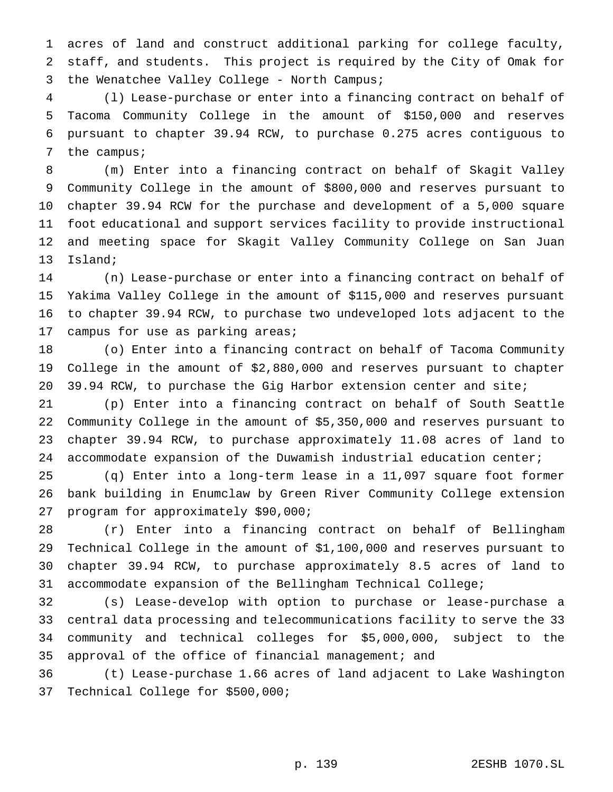acres of land and construct additional parking for college faculty, staff, and students. This project is required by the City of Omak for 3 the Wenatchee Valley College - North Campus;

 (l) Lease-purchase or enter into a financing contract on behalf of Tacoma Community College in the amount of \$150,000 and reserves pursuant to chapter 39.94 RCW, to purchase 0.275 acres contiguous to 7 the campus;

 (m) Enter into a financing contract on behalf of Skagit Valley Community College in the amount of \$800,000 and reserves pursuant to chapter 39.94 RCW for the purchase and development of a 5,000 square foot educational and support services facility to provide instructional and meeting space for Skagit Valley Community College on San Juan Island;

 (n) Lease-purchase or enter into a financing contract on behalf of Yakima Valley College in the amount of \$115,000 and reserves pursuant to chapter 39.94 RCW, to purchase two undeveloped lots adjacent to the campus for use as parking areas;

 (o) Enter into a financing contract on behalf of Tacoma Community College in the amount of \$2,880,000 and reserves pursuant to chapter 39.94 RCW, to purchase the Gig Harbor extension center and site;

 (p) Enter into a financing contract on behalf of South Seattle Community College in the amount of \$5,350,000 and reserves pursuant to chapter 39.94 RCW, to purchase approximately 11.08 acres of land to accommodate expansion of the Duwamish industrial education center;

 (q) Enter into a long-term lease in a 11,097 square foot former bank building in Enumclaw by Green River Community College extension program for approximately \$90,000;

 (r) Enter into a financing contract on behalf of Bellingham Technical College in the amount of \$1,100,000 and reserves pursuant to chapter 39.94 RCW, to purchase approximately 8.5 acres of land to accommodate expansion of the Bellingham Technical College;

 (s) Lease-develop with option to purchase or lease-purchase a central data processing and telecommunications facility to serve the 33 community and technical colleges for \$5,000,000, subject to the approval of the office of financial management; and

 (t) Lease-purchase 1.66 acres of land adjacent to Lake Washington Technical College for \$500,000;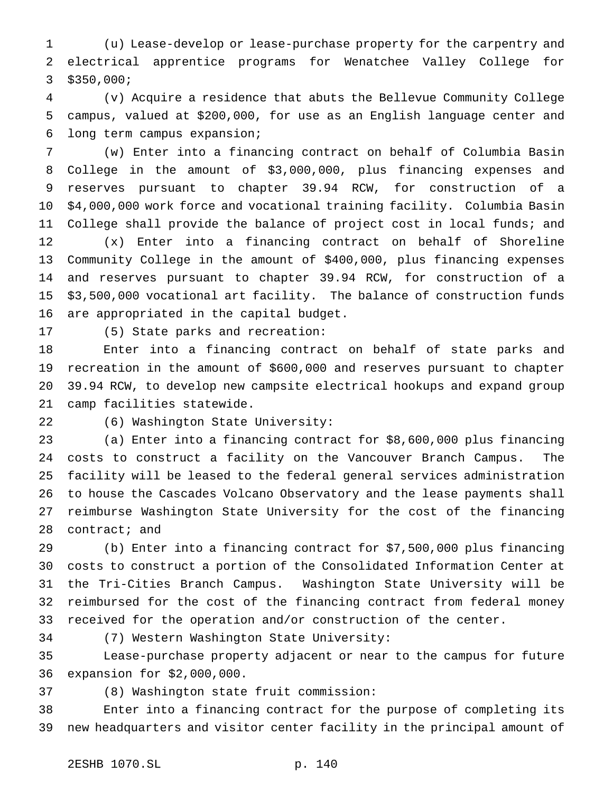(u) Lease-develop or lease-purchase property for the carpentry and electrical apprentice programs for Wenatchee Valley College for \$350,000;

 (v) Acquire a residence that abuts the Bellevue Community College campus, valued at \$200,000, for use as an English language center and long term campus expansion;

 (w) Enter into a financing contract on behalf of Columbia Basin College in the amount of \$3,000,000, plus financing expenses and reserves pursuant to chapter 39.94 RCW, for construction of a \$4,000,000 work force and vocational training facility. Columbia Basin College shall provide the balance of project cost in local funds; and (x) Enter into a financing contract on behalf of Shoreline Community College in the amount of \$400,000, plus financing expenses and reserves pursuant to chapter 39.94 RCW, for construction of a \$3,500,000 vocational art facility. The balance of construction funds are appropriated in the capital budget.

(5) State parks and recreation:

 Enter into a financing contract on behalf of state parks and recreation in the amount of \$600,000 and reserves pursuant to chapter 39.94 RCW, to develop new campsite electrical hookups and expand group camp facilities statewide.

(6) Washington State University:

 (a) Enter into a financing contract for \$8,600,000 plus financing costs to construct a facility on the Vancouver Branch Campus. The facility will be leased to the federal general services administration to house the Cascades Volcano Observatory and the lease payments shall reimburse Washington State University for the cost of the financing 28 contract; and

 (b) Enter into a financing contract for \$7,500,000 plus financing costs to construct a portion of the Consolidated Information Center at the Tri-Cities Branch Campus. Washington State University will be reimbursed for the cost of the financing contract from federal money received for the operation and/or construction of the center.

(7) Western Washington State University:

 Lease-purchase property adjacent or near to the campus for future expansion for \$2,000,000.

(8) Washington state fruit commission:

 Enter into a financing contract for the purpose of completing its new headquarters and visitor center facility in the principal amount of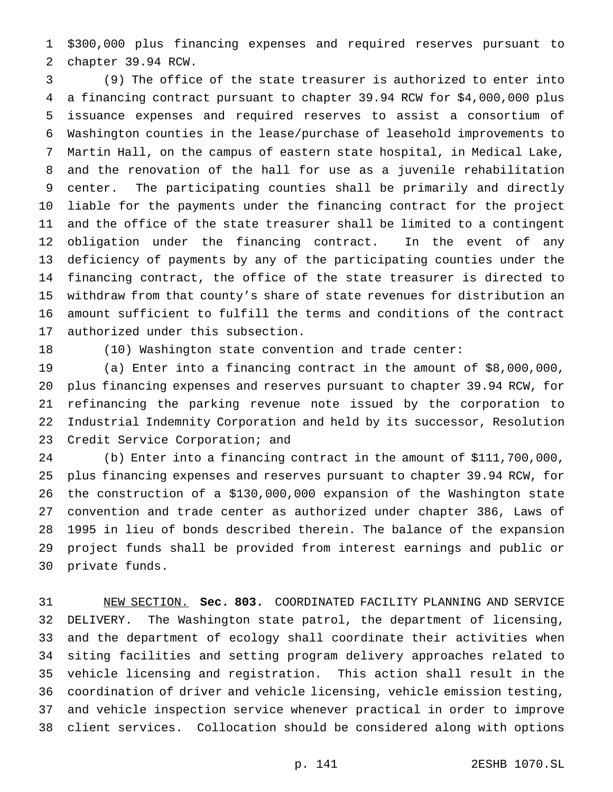\$300,000 plus financing expenses and required reserves pursuant to chapter 39.94 RCW.

 (9) The office of the state treasurer is authorized to enter into a financing contract pursuant to chapter 39.94 RCW for \$4,000,000 plus issuance expenses and required reserves to assist a consortium of Washington counties in the lease/purchase of leasehold improvements to Martin Hall, on the campus of eastern state hospital, in Medical Lake, and the renovation of the hall for use as a juvenile rehabilitation center. The participating counties shall be primarily and directly liable for the payments under the financing contract for the project and the office of the state treasurer shall be limited to a contingent obligation under the financing contract. In the event of any deficiency of payments by any of the participating counties under the financing contract, the office of the state treasurer is directed to withdraw from that county's share of state revenues for distribution an amount sufficient to fulfill the terms and conditions of the contract authorized under this subsection.

(10) Washington state convention and trade center:

 (a) Enter into a financing contract in the amount of \$8,000,000, plus financing expenses and reserves pursuant to chapter 39.94 RCW, for refinancing the parking revenue note issued by the corporation to Industrial Indemnity Corporation and held by its successor, Resolution Credit Service Corporation; and

 (b) Enter into a financing contract in the amount of \$111,700,000, plus financing expenses and reserves pursuant to chapter 39.94 RCW, for the construction of a \$130,000,000 expansion of the Washington state convention and trade center as authorized under chapter 386, Laws of 1995 in lieu of bonds described therein. The balance of the expansion project funds shall be provided from interest earnings and public or private funds.

 NEW SECTION. **Sec. 803.** COORDINATED FACILITY PLANNING AND SERVICE DELIVERY. The Washington state patrol, the department of licensing, and the department of ecology shall coordinate their activities when siting facilities and setting program delivery approaches related to vehicle licensing and registration. This action shall result in the coordination of driver and vehicle licensing, vehicle emission testing, and vehicle inspection service whenever practical in order to improve client services. Collocation should be considered along with options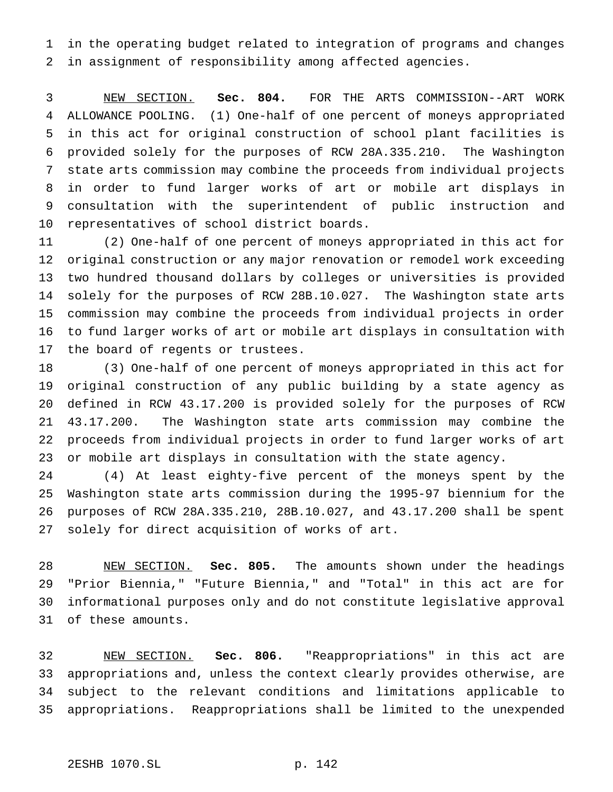in the operating budget related to integration of programs and changes in assignment of responsibility among affected agencies.

 NEW SECTION. **Sec. 804.** FOR THE ARTS COMMISSION--ART WORK ALLOWANCE POOLING. (1) One-half of one percent of moneys appropriated in this act for original construction of school plant facilities is provided solely for the purposes of RCW 28A.335.210. The Washington state arts commission may combine the proceeds from individual projects in order to fund larger works of art or mobile art displays in consultation with the superintendent of public instruction and representatives of school district boards.

 (2) One-half of one percent of moneys appropriated in this act for original construction or any major renovation or remodel work exceeding two hundred thousand dollars by colleges or universities is provided solely for the purposes of RCW 28B.10.027. The Washington state arts commission may combine the proceeds from individual projects in order to fund larger works of art or mobile art displays in consultation with the board of regents or trustees.

 (3) One-half of one percent of moneys appropriated in this act for original construction of any public building by a state agency as defined in RCW 43.17.200 is provided solely for the purposes of RCW 43.17.200. The Washington state arts commission may combine the proceeds from individual projects in order to fund larger works of art or mobile art displays in consultation with the state agency.

 (4) At least eighty-five percent of the moneys spent by the Washington state arts commission during the 1995-97 biennium for the purposes of RCW 28A.335.210, 28B.10.027, and 43.17.200 shall be spent solely for direct acquisition of works of art.

 NEW SECTION. **Sec. 805.** The amounts shown under the headings "Prior Biennia," "Future Biennia," and "Total" in this act are for informational purposes only and do not constitute legislative approval of these amounts.

 NEW SECTION. **Sec. 806.** "Reappropriations" in this act are appropriations and, unless the context clearly provides otherwise, are subject to the relevant conditions and limitations applicable to appropriations. Reappropriations shall be limited to the unexpended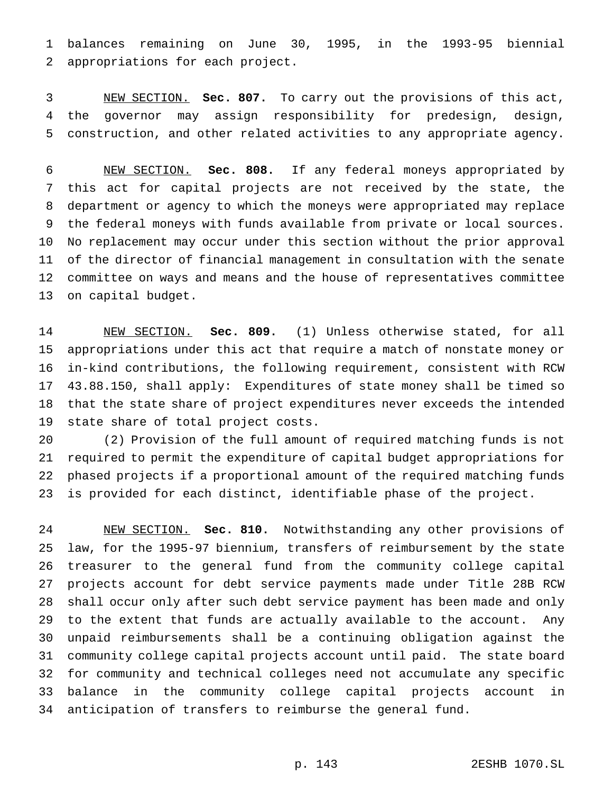balances remaining on June 30, 1995, in the 1993-95 biennial appropriations for each project.

 NEW SECTION. **Sec. 807.** To carry out the provisions of this act, the governor may assign responsibility for predesign, design, construction, and other related activities to any appropriate agency.

 NEW SECTION. **Sec. 808.** If any federal moneys appropriated by this act for capital projects are not received by the state, the department or agency to which the moneys were appropriated may replace the federal moneys with funds available from private or local sources. No replacement may occur under this section without the prior approval of the director of financial management in consultation with the senate committee on ways and means and the house of representatives committee on capital budget.

 NEW SECTION. **Sec. 809.** (1) Unless otherwise stated, for all appropriations under this act that require a match of nonstate money or in-kind contributions, the following requirement, consistent with RCW 43.88.150, shall apply: Expenditures of state money shall be timed so that the state share of project expenditures never exceeds the intended state share of total project costs.

 (2) Provision of the full amount of required matching funds is not required to permit the expenditure of capital budget appropriations for phased projects if a proportional amount of the required matching funds is provided for each distinct, identifiable phase of the project.

 NEW SECTION. **Sec. 810.** Notwithstanding any other provisions of law, for the 1995-97 biennium, transfers of reimbursement by the state treasurer to the general fund from the community college capital projects account for debt service payments made under Title 28B RCW shall occur only after such debt service payment has been made and only to the extent that funds are actually available to the account. Any unpaid reimbursements shall be a continuing obligation against the community college capital projects account until paid. The state board for community and technical colleges need not accumulate any specific balance in the community college capital projects account in anticipation of transfers to reimburse the general fund.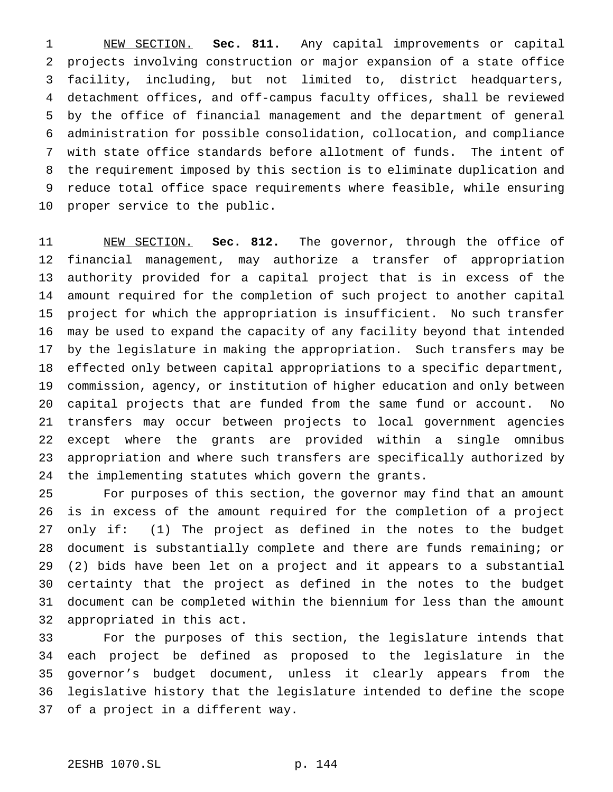NEW SECTION. **Sec. 811.** Any capital improvements or capital projects involving construction or major expansion of a state office facility, including, but not limited to, district headquarters, detachment offices, and off-campus faculty offices, shall be reviewed by the office of financial management and the department of general administration for possible consolidation, collocation, and compliance with state office standards before allotment of funds. The intent of the requirement imposed by this section is to eliminate duplication and reduce total office space requirements where feasible, while ensuring proper service to the public.

 NEW SECTION. **Sec. 812.** The governor, through the office of financial management, may authorize a transfer of appropriation authority provided for a capital project that is in excess of the amount required for the completion of such project to another capital project for which the appropriation is insufficient. No such transfer may be used to expand the capacity of any facility beyond that intended by the legislature in making the appropriation. Such transfers may be effected only between capital appropriations to a specific department, commission, agency, or institution of higher education and only between capital projects that are funded from the same fund or account. No transfers may occur between projects to local government agencies except where the grants are provided within a single omnibus appropriation and where such transfers are specifically authorized by the implementing statutes which govern the grants.

 For purposes of this section, the governor may find that an amount is in excess of the amount required for the completion of a project only if: (1) The project as defined in the notes to the budget document is substantially complete and there are funds remaining; or (2) bids have been let on a project and it appears to a substantial certainty that the project as defined in the notes to the budget document can be completed within the biennium for less than the amount appropriated in this act.

 For the purposes of this section, the legislature intends that each project be defined as proposed to the legislature in the governor's budget document, unless it clearly appears from the legislative history that the legislature intended to define the scope of a project in a different way.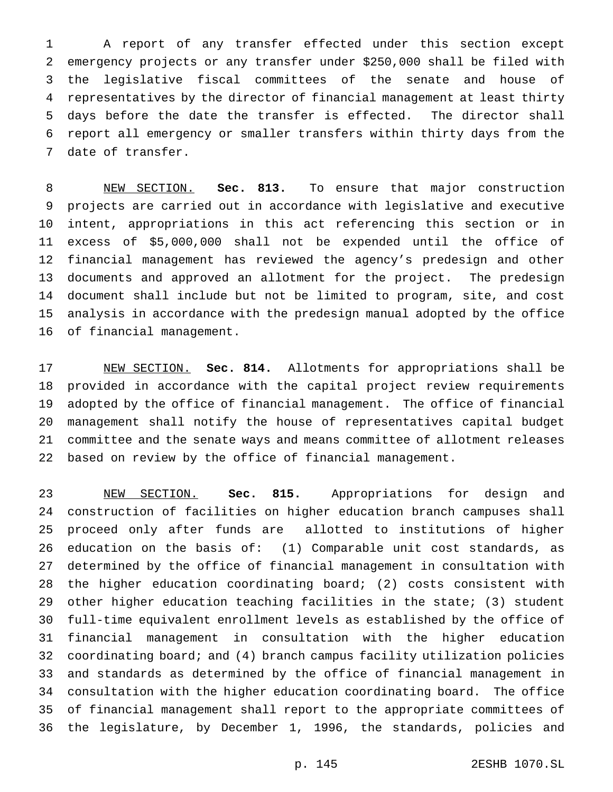A report of any transfer effected under this section except emergency projects or any transfer under \$250,000 shall be filed with the legislative fiscal committees of the senate and house of representatives by the director of financial management at least thirty days before the date the transfer is effected. The director shall report all emergency or smaller transfers within thirty days from the date of transfer.

 NEW SECTION. **Sec. 813.** To ensure that major construction projects are carried out in accordance with legislative and executive intent, appropriations in this act referencing this section or in excess of \$5,000,000 shall not be expended until the office of financial management has reviewed the agency's predesign and other documents and approved an allotment for the project. The predesign document shall include but not be limited to program, site, and cost analysis in accordance with the predesign manual adopted by the office of financial management.

 NEW SECTION. **Sec. 814.** Allotments for appropriations shall be provided in accordance with the capital project review requirements adopted by the office of financial management. The office of financial management shall notify the house of representatives capital budget committee and the senate ways and means committee of allotment releases based on review by the office of financial management.

 NEW SECTION. **Sec. 815.** Appropriations for design and construction of facilities on higher education branch campuses shall proceed only after funds are allotted to institutions of higher education on the basis of: (1) Comparable unit cost standards, as determined by the office of financial management in consultation with the higher education coordinating board; (2) costs consistent with other higher education teaching facilities in the state; (3) student full-time equivalent enrollment levels as established by the office of financial management in consultation with the higher education coordinating board; and (4) branch campus facility utilization policies and standards as determined by the office of financial management in consultation with the higher education coordinating board. The office of financial management shall report to the appropriate committees of the legislature, by December 1, 1996, the standards, policies and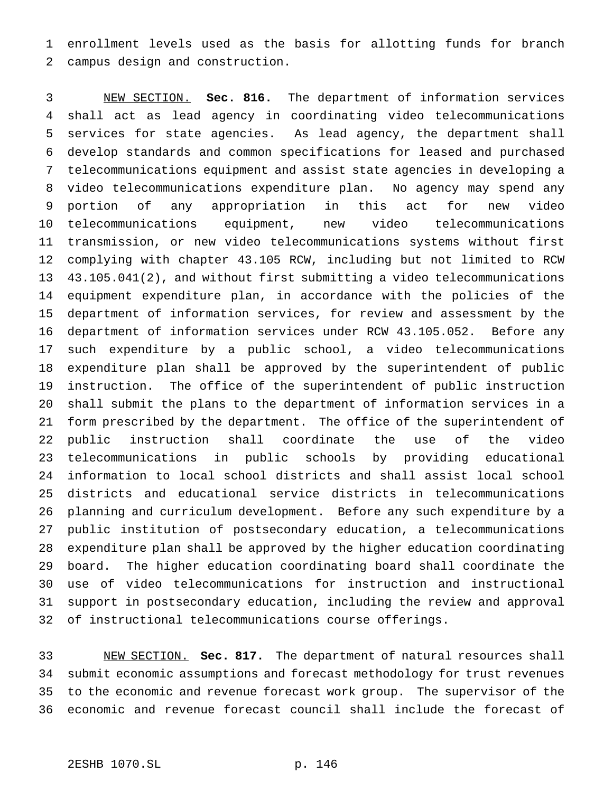enrollment levels used as the basis for allotting funds for branch campus design and construction.

 NEW SECTION. **Sec. 816.** The department of information services shall act as lead agency in coordinating video telecommunications services for state agencies. As lead agency, the department shall develop standards and common specifications for leased and purchased telecommunications equipment and assist state agencies in developing a video telecommunications expenditure plan. No agency may spend any portion of any appropriation in this act for new video telecommunications equipment, new video telecommunications transmission, or new video telecommunications systems without first complying with chapter 43.105 RCW, including but not limited to RCW 43.105.041(2), and without first submitting a video telecommunications equipment expenditure plan, in accordance with the policies of the department of information services, for review and assessment by the department of information services under RCW 43.105.052. Before any such expenditure by a public school, a video telecommunications expenditure plan shall be approved by the superintendent of public instruction. The office of the superintendent of public instruction shall submit the plans to the department of information services in a form prescribed by the department. The office of the superintendent of public instruction shall coordinate the use of the video telecommunications in public schools by providing educational information to local school districts and shall assist local school districts and educational service districts in telecommunications planning and curriculum development. Before any such expenditure by a public institution of postsecondary education, a telecommunications expenditure plan shall be approved by the higher education coordinating board. The higher education coordinating board shall coordinate the use of video telecommunications for instruction and instructional support in postsecondary education, including the review and approval of instructional telecommunications course offerings.

 NEW SECTION. **Sec. 817.** The department of natural resources shall submit economic assumptions and forecast methodology for trust revenues to the economic and revenue forecast work group. The supervisor of the economic and revenue forecast council shall include the forecast of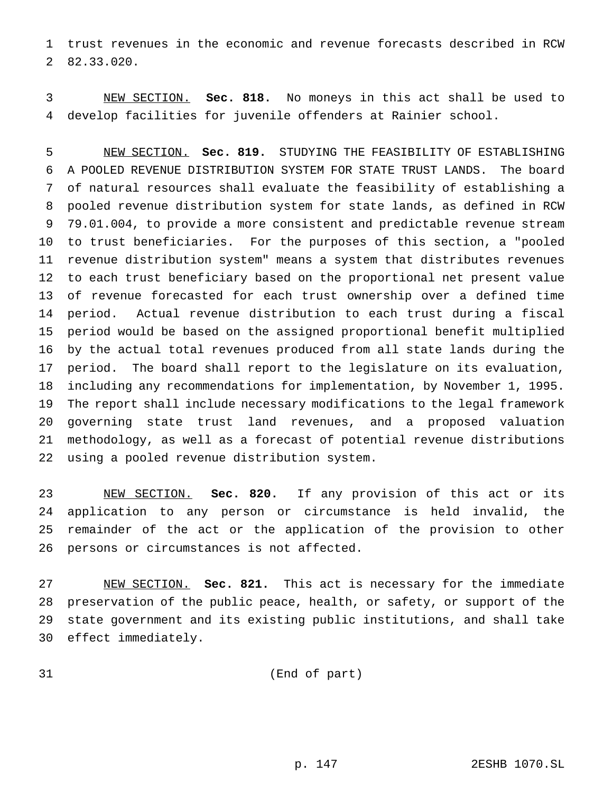trust revenues in the economic and revenue forecasts described in RCW 82.33.020.

 NEW SECTION. **Sec. 818.** No moneys in this act shall be used to develop facilities for juvenile offenders at Rainier school.

 NEW SECTION. **Sec. 819.** STUDYING THE FEASIBILITY OF ESTABLISHING A POOLED REVENUE DISTRIBUTION SYSTEM FOR STATE TRUST LANDS. The board of natural resources shall evaluate the feasibility of establishing a pooled revenue distribution system for state lands, as defined in RCW 79.01.004, to provide a more consistent and predictable revenue stream to trust beneficiaries. For the purposes of this section, a "pooled revenue distribution system" means a system that distributes revenues to each trust beneficiary based on the proportional net present value of revenue forecasted for each trust ownership over a defined time period. Actual revenue distribution to each trust during a fiscal period would be based on the assigned proportional benefit multiplied by the actual total revenues produced from all state lands during the period. The board shall report to the legislature on its evaluation, including any recommendations for implementation, by November 1, 1995. The report shall include necessary modifications to the legal framework governing state trust land revenues, and a proposed valuation methodology, as well as a forecast of potential revenue distributions using a pooled revenue distribution system.

 NEW SECTION. **Sec. 820.** If any provision of this act or its application to any person or circumstance is held invalid, the remainder of the act or the application of the provision to other persons or circumstances is not affected.

 NEW SECTION. **Sec. 821.** This act is necessary for the immediate preservation of the public peace, health, or safety, or support of the state government and its existing public institutions, and shall take effect immediately.

(End of part)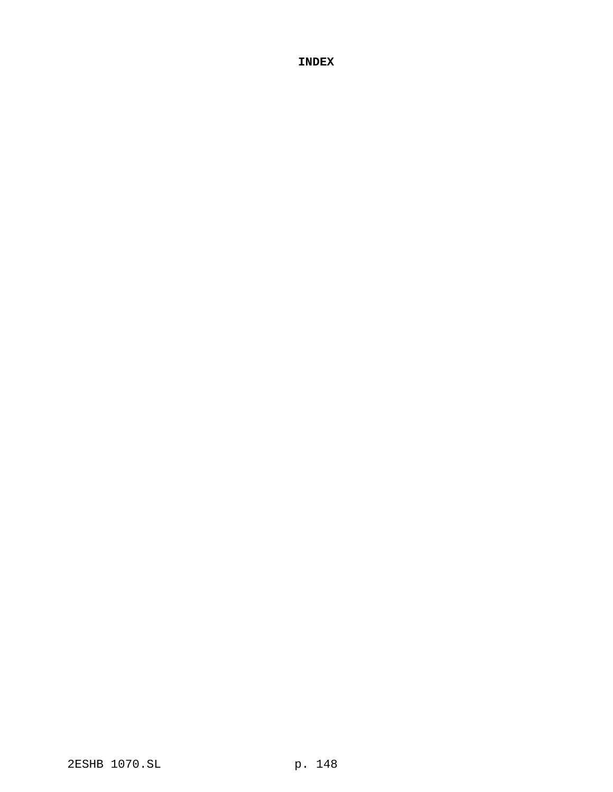**INDEX**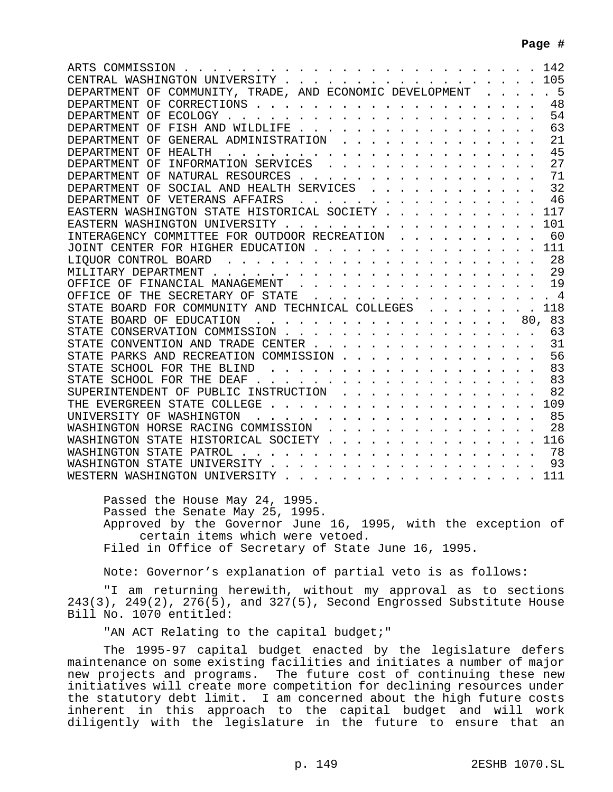| CENTRAL WASHINGTON UNIVERSITY 105                             |
|---------------------------------------------------------------|
| DEPARTMENT OF COMMUNITY, TRADE, AND ECONOMIC DEVELOPMENT 5    |
|                                                               |
|                                                               |
| 63<br>DEPARTMENT OF FISH AND WILDLIFE                         |
| DEPARTMENT OF GENERAL ADMINISTRATION<br>21                    |
| 45                                                            |
| 27                                                            |
| DEPARTMENT OF NATURAL RESOURCES<br>71                         |
| DEPARTMENT OF SOCIAL AND HEALTH SERVICES 32                   |
| DEPARTMENT OF VETERANS AFFAIRS 46                             |
| EASTERN WASHINGTON STATE HISTORICAL SOCIETY 117               |
| EASTERN WASHINGTON UNIVERSITY 101                             |
| INTERAGENCY COMMITTEE FOR OUTDOOR RECREATION 60               |
| JOINT CENTER FOR HIGHER EDUCATION 111                         |
| 28                                                            |
|                                                               |
| OFFICE OF FINANCIAL MANAGEMENT 19                             |
| OFFICE OF THE SECRETARY OF STATE 4                            |
| STATE BOARD FOR COMMUNITY AND TECHNICAL COLLEGES 118          |
| STATE BOARD OF EDUCATION 80, 83                               |
| 63                                                            |
| STATE CONVENTION AND TRADE CENTER 31                          |
| STATE PARKS AND RECREATION COMMISSION 56                      |
| STATE SCHOOL FOR THE BLIND 83                                 |
|                                                               |
| SUPERINTENDENT OF PUBLIC INSTRUCTION 82                       |
|                                                               |
|                                                               |
| WASHINGTON HORSE RACING COMMISSION 28                         |
| WASHINGTON STATE HISTORICAL SOCIETY 116                       |
|                                                               |
|                                                               |
|                                                               |
| WESTERN WASHINGTON UNIVERSITY 111                             |
|                                                               |
| Passed the House May 24, 1995.                                |
| Passed the Senate May 25, 1995.                               |
| Approved by the Governor June 16, 1995, with the exception of |

certain items which were vetoed.

Filed in Office of Secretary of State June 16, 1995.

Note: Governor's explanation of partial veto is as follows:

"I am returning herewith, without my approval as to sections 243(3), 249(2), 276(5), and 327(5), Second Engrossed Substitute House Bill No. 1070 entitled:

"AN ACT Relating to the capital budget;"

The 1995-97 capital budget enacted by the legislature defers maintenance on some existing facilities and initiates a number of major new projects and programs. The future cost of continuing these new initiatives will create more competition for declining resources under the statutory debt limit. I am concerned about the high future costs inherent in this approach to the capital budget and will work diligently with the legislature in the future to ensure that an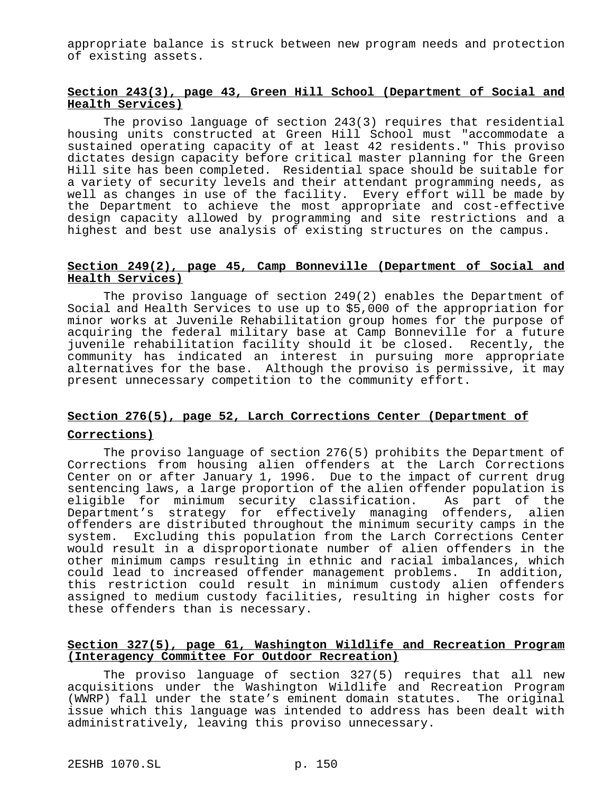appropriate balance is struck between new program needs and protection of existing assets.

## **Section 243(3), page 43, Green Hill School (Department of Social and Health Services)**

The proviso language of section 243(3) requires that residential housing units constructed at Green Hill School must "accommodate a sustained operating capacity of at least 42 residents." This proviso dictates design capacity before critical master planning for the Green Hill site has been completed. Residential space should be suitable for a variety of security levels and their attendant programming needs, as well as changes in use of the facility. Every effort will be made by the Department to achieve the most appropriate and cost-effective design capacity allowed by programming and site restrictions and a highest and best use analysis of existing structures on the campus.

#### **Section 249(2), page 45, Camp Bonneville (Department of Social and Health Services)**

The proviso language of section 249(2) enables the Department of Social and Health Services to use up to \$5,000 of the appropriation for minor works at Juvenile Rehabilitation group homes for the purpose of acquiring the federal military base at Camp Bonneville for a future juvenile rehabilitation facility should it be closed. Recently, the community has indicated an interest in pursuing more appropriate alternatives for the base. Although the proviso is permissive, it may present unnecessary competition to the community effort.

# **Section 276(5), page 52, Larch Corrections Center (Department of**

### **Corrections)**

The proviso language of section 276(5) prohibits the Department of Corrections from housing alien offenders at the Larch Corrections Center on or after January 1, 1996. Due to the impact of current drug sentencing laws, a large proportion of the alien offender population is eligible for minimum security classification. As part of the Department's strategy for effectively managing offenders, alien offenders are distributed throughout the minimum security camps in the system. Excluding this population from the Larch Corrections Center would result in a disproportionate number of alien offenders in the other minimum camps resulting in ethnic and racial imbalances, which could lead to increased offender management problems. In addition, this restriction could result in minimum custody alien offenders assigned to medium custody facilities, resulting in higher costs for these offenders than is necessary.

## **Section 327(5), page 61, Washington Wildlife and Recreation Program (Interagency Committee For Outdoor Recreation)**

The proviso language of section 327(5) requires that all new acquisitions under the Washington Wildlife and Recreation Program (WWRP) fall under the state's eminent domain statutes. The original issue which this language was intended to address has been dealt with administratively, leaving this proviso unnecessary.